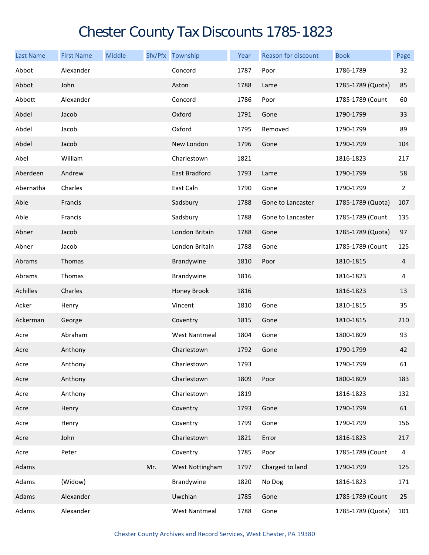## Chester County Tax Discounts 1785-1823

| <b>Last Name</b> | <b>First Name</b> | Middle |     | Sfx/Pfx Township     | Year | <b>Reason for discount</b> | <b>Book</b>       | Page           |
|------------------|-------------------|--------|-----|----------------------|------|----------------------------|-------------------|----------------|
| Abbot            | Alexander         |        |     | Concord              | 1787 | Poor                       | 1786-1789         | 32             |
| Abbot            | John              |        |     | Aston                | 1788 | Lame                       | 1785-1789 (Quota) | 85             |
| Abbott           | Alexander         |        |     | Concord              | 1786 | Poor                       | 1785-1789 (Count  | 60             |
| Abdel            | Jacob             |        |     | Oxford               | 1791 | Gone                       | 1790-1799         | 33             |
| Abdel            | Jacob             |        |     | Oxford               | 1795 | Removed                    | 1790-1799         | 89             |
| Abdel            | Jacob             |        |     | New London           | 1796 | Gone                       | 1790-1799         | 104            |
| Abel             | William           |        |     | Charlestown          | 1821 |                            | 1816-1823         | 217            |
| Aberdeen         | Andrew            |        |     | East Bradford        | 1793 | Lame                       | 1790-1799         | 58             |
| Abernatha        | Charles           |        |     | East Caln            | 1790 | Gone                       | 1790-1799         | $\overline{2}$ |
| Able             | Francis           |        |     | Sadsbury             | 1788 | Gone to Lancaster          | 1785-1789 (Quota) | 107            |
| Able             | Francis           |        |     | Sadsbury             | 1788 | Gone to Lancaster          | 1785-1789 (Count  | 135            |
| Abner            | Jacob             |        |     | London Britain       | 1788 | Gone                       | 1785-1789 (Quota) | 97             |
| Abner            | Jacob             |        |     | London Britain       | 1788 | Gone                       | 1785-1789 (Count  | 125            |
| Abrams           | Thomas            |        |     | Brandywine           | 1810 | Poor                       | 1810-1815         | $\overline{4}$ |
| Abrams           | Thomas            |        |     | Brandywine           | 1816 |                            | 1816-1823         | 4              |
| Achilles         | Charles           |        |     | Honey Brook          | 1816 |                            | 1816-1823         | 13             |
| Acker            | Henry             |        |     | Vincent              | 1810 | Gone                       | 1810-1815         | 35             |
| Ackerman         | George            |        |     | Coventry             | 1815 | Gone                       | 1810-1815         | 210            |
| Acre             | Abraham           |        |     | <b>West Nantmeal</b> | 1804 | Gone                       | 1800-1809         | 93             |
| Acre             | Anthony           |        |     | Charlestown          | 1792 | Gone                       | 1790-1799         | 42             |
| Acre             | Anthony           |        |     | Charlestown          | 1793 |                            | 1790-1799         | 61             |
| Acre             | Anthony           |        |     | Charlestown          | 1809 | Poor                       | 1800-1809         | 183            |
| Acre             | Anthony           |        |     | Charlestown          | 1819 |                            | 1816-1823         | 132            |
| Acre             | Henry             |        |     | Coventry             | 1793 | Gone                       | 1790-1799         | 61             |
| Acre             | Henry             |        |     | Coventry             | 1799 | Gone                       | 1790-1799         | 156            |
| Acre             | John              |        |     | Charlestown          | 1821 | Error                      | 1816-1823         | 217            |
| Acre             | Peter             |        |     | Coventry             | 1785 | Poor                       | 1785-1789 (Count  | 4              |
| Adams            |                   |        | Mr. | West Nottingham      | 1797 | Charged to land            | 1790-1799         | 125            |
| Adams            | (Widow)           |        |     | Brandywine           | 1820 | No Dog                     | 1816-1823         | 171            |
| Adams            | Alexander         |        |     | Uwchlan              | 1785 | Gone                       | 1785-1789 (Count  | 25             |
| Adams            | Alexander         |        |     | <b>West Nantmeal</b> | 1788 | Gone                       | 1785-1789 (Quota) | 101            |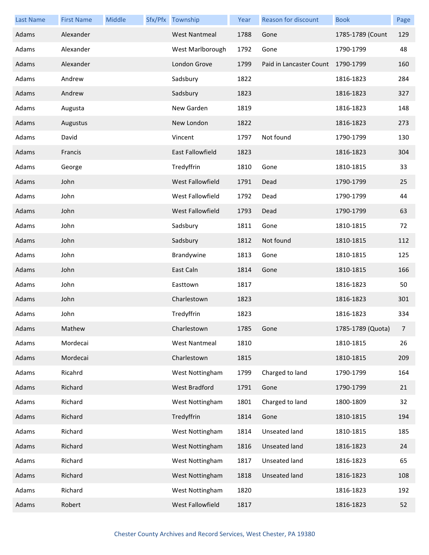| <b>Last Name</b> | <b>First Name</b> | Middle | Sfx/Pfx Township        | Year | <b>Reason for discount</b> | <b>Book</b>       | Page           |
|------------------|-------------------|--------|-------------------------|------|----------------------------|-------------------|----------------|
| Adams            | Alexander         |        | <b>West Nantmeal</b>    | 1788 | Gone                       | 1785-1789 (Count  | 129            |
| Adams            | Alexander         |        | West Marlborough        | 1792 | Gone                       | 1790-1799         | 48             |
| Adams            | Alexander         |        | London Grove            | 1799 | Paid in Lancaster Count    | 1790-1799         | 160            |
| Adams            | Andrew            |        | Sadsbury                | 1822 |                            | 1816-1823         | 284            |
| Adams            | Andrew            |        | Sadsbury                | 1823 |                            | 1816-1823         | 327            |
| Adams            | Augusta           |        | New Garden              | 1819 |                            | 1816-1823         | 148            |
| Adams            | Augustus          |        | New London              | 1822 |                            | 1816-1823         | 273            |
| Adams            | David             |        | Vincent                 | 1797 | Not found                  | 1790-1799         | 130            |
| Adams            | Francis           |        | <b>East Fallowfield</b> | 1823 |                            | 1816-1823         | 304            |
| Adams            | George            |        | Tredyffrin              | 1810 | Gone                       | 1810-1815         | 33             |
| Adams            | John              |        | <b>West Fallowfield</b> | 1791 | Dead                       | 1790-1799         | 25             |
| Adams            | John              |        | West Fallowfield        | 1792 | Dead                       | 1790-1799         | 44             |
| Adams            | John              |        | West Fallowfield        | 1793 | Dead                       | 1790-1799         | 63             |
| Adams            | John              |        | Sadsbury                | 1811 | Gone                       | 1810-1815         | 72             |
| Adams            | John              |        | Sadsbury                | 1812 | Not found                  | 1810-1815         | 112            |
| Adams            | John              |        | Brandywine              | 1813 | Gone                       | 1810-1815         | 125            |
| Adams            | John              |        | East Caln               | 1814 | Gone                       | 1810-1815         | 166            |
| Adams            | John              |        | Easttown                | 1817 |                            | 1816-1823         | 50             |
| Adams            | John              |        | Charlestown             | 1823 |                            | 1816-1823         | 301            |
| Adams            | John              |        | Tredyffrin              | 1823 |                            | 1816-1823         | 334            |
| Adams            | Mathew            |        | Charlestown             | 1785 | Gone                       | 1785-1789 (Quota) | $\overline{7}$ |
| Adams            | Mordecai          |        | <b>West Nantmeal</b>    | 1810 |                            | 1810-1815         | 26             |
| Adams            | Mordecai          |        | Charlestown             | 1815 |                            | 1810-1815         | 209            |
| Adams            | Ricahrd           |        | West Nottingham         | 1799 | Charged to land            | 1790-1799         | 164            |
| Adams            | Richard           |        | West Bradford           | 1791 | Gone                       | 1790-1799         | 21             |
| Adams            | Richard           |        | West Nottingham         | 1801 | Charged to land            | 1800-1809         | 32             |
| Adams            | Richard           |        | Tredyffrin              | 1814 | Gone                       | 1810-1815         | 194            |
| Adams            | Richard           |        | West Nottingham         | 1814 | Unseated land              | 1810-1815         | 185            |
| Adams            | Richard           |        | West Nottingham         | 1816 | Unseated land              | 1816-1823         | 24             |
| Adams            | Richard           |        | West Nottingham         | 1817 | Unseated land              | 1816-1823         | 65             |
| Adams            | Richard           |        | West Nottingham         | 1818 | Unseated land              | 1816-1823         | 108            |
| Adams            | Richard           |        | West Nottingham         | 1820 |                            | 1816-1823         | 192            |
| Adams            | Robert            |        | West Fallowfield        | 1817 |                            | 1816-1823         | 52             |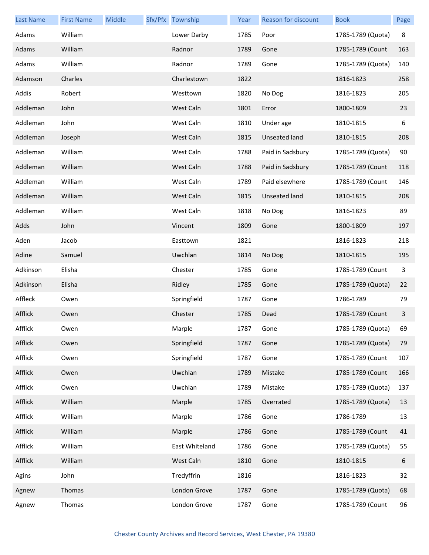| <b>Last Name</b> | <b>First Name</b> | Middle | Sfx/Pfx Township | Year | <b>Reason for discount</b> | <b>Book</b>       | Page |
|------------------|-------------------|--------|------------------|------|----------------------------|-------------------|------|
| Adams            | William           |        | Lower Darby      | 1785 | Poor                       | 1785-1789 (Quota) | 8    |
| Adams            | William           |        | Radnor           | 1789 | Gone                       | 1785-1789 (Count  | 163  |
| Adams            | William           |        | Radnor           | 1789 | Gone                       | 1785-1789 (Quota) | 140  |
| Adamson          | Charles           |        | Charlestown      | 1822 |                            | 1816-1823         | 258  |
| Addis            | Robert            |        | Westtown         | 1820 | No Dog                     | 1816-1823         | 205  |
| Addleman         | John              |        | West Caln        | 1801 | Error                      | 1800-1809         | 23   |
| Addleman         | John              |        | West Caln        | 1810 | Under age                  | 1810-1815         | 6    |
| Addleman         | Joseph            |        | West Caln        | 1815 | <b>Unseated land</b>       | 1810-1815         | 208  |
| Addleman         | William           |        | West Caln        | 1788 | Paid in Sadsbury           | 1785-1789 (Quota) | 90   |
| Addleman         | William           |        | West Caln        | 1788 | Paid in Sadsbury           | 1785-1789 (Count  | 118  |
| Addleman         | William           |        | West Caln        | 1789 | Paid elsewhere             | 1785-1789 (Count  | 146  |
| Addleman         | William           |        | West Caln        | 1815 | <b>Unseated land</b>       | 1810-1815         | 208  |
| Addleman         | William           |        | West Caln        | 1818 | No Dog                     | 1816-1823         | 89   |
| Adds             | John              |        | Vincent          | 1809 | Gone                       | 1800-1809         | 197  |
| Aden             | Jacob             |        | Easttown         | 1821 |                            | 1816-1823         | 218  |
| Adine            | Samuel            |        | Uwchlan          | 1814 | No Dog                     | 1810-1815         | 195  |
| Adkinson         | Elisha            |        | Chester          | 1785 | Gone                       | 1785-1789 (Count  | 3    |
| Adkinson         | Elisha            |        | Ridley           | 1785 | Gone                       | 1785-1789 (Quota) | 22   |
| Affleck          | Owen              |        | Springfield      | 1787 | Gone                       | 1786-1789         | 79   |
| Afflick          | Owen              |        | Chester          | 1785 | Dead                       | 1785-1789 (Count  | 3    |
| Afflick          | Owen              |        | Marple           | 1787 | Gone                       | 1785-1789 (Quota) | 69   |
| Afflick          | Owen              |        | Springfield      | 1787 | Gone                       | 1785-1789 (Quota) | 79   |
| Afflick          | Owen              |        | Springfield      | 1787 | Gone                       | 1785-1789 (Count  | 107  |
| Afflick          | Owen              |        | Uwchlan          | 1789 | Mistake                    | 1785-1789 (Count  | 166  |
| Afflick          | Owen              |        | Uwchlan          | 1789 | Mistake                    | 1785-1789 (Quota) | 137  |
| Afflick          | William           |        | Marple           | 1785 | Overrated                  | 1785-1789 (Quota) | 13   |
| Afflick          | William           |        | Marple           | 1786 | Gone                       | 1786-1789         | 13   |
| Afflick          | William           |        | Marple           | 1786 | Gone                       | 1785-1789 (Count  | 41   |
| Afflick          | William           |        | East Whiteland   | 1786 | Gone                       | 1785-1789 (Quota) | 55   |
| Afflick          | William           |        | West Caln        | 1810 | Gone                       | 1810-1815         | 6    |
| Agins            | John              |        | Tredyffrin       | 1816 |                            | 1816-1823         | 32   |
| Agnew            | Thomas            |        | London Grove     | 1787 | Gone                       | 1785-1789 (Quota) | 68   |
| Agnew            | Thomas            |        | London Grove     | 1787 | Gone                       | 1785-1789 (Count  | 96   |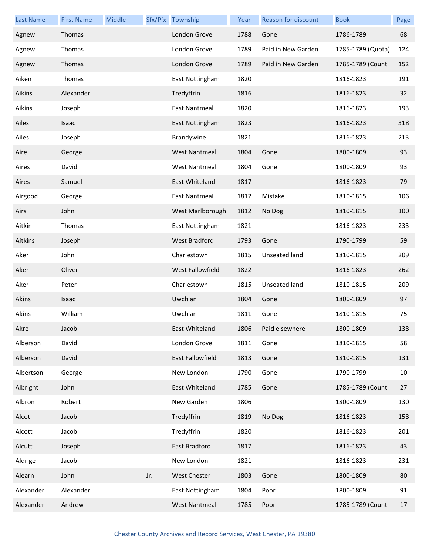| <b>Last Name</b> | <b>First Name</b> | Middle |     | Sfx/Pfx Township     | Year | <b>Reason for discount</b> | <b>Book</b>       | Page |
|------------------|-------------------|--------|-----|----------------------|------|----------------------------|-------------------|------|
| Agnew            | Thomas            |        |     | London Grove         | 1788 | Gone                       | 1786-1789         | 68   |
| Agnew            | Thomas            |        |     | London Grove         | 1789 | Paid in New Garden         | 1785-1789 (Quota) | 124  |
| Agnew            | Thomas            |        |     | London Grove         | 1789 | Paid in New Garden         | 1785-1789 (Count  | 152  |
| Aiken            | Thomas            |        |     | East Nottingham      | 1820 |                            | 1816-1823         | 191  |
| Aikins           | Alexander         |        |     | Tredyffrin           | 1816 |                            | 1816-1823         | 32   |
| Aikins           | Joseph            |        |     | East Nantmeal        | 1820 |                            | 1816-1823         | 193  |
| Ailes            | Isaac             |        |     | East Nottingham      | 1823 |                            | 1816-1823         | 318  |
| Ailes            | Joseph            |        |     | Brandywine           | 1821 |                            | 1816-1823         | 213  |
| Aire             | George            |        |     | <b>West Nantmeal</b> | 1804 | Gone                       | 1800-1809         | 93   |
| Aires            | David             |        |     | <b>West Nantmeal</b> | 1804 | Gone                       | 1800-1809         | 93   |
| Aires            | Samuel            |        |     | East Whiteland       | 1817 |                            | 1816-1823         | 79   |
| Airgood          | George            |        |     | East Nantmeal        | 1812 | Mistake                    | 1810-1815         | 106  |
| Airs             | John              |        |     | West Marlborough     | 1812 | No Dog                     | 1810-1815         | 100  |
| Aitkin           | Thomas            |        |     | East Nottingham      | 1821 |                            | 1816-1823         | 233  |
| Aitkins          | Joseph            |        |     | <b>West Bradford</b> | 1793 | Gone                       | 1790-1799         | 59   |
| Aker             | John              |        |     | Charlestown          | 1815 | Unseated land              | 1810-1815         | 209  |
| Aker             | Oliver            |        |     | West Fallowfield     | 1822 |                            | 1816-1823         | 262  |
| Aker             | Peter             |        |     | Charlestown          | 1815 | Unseated land              | 1810-1815         | 209  |
| Akins            | Isaac             |        |     | Uwchlan              | 1804 | Gone                       | 1800-1809         | 97   |
| Akins            | William           |        |     | Uwchlan              | 1811 | Gone                       | 1810-1815         | 75   |
| Akre             | Jacob             |        |     | East Whiteland       | 1806 | Paid elsewhere             | 1800-1809         | 138  |
| Alberson         | David             |        |     | London Grove         | 1811 | Gone                       | 1810-1815         | 58   |
| Alberson         | David             |        |     | East Fallowfield     | 1813 | Gone                       | 1810-1815         | 131  |
| Albertson        | George            |        |     | New London           | 1790 | Gone                       | 1790-1799         | 10   |
| Albright         | John              |        |     | East Whiteland       | 1785 | Gone                       | 1785-1789 (Count  | 27   |
| Albron           | Robert            |        |     | New Garden           | 1806 |                            | 1800-1809         | 130  |
| Alcot            | Jacob             |        |     | Tredyffrin           | 1819 | No Dog                     | 1816-1823         | 158  |
| Alcott           | Jacob             |        |     | Tredyffrin           | 1820 |                            | 1816-1823         | 201  |
| Alcutt           | Joseph            |        |     | East Bradford        | 1817 |                            | 1816-1823         | 43   |
| Aldrige          | Jacob             |        |     | New London           | 1821 |                            | 1816-1823         | 231  |
| Alearn           | John              |        | Jr. | West Chester         | 1803 | Gone                       | 1800-1809         | 80   |
| Alexander        | Alexander         |        |     | East Nottingham      | 1804 | Poor                       | 1800-1809         | 91   |
| Alexander        | Andrew            |        |     | <b>West Nantmeal</b> | 1785 | Poor                       | 1785-1789 (Count  | 17   |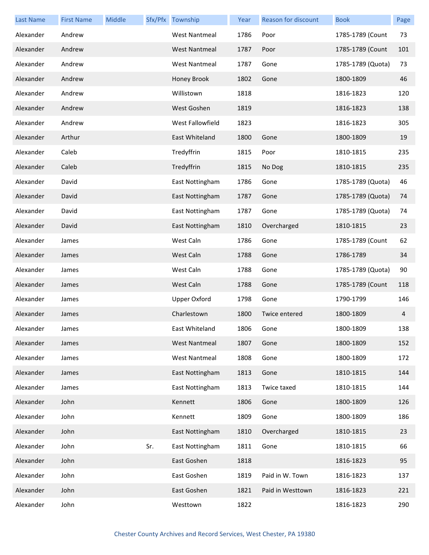| <b>Last Name</b> | <b>First Name</b> | Middle |     | Sfx/Pfx Township     | Year | Reason for discount | <b>Book</b>       | Page |
|------------------|-------------------|--------|-----|----------------------|------|---------------------|-------------------|------|
| Alexander        | Andrew            |        |     | <b>West Nantmeal</b> | 1786 | Poor                | 1785-1789 (Count  | 73   |
| Alexander        | Andrew            |        |     | <b>West Nantmeal</b> | 1787 | Poor                | 1785-1789 (Count  | 101  |
| Alexander        | Andrew            |        |     | <b>West Nantmeal</b> | 1787 | Gone                | 1785-1789 (Quota) | 73   |
| Alexander        | Andrew            |        |     | Honey Brook          | 1802 | Gone                | 1800-1809         | 46   |
| Alexander        | Andrew            |        |     | Willistown           | 1818 |                     | 1816-1823         | 120  |
| Alexander        | Andrew            |        |     | West Goshen          | 1819 |                     | 1816-1823         | 138  |
| Alexander        | Andrew            |        |     | West Fallowfield     | 1823 |                     | 1816-1823         | 305  |
| Alexander        | Arthur            |        |     | East Whiteland       | 1800 | Gone                | 1800-1809         | 19   |
| Alexander        | Caleb             |        |     | Tredyffrin           | 1815 | Poor                | 1810-1815         | 235  |
| Alexander        | Caleb             |        |     | Tredyffrin           | 1815 | No Dog              | 1810-1815         | 235  |
| Alexander        | David             |        |     | East Nottingham      | 1786 | Gone                | 1785-1789 (Quota) | 46   |
| Alexander        | David             |        |     | East Nottingham      | 1787 | Gone                | 1785-1789 (Quota) | 74   |
| Alexander        | David             |        |     | East Nottingham      | 1787 | Gone                | 1785-1789 (Quota) | 74   |
| Alexander        | David             |        |     | East Nottingham      | 1810 | Overcharged         | 1810-1815         | 23   |
| Alexander        | James             |        |     | West Caln            | 1786 | Gone                | 1785-1789 (Count  | 62   |
| Alexander        | James             |        |     | West Caln            | 1788 | Gone                | 1786-1789         | 34   |
| Alexander        | James             |        |     | West Caln            | 1788 | Gone                | 1785-1789 (Quota) | 90   |
| Alexander        | James             |        |     | West Caln            | 1788 | Gone                | 1785-1789 (Count  | 118  |
| Alexander        | James             |        |     | <b>Upper Oxford</b>  | 1798 | Gone                | 1790-1799         | 146  |
| Alexander        | James             |        |     | Charlestown          | 1800 | Twice entered       | 1800-1809         | 4    |
| Alexander        | James             |        |     | East Whiteland       | 1806 | Gone                | 1800-1809         | 138  |
| Alexander        | James             |        |     | <b>West Nantmeal</b> | 1807 | Gone                | 1800-1809         | 152  |
| Alexander        | James             |        |     | <b>West Nantmeal</b> | 1808 | Gone                | 1800-1809         | 172  |
| Alexander        | James             |        |     | East Nottingham      | 1813 | Gone                | 1810-1815         | 144  |
| Alexander        | James             |        |     | East Nottingham      | 1813 | Twice taxed         | 1810-1815         | 144  |
| Alexander        | John              |        |     | Kennett              | 1806 | Gone                | 1800-1809         | 126  |
| Alexander        | John              |        |     | Kennett              | 1809 | Gone                | 1800-1809         | 186  |
| Alexander        | John              |        |     | East Nottingham      | 1810 | Overcharged         | 1810-1815         | 23   |
| Alexander        | John              |        | Sr. | East Nottingham      | 1811 | Gone                | 1810-1815         | 66   |
| Alexander        | John              |        |     | East Goshen          | 1818 |                     | 1816-1823         | 95   |
| Alexander        | John              |        |     | East Goshen          | 1819 | Paid in W. Town     | 1816-1823         | 137  |
| Alexander        | John              |        |     | East Goshen          | 1821 | Paid in Westtown    | 1816-1823         | 221  |
| Alexander        | John              |        |     | Westtown             | 1822 |                     | 1816-1823         | 290  |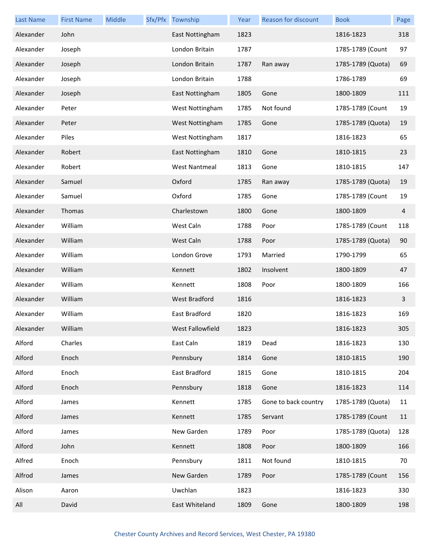| <b>Last Name</b> | <b>First Name</b> | Middle | Sfx/Pfx Township     | Year | Reason for discount  | <b>Book</b>       | Page                    |
|------------------|-------------------|--------|----------------------|------|----------------------|-------------------|-------------------------|
| Alexander        | John              |        | East Nottingham      | 1823 |                      | 1816-1823         | 318                     |
| Alexander        | Joseph            |        | London Britain       | 1787 |                      | 1785-1789 (Count  | 97                      |
| Alexander        | Joseph            |        | London Britain       | 1787 | Ran away             | 1785-1789 (Quota) | 69                      |
| Alexander        | Joseph            |        | London Britain       | 1788 |                      | 1786-1789         | 69                      |
| Alexander        | Joseph            |        | East Nottingham      | 1805 | Gone                 | 1800-1809         | 111                     |
| Alexander        | Peter             |        | West Nottingham      | 1785 | Not found            | 1785-1789 (Count  | 19                      |
| Alexander        | Peter             |        | West Nottingham      | 1785 | Gone                 | 1785-1789 (Quota) | 19                      |
| Alexander        | Piles             |        | West Nottingham      | 1817 |                      | 1816-1823         | 65                      |
| Alexander        | Robert            |        | East Nottingham      | 1810 | Gone                 | 1810-1815         | 23                      |
| Alexander        | Robert            |        | <b>West Nantmeal</b> | 1813 | Gone                 | 1810-1815         | 147                     |
| Alexander        | Samuel            |        | Oxford               | 1785 | Ran away             | 1785-1789 (Quota) | 19                      |
| Alexander        | Samuel            |        | Oxford               | 1785 | Gone                 | 1785-1789 (Count  | 19                      |
| Alexander        | Thomas            |        | Charlestown          | 1800 | Gone                 | 1800-1809         | $\overline{\mathbf{4}}$ |
| Alexander        | William           |        | West Caln            | 1788 | Poor                 | 1785-1789 (Count  | 118                     |
| Alexander        | William           |        | West Caln            | 1788 | Poor                 | 1785-1789 (Quota) | 90                      |
| Alexander        | William           |        | London Grove         | 1793 | Married              | 1790-1799         | 65                      |
| Alexander        | William           |        | Kennett              | 1802 | Insolvent            | 1800-1809         | 47                      |
| Alexander        | William           |        | Kennett              | 1808 | Poor                 | 1800-1809         | 166                     |
| Alexander        | William           |        | <b>West Bradford</b> | 1816 |                      | 1816-1823         | 3                       |
| Alexander        | William           |        | East Bradford        | 1820 |                      | 1816-1823         | 169                     |
| Alexander        | William           |        | West Fallowfield     | 1823 |                      | 1816-1823         | 305                     |
| Alford           | Charles           |        | East Caln            | 1819 | Dead                 | 1816-1823         | 130                     |
| Alford           | Enoch             |        | Pennsbury            | 1814 | Gone                 | 1810-1815         | 190                     |
| Alford           | Enoch             |        | East Bradford        | 1815 | Gone                 | 1810-1815         | 204                     |
| Alford           | Enoch             |        | Pennsbury            | 1818 | Gone                 | 1816-1823         | 114                     |
| Alford           | James             |        | Kennett              | 1785 | Gone to back country | 1785-1789 (Quota) | 11                      |
| Alford           | James             |        | Kennett              | 1785 | Servant              | 1785-1789 (Count  | 11                      |
| Alford           | James             |        | New Garden           | 1789 | Poor                 | 1785-1789 (Quota) | 128                     |
| Alford           | John              |        | Kennett              | 1808 | Poor                 | 1800-1809         | 166                     |
| Alfred           | Enoch             |        | Pennsbury            | 1811 | Not found            | 1810-1815         | 70                      |
| Alfrod           | James             |        | New Garden           | 1789 | Poor                 | 1785-1789 (Count  | 156                     |
| Alison           | Aaron             |        | Uwchlan              | 1823 |                      | 1816-1823         | 330                     |
| All              | David             |        | East Whiteland       | 1809 | Gone                 | 1800-1809         | 198                     |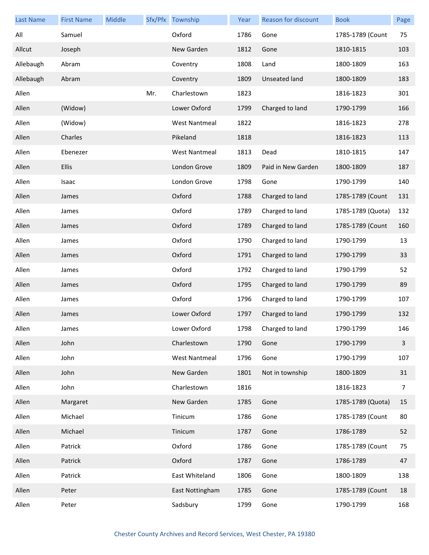| <b>Last Name</b> | <b>First Name</b> | Middle |     | Sfx/Pfx Township     | Year | Reason for discount  | <b>Book</b>       | Page           |
|------------------|-------------------|--------|-----|----------------------|------|----------------------|-------------------|----------------|
| All              | Samuel            |        |     | Oxford               | 1786 | Gone                 | 1785-1789 (Count  | 75             |
| Allcut           | Joseph            |        |     | New Garden           | 1812 | Gone                 | 1810-1815         | 103            |
| Allebaugh        | Abram             |        |     | Coventry             | 1808 | Land                 | 1800-1809         | 163            |
| Allebaugh        | Abram             |        |     | Coventry             | 1809 | <b>Unseated land</b> | 1800-1809         | 183            |
| Allen            |                   |        | Mr. | Charlestown          | 1823 |                      | 1816-1823         | 301            |
| Allen            | (Widow)           |        |     | Lower Oxford         | 1799 | Charged to land      | 1790-1799         | 166            |
| Allen            | (Widow)           |        |     | <b>West Nantmeal</b> | 1822 |                      | 1816-1823         | 278            |
| Allen            | Charles           |        |     | Pikeland             | 1818 |                      | 1816-1823         | 113            |
| Allen            | Ebenezer          |        |     | <b>West Nantmeal</b> | 1813 | Dead                 | 1810-1815         | 147            |
| Allen            | <b>Ellis</b>      |        |     | London Grove         | 1809 | Paid in New Garden   | 1800-1809         | 187            |
| Allen            | Isaac             |        |     | London Grove         | 1798 | Gone                 | 1790-1799         | 140            |
| Allen            | James             |        |     | Oxford               | 1788 | Charged to land      | 1785-1789 (Count  | 131            |
| Allen            | James             |        |     | Oxford               | 1789 | Charged to land      | 1785-1789 (Quota) | 132            |
| Allen            | James             |        |     | Oxford               | 1789 | Charged to land      | 1785-1789 (Count  | 160            |
| Allen            | James             |        |     | Oxford               | 1790 | Charged to land      | 1790-1799         | 13             |
| Allen            | James             |        |     | Oxford               | 1791 | Charged to land      | 1790-1799         | 33             |
| Allen            | James             |        |     | Oxford               | 1792 | Charged to land      | 1790-1799         | 52             |
| Allen            | James             |        |     | Oxford               | 1795 | Charged to land      | 1790-1799         | 89             |
| Allen            | James             |        |     | Oxford               | 1796 | Charged to land      | 1790-1799         | 107            |
| Allen            | James             |        |     | Lower Oxford         | 1797 | Charged to land      | 1790-1799         | 132            |
| Allen            | James             |        |     | Lower Oxford         | 1798 | Charged to land      | 1790-1799         | 146            |
| Allen            | John              |        |     | Charlestown          | 1790 | Gone                 | 1790-1799         | $\mathbf{3}$   |
| Allen            | John              |        |     | <b>West Nantmeal</b> | 1796 | Gone                 | 1790-1799         | 107            |
| Allen            | John              |        |     | New Garden           | 1801 | Not in township      | 1800-1809         | 31             |
| Allen            | John              |        |     | Charlestown          | 1816 |                      | 1816-1823         | $\overline{7}$ |
| Allen            | Margaret          |        |     | New Garden           | 1785 | Gone                 | 1785-1789 (Quota) | 15             |
| Allen            | Michael           |        |     | Tinicum              | 1786 | Gone                 | 1785-1789 (Count  | 80             |
| Allen            | Michael           |        |     | Tinicum              | 1787 | Gone                 | 1786-1789         | 52             |
| Allen            | Patrick           |        |     | Oxford               | 1786 | Gone                 | 1785-1789 (Count  | 75             |
| Allen            | Patrick           |        |     | Oxford               | 1787 | Gone                 | 1786-1789         | 47             |
| Allen            | Patrick           |        |     | East Whiteland       | 1806 | Gone                 | 1800-1809         | 138            |
| Allen            | Peter             |        |     | East Nottingham      | 1785 | Gone                 | 1785-1789 (Count  | 18             |
| Allen            | Peter             |        |     | Sadsbury             | 1799 | Gone                 | 1790-1799         | 168            |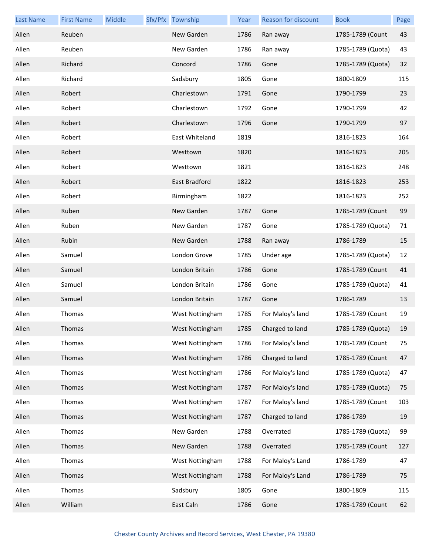| <b>Last Name</b> | <b>First Name</b> | Middle | Sfx/Pfx Township | Year | <b>Reason for discount</b> | <b>Book</b>       | Page |
|------------------|-------------------|--------|------------------|------|----------------------------|-------------------|------|
| Allen            | Reuben            |        | New Garden       | 1786 | Ran away                   | 1785-1789 (Count  | 43   |
| Allen            | Reuben            |        | New Garden       | 1786 | Ran away                   | 1785-1789 (Quota) | 43   |
| Allen            | Richard           |        | Concord          | 1786 | Gone                       | 1785-1789 (Quota) | 32   |
| Allen            | Richard           |        | Sadsbury         | 1805 | Gone                       | 1800-1809         | 115  |
| Allen            | Robert            |        | Charlestown      | 1791 | Gone                       | 1790-1799         | 23   |
| Allen            | Robert            |        | Charlestown      | 1792 | Gone                       | 1790-1799         | 42   |
| Allen            | Robert            |        | Charlestown      | 1796 | Gone                       | 1790-1799         | 97   |
| Allen            | Robert            |        | East Whiteland   | 1819 |                            | 1816-1823         | 164  |
| Allen            | Robert            |        | Westtown         | 1820 |                            | 1816-1823         | 205  |
| Allen            | Robert            |        | Westtown         | 1821 |                            | 1816-1823         | 248  |
| Allen            | Robert            |        | East Bradford    | 1822 |                            | 1816-1823         | 253  |
| Allen            | Robert            |        | Birmingham       | 1822 |                            | 1816-1823         | 252  |
| Allen            | Ruben             |        | New Garden       | 1787 | Gone                       | 1785-1789 (Count  | 99   |
| Allen            | Ruben             |        | New Garden       | 1787 | Gone                       | 1785-1789 (Quota) | 71   |
| Allen            | Rubin             |        | New Garden       | 1788 | Ran away                   | 1786-1789         | 15   |
| Allen            | Samuel            |        | London Grove     | 1785 | Under age                  | 1785-1789 (Quota) | 12   |
| Allen            | Samuel            |        | London Britain   | 1786 | Gone                       | 1785-1789 (Count  | 41   |
| Allen            | Samuel            |        | London Britain   | 1786 | Gone                       | 1785-1789 (Quota) | 41   |
| Allen            | Samuel            |        | London Britain   | 1787 | Gone                       | 1786-1789         | 13   |
| Allen            | Thomas            |        | West Nottingham  | 1785 | For Maloy's land           | 1785-1789 (Count  | 19   |
| Allen            | Thomas            |        | West Nottingham  | 1785 | Charged to land            | 1785-1789 (Quota) | 19   |
| Allen            | Thomas            |        | West Nottingham  | 1786 | For Maloy's land           | 1785-1789 (Count  | 75   |
| Allen            | Thomas            |        | West Nottingham  | 1786 | Charged to land            | 1785-1789 (Count  | 47   |
| Allen            | Thomas            |        | West Nottingham  | 1786 | For Maloy's land           | 1785-1789 (Quota) | 47   |
| Allen            | Thomas            |        | West Nottingham  | 1787 | For Maloy's land           | 1785-1789 (Quota) | 75   |
| Allen            | Thomas            |        | West Nottingham  | 1787 | For Maloy's land           | 1785-1789 (Count  | 103  |
| Allen            | Thomas            |        | West Nottingham  | 1787 | Charged to land            | 1786-1789         | 19   |
| Allen            | Thomas            |        | New Garden       | 1788 | Overrated                  | 1785-1789 (Quota) | 99   |
| Allen            | Thomas            |        | New Garden       | 1788 | Overrated                  | 1785-1789 (Count  | 127  |
| Allen            | Thomas            |        | West Nottingham  | 1788 | For Maloy's Land           | 1786-1789         | 47   |
| Allen            | Thomas            |        | West Nottingham  | 1788 | For Maloy's Land           | 1786-1789         | 75   |
| Allen            | Thomas            |        | Sadsbury         | 1805 | Gone                       | 1800-1809         | 115  |
| Allen            | William           |        | East Caln        | 1786 | Gone                       | 1785-1789 (Count  | 62   |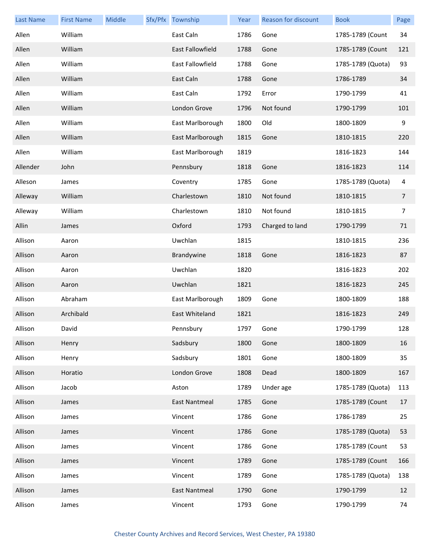| <b>Last Name</b> | <b>First Name</b> | Middle | Sfx/Pfx Township        | Year | Reason for discount | <b>Book</b>       | Page |
|------------------|-------------------|--------|-------------------------|------|---------------------|-------------------|------|
| Allen            | William           |        | East Caln               | 1786 | Gone                | 1785-1789 (Count  | 34   |
| Allen            | William           |        | <b>East Fallowfield</b> | 1788 | Gone                | 1785-1789 (Count  | 121  |
| Allen            | William           |        | <b>East Fallowfield</b> | 1788 | Gone                | 1785-1789 (Quota) | 93   |
| Allen            | William           |        | East Caln               | 1788 | Gone                | 1786-1789         | 34   |
| Allen            | William           |        | East Caln               | 1792 | Error               | 1790-1799         | 41   |
| Allen            | William           |        | London Grove            | 1796 | Not found           | 1790-1799         | 101  |
| Allen            | William           |        | East Marlborough        | 1800 | Old                 | 1800-1809         | 9    |
| Allen            | William           |        | East Marlborough        | 1815 | Gone                | 1810-1815         | 220  |
| Allen            | William           |        | East Marlborough        | 1819 |                     | 1816-1823         | 144  |
| Allender         | John              |        | Pennsbury               | 1818 | Gone                | 1816-1823         | 114  |
| Alleson          | James             |        | Coventry                | 1785 | Gone                | 1785-1789 (Quota) | 4    |
| Alleway          | William           |        | Charlestown             | 1810 | Not found           | 1810-1815         | 7    |
| Alleway          | William           |        | Charlestown             | 1810 | Not found           | 1810-1815         | 7    |
| Allin            | James             |        | Oxford                  | 1793 | Charged to land     | 1790-1799         | 71   |
| Allison          | Aaron             |        | Uwchlan                 | 1815 |                     | 1810-1815         | 236  |
| Allison          | Aaron             |        | Brandywine              | 1818 | Gone                | 1816-1823         | 87   |
| Allison          | Aaron             |        | Uwchlan                 | 1820 |                     | 1816-1823         | 202  |
| Allison          | Aaron             |        | Uwchlan                 | 1821 |                     | 1816-1823         | 245  |
| Allison          | Abraham           |        | East Marlborough        | 1809 | Gone                | 1800-1809         | 188  |
| Allison          | Archibald         |        | East Whiteland          | 1821 |                     | 1816-1823         | 249  |
| Allison          | David             |        | Pennsbury               | 1797 | Gone                | 1790-1799         | 128  |
| Allison          | Henry             |        | Sadsbury                | 1800 | Gone                | 1800-1809         | 16   |
| Allison          | Henry             |        | Sadsbury                | 1801 | Gone                | 1800-1809         | 35   |
| Allison          | Horatio           |        | London Grove            | 1808 | Dead                | 1800-1809         | 167  |
| Allison          | Jacob             |        | Aston                   | 1789 | Under age           | 1785-1789 (Quota) | 113  |
| Allison          | James             |        | <b>East Nantmeal</b>    | 1785 | Gone                | 1785-1789 (Count  | 17   |
| Allison          | James             |        | Vincent                 | 1786 | Gone                | 1786-1789         | 25   |
| Allison          | James             |        | Vincent                 | 1786 | Gone                | 1785-1789 (Quota) | 53   |
| Allison          | James             |        | Vincent                 | 1786 | Gone                | 1785-1789 (Count  | 53   |
| Allison          | James             |        | Vincent                 | 1789 | Gone                | 1785-1789 (Count  | 166  |
| Allison          | James             |        | Vincent                 | 1789 | Gone                | 1785-1789 (Quota) | 138  |
| Allison          | James             |        | <b>East Nantmeal</b>    | 1790 | Gone                | 1790-1799         | 12   |
| Allison          | James             |        | Vincent                 | 1793 | Gone                | 1790-1799         | 74   |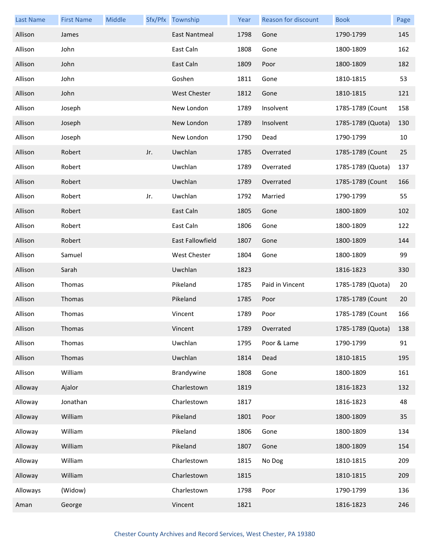| <b>Last Name</b> | <b>First Name</b> | Middle |     | Sfx/Pfx Township | Year | Reason for discount | <b>Book</b>       | Page |
|------------------|-------------------|--------|-----|------------------|------|---------------------|-------------------|------|
| Allison          | James             |        |     | East Nantmeal    | 1798 | Gone                | 1790-1799         | 145  |
| Allison          | John              |        |     | East Caln        | 1808 | Gone                | 1800-1809         | 162  |
| Allison          | John              |        |     | East Caln        | 1809 | Poor                | 1800-1809         | 182  |
| Allison          | John              |        |     | Goshen           | 1811 | Gone                | 1810-1815         | 53   |
| Allison          | John              |        |     | West Chester     | 1812 | Gone                | 1810-1815         | 121  |
| Allison          | Joseph            |        |     | New London       | 1789 | Insolvent           | 1785-1789 (Count  | 158  |
| Allison          | Joseph            |        |     | New London       | 1789 | Insolvent           | 1785-1789 (Quota) | 130  |
| Allison          | Joseph            |        |     | New London       | 1790 | Dead                | 1790-1799         | 10   |
| Allison          | Robert            |        | Jr. | Uwchlan          | 1785 | Overrated           | 1785-1789 (Count  | 25   |
| Allison          | Robert            |        |     | Uwchlan          | 1789 | Overrated           | 1785-1789 (Quota) | 137  |
| Allison          | Robert            |        |     | Uwchlan          | 1789 | Overrated           | 1785-1789 (Count  | 166  |
| Allison          | Robert            |        | Jr. | Uwchlan          | 1792 | Married             | 1790-1799         | 55   |
| Allison          | Robert            |        |     | East Caln        | 1805 | Gone                | 1800-1809         | 102  |
| Allison          | Robert            |        |     | East Caln        | 1806 | Gone                | 1800-1809         | 122  |
| Allison          | Robert            |        |     | East Fallowfield | 1807 | Gone                | 1800-1809         | 144  |
| Allison          | Samuel            |        |     | West Chester     | 1804 | Gone                | 1800-1809         | 99   |
| Allison          | Sarah             |        |     | Uwchlan          | 1823 |                     | 1816-1823         | 330  |
| Allison          | Thomas            |        |     | Pikeland         | 1785 | Paid in Vincent     | 1785-1789 (Quota) | 20   |
| Allison          | Thomas            |        |     | Pikeland         | 1785 | Poor                | 1785-1789 (Count  | 20   |
| Allison          | Thomas            |        |     | Vincent          | 1789 | Poor                | 1785-1789 (Count  | 166  |
| Allison          | Thomas            |        |     | Vincent          | 1789 | Overrated           | 1785-1789 (Quota) | 138  |
| Allison          | Thomas            |        |     | Uwchlan          | 1795 | Poor & Lame         | 1790-1799         | 91   |
| Allison          | Thomas            |        |     | Uwchlan          | 1814 | Dead                | 1810-1815         | 195  |
| Allison          | William           |        |     | Brandywine       | 1808 | Gone                | 1800-1809         | 161  |
| Alloway          | Ajalor            |        |     | Charlestown      | 1819 |                     | 1816-1823         | 132  |
| Alloway          | Jonathan          |        |     | Charlestown      | 1817 |                     | 1816-1823         | 48   |
| Alloway          | William           |        |     | Pikeland         | 1801 | Poor                | 1800-1809         | 35   |
| Alloway          | William           |        |     | Pikeland         | 1806 | Gone                | 1800-1809         | 134  |
| Alloway          | William           |        |     | Pikeland         | 1807 | Gone                | 1800-1809         | 154  |
| Alloway          | William           |        |     | Charlestown      | 1815 | No Dog              | 1810-1815         | 209  |
| Alloway          | William           |        |     | Charlestown      | 1815 |                     | 1810-1815         | 209  |
| Alloways         | (Widow)           |        |     | Charlestown      | 1798 | Poor                | 1790-1799         | 136  |
| Aman             | George            |        |     | Vincent          | 1821 |                     | 1816-1823         | 246  |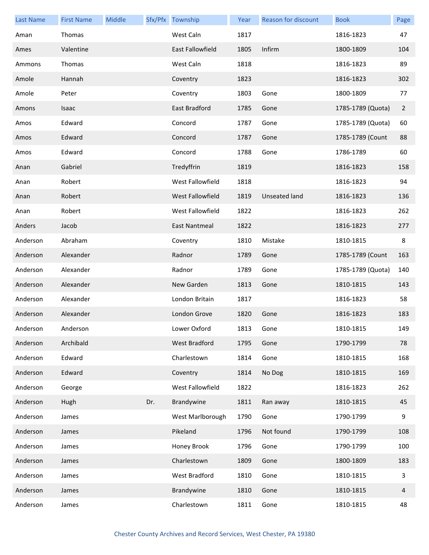| <b>Last Name</b> | <b>First Name</b> | Middle |     | Sfx/Pfx Township | Year | Reason for discount  | <b>Book</b>       | Page           |
|------------------|-------------------|--------|-----|------------------|------|----------------------|-------------------|----------------|
| Aman             | Thomas            |        |     | West Caln        | 1817 |                      | 1816-1823         | 47             |
| Ames             | Valentine         |        |     | East Fallowfield | 1805 | Infirm               | 1800-1809         | 104            |
| Ammons           | Thomas            |        |     | West Caln        | 1818 |                      | 1816-1823         | 89             |
| Amole            | Hannah            |        |     | Coventry         | 1823 |                      | 1816-1823         | 302            |
| Amole            | Peter             |        |     | Coventry         | 1803 | Gone                 | 1800-1809         | 77             |
| Amons            | Isaac             |        |     | East Bradford    | 1785 | Gone                 | 1785-1789 (Quota) | $\overline{2}$ |
| Amos             | Edward            |        |     | Concord          | 1787 | Gone                 | 1785-1789 (Quota) | 60             |
| Amos             | Edward            |        |     | Concord          | 1787 | Gone                 | 1785-1789 (Count  | 88             |
| Amos             | Edward            |        |     | Concord          | 1788 | Gone                 | 1786-1789         | 60             |
| Anan             | Gabriel           |        |     | Tredyffrin       | 1819 |                      | 1816-1823         | 158            |
| Anan             | Robert            |        |     | West Fallowfield | 1818 |                      | 1816-1823         | 94             |
| Anan             | Robert            |        |     | West Fallowfield | 1819 | <b>Unseated land</b> | 1816-1823         | 136            |
| Anan             | Robert            |        |     | West Fallowfield | 1822 |                      | 1816-1823         | 262            |
| Anders           | Jacob             |        |     | East Nantmeal    | 1822 |                      | 1816-1823         | 277            |
| Anderson         | Abraham           |        |     | Coventry         | 1810 | Mistake              | 1810-1815         | 8              |
| Anderson         | Alexander         |        |     | Radnor           | 1789 | Gone                 | 1785-1789 (Count  | 163            |
| Anderson         | Alexander         |        |     | Radnor           | 1789 | Gone                 | 1785-1789 (Quota) | 140            |
| Anderson         | Alexander         |        |     | New Garden       | 1813 | Gone                 | 1810-1815         | 143            |
| Anderson         | Alexander         |        |     | London Britain   | 1817 |                      | 1816-1823         | 58             |
| Anderson         | Alexander         |        |     | London Grove     | 1820 | Gone                 | 1816-1823         | 183            |
| Anderson         | Anderson          |        |     | Lower Oxford     | 1813 | Gone                 | 1810-1815         | 149            |
| Anderson         | Archibald         |        |     | West Bradford    | 1795 | Gone                 | 1790-1799         | 78             |
| Anderson         | Edward            |        |     | Charlestown      | 1814 | Gone                 | 1810-1815         | 168            |
| Anderson         | Edward            |        |     | Coventry         | 1814 | No Dog               | 1810-1815         | 169            |
| Anderson         | George            |        |     | West Fallowfield | 1822 |                      | 1816-1823         | 262            |
| Anderson         | Hugh              |        | Dr. | Brandywine       | 1811 | Ran away             | 1810-1815         | 45             |
| Anderson         | James             |        |     | West Marlborough | 1790 | Gone                 | 1790-1799         | 9              |
| Anderson         | James             |        |     | Pikeland         | 1796 | Not found            | 1790-1799         | 108            |
| Anderson         | James             |        |     | Honey Brook      | 1796 | Gone                 | 1790-1799         | 100            |
| Anderson         | James             |        |     | Charlestown      | 1809 | Gone                 | 1800-1809         | 183            |
| Anderson         | James             |        |     | West Bradford    | 1810 | Gone                 | 1810-1815         | 3              |
| Anderson         | James             |        |     | Brandywine       | 1810 | Gone                 | 1810-1815         | 4              |
| Anderson         | James             |        |     | Charlestown      | 1811 | Gone                 | 1810-1815         | 48             |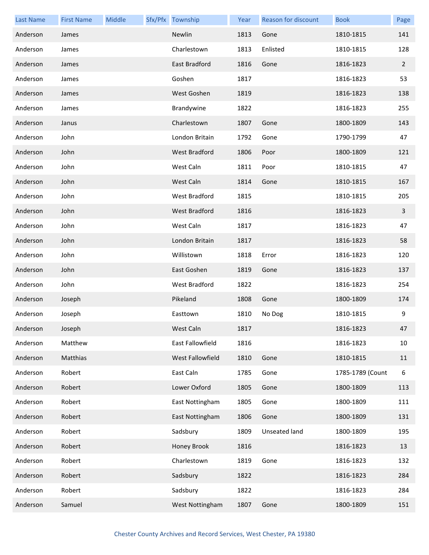| <b>Last Name</b> | <b>First Name</b> | Middle | Sfx/Pfx Township     | Year | Reason for discount | <b>Book</b>      | Page           |
|------------------|-------------------|--------|----------------------|------|---------------------|------------------|----------------|
| Anderson         | James             |        | Newlin               | 1813 | Gone                | 1810-1815        | 141            |
| Anderson         | James             |        | Charlestown          | 1813 | Enlisted            | 1810-1815        | 128            |
| Anderson         | James             |        | East Bradford        | 1816 | Gone                | 1816-1823        | $\overline{2}$ |
| Anderson         | James             |        | Goshen               | 1817 |                     | 1816-1823        | 53             |
| Anderson         | James             |        | West Goshen          | 1819 |                     | 1816-1823        | 138            |
| Anderson         | James             |        | Brandywine           | 1822 |                     | 1816-1823        | 255            |
| Anderson         | Janus             |        | Charlestown          | 1807 | Gone                | 1800-1809        | 143            |
| Anderson         | John              |        | London Britain       | 1792 | Gone                | 1790-1799        | 47             |
| Anderson         | John              |        | <b>West Bradford</b> | 1806 | Poor                | 1800-1809        | 121            |
| Anderson         | John              |        | West Caln            | 1811 | Poor                | 1810-1815        | 47             |
| Anderson         | John              |        | West Caln            | 1814 | Gone                | 1810-1815        | 167            |
| Anderson         | John              |        | West Bradford        | 1815 |                     | 1810-1815        | 205            |
| Anderson         | John              |        | West Bradford        | 1816 |                     | 1816-1823        | 3              |
| Anderson         | John              |        | West Caln            | 1817 |                     | 1816-1823        | 47             |
| Anderson         | John              |        | London Britain       | 1817 |                     | 1816-1823        | 58             |
| Anderson         | John              |        | Willistown           | 1818 | Error               | 1816-1823        | 120            |
| Anderson         | John              |        | East Goshen          | 1819 | Gone                | 1816-1823        | 137            |
| Anderson         | John              |        | West Bradford        | 1822 |                     | 1816-1823        | 254            |
| Anderson         | Joseph            |        | Pikeland             | 1808 | Gone                | 1800-1809        | 174            |
| Anderson         | Joseph            |        | Easttown             | 1810 | No Dog              | 1810-1815        | 9              |
| Anderson         | Joseph            |        | West Caln            | 1817 |                     | 1816-1823        | 47             |
| Anderson         | Matthew           |        | East Fallowfield     | 1816 |                     | 1816-1823        | 10             |
| Anderson         | Matthias          |        | West Fallowfield     | 1810 | Gone                | 1810-1815        | 11             |
| Anderson         | Robert            |        | East Caln            | 1785 | Gone                | 1785-1789 (Count | 6              |
| Anderson         | Robert            |        | Lower Oxford         | 1805 | Gone                | 1800-1809        | 113            |
| Anderson         | Robert            |        | East Nottingham      | 1805 | Gone                | 1800-1809        | 111            |
| Anderson         | Robert            |        | East Nottingham      | 1806 | Gone                | 1800-1809        | 131            |
| Anderson         | Robert            |        | Sadsbury             | 1809 | Unseated land       | 1800-1809        | 195            |
| Anderson         | Robert            |        | Honey Brook          | 1816 |                     | 1816-1823        | 13             |
| Anderson         | Robert            |        | Charlestown          | 1819 | Gone                | 1816-1823        | 132            |
| Anderson         | Robert            |        | Sadsbury             | 1822 |                     | 1816-1823        | 284            |
| Anderson         | Robert            |        | Sadsbury             | 1822 |                     | 1816-1823        | 284            |
| Anderson         | Samuel            |        | West Nottingham      | 1807 | Gone                | 1800-1809        | 151            |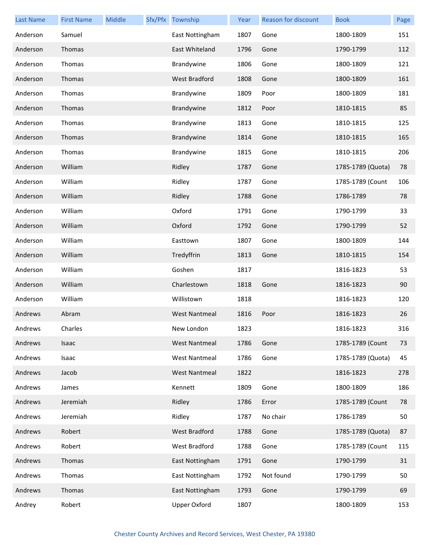| <b>Last Name</b> | <b>First Name</b> | <b>Middle</b> | Sfx/Pfx Township     | Year | <b>Reason for discount</b> | <b>Book</b>       | Page |
|------------------|-------------------|---------------|----------------------|------|----------------------------|-------------------|------|
| Anderson         | Samuel            |               | East Nottingham      | 1807 | Gone                       | 1800-1809         | 151  |
| Anderson         | Thomas            |               | East Whiteland       | 1796 | Gone                       | 1790-1799         | 112  |
| Anderson         | Thomas            |               | Brandywine           | 1806 | Gone                       | 1800-1809         | 121  |
| Anderson         | Thomas            |               | West Bradford        | 1808 | Gone                       | 1800-1809         | 161  |
| Anderson         | Thomas            |               | Brandywine           | 1809 | Poor                       | 1800-1809         | 181  |
| Anderson         | Thomas            |               | Brandywine           | 1812 | Poor                       | 1810-1815         | 85   |
| Anderson         | Thomas            |               | Brandywine           | 1813 | Gone                       | 1810-1815         | 125  |
| Anderson         | Thomas            |               | Brandywine           | 1814 | Gone                       | 1810-1815         | 165  |
| Anderson         | Thomas            |               | Brandywine           | 1815 | Gone                       | 1810-1815         | 206  |
| Anderson         | William           |               | Ridley               | 1787 | Gone                       | 1785-1789 (Quota) | 78   |
| Anderson         | William           |               | Ridley               | 1787 | Gone                       | 1785-1789 (Count  | 106  |
| Anderson         | William           |               | Ridley               | 1788 | Gone                       | 1786-1789         | 78   |
| Anderson         | William           |               | Oxford               | 1791 | Gone                       | 1790-1799         | 33   |
| Anderson         | William           |               | Oxford               | 1792 | Gone                       | 1790-1799         | 52   |
| Anderson         | William           |               | Easttown             | 1807 | Gone                       | 1800-1809         | 144  |
| Anderson         | William           |               | Tredyffrin           | 1813 | Gone                       | 1810-1815         | 154  |
| Anderson         | William           |               | Goshen               | 1817 |                            | 1816-1823         | 53   |
| Anderson         | William           |               | Charlestown          | 1818 | Gone                       | 1816-1823         | 90   |
| Anderson         | William           |               | Willistown           | 1818 |                            | 1816-1823         | 120  |
| Andrews          | Abram             |               | <b>West Nantmeal</b> | 1816 | Poor                       | 1816-1823         | 26   |
| Andrews          | Charles           |               | New London           | 1823 |                            | 1816-1823         | 316  |
| Andrews          | Isaac             |               | <b>West Nantmeal</b> | 1786 | Gone                       | 1785-1789 (Count  | 73   |
| Andrews          | Isaac             |               | <b>West Nantmeal</b> | 1786 | Gone                       | 1785-1789 (Quota) | 45   |
| Andrews          | Jacob             |               | <b>West Nantmeal</b> | 1822 |                            | 1816-1823         | 278  |
| Andrews          | James             |               | Kennett              | 1809 | Gone                       | 1800-1809         | 186  |
| Andrews          | Jeremiah          |               | Ridley               | 1786 | Error                      | 1785-1789 (Count  | 78   |
| Andrews          | Jeremiah          |               | Ridley               | 1787 | No chair                   | 1786-1789         | 50   |
| Andrews          | Robert            |               | West Bradford        | 1788 | Gone                       | 1785-1789 (Quota) | 87   |
| Andrews          | Robert            |               | West Bradford        | 1788 | Gone                       | 1785-1789 (Count  | 115  |
| Andrews          | Thomas            |               | East Nottingham      | 1791 | Gone                       | 1790-1799         | 31   |
| Andrews          | Thomas            |               | East Nottingham      | 1792 | Not found                  | 1790-1799         | 50   |
| Andrews          | Thomas            |               | East Nottingham      | 1793 | Gone                       | 1790-1799         | 69   |
| Andrey           | Robert            |               | <b>Upper Oxford</b>  | 1807 |                            | 1800-1809         | 153  |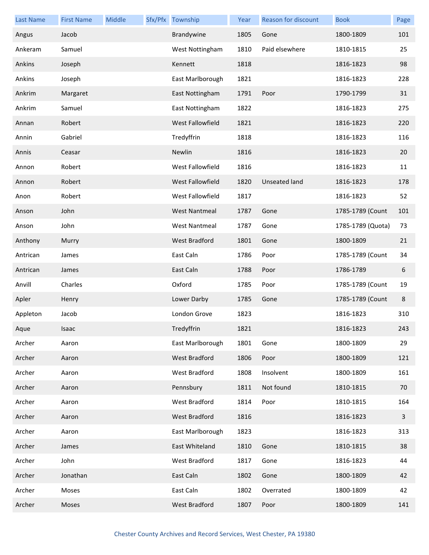| <b>Last Name</b> | <b>First Name</b> | Middle | Sfx/Pfx Township     | Year | <b>Reason for discount</b> | <b>Book</b>       | Page                    |
|------------------|-------------------|--------|----------------------|------|----------------------------|-------------------|-------------------------|
| Angus            | Jacob             |        | Brandywine           | 1805 | Gone                       | 1800-1809         | 101                     |
| Ankeram          | Samuel            |        | West Nottingham      | 1810 | Paid elsewhere             | 1810-1815         | 25                      |
| Ankins           | Joseph            |        | Kennett              | 1818 |                            | 1816-1823         | 98                      |
| Ankins           | Joseph            |        | East Marlborough     | 1821 |                            | 1816-1823         | 228                     |
| Ankrim           | Margaret          |        | East Nottingham      | 1791 | Poor                       | 1790-1799         | 31                      |
| Ankrim           | Samuel            |        | East Nottingham      | 1822 |                            | 1816-1823         | 275                     |
| Annan            | Robert            |        | West Fallowfield     | 1821 |                            | 1816-1823         | 220                     |
| Annin            | Gabriel           |        | Tredyffrin           | 1818 |                            | 1816-1823         | 116                     |
| Annis            | Ceasar            |        | Newlin               | 1816 |                            | 1816-1823         | 20                      |
| Annon            | Robert            |        | West Fallowfield     | 1816 |                            | 1816-1823         | 11                      |
| Annon            | Robert            |        | West Fallowfield     | 1820 | Unseated land              | 1816-1823         | 178                     |
| Anon             | Robert            |        | West Fallowfield     | 1817 |                            | 1816-1823         | 52                      |
| Anson            | John              |        | <b>West Nantmeal</b> | 1787 | Gone                       | 1785-1789 (Count  | 101                     |
| Anson            | John              |        | <b>West Nantmeal</b> | 1787 | Gone                       | 1785-1789 (Quota) | 73                      |
| Anthony          | Murry             |        | <b>West Bradford</b> | 1801 | Gone                       | 1800-1809         | 21                      |
| Antrican         | James             |        | East Caln            | 1786 | Poor                       | 1785-1789 (Count  | 34                      |
| Antrican         | James             |        | East Caln            | 1788 | Poor                       | 1786-1789         | 6                       |
| Anvill           | Charles           |        | Oxford               | 1785 | Poor                       | 1785-1789 (Count  | 19                      |
| Apler            | Henry             |        | Lower Darby          | 1785 | Gone                       | 1785-1789 (Count  | 8                       |
| Appleton         | Jacob             |        | London Grove         | 1823 |                            | 1816-1823         | 310                     |
| Aque             | Isaac             |        | Tredyffrin           | 1821 |                            | 1816-1823         | 243                     |
| Archer           | Aaron             |        | East Marlborough     | 1801 | Gone                       | 1800-1809         | 29                      |
| Archer           | Aaron             |        | West Bradford        | 1806 | Poor                       | 1800-1809         | 121                     |
| Archer           | Aaron             |        | West Bradford        | 1808 | Insolvent                  | 1800-1809         | 161                     |
| Archer           | Aaron             |        | Pennsbury            | 1811 | Not found                  | 1810-1815         | 70                      |
| Archer           | Aaron             |        | West Bradford        | 1814 | Poor                       | 1810-1815         | 164                     |
| Archer           | Aaron             |        | West Bradford        | 1816 |                            | 1816-1823         | $\overline{\mathbf{3}}$ |
| Archer           | Aaron             |        | East Marlborough     | 1823 |                            | 1816-1823         | 313                     |
| Archer           | James             |        | East Whiteland       | 1810 | Gone                       | 1810-1815         | 38                      |
| Archer           | John              |        | West Bradford        | 1817 | Gone                       | 1816-1823         | 44                      |
| Archer           | Jonathan          |        | East Caln            | 1802 | Gone                       | 1800-1809         | 42                      |
| Archer           | Moses             |        | East Caln            | 1802 | Overrated                  | 1800-1809         | 42                      |
| Archer           | Moses             |        | West Bradford        | 1807 | Poor                       | 1800-1809         | 141                     |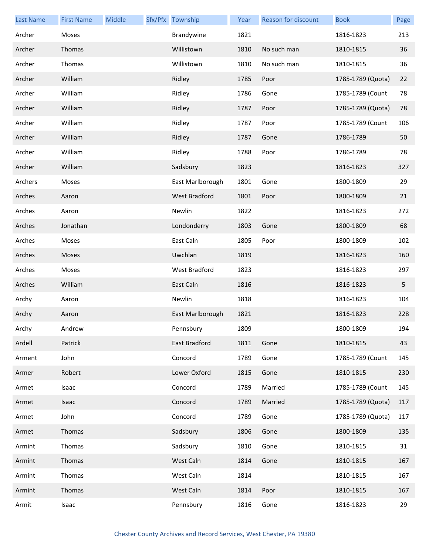| <b>Last Name</b> | <b>First Name</b> | Middle | Sfx/Pfx Township | Year | Reason for discount | <b>Book</b>       | Page |
|------------------|-------------------|--------|------------------|------|---------------------|-------------------|------|
| Archer           | Moses             |        | Brandywine       | 1821 |                     | 1816-1823         | 213  |
| Archer           | Thomas            |        | Willistown       | 1810 | No such man         | 1810-1815         | 36   |
| Archer           | Thomas            |        | Willistown       | 1810 | No such man         | 1810-1815         | 36   |
| Archer           | William           |        | Ridley           | 1785 | Poor                | 1785-1789 (Quota) | 22   |
| Archer           | William           |        | Ridley           | 1786 | Gone                | 1785-1789 (Count  | 78   |
| Archer           | William           |        | Ridley           | 1787 | Poor                | 1785-1789 (Quota) | 78   |
| Archer           | William           |        | Ridley           | 1787 | Poor                | 1785-1789 (Count  | 106  |
| Archer           | William           |        | Ridley           | 1787 | Gone                | 1786-1789         | 50   |
| Archer           | William           |        | Ridley           | 1788 | Poor                | 1786-1789         | 78   |
| Archer           | William           |        | Sadsbury         | 1823 |                     | 1816-1823         | 327  |
| Archers          | Moses             |        | East Marlborough | 1801 | Gone                | 1800-1809         | 29   |
| Arches           | Aaron             |        | West Bradford    | 1801 | Poor                | 1800-1809         | 21   |
| Arches           | Aaron             |        | Newlin           | 1822 |                     | 1816-1823         | 272  |
| Arches           | Jonathan          |        | Londonderry      | 1803 | Gone                | 1800-1809         | 68   |
| Arches           | Moses             |        | East Caln        | 1805 | Poor                | 1800-1809         | 102  |
| Arches           | Moses             |        | Uwchlan          | 1819 |                     | 1816-1823         | 160  |
| Arches           | Moses             |        | West Bradford    | 1823 |                     | 1816-1823         | 297  |
| Arches           | William           |        | East Caln        | 1816 |                     | 1816-1823         | 5    |
| Archy            | Aaron             |        | Newlin           | 1818 |                     | 1816-1823         | 104  |
| Archy            | Aaron             |        | East Marlborough | 1821 |                     | 1816-1823         | 228  |
| Archy            | Andrew            |        | Pennsbury        | 1809 |                     | 1800-1809         | 194  |
| Ardell           | Patrick           |        | East Bradford    | 1811 | Gone                | 1810-1815         | 43   |
| Arment           | John              |        | Concord          | 1789 | Gone                | 1785-1789 (Count  | 145  |
| Armer            | Robert            |        | Lower Oxford     | 1815 | Gone                | 1810-1815         | 230  |
| Armet            | Isaac             |        | Concord          | 1789 | Married             | 1785-1789 (Count  | 145  |
| Armet            | Isaac             |        | Concord          | 1789 | Married             | 1785-1789 (Quota) | 117  |
| Armet            | John              |        | Concord          | 1789 | Gone                | 1785-1789 (Quota) | 117  |
| Armet            | Thomas            |        | Sadsbury         | 1806 | Gone                | 1800-1809         | 135  |
| Armint           | Thomas            |        | Sadsbury         | 1810 | Gone                | 1810-1815         | 31   |
| Armint           | Thomas            |        | West Caln        | 1814 | Gone                | 1810-1815         | 167  |
| Armint           | Thomas            |        | West Caln        | 1814 |                     | 1810-1815         | 167  |
| Armint           | Thomas            |        | West Caln        | 1814 | Poor                | 1810-1815         | 167  |
| Armit            | Isaac             |        | Pennsbury        | 1816 | Gone                | 1816-1823         | 29   |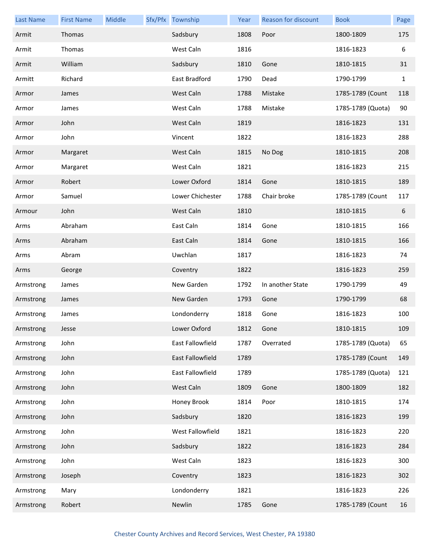| <b>Last Name</b> | <b>First Name</b> | Middle | Sfx/Pfx Township | Year | Reason for discount | <b>Book</b>       | Page         |
|------------------|-------------------|--------|------------------|------|---------------------|-------------------|--------------|
| Armit            | Thomas            |        | Sadsbury         | 1808 | Poor                | 1800-1809         | 175          |
| Armit            | Thomas            |        | West Caln        | 1816 |                     | 1816-1823         | 6            |
| Armit            | William           |        | Sadsbury         | 1810 | Gone                | 1810-1815         | 31           |
| Armitt           | Richard           |        | East Bradford    | 1790 | Dead                | 1790-1799         | $\mathbf{1}$ |
| Armor            | James             |        | West Caln        | 1788 | Mistake             | 1785-1789 (Count  | 118          |
| Armor            | James             |        | West Caln        | 1788 | Mistake             | 1785-1789 (Quota) | 90           |
| Armor            | John              |        | West Caln        | 1819 |                     | 1816-1823         | 131          |
| Armor            | John              |        | Vincent          | 1822 |                     | 1816-1823         | 288          |
| Armor            | Margaret          |        | West Caln        | 1815 | No Dog              | 1810-1815         | 208          |
| Armor            | Margaret          |        | West Caln        | 1821 |                     | 1816-1823         | 215          |
| Armor            | Robert            |        | Lower Oxford     | 1814 | Gone                | 1810-1815         | 189          |
| Armor            | Samuel            |        | Lower Chichester | 1788 | Chair broke         | 1785-1789 (Count  | 117          |
| Armour           | John              |        | West Caln        | 1810 |                     | 1810-1815         | 6            |
| Arms             | Abraham           |        | East Caln        | 1814 | Gone                | 1810-1815         | 166          |
| Arms             | Abraham           |        | East Caln        | 1814 | Gone                | 1810-1815         | 166          |
| Arms             | Abram             |        | Uwchlan          | 1817 |                     | 1816-1823         | 74           |
| Arms             | George            |        | Coventry         | 1822 |                     | 1816-1823         | 259          |
| Armstrong        | James             |        | New Garden       | 1792 | In another State    | 1790-1799         | 49           |
| Armstrong        | James             |        | New Garden       | 1793 | Gone                | 1790-1799         | 68           |
| Armstrong        | James             |        | Londonderry      | 1818 | Gone                | 1816-1823         | 100          |
| Armstrong        | Jesse             |        | Lower Oxford     | 1812 | Gone                | 1810-1815         | 109          |
| Armstrong        | John              |        | East Fallowfield | 1787 | Overrated           | 1785-1789 (Quota) | 65           |
| Armstrong        | John              |        | East Fallowfield | 1789 |                     | 1785-1789 (Count  | 149          |
| Armstrong        | John              |        | East Fallowfield | 1789 |                     | 1785-1789 (Quota) | 121          |
| Armstrong        | John              |        | West Caln        | 1809 | Gone                | 1800-1809         | 182          |
| Armstrong        | John              |        | Honey Brook      | 1814 | Poor                | 1810-1815         | 174          |
| Armstrong        | John              |        | Sadsbury         | 1820 |                     | 1816-1823         | 199          |
| Armstrong        | John              |        | West Fallowfield | 1821 |                     | 1816-1823         | 220          |
| Armstrong        | John              |        | Sadsbury         | 1822 |                     | 1816-1823         | 284          |
| Armstrong        | John              |        | West Caln        | 1823 |                     | 1816-1823         | 300          |
| Armstrong        | Joseph            |        | Coventry         | 1823 |                     | 1816-1823         | 302          |
| Armstrong        | Mary              |        | Londonderry      | 1821 |                     | 1816-1823         | 226          |
| Armstrong        | Robert            |        | Newlin           | 1785 | Gone                | 1785-1789 (Count  | 16           |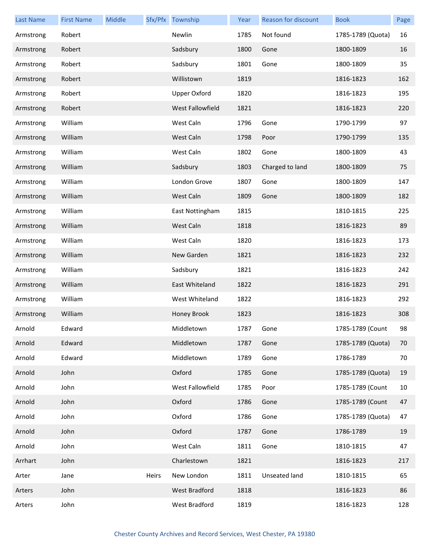| <b>Last Name</b> | <b>First Name</b> | Middle |       | Sfx/Pfx Township     | Year | Reason for discount | <b>Book</b>       | Page |
|------------------|-------------------|--------|-------|----------------------|------|---------------------|-------------------|------|
| Armstrong        | Robert            |        |       | Newlin               | 1785 | Not found           | 1785-1789 (Quota) | 16   |
| Armstrong        | Robert            |        |       | Sadsbury             | 1800 | Gone                | 1800-1809         | 16   |
| Armstrong        | Robert            |        |       | Sadsbury             | 1801 | Gone                | 1800-1809         | 35   |
| Armstrong        | Robert            |        |       | Willistown           | 1819 |                     | 1816-1823         | 162  |
| Armstrong        | Robert            |        |       | <b>Upper Oxford</b>  | 1820 |                     | 1816-1823         | 195  |
| Armstrong        | Robert            |        |       | West Fallowfield     | 1821 |                     | 1816-1823         | 220  |
| Armstrong        | William           |        |       | West Caln            | 1796 | Gone                | 1790-1799         | 97   |
| Armstrong        | William           |        |       | West Caln            | 1798 | Poor                | 1790-1799         | 135  |
| Armstrong        | William           |        |       | West Caln            | 1802 | Gone                | 1800-1809         | 43   |
| Armstrong        | William           |        |       | Sadsbury             | 1803 | Charged to land     | 1800-1809         | 75   |
| Armstrong        | William           |        |       | London Grove         | 1807 | Gone                | 1800-1809         | 147  |
| Armstrong        | William           |        |       | West Caln            | 1809 | Gone                | 1800-1809         | 182  |
| Armstrong        | William           |        |       | East Nottingham      | 1815 |                     | 1810-1815         | 225  |
| Armstrong        | William           |        |       | West Caln            | 1818 |                     | 1816-1823         | 89   |
| Armstrong        | William           |        |       | West Caln            | 1820 |                     | 1816-1823         | 173  |
| Armstrong        | William           |        |       | New Garden           | 1821 |                     | 1816-1823         | 232  |
| Armstrong        | William           |        |       | Sadsbury             | 1821 |                     | 1816-1823         | 242  |
| Armstrong        | William           |        |       | East Whiteland       | 1822 |                     | 1816-1823         | 291  |
| Armstrong        | William           |        |       | West Whiteland       | 1822 |                     | 1816-1823         | 292  |
| Armstrong        | William           |        |       | Honey Brook          | 1823 |                     | 1816-1823         | 308  |
| Arnold           | Edward            |        |       | Middletown           | 1787 | Gone                | 1785-1789 (Count  | 98   |
| Arnold           | Edward            |        |       | Middletown           | 1787 | Gone                | 1785-1789 (Quota) | 70   |
| Arnold           | Edward            |        |       | Middletown           | 1789 | Gone                | 1786-1789         | 70   |
| Arnold           | John              |        |       | Oxford               | 1785 | Gone                | 1785-1789 (Quota) | 19   |
| Arnold           | John              |        |       | West Fallowfield     | 1785 | Poor                | 1785-1789 (Count  | 10   |
| Arnold           | John              |        |       | Oxford               | 1786 | Gone                | 1785-1789 (Count  | 47   |
| Arnold           | John              |        |       | Oxford               | 1786 | Gone                | 1785-1789 (Quota) | 47   |
| Arnold           | John              |        |       | Oxford               | 1787 | Gone                | 1786-1789         | 19   |
| Arnold           | John              |        |       | West Caln            | 1811 | Gone                | 1810-1815         | 47   |
| Arrhart          | John              |        |       | Charlestown          | 1821 |                     | 1816-1823         | 217  |
| Arter            | Jane              |        | Heirs | New London           | 1811 | Unseated land       | 1810-1815         | 65   |
| Arters           | John              |        |       | <b>West Bradford</b> | 1818 |                     | 1816-1823         | 86   |
| Arters           | John              |        |       | West Bradford        | 1819 |                     | 1816-1823         | 128  |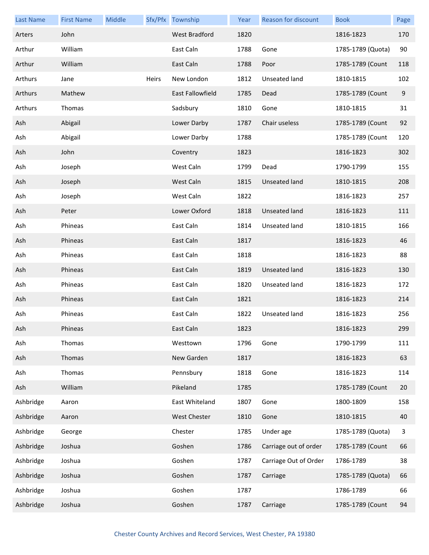| <b>Last Name</b> | <b>First Name</b> | Middle |       | Sfx/Pfx Township    | Year | Reason for discount   | <b>Book</b>       | Page |
|------------------|-------------------|--------|-------|---------------------|------|-----------------------|-------------------|------|
| Arters           | John              |        |       | West Bradford       | 1820 |                       | 1816-1823         | 170  |
| Arthur           | William           |        |       | East Caln           | 1788 | Gone                  | 1785-1789 (Quota) | 90   |
| Arthur           | William           |        |       | East Caln           | 1788 | Poor                  | 1785-1789 (Count  | 118  |
| Arthurs          | Jane              |        | Heirs | New London          | 1812 | Unseated land         | 1810-1815         | 102  |
| Arthurs          | Mathew            |        |       | East Fallowfield    | 1785 | Dead                  | 1785-1789 (Count  | 9    |
| Arthurs          | Thomas            |        |       | Sadsbury            | 1810 | Gone                  | 1810-1815         | 31   |
| Ash              | Abigail           |        |       | Lower Darby         | 1787 | Chair useless         | 1785-1789 (Count  | 92   |
| Ash              | Abigail           |        |       | Lower Darby         | 1788 |                       | 1785-1789 (Count  | 120  |
| Ash              | John              |        |       | Coventry            | 1823 |                       | 1816-1823         | 302  |
| Ash              | Joseph            |        |       | West Caln           | 1799 | Dead                  | 1790-1799         | 155  |
| Ash              | Joseph            |        |       | West Caln           | 1815 | Unseated land         | 1810-1815         | 208  |
| Ash              | Joseph            |        |       | West Caln           | 1822 |                       | 1816-1823         | 257  |
| Ash              | Peter             |        |       | Lower Oxford        | 1818 | Unseated land         | 1816-1823         | 111  |
| Ash              | Phineas           |        |       | East Caln           | 1814 | Unseated land         | 1810-1815         | 166  |
| Ash              | Phineas           |        |       | East Caln           | 1817 |                       | 1816-1823         | 46   |
| Ash              | Phineas           |        |       | East Caln           | 1818 |                       | 1816-1823         | 88   |
| Ash              | Phineas           |        |       | East Caln           | 1819 | Unseated land         | 1816-1823         | 130  |
| Ash              | Phineas           |        |       | East Caln           | 1820 | Unseated land         | 1816-1823         | 172  |
| Ash              | Phineas           |        |       | East Caln           | 1821 |                       | 1816-1823         | 214  |
| Ash              | Phineas           |        |       | East Caln           | 1822 | Unseated land         | 1816-1823         | 256  |
| Ash              | Phineas           |        |       | East Caln           | 1823 |                       | 1816-1823         | 299  |
| Ash              | Thomas            |        |       | Westtown            | 1796 | Gone                  | 1790-1799         | 111  |
| Ash              | Thomas            |        |       | New Garden          | 1817 |                       | 1816-1823         | 63   |
| Ash              | Thomas            |        |       | Pennsbury           | 1818 | Gone                  | 1816-1823         | 114  |
| Ash              | William           |        |       | Pikeland            | 1785 |                       | 1785-1789 (Count  | 20   |
| Ashbridge        | Aaron             |        |       | East Whiteland      | 1807 | Gone                  | 1800-1809         | 158  |
| Ashbridge        | Aaron             |        |       | <b>West Chester</b> | 1810 | Gone                  | 1810-1815         | 40   |
| Ashbridge        | George            |        |       | Chester             | 1785 | Under age             | 1785-1789 (Quota) | 3    |
| Ashbridge        | Joshua            |        |       | Goshen              | 1786 | Carriage out of order | 1785-1789 (Count  | 66   |
| Ashbridge        | Joshua            |        |       | Goshen              | 1787 | Carriage Out of Order | 1786-1789         | 38   |
| Ashbridge        | Joshua            |        |       | Goshen              | 1787 | Carriage              | 1785-1789 (Quota) | 66   |
| Ashbridge        | Joshua            |        |       | Goshen              | 1787 |                       | 1786-1789         | 66   |
| Ashbridge        | Joshua            |        |       | Goshen              | 1787 | Carriage              | 1785-1789 (Count  | 94   |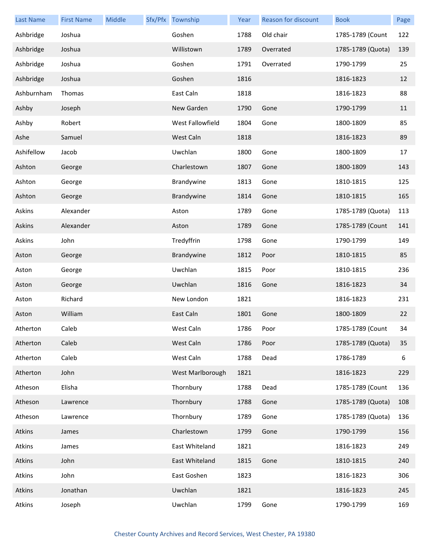| <b>Last Name</b> | <b>First Name</b> | Middle | Sfx/Pfx Township | Year | Reason for discount | <b>Book</b>       | Page |
|------------------|-------------------|--------|------------------|------|---------------------|-------------------|------|
| Ashbridge        | Joshua            |        | Goshen           | 1788 | Old chair           | 1785-1789 (Count  | 122  |
| Ashbridge        | Joshua            |        | Willistown       | 1789 | Overrated           | 1785-1789 (Quota) | 139  |
| Ashbridge        | Joshua            |        | Goshen           | 1791 | Overrated           | 1790-1799         | 25   |
| Ashbridge        | Joshua            |        | Goshen           | 1816 |                     | 1816-1823         | 12   |
| Ashburnham       | Thomas            |        | East Caln        | 1818 |                     | 1816-1823         | 88   |
| Ashby            | Joseph            |        | New Garden       | 1790 | Gone                | 1790-1799         | 11   |
| Ashby            | Robert            |        | West Fallowfield | 1804 | Gone                | 1800-1809         | 85   |
| Ashe             | Samuel            |        | West Caln        | 1818 |                     | 1816-1823         | 89   |
| Ashifellow       | Jacob             |        | Uwchlan          | 1800 | Gone                | 1800-1809         | 17   |
| Ashton           | George            |        | Charlestown      | 1807 | Gone                | 1800-1809         | 143  |
| Ashton           | George            |        | Brandywine       | 1813 | Gone                | 1810-1815         | 125  |
| Ashton           | George            |        | Brandywine       | 1814 | Gone                | 1810-1815         | 165  |
| Askins           | Alexander         |        | Aston            | 1789 | Gone                | 1785-1789 (Quota) | 113  |
| Askins           | Alexander         |        | Aston            | 1789 | Gone                | 1785-1789 (Count  | 141  |
| Askins           | John              |        | Tredyffrin       | 1798 | Gone                | 1790-1799         | 149  |
| Aston            | George            |        | Brandywine       | 1812 | Poor                | 1810-1815         | 85   |
| Aston            | George            |        | Uwchlan          | 1815 | Poor                | 1810-1815         | 236  |
| Aston            | George            |        | Uwchlan          | 1816 | Gone                | 1816-1823         | 34   |
| Aston            | Richard           |        | New London       | 1821 |                     | 1816-1823         | 231  |
| Aston            | William           |        | East Caln        | 1801 | Gone                | 1800-1809         | 22   |
| Atherton         | Caleb             |        | West Caln        | 1786 | Poor                | 1785-1789 (Count  | 34   |
| Atherton         | Caleb             |        | West Caln        | 1786 | Poor                | 1785-1789 (Quota) | 35   |
| Atherton         | Caleb             |        | West Caln        | 1788 | Dead                | 1786-1789         | 6    |
| Atherton         | John              |        | West Marlborough | 1821 |                     | 1816-1823         | 229  |
| Atheson          | Elisha            |        | Thornbury        | 1788 | Dead                | 1785-1789 (Count  | 136  |
| Atheson          | Lawrence          |        | Thornbury        | 1788 | Gone                | 1785-1789 (Quota) | 108  |
| Atheson          | Lawrence          |        | Thornbury        | 1789 | Gone                | 1785-1789 (Quota) | 136  |
| Atkins           | James             |        | Charlestown      | 1799 | Gone                | 1790-1799         | 156  |
| Atkins           | James             |        | East Whiteland   | 1821 |                     | 1816-1823         | 249  |
| Atkins           | John              |        | East Whiteland   | 1815 | Gone                | 1810-1815         | 240  |
| Atkins           | John              |        | East Goshen      | 1823 |                     | 1816-1823         | 306  |
| Atkins           | Jonathan          |        | Uwchlan          | 1821 |                     | 1816-1823         | 245  |
| Atkins           | Joseph            |        | Uwchlan          | 1799 | Gone                | 1790-1799         | 169  |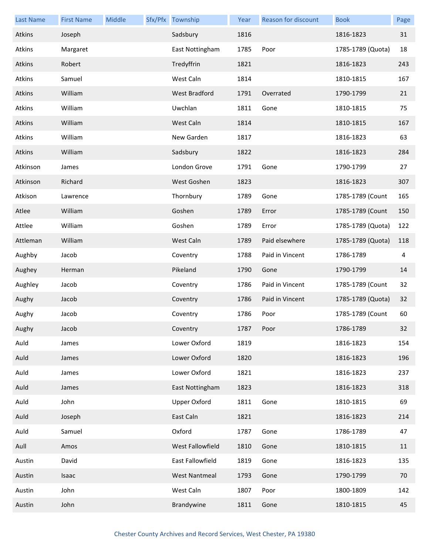| <b>Last Name</b> | <b>First Name</b> | Middle | Sfx/Pfx Township     | Year | Reason for discount | <b>Book</b>       | Page |
|------------------|-------------------|--------|----------------------|------|---------------------|-------------------|------|
| Atkins           | Joseph            |        | Sadsbury             | 1816 |                     | 1816-1823         | 31   |
| Atkins           | Margaret          |        | East Nottingham      | 1785 | Poor                | 1785-1789 (Quota) | 18   |
| Atkins           | Robert            |        | Tredyffrin           | 1821 |                     | 1816-1823         | 243  |
| Atkins           | Samuel            |        | West Caln            | 1814 |                     | 1810-1815         | 167  |
| Atkins           | William           |        | <b>West Bradford</b> | 1791 | Overrated           | 1790-1799         | 21   |
| Atkins           | William           |        | Uwchlan              | 1811 | Gone                | 1810-1815         | 75   |
| Atkins           | William           |        | West Caln            | 1814 |                     | 1810-1815         | 167  |
| Atkins           | William           |        | New Garden           | 1817 |                     | 1816-1823         | 63   |
| Atkins           | William           |        | Sadsbury             | 1822 |                     | 1816-1823         | 284  |
| Atkinson         | James             |        | London Grove         | 1791 | Gone                | 1790-1799         | 27   |
| Atkinson         | Richard           |        | West Goshen          | 1823 |                     | 1816-1823         | 307  |
| Atkison          | Lawrence          |        | Thornbury            | 1789 | Gone                | 1785-1789 (Count  | 165  |
| Atlee            | William           |        | Goshen               | 1789 | Error               | 1785-1789 (Count  | 150  |
| Attlee           | William           |        | Goshen               | 1789 | Error               | 1785-1789 (Quota) | 122  |
| Attleman         | William           |        | West Caln            | 1789 | Paid elsewhere      | 1785-1789 (Quota) | 118  |
| Aughby           | Jacob             |        | Coventry             | 1788 | Paid in Vincent     | 1786-1789         | 4    |
| Aughey           | Herman            |        | Pikeland             | 1790 | Gone                | 1790-1799         | 14   |
| Aughley          | Jacob             |        | Coventry             | 1786 | Paid in Vincent     | 1785-1789 (Count  | 32   |
| Aughy            | Jacob             |        | Coventry             | 1786 | Paid in Vincent     | 1785-1789 (Quota) | 32   |
| Aughy            | Jacob             |        | Coventry             | 1786 | Poor                | 1785-1789 (Count  | 60   |
| Aughy            | Jacob             |        | Coventry             | 1787 | Poor                | 1786-1789         | 32   |
| Auld             | James             |        | Lower Oxford         | 1819 |                     | 1816-1823         | 154  |
| Auld             | James             |        | Lower Oxford         | 1820 |                     | 1816-1823         | 196  |
| Auld             | James             |        | Lower Oxford         | 1821 |                     | 1816-1823         | 237  |
| Auld             | James             |        | East Nottingham      | 1823 |                     | 1816-1823         | 318  |
| Auld             | John              |        | <b>Upper Oxford</b>  | 1811 | Gone                | 1810-1815         | 69   |
| Auld             | Joseph            |        | East Caln            | 1821 |                     | 1816-1823         | 214  |
| Auld             | Samuel            |        | Oxford               | 1787 | Gone                | 1786-1789         | 47   |
| Aull             | Amos              |        | West Fallowfield     | 1810 | Gone                | 1810-1815         | 11   |
| Austin           | David             |        | East Fallowfield     | 1819 | Gone                | 1816-1823         | 135  |
| Austin           | Isaac             |        | <b>West Nantmeal</b> | 1793 | Gone                | 1790-1799         | 70   |
| Austin           | John              |        | West Caln            | 1807 | Poor                | 1800-1809         | 142  |
| Austin           | John              |        | Brandywine           | 1811 | Gone                | 1810-1815         | 45   |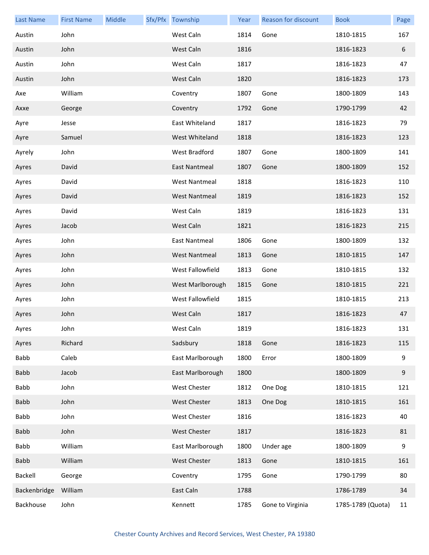| <b>Last Name</b> | <b>First Name</b> | Middle | Sfx/Pfx Township     | Year | Reason for discount | <b>Book</b>       | Page |
|------------------|-------------------|--------|----------------------|------|---------------------|-------------------|------|
| Austin           | John              |        | West Caln            | 1814 | Gone                | 1810-1815         | 167  |
| Austin           | John              |        | West Caln            | 1816 |                     | 1816-1823         | 6    |
| Austin           | John              |        | West Caln            | 1817 |                     | 1816-1823         | 47   |
| Austin           | John              |        | West Caln            | 1820 |                     | 1816-1823         | 173  |
| Axe              | William           |        | Coventry             | 1807 | Gone                | 1800-1809         | 143  |
| Axxe             | George            |        | Coventry             | 1792 | Gone                | 1790-1799         | 42   |
| Ayre             | Jesse             |        | East Whiteland       | 1817 |                     | 1816-1823         | 79   |
| Ayre             | Samuel            |        | West Whiteland       | 1818 |                     | 1816-1823         | 123  |
| Ayrely           | John              |        | West Bradford        | 1807 | Gone                | 1800-1809         | 141  |
| Ayres            | David             |        | East Nantmeal        | 1807 | Gone                | 1800-1809         | 152  |
| Ayres            | David             |        | <b>West Nantmeal</b> | 1818 |                     | 1816-1823         | 110  |
| Ayres            | David             |        | West Nantmeal        | 1819 |                     | 1816-1823         | 152  |
| Ayres            | David             |        | West Caln            | 1819 |                     | 1816-1823         | 131  |
| Ayres            | Jacob             |        | West Caln            | 1821 |                     | 1816-1823         | 215  |
| Ayres            | John              |        | East Nantmeal        | 1806 | Gone                | 1800-1809         | 132  |
| Ayres            | John              |        | West Nantmeal        | 1813 | Gone                | 1810-1815         | 147  |
| Ayres            | John              |        | West Fallowfield     | 1813 | Gone                | 1810-1815         | 132  |
| Ayres            | John              |        | West Marlborough     | 1815 | Gone                | 1810-1815         | 221  |
| Ayres            | John              |        | West Fallowfield     | 1815 |                     | 1810-1815         | 213  |
| Ayres            | John              |        | West Caln            | 1817 |                     | 1816-1823         | 47   |
| Ayres            | John              |        | West Caln            | 1819 |                     | 1816-1823         | 131  |
| Ayres            | Richard           |        | Sadsbury             | 1818 | Gone                | 1816-1823         | 115  |
| Babb             | Caleb             |        | East Marlborough     | 1800 | Error               | 1800-1809         | 9    |
| <b>Babb</b>      | Jacob             |        | East Marlborough     | 1800 |                     | 1800-1809         | 9    |
| Babb             | John              |        | West Chester         | 1812 | One Dog             | 1810-1815         | 121  |
| <b>Babb</b>      | John              |        | <b>West Chester</b>  | 1813 | One Dog             | 1810-1815         | 161  |
| Babb             | John              |        | <b>West Chester</b>  | 1816 |                     | 1816-1823         | 40   |
| <b>Babb</b>      | John              |        | West Chester         | 1817 |                     | 1816-1823         | 81   |
| Babb             | William           |        | East Marlborough     | 1800 | Under age           | 1800-1809         | 9    |
| <b>Babb</b>      | William           |        | <b>West Chester</b>  | 1813 | Gone                | 1810-1815         | 161  |
| Backell          | George            |        | Coventry             | 1795 | Gone                | 1790-1799         | 80   |
| Backenbridge     | William           |        | East Caln            | 1788 |                     | 1786-1789         | 34   |
| Backhouse        | John              |        | Kennett              | 1785 | Gone to Virginia    | 1785-1789 (Quota) | 11   |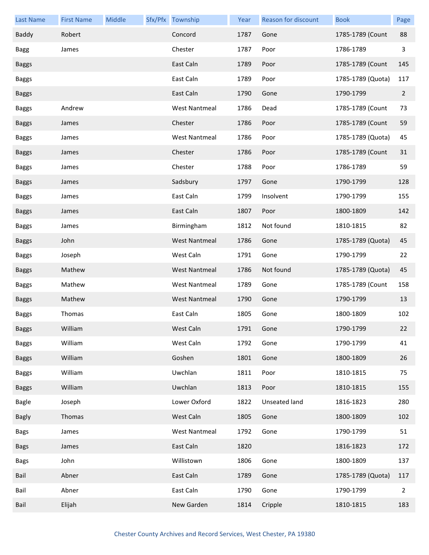| <b>Last Name</b> | <b>First Name</b> | Middle | Sfx/Pfx Township     | Year | Reason for discount | <b>Book</b>       | Page           |
|------------------|-------------------|--------|----------------------|------|---------------------|-------------------|----------------|
| Baddy            | Robert            |        | Concord              | 1787 | Gone                | 1785-1789 (Count  | 88             |
| <b>Bagg</b>      | James             |        | Chester              | 1787 | Poor                | 1786-1789         | 3              |
| <b>Baggs</b>     |                   |        | East Caln            | 1789 | Poor                | 1785-1789 (Count  | 145            |
| <b>Baggs</b>     |                   |        | East Caln            | 1789 | Poor                | 1785-1789 (Quota) | 117            |
| <b>Baggs</b>     |                   |        | East Caln            | 1790 | Gone                | 1790-1799         | $\overline{2}$ |
| <b>Baggs</b>     | Andrew            |        | <b>West Nantmeal</b> | 1786 | Dead                | 1785-1789 (Count  | 73             |
| <b>Baggs</b>     | James             |        | Chester              | 1786 | Poor                | 1785-1789 (Count  | 59             |
| <b>Baggs</b>     | James             |        | <b>West Nantmeal</b> | 1786 | Poor                | 1785-1789 (Quota) | 45             |
| <b>Baggs</b>     | James             |        | Chester              | 1786 | Poor                | 1785-1789 (Count  | 31             |
| <b>Baggs</b>     | James             |        | Chester              | 1788 | Poor                | 1786-1789         | 59             |
| <b>Baggs</b>     | James             |        | Sadsbury             | 1797 | Gone                | 1790-1799         | 128            |
| <b>Baggs</b>     | James             |        | East Caln            | 1799 | Insolvent           | 1790-1799         | 155            |
| <b>Baggs</b>     | James             |        | East Caln            | 1807 | Poor                | 1800-1809         | 142            |
| <b>Baggs</b>     | James             |        | Birmingham           | 1812 | Not found           | 1810-1815         | 82             |
| <b>Baggs</b>     | John              |        | <b>West Nantmeal</b> | 1786 | Gone                | 1785-1789 (Quota) | 45             |
| <b>Baggs</b>     | Joseph            |        | West Caln            | 1791 | Gone                | 1790-1799         | 22             |
| <b>Baggs</b>     | Mathew            |        | <b>West Nantmeal</b> | 1786 | Not found           | 1785-1789 (Quota) | 45             |
| <b>Baggs</b>     | Mathew            |        | <b>West Nantmeal</b> | 1789 | Gone                | 1785-1789 (Count  | 158            |
| <b>Baggs</b>     | Mathew            |        | <b>West Nantmeal</b> | 1790 | Gone                | 1790-1799         | 13             |
| <b>Baggs</b>     | Thomas            |        | East Caln            | 1805 | Gone                | 1800-1809         | 102            |
| <b>Baggs</b>     | William           |        | West Caln            | 1791 | Gone                | 1790-1799         | 22             |
| <b>Baggs</b>     | William           |        | West Caln            | 1792 | Gone                | 1790-1799         | 41             |
| <b>Baggs</b>     | William           |        | Goshen               | 1801 | Gone                | 1800-1809         | 26             |
| <b>Baggs</b>     | William           |        | Uwchlan              | 1811 | Poor                | 1810-1815         | 75             |
| <b>Baggs</b>     | William           |        | Uwchlan              | 1813 | Poor                | 1810-1815         | 155            |
| <b>Bagle</b>     | Joseph            |        | Lower Oxford         | 1822 | Unseated land       | 1816-1823         | 280            |
| <b>Bagly</b>     | Thomas            |        | West Caln            | 1805 | Gone                | 1800-1809         | 102            |
| <b>Bags</b>      | James             |        | <b>West Nantmeal</b> | 1792 | Gone                | 1790-1799         | 51             |
| <b>Bags</b>      | James             |        | East Caln            | 1820 |                     | 1816-1823         | 172            |
| <b>Bags</b>      | John              |        | Willistown           | 1806 | Gone                | 1800-1809         | 137            |
| Bail             | Abner             |        | East Caln            | 1789 | Gone                | 1785-1789 (Quota) | 117            |
| Bail             | Abner             |        | East Caln            | 1790 | Gone                | 1790-1799         | $\overline{2}$ |
| Bail             | Elijah            |        | New Garden           | 1814 | Cripple             | 1810-1815         | 183            |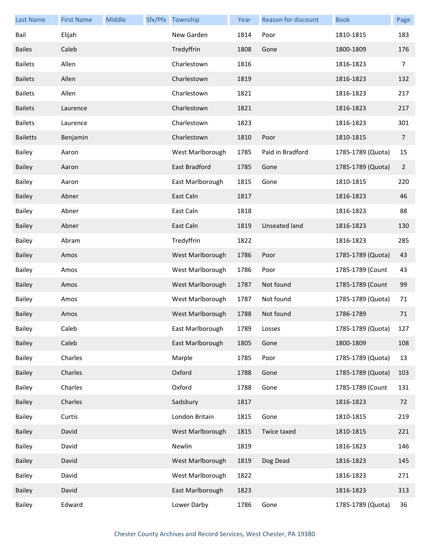| <b>Last Name</b> | <b>First Name</b> | Middle | Sfx/Pfx Township | Year | Reason for discount  | <b>Book</b>       | Page           |
|------------------|-------------------|--------|------------------|------|----------------------|-------------------|----------------|
| Bail             | Elijah            |        | New Garden       | 1814 | Poor                 | 1810-1815         | 183            |
| <b>Bailes</b>    | Caleb             |        | Tredyffrin       | 1808 | Gone                 | 1800-1809         | 176            |
| <b>Bailets</b>   | Allen             |        | Charlestown      | 1816 |                      | 1816-1823         | 7              |
| <b>Bailets</b>   | Allen             |        | Charlestown      | 1819 |                      | 1816-1823         | 132            |
| <b>Bailets</b>   | Allen             |        | Charlestown      | 1821 |                      | 1816-1823         | 217            |
| <b>Bailets</b>   | Laurence          |        | Charlestown      | 1821 |                      | 1816-1823         | 217            |
| <b>Bailets</b>   | Laurence          |        | Charlestown      | 1823 |                      | 1816-1823         | 301            |
| <b>Bailetts</b>  | Benjamin          |        | Charlestown      | 1810 | Poor                 | 1810-1815         | $\overline{7}$ |
| <b>Bailey</b>    | Aaron             |        | West Marlborough | 1785 | Paid in Bradford     | 1785-1789 (Quota) | 15             |
| <b>Bailey</b>    | Aaron             |        | East Bradford    | 1785 | Gone                 | 1785-1789 (Quota) | $\overline{2}$ |
| <b>Bailey</b>    | Aaron             |        | East Marlborough | 1815 | Gone                 | 1810-1815         | 220            |
| <b>Bailey</b>    | Abner             |        | East Caln        | 1817 |                      | 1816-1823         | 46             |
| <b>Bailey</b>    | Abner             |        | East Caln        | 1818 |                      | 1816-1823         | 88             |
| <b>Bailey</b>    | Abner             |        | East Caln        | 1819 | <b>Unseated land</b> | 1816-1823         | 130            |
| Bailey           | Abram             |        | Tredyffrin       | 1822 |                      | 1816-1823         | 285            |
| <b>Bailey</b>    | Amos              |        | West Marlborough | 1786 | Poor                 | 1785-1789 (Quota) | 43             |
| <b>Bailey</b>    | Amos              |        | West Marlborough | 1786 | Poor                 | 1785-1789 (Count  | 43             |
| <b>Bailey</b>    | Amos              |        | West Marlborough | 1787 | Not found            | 1785-1789 (Count  | 99             |
| Bailey           | Amos              |        | West Marlborough | 1787 | Not found            | 1785-1789 (Quota) | 71             |
| <b>Bailey</b>    | Amos              |        | West Marlborough | 1788 | Not found            | 1786-1789         | 71             |
| Bailey           | Caleb             |        | East Marlborough | 1789 | Losses               | 1785-1789 (Quota) | 127            |
| Bailey           | Caleb             |        | East Marlborough | 1805 | Gone                 | 1800-1809         | 108            |
| Bailey           | Charles           |        | Marple           | 1785 | Poor                 | 1785-1789 (Quota) | 13             |
| Bailey           | Charles           |        | Oxford           | 1788 | Gone                 | 1785-1789 (Quota) | 103            |
| Bailey           | Charles           |        | Oxford           | 1788 | Gone                 | 1785-1789 (Count  | 131            |
| Bailey           | Charles           |        | Sadsbury         | 1817 |                      | 1816-1823         | 72             |
| Bailey           | Curtis            |        | London Britain   | 1815 | Gone                 | 1810-1815         | 219            |
| Bailey           | David             |        | West Marlborough | 1815 | Twice taxed          | 1810-1815         | 221            |
| Bailey           | David             |        | Newlin           | 1819 |                      | 1816-1823         | 146            |
| <b>Bailey</b>    | David             |        | West Marlborough | 1819 | Dog Dead             | 1816-1823         | 145            |
| Bailey           | David             |        | West Marlborough | 1822 |                      | 1816-1823         | 271            |
| Bailey           | David             |        | East Marlborough | 1823 |                      | 1816-1823         | 313            |
| Bailey           | Edward            |        | Lower Darby      | 1786 | Gone                 | 1785-1789 (Quota) | 36             |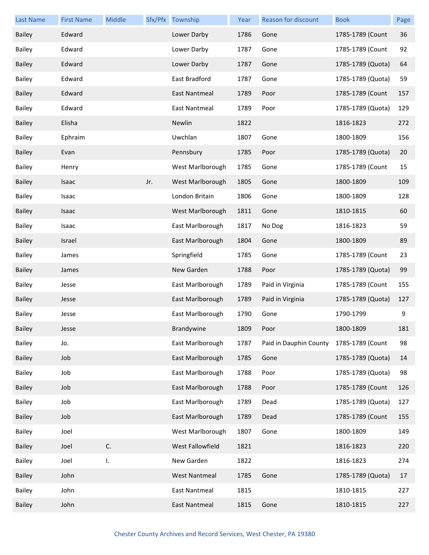| <b>Last Name</b> | <b>First Name</b> | Middle |     | Sfx/Pfx Township     | Year | Reason for discount    | <b>Book</b>       | Page |
|------------------|-------------------|--------|-----|----------------------|------|------------------------|-------------------|------|
| <b>Bailey</b>    | Edward            |        |     | Lower Darby          | 1786 | Gone                   | 1785-1789 (Count  | 36   |
| Bailey           | Edward            |        |     | Lower Darby          | 1787 | Gone                   | 1785-1789 (Count  | 92   |
| <b>Bailey</b>    | Edward            |        |     | Lower Darby          | 1787 | Gone                   | 1785-1789 (Quota) | 64   |
| Bailey           | Edward            |        |     | East Bradford        | 1787 | Gone                   | 1785-1789 (Quota) | 59   |
| <b>Bailey</b>    | Edward            |        |     | East Nantmeal        | 1789 | Poor                   | 1785-1789 (Count  | 157  |
| <b>Bailey</b>    | Edward            |        |     | East Nantmeal        | 1789 | Poor                   | 1785-1789 (Quota) | 129  |
| <b>Bailey</b>    | Elisha            |        |     | Newlin               | 1822 |                        | 1816-1823         | 272  |
| <b>Bailey</b>    | Ephraim           |        |     | Uwchlan              | 1807 | Gone                   | 1800-1809         | 156  |
| <b>Bailey</b>    | Evan              |        |     | Pennsbury            | 1785 | Poor                   | 1785-1789 (Quota) | 20   |
| <b>Bailey</b>    | Henry             |        |     | West Marlborough     | 1785 | Gone                   | 1785-1789 (Count  | 15   |
| <b>Bailey</b>    | Isaac             |        | Jr. | West Marlborough     | 1805 | Gone                   | 1800-1809         | 109  |
| <b>Bailey</b>    | Isaac             |        |     | London Britain       | 1806 | Gone                   | 1800-1809         | 128  |
| <b>Bailey</b>    | Isaac             |        |     | West Marlborough     | 1811 | Gone                   | 1810-1815         | 60   |
| <b>Bailey</b>    | Isaac             |        |     | East Marlborough     | 1817 | No Dog                 | 1816-1823         | 59   |
| <b>Bailey</b>    | Israel            |        |     | East Marlborough     | 1804 | Gone                   | 1800-1809         | 89   |
| <b>Bailey</b>    | James             |        |     | Springfield          | 1785 | Gone                   | 1785-1789 (Count  | 23   |
| <b>Bailey</b>    | James             |        |     | New Garden           | 1788 | Poor                   | 1785-1789 (Quota) | 99   |
| Bailey           | Jesse             |        |     | East Marlborough     | 1789 | Paid in Virginia       | 1785-1789 (Count  | 155  |
| Bailey           | Jesse             |        |     | East Marlborough     | 1789 | Paid in Virginia       | 1785-1789 (Quota) | 127  |
| Bailey           | Jesse             |        |     | East Marlborough     | 1790 | Gone                   | 1790-1799         | 9    |
| Bailey           | Jesse             |        |     | Brandywine           | 1809 | Poor                   | 1800-1809         | 181  |
| Bailey           | Jo.               |        |     | East Marlborough     | 1787 | Paid in Dauphin County | 1785-1789 (Count  | 98   |
| Bailey           | Job               |        |     | East Marlborough     | 1785 | Gone                   | 1785-1789 (Quota) | 14   |
| Bailey           | Job               |        |     | East Marlborough     | 1788 | Poor                   | 1785-1789 (Quota) | 98   |
| Bailey           | Job               |        |     | East Marlborough     | 1788 | Poor                   | 1785-1789 (Count  | 126  |
| Bailey           | Job               |        |     | East Marlborough     | 1789 | Dead                   | 1785-1789 (Quota) | 127  |
| Bailey           | Job               |        |     | East Marlborough     | 1789 | Dead                   | 1785-1789 (Count  | 155  |
| Bailey           | Joel              |        |     | West Marlborough     | 1807 | Gone                   | 1800-1809         | 149  |
| Bailey           | Joel              | C.     |     | West Fallowfield     | 1821 |                        | 1816-1823         | 220  |
| Bailey           | Joel              | I.     |     | New Garden           | 1822 |                        | 1816-1823         | 274  |
| Bailey           | John              |        |     | <b>West Nantmeal</b> | 1785 | Gone                   | 1785-1789 (Quota) | 17   |
| Bailey           | John              |        |     | <b>East Nantmeal</b> | 1815 |                        | 1810-1815         | 227  |
| Bailey           | John              |        |     | East Nantmeal        | 1815 | Gone                   | 1810-1815         | 227  |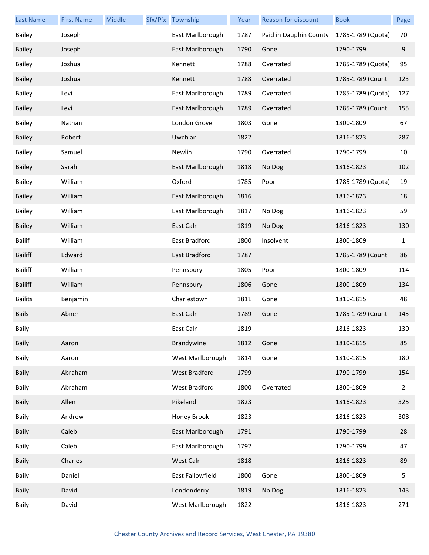| <b>Last Name</b> | <b>First Name</b> | Middle | Sfx/Pfx Township     | Year | Reason for discount    | <b>Book</b>       | Page           |
|------------------|-------------------|--------|----------------------|------|------------------------|-------------------|----------------|
| <b>Bailey</b>    | Joseph            |        | East Marlborough     | 1787 | Paid in Dauphin County | 1785-1789 (Quota) | 70             |
| <b>Bailey</b>    | Joseph            |        | East Marlborough     | 1790 | Gone                   | 1790-1799         | 9              |
| Bailey           | Joshua            |        | Kennett              | 1788 | Overrated              | 1785-1789 (Quota) | 95             |
| Bailey           | Joshua            |        | Kennett              | 1788 | Overrated              | 1785-1789 (Count  | 123            |
| <b>Bailey</b>    | Levi              |        | East Marlborough     | 1789 | Overrated              | 1785-1789 (Quota) | 127            |
| Bailey           | Levi              |        | East Marlborough     | 1789 | Overrated              | 1785-1789 (Count  | 155            |
| Bailey           | Nathan            |        | London Grove         | 1803 | Gone                   | 1800-1809         | 67             |
| Bailey           | Robert            |        | Uwchlan              | 1822 |                        | 1816-1823         | 287            |
| <b>Bailey</b>    | Samuel            |        | Newlin               | 1790 | Overrated              | 1790-1799         | 10             |
| <b>Bailey</b>    | Sarah             |        | East Marlborough     | 1818 | No Dog                 | 1816-1823         | 102            |
| Bailey           | William           |        | Oxford               | 1785 | Poor                   | 1785-1789 (Quota) | 19             |
| Bailey           | William           |        | East Marlborough     | 1816 |                        | 1816-1823         | 18             |
| <b>Bailey</b>    | William           |        | East Marlborough     | 1817 | No Dog                 | 1816-1823         | 59             |
| <b>Bailey</b>    | William           |        | East Caln            | 1819 | No Dog                 | 1816-1823         | 130            |
| <b>Bailif</b>    | William           |        | East Bradford        | 1800 | Insolvent              | 1800-1809         | 1              |
| <b>Bailiff</b>   | Edward            |        | East Bradford        | 1787 |                        | 1785-1789 (Count  | 86             |
| <b>Bailiff</b>   | William           |        | Pennsbury            | 1805 | Poor                   | 1800-1809         | 114            |
| <b>Bailiff</b>   | William           |        | Pennsbury            | 1806 | Gone                   | 1800-1809         | 134            |
| <b>Bailits</b>   | Benjamin          |        | Charlestown          | 1811 | Gone                   | 1810-1815         | 48             |
| <b>Bails</b>     | Abner             |        | East Caln            | 1789 | Gone                   | 1785-1789 (Count  | 145            |
| Baily            |                   |        | East Caln            | 1819 |                        | 1816-1823         | 130            |
| Baily            | Aaron             |        | Brandywine           | 1812 | Gone                   | 1810-1815         | 85             |
| Baily            | Aaron             |        | West Marlborough     | 1814 | Gone                   | 1810-1815         | 180            |
| <b>Baily</b>     | Abraham           |        | <b>West Bradford</b> | 1799 |                        | 1790-1799         | 154            |
| Baily            | Abraham           |        | West Bradford        | 1800 | Overrated              | 1800-1809         | $\overline{2}$ |
| <b>Baily</b>     | Allen             |        | Pikeland             | 1823 |                        | 1816-1823         | 325            |
| Baily            | Andrew            |        | Honey Brook          | 1823 |                        | 1816-1823         | 308            |
| <b>Baily</b>     | Caleb             |        | East Marlborough     | 1791 |                        | 1790-1799         | 28             |
| Baily            | Caleb             |        | East Marlborough     | 1792 |                        | 1790-1799         | 47             |
| <b>Baily</b>     | Charles           |        | West Caln            | 1818 |                        | 1816-1823         | 89             |
| Baily            | Daniel            |        | East Fallowfield     | 1800 | Gone                   | 1800-1809         | 5              |
| <b>Baily</b>     | David             |        | Londonderry          | 1819 | No Dog                 | 1816-1823         | 143            |
| Baily            | David             |        | West Marlborough     | 1822 |                        | 1816-1823         | 271            |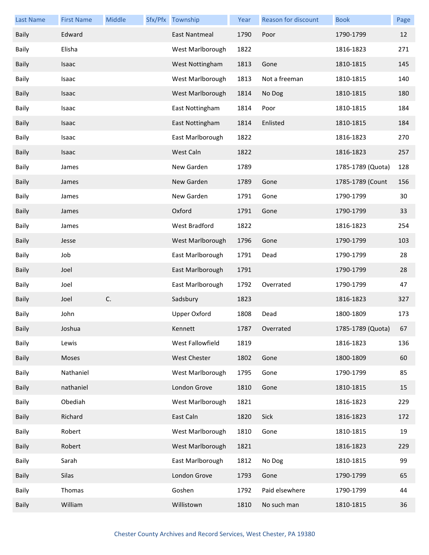| <b>Last Name</b> | <b>First Name</b> | Middle | Sfx/Pfx Township    | Year | Reason for discount | <b>Book</b>       | Page |
|------------------|-------------------|--------|---------------------|------|---------------------|-------------------|------|
| Baily            | Edward            |        | East Nantmeal       | 1790 | Poor                | 1790-1799         | 12   |
| Baily            | Elisha            |        | West Marlborough    | 1822 |                     | 1816-1823         | 271  |
| <b>Baily</b>     | Isaac             |        | West Nottingham     | 1813 | Gone                | 1810-1815         | 145  |
| Baily            | Isaac             |        | West Marlborough    | 1813 | Not a freeman       | 1810-1815         | 140  |
| <b>Baily</b>     | Isaac             |        | West Marlborough    | 1814 | No Dog              | 1810-1815         | 180  |
| Baily            | Isaac             |        | East Nottingham     | 1814 | Poor                | 1810-1815         | 184  |
| <b>Baily</b>     | Isaac             |        | East Nottingham     | 1814 | Enlisted            | 1810-1815         | 184  |
| Baily            | Isaac             |        | East Marlborough    | 1822 |                     | 1816-1823         | 270  |
| <b>Baily</b>     | Isaac             |        | West Caln           | 1822 |                     | 1816-1823         | 257  |
| Baily            | James             |        | New Garden          | 1789 |                     | 1785-1789 (Quota) | 128  |
| Baily            | James             |        | New Garden          | 1789 | Gone                | 1785-1789 (Count  | 156  |
| Baily            | James             |        | New Garden          | 1791 | Gone                | 1790-1799         | 30   |
| <b>Baily</b>     | James             |        | Oxford              | 1791 | Gone                | 1790-1799         | 33   |
| Baily            | James             |        | West Bradford       | 1822 |                     | 1816-1823         | 254  |
| Baily            | Jesse             |        | West Marlborough    | 1796 | Gone                | 1790-1799         | 103  |
| Baily            | Job               |        | East Marlborough    | 1791 | Dead                | 1790-1799         | 28   |
| <b>Baily</b>     | Joel              |        | East Marlborough    | 1791 |                     | 1790-1799         | 28   |
| Baily            | Joel              |        | East Marlborough    | 1792 | Overrated           | 1790-1799         | 47   |
| <b>Baily</b>     | Joel              | C.     | Sadsbury            | 1823 |                     | 1816-1823         | 327  |
| Baily            | John              |        | <b>Upper Oxford</b> | 1808 | Dead                | 1800-1809         | 173  |
| <b>Baily</b>     | Joshua            |        | Kennett             | 1787 | Overrated           | 1785-1789 (Quota) | 67   |
| Baily            | Lewis             |        | West Fallowfield    | 1819 |                     | 1816-1823         | 136  |
| Baily            | Moses             |        | West Chester        | 1802 | Gone                | 1800-1809         | 60   |
| Baily            | Nathaniel         |        | West Marlborough    | 1795 | Gone                | 1790-1799         | 85   |
| Baily            | nathaniel         |        | London Grove        | 1810 | Gone                | 1810-1815         | 15   |
| Baily            | Obediah           |        | West Marlborough    | 1821 |                     | 1816-1823         | 229  |
| Baily            | Richard           |        | East Caln           | 1820 | Sick                | 1816-1823         | 172  |
| Baily            | Robert            |        | West Marlborough    | 1810 | Gone                | 1810-1815         | 19   |
| Baily            | Robert            |        | West Marlborough    | 1821 |                     | 1816-1823         | 229  |
| Baily            | Sarah             |        | East Marlborough    | 1812 | No Dog              | 1810-1815         | 99   |
| <b>Baily</b>     | Silas             |        | London Grove        | 1793 | Gone                | 1790-1799         | 65   |
| Baily            | Thomas            |        | Goshen              | 1792 | Paid elsewhere      | 1790-1799         | 44   |
| Baily            | William           |        | Willistown          | 1810 | No such man         | 1810-1815         | 36   |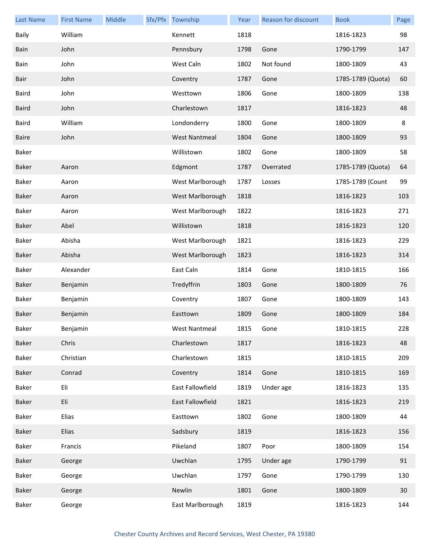| <b>Last Name</b> | <b>First Name</b> | Middle | Sfx/Pfx Township     | Year | Reason for discount | <b>Book</b>       | Page |
|------------------|-------------------|--------|----------------------|------|---------------------|-------------------|------|
| Baily            | William           |        | Kennett              | 1818 |                     | 1816-1823         | 98   |
| Bain             | John              |        | Pennsbury            | 1798 | Gone                | 1790-1799         | 147  |
| Bain             | John              |        | West Caln            | 1802 | Not found           | 1800-1809         | 43   |
| Bair             | John              |        | Coventry             | 1787 | Gone                | 1785-1789 (Quota) | 60   |
| Baird            | John              |        | Westtown             | 1806 | Gone                | 1800-1809         | 138  |
| <b>Baird</b>     | John              |        | Charlestown          | 1817 |                     | 1816-1823         | 48   |
| Baird            | William           |        | Londonderry          | 1800 | Gone                | 1800-1809         | 8    |
| Baire            | John              |        | <b>West Nantmeal</b> | 1804 | Gone                | 1800-1809         | 93   |
| Baker            |                   |        | Willistown           | 1802 | Gone                | 1800-1809         | 58   |
| Baker            | Aaron             |        | Edgmont              | 1787 | Overrated           | 1785-1789 (Quota) | 64   |
| Baker            | Aaron             |        | West Marlborough     | 1787 | Losses              | 1785-1789 (Count  | 99   |
| Baker            | Aaron             |        | West Marlborough     | 1818 |                     | 1816-1823         | 103  |
| Baker            | Aaron             |        | West Marlborough     | 1822 |                     | 1816-1823         | 271  |
| Baker            | Abel              |        | Willistown           | 1818 |                     | 1816-1823         | 120  |
| Baker            | Abisha            |        | West Marlborough     | 1821 |                     | 1816-1823         | 229  |
| Baker            | Abisha            |        | West Marlborough     | 1823 |                     | 1816-1823         | 314  |
| Baker            | Alexander         |        | East Caln            | 1814 | Gone                | 1810-1815         | 166  |
| Baker            | Benjamin          |        | Tredyffrin           | 1803 | Gone                | 1800-1809         | 76   |
| Baker            | Benjamin          |        | Coventry             | 1807 | Gone                | 1800-1809         | 143  |
| Baker            | Benjamin          |        | Easttown             | 1809 | Gone                | 1800-1809         | 184  |
| Baker            | Benjamin          |        | West Nantmeal        | 1815 | Gone                | 1810-1815         | 228  |
| Baker            | Chris             |        | Charlestown          | 1817 |                     | 1816-1823         | 48   |
| Baker            | Christian         |        | Charlestown          | 1815 |                     | 1810-1815         | 209  |
| Baker            | Conrad            |        | Coventry             | 1814 | Gone                | 1810-1815         | 169  |
| Baker            | Eli               |        | East Fallowfield     | 1819 | Under age           | 1816-1823         | 135  |
| Baker            | Eli               |        | East Fallowfield     | 1821 |                     | 1816-1823         | 219  |
| Baker            | <b>Elias</b>      |        | Easttown             | 1802 | Gone                | 1800-1809         | 44   |
| Baker            | <b>Elias</b>      |        | Sadsbury             | 1819 |                     | 1816-1823         | 156  |
| Baker            | Francis           |        | Pikeland             | 1807 | Poor                | 1800-1809         | 154  |
| Baker            | George            |        | Uwchlan              | 1795 | Under age           | 1790-1799         | 91   |
| Baker            | George            |        | Uwchlan              | 1797 | Gone                | 1790-1799         | 130  |
| Baker            | George            |        | Newlin               | 1801 | Gone                | 1800-1809         | 30   |
| Baker            | George            |        | East Marlborough     | 1819 |                     | 1816-1823         | 144  |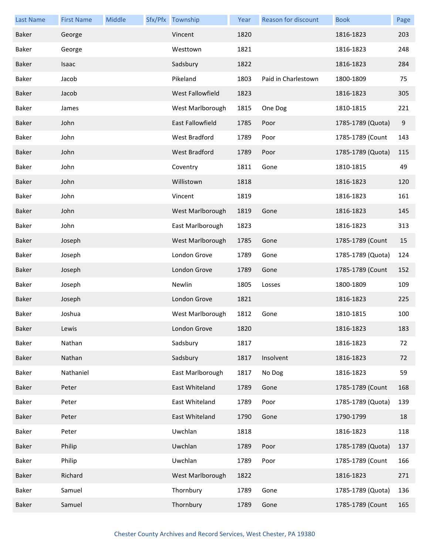| <b>Last Name</b> | <b>First Name</b> | Middle | Sfx/Pfx Township | Year | <b>Reason for discount</b> | <b>Book</b>       | Page  |
|------------------|-------------------|--------|------------------|------|----------------------------|-------------------|-------|
| <b>Baker</b>     | George            |        | Vincent          | 1820 |                            | 1816-1823         | 203   |
| Baker            | George            |        | Westtown         | 1821 |                            | 1816-1823         | 248   |
| Baker            | Isaac             |        | Sadsbury         | 1822 |                            | 1816-1823         | 284   |
| Baker            | Jacob             |        | Pikeland         | 1803 | Paid in Charlestown        | 1800-1809         | 75    |
| Baker            | Jacob             |        | West Fallowfield | 1823 |                            | 1816-1823         | 305   |
| Baker            | James             |        | West Marlborough | 1815 | One Dog                    | 1810-1815         | 221   |
| Baker            | John              |        | East Fallowfield | 1785 | Poor                       | 1785-1789 (Quota) | $9\,$ |
| Baker            | John              |        | West Bradford    | 1789 | Poor                       | 1785-1789 (Count  | 143   |
| Baker            | John              |        | West Bradford    | 1789 | Poor                       | 1785-1789 (Quota) | 115   |
| Baker            | John              |        | Coventry         | 1811 | Gone                       | 1810-1815         | 49    |
| Baker            | John              |        | Willistown       | 1818 |                            | 1816-1823         | 120   |
| Baker            | John              |        | Vincent          | 1819 |                            | 1816-1823         | 161   |
| Baker            | John              |        | West Marlborough | 1819 | Gone                       | 1816-1823         | 145   |
| Baker            | John              |        | East Marlborough | 1823 |                            | 1816-1823         | 313   |
| Baker            | Joseph            |        | West Marlborough | 1785 | Gone                       | 1785-1789 (Count  | 15    |
| Baker            | Joseph            |        | London Grove     | 1789 | Gone                       | 1785-1789 (Quota) | 124   |
| Baker            | Joseph            |        | London Grove     | 1789 | Gone                       | 1785-1789 (Count  | 152   |
| Baker            | Joseph            |        | Newlin           | 1805 | Losses                     | 1800-1809         | 109   |
| Baker            | Joseph            |        | London Grove     | 1821 |                            | 1816-1823         | 225   |
| Baker            | Joshua            |        | West Marlborough | 1812 | Gone                       | 1810-1815         | 100   |
| Baker            | Lewis             |        | London Grove     | 1820 |                            | 1816-1823         | 183   |
| Baker            | Nathan            |        | Sadsbury         | 1817 |                            | 1816-1823         | 72    |
| Baker            | Nathan            |        | Sadsbury         | 1817 | Insolvent                  | 1816-1823         | 72    |
| Baker            | Nathaniel         |        | East Marlborough | 1817 | No Dog                     | 1816-1823         | 59    |
| Baker            | Peter             |        | East Whiteland   | 1789 | Gone                       | 1785-1789 (Count  | 168   |
| Baker            | Peter             |        | East Whiteland   | 1789 | Poor                       | 1785-1789 (Quota) | 139   |
| Baker            | Peter             |        | East Whiteland   | 1790 | Gone                       | 1790-1799         | 18    |
| Baker            | Peter             |        | Uwchlan          | 1818 |                            | 1816-1823         | 118   |
| Baker            | Philip            |        | Uwchlan          | 1789 | Poor                       | 1785-1789 (Quota) | 137   |
| Baker            | Philip            |        | Uwchlan          | 1789 | Poor                       | 1785-1789 (Count  | 166   |
| Baker            | Richard           |        | West Marlborough | 1822 |                            | 1816-1823         | 271   |
| Baker            | Samuel            |        | Thornbury        | 1789 | Gone                       | 1785-1789 (Quota) | 136   |
| Baker            | Samuel            |        | Thornbury        | 1789 | Gone                       | 1785-1789 (Count  | 165   |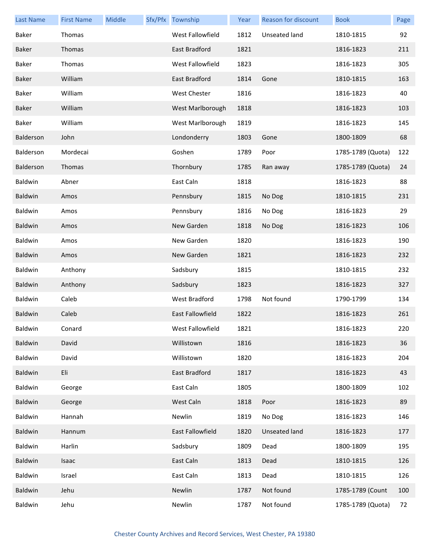| <b>Last Name</b> | <b>First Name</b> | Middle | Sfx/Pfx Township     | Year | Reason for discount  | <b>Book</b>       | Page |
|------------------|-------------------|--------|----------------------|------|----------------------|-------------------|------|
| Baker            | Thomas            |        | West Fallowfield     | 1812 | Unseated land        | 1810-1815         | 92   |
| Baker            | Thomas            |        | East Bradford        | 1821 |                      | 1816-1823         | 211  |
| Baker            | Thomas            |        | West Fallowfield     | 1823 |                      | 1816-1823         | 305  |
| Baker            | William           |        | East Bradford        | 1814 | Gone                 | 1810-1815         | 163  |
| Baker            | William           |        | West Chester         | 1816 |                      | 1816-1823         | 40   |
| Baker            | William           |        | West Marlborough     | 1818 |                      | 1816-1823         | 103  |
| Baker            | William           |        | West Marlborough     | 1819 |                      | 1816-1823         | 145  |
| Balderson        | John              |        | Londonderry          | 1803 | Gone                 | 1800-1809         | 68   |
| Balderson        | Mordecai          |        | Goshen               | 1789 | Poor                 | 1785-1789 (Quota) | 122  |
| Balderson        | Thomas            |        | Thornbury            | 1785 | Ran away             | 1785-1789 (Quota) | 24   |
| Baldwin          | Abner             |        | East Caln            | 1818 |                      | 1816-1823         | 88   |
| Baldwin          | Amos              |        | Pennsbury            | 1815 | No Dog               | 1810-1815         | 231  |
| Baldwin          | Amos              |        | Pennsbury            | 1816 | No Dog               | 1816-1823         | 29   |
| Baldwin          | Amos              |        | New Garden           | 1818 | No Dog               | 1816-1823         | 106  |
| Baldwin          | Amos              |        | New Garden           | 1820 |                      | 1816-1823         | 190  |
| Baldwin          | Amos              |        | New Garden           | 1821 |                      | 1816-1823         | 232  |
| Baldwin          | Anthony           |        | Sadsbury             | 1815 |                      | 1810-1815         | 232  |
| Baldwin          | Anthony           |        | Sadsbury             | 1823 |                      | 1816-1823         | 327  |
| Baldwin          | Caleb             |        | <b>West Bradford</b> | 1798 | Not found            | 1790-1799         | 134  |
| Baldwin          | Caleb             |        | East Fallowfield     | 1822 |                      | 1816-1823         | 261  |
| Baldwin          | Conard            |        | West Fallowfield     | 1821 |                      | 1816-1823         | 220  |
| Baldwin          | David             |        | Willistown           | 1816 |                      | 1816-1823         | 36   |
| Baldwin          | David             |        | Willistown           | 1820 |                      | 1816-1823         | 204  |
| <b>Baldwin</b>   | Eli               |        | East Bradford        | 1817 |                      | 1816-1823         | 43   |
| Baldwin          | George            |        | East Caln            | 1805 |                      | 1800-1809         | 102  |
| Baldwin          | George            |        | West Caln            | 1818 | Poor                 | 1816-1823         | 89   |
| Baldwin          | Hannah            |        | Newlin               | 1819 | No Dog               | 1816-1823         | 146  |
| <b>Baldwin</b>   | Hannum            |        | East Fallowfield     | 1820 | <b>Unseated land</b> | 1816-1823         | 177  |
| Baldwin          | Harlin            |        | Sadsbury             | 1809 | Dead                 | 1800-1809         | 195  |
| Baldwin          | Isaac             |        | East Caln            | 1813 | Dead                 | 1810-1815         | 126  |
| Baldwin          | Israel            |        | East Caln            | 1813 | Dead                 | 1810-1815         | 126  |
| Baldwin          | Jehu              |        | Newlin               | 1787 | Not found            | 1785-1789 (Count  | 100  |
| Baldwin          | Jehu              |        | Newlin               | 1787 | Not found            | 1785-1789 (Quota) | 72   |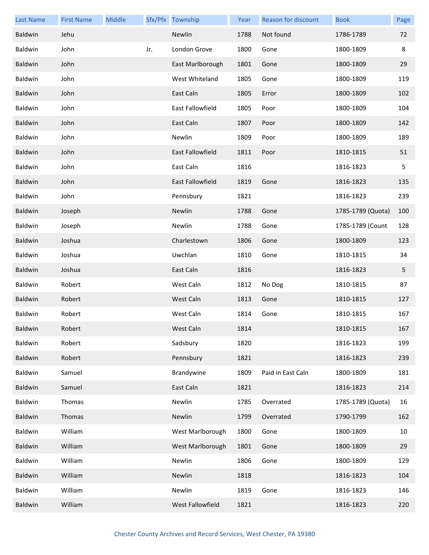| <b>Last Name</b> | <b>First Name</b> | Middle |     | Sfx/Pfx Township        | Year | Reason for discount | <b>Book</b>       | Page |
|------------------|-------------------|--------|-----|-------------------------|------|---------------------|-------------------|------|
| Baldwin          | Jehu              |        |     | Newlin                  | 1788 | Not found           | 1786-1789         | 72   |
| Baldwin          | John              |        | Jr. | London Grove            | 1800 | Gone                | 1800-1809         | 8    |
| Baldwin          | John              |        |     | East Marlborough        | 1801 | Gone                | 1800-1809         | 29   |
| Baldwin          | John              |        |     | West Whiteland          | 1805 | Gone                | 1800-1809         | 119  |
| Baldwin          | John              |        |     | East Caln               | 1805 | Error               | 1800-1809         | 102  |
| Baldwin          | John              |        |     | East Fallowfield        | 1805 | Poor                | 1800-1809         | 104  |
| Baldwin          | John              |        |     | East Caln               | 1807 | Poor                | 1800-1809         | 142  |
| Baldwin          | John              |        |     | Newlin                  | 1809 | Poor                | 1800-1809         | 189  |
| Baldwin          | John              |        |     | East Fallowfield        | 1811 | Poor                | 1810-1815         | 51   |
| Baldwin          | John              |        |     | East Caln               | 1816 |                     | 1816-1823         | 5    |
| Baldwin          | John              |        |     | <b>East Fallowfield</b> | 1819 | Gone                | 1816-1823         | 135  |
| Baldwin          | John              |        |     | Pennsbury               | 1821 |                     | 1816-1823         | 239  |
| Baldwin          | Joseph            |        |     | Newlin                  | 1788 | Gone                | 1785-1789 (Quota) | 100  |
| Baldwin          | Joseph            |        |     | Newlin                  | 1788 | Gone                | 1785-1789 (Count  | 128  |
| Baldwin          | Joshua            |        |     | Charlestown             | 1806 | Gone                | 1800-1809         | 123  |
| Baldwin          | Joshua            |        |     | Uwchlan                 | 1810 | Gone                | 1810-1815         | 34   |
| Baldwin          | Joshua            |        |     | East Caln               | 1816 |                     | 1816-1823         | 5    |
| Baldwin          | Robert            |        |     | West Caln               | 1812 | No Dog              | 1810-1815         | 87   |
| Baldwin          | Robert            |        |     | West Caln               | 1813 | Gone                | 1810-1815         | 127  |
| Baldwin          | Robert            |        |     | West Caln               | 1814 | Gone                | 1810-1815         | 167  |
| Baldwin          | Robert            |        |     | West Caln               | 1814 |                     | 1810-1815         | 167  |
| Baldwin          | Robert            |        |     | Sadsbury                | 1820 |                     | 1816-1823         | 199  |
| Baldwin          | Robert            |        |     | Pennsbury               | 1821 |                     | 1816-1823         | 239  |
| Baldwin          | Samuel            |        |     | Brandywine              | 1809 | Paid in East Caln   | 1800-1809         | 181  |
| Baldwin          | Samuel            |        |     | East Caln               | 1821 |                     | 1816-1823         | 214  |
| Baldwin          | Thomas            |        |     | Newlin                  | 1785 | Overrated           | 1785-1789 (Quota) | 16   |
| Baldwin          | Thomas            |        |     | Newlin                  | 1799 | Overrated           | 1790-1799         | 162  |
| Baldwin          | William           |        |     | West Marlborough        | 1800 | Gone                | 1800-1809         | 10   |
| Baldwin          | William           |        |     | West Marlborough        | 1801 | Gone                | 1800-1809         | 29   |
| Baldwin          | William           |        |     | Newlin                  | 1806 | Gone                | 1800-1809         | 129  |
| Baldwin          | William           |        |     | Newlin                  | 1818 |                     | 1816-1823         | 104  |
| Baldwin          | William           |        |     | Newlin                  | 1819 | Gone                | 1816-1823         | 146  |
| Baldwin          | William           |        |     | West Fallowfield        | 1821 |                     | 1816-1823         | 220  |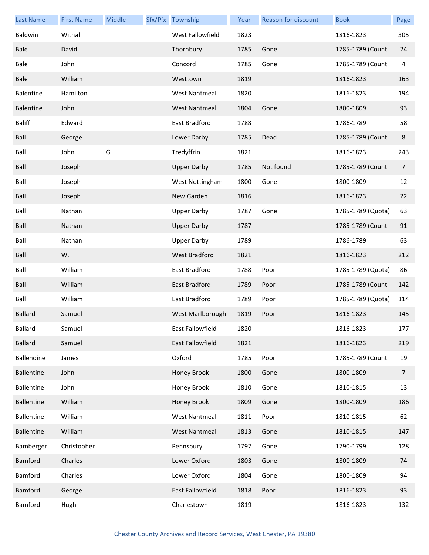| <b>Last Name</b>  | <b>First Name</b> | Middle | Sfx/Pfx Township     | Year | <b>Reason for discount</b> | <b>Book</b>       | Page           |
|-------------------|-------------------|--------|----------------------|------|----------------------------|-------------------|----------------|
| Baldwin           | Withal            |        | West Fallowfield     | 1823 |                            | 1816-1823         | 305            |
| Bale              | David             |        | Thornbury            | 1785 | Gone                       | 1785-1789 (Count  | 24             |
| Bale              | John              |        | Concord              | 1785 | Gone                       | 1785-1789 (Count  | 4              |
| Bale              | William           |        | Westtown             | 1819 |                            | 1816-1823         | 163            |
| Balentine         | Hamilton          |        | <b>West Nantmeal</b> | 1820 |                            | 1816-1823         | 194            |
| <b>Balentine</b>  | John              |        | <b>West Nantmeal</b> | 1804 | Gone                       | 1800-1809         | 93             |
| <b>Baliff</b>     | Edward            |        | East Bradford        | 1788 |                            | 1786-1789         | 58             |
| Ball              | George            |        | Lower Darby          | 1785 | Dead                       | 1785-1789 (Count  | $\bf 8$        |
| Ball              | John              | G.     | Tredyffrin           | 1821 |                            | 1816-1823         | 243            |
| Ball              | Joseph            |        | <b>Upper Darby</b>   | 1785 | Not found                  | 1785-1789 (Count  | $\overline{7}$ |
| Ball              | Joseph            |        | West Nottingham      | 1800 | Gone                       | 1800-1809         | 12             |
| Ball              | Joseph            |        | New Garden           | 1816 |                            | 1816-1823         | 22             |
| Ball              | Nathan            |        | <b>Upper Darby</b>   | 1787 | Gone                       | 1785-1789 (Quota) | 63             |
| Ball              | Nathan            |        | <b>Upper Darby</b>   | 1787 |                            | 1785-1789 (Count  | 91             |
| Ball              | Nathan            |        | <b>Upper Darby</b>   | 1789 |                            | 1786-1789         | 63             |
| Ball              | W.                |        | West Bradford        | 1821 |                            | 1816-1823         | 212            |
| Ball              | William           |        | East Bradford        | 1788 | Poor                       | 1785-1789 (Quota) | 86             |
| Ball              | William           |        | East Bradford        | 1789 | Poor                       | 1785-1789 (Count  | 142            |
| Ball              | William           |        | East Bradford        | 1789 | Poor                       | 1785-1789 (Quota) | 114            |
| <b>Ballard</b>    | Samuel            |        | West Marlborough     | 1819 | Poor                       | 1816-1823         | 145            |
| Ballard           | Samuel            |        | East Fallowfield     | 1820 |                            | 1816-1823         | 177            |
| <b>Ballard</b>    | Samuel            |        | East Fallowfield     | 1821 |                            | 1816-1823         | 219            |
| Ballendine        | James             |        | Oxford               | 1785 | Poor                       | 1785-1789 (Count  | 19             |
| <b>Ballentine</b> | John              |        | Honey Brook          | 1800 | Gone                       | 1800-1809         | $\overline{7}$ |
| Ballentine        | John              |        | Honey Brook          | 1810 | Gone                       | 1810-1815         | 13             |
| <b>Ballentine</b> | William           |        | Honey Brook          | 1809 | Gone                       | 1800-1809         | 186            |
| <b>Ballentine</b> | William           |        | <b>West Nantmeal</b> | 1811 | Poor                       | 1810-1815         | 62             |
| <b>Ballentine</b> | William           |        | <b>West Nantmeal</b> | 1813 | Gone                       | 1810-1815         | 147            |
| Bamberger         | Christopher       |        | Pennsbury            | 1797 | Gone                       | 1790-1799         | 128            |
| <b>Bamford</b>    | Charles           |        | Lower Oxford         | 1803 | Gone                       | 1800-1809         | 74             |
| Bamford           | Charles           |        | Lower Oxford         | 1804 | Gone                       | 1800-1809         | 94             |
| <b>Bamford</b>    | George            |        | East Fallowfield     | 1818 | Poor                       | 1816-1823         | 93             |
| Bamford           | Hugh              |        | Charlestown          | 1819 |                            | 1816-1823         | 132            |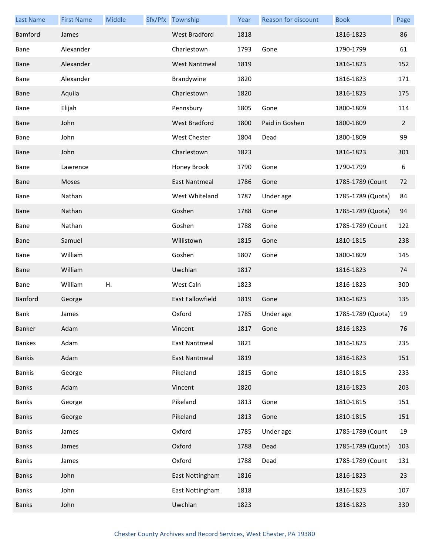| <b>Last Name</b> | <b>First Name</b> | Middle | Sfx/Pfx Township     | Year | <b>Reason for discount</b> | <b>Book</b>       | Page           |
|------------------|-------------------|--------|----------------------|------|----------------------------|-------------------|----------------|
| Bamford          | James             |        | <b>West Bradford</b> | 1818 |                            | 1816-1823         | 86             |
| Bane             | Alexander         |        | Charlestown          | 1793 | Gone                       | 1790-1799         | 61             |
| Bane             | Alexander         |        | <b>West Nantmeal</b> | 1819 |                            | 1816-1823         | 152            |
| Bane             | Alexander         |        | Brandywine           | 1820 |                            | 1816-1823         | 171            |
| <b>Bane</b>      | Aquila            |        | Charlestown          | 1820 |                            | 1816-1823         | 175            |
| Bane             | Elijah            |        | Pennsbury            | 1805 | Gone                       | 1800-1809         | 114            |
| <b>Bane</b>      | John              |        | <b>West Bradford</b> | 1800 | Paid in Goshen             | 1800-1809         | $\overline{2}$ |
| Bane             | John              |        | <b>West Chester</b>  | 1804 | Dead                       | 1800-1809         | 99             |
| <b>Bane</b>      | John              |        | Charlestown          | 1823 |                            | 1816-1823         | 301            |
| Bane             | Lawrence          |        | Honey Brook          | 1790 | Gone                       | 1790-1799         | 6              |
| Bane             | Moses             |        | <b>East Nantmeal</b> | 1786 | Gone                       | 1785-1789 (Count  | 72             |
| Bane             | Nathan            |        | West Whiteland       | 1787 | Under age                  | 1785-1789 (Quota) | 84             |
| <b>Bane</b>      | Nathan            |        | Goshen               | 1788 | Gone                       | 1785-1789 (Quota) | 94             |
| Bane             | Nathan            |        | Goshen               | 1788 | Gone                       | 1785-1789 (Count  | 122            |
| <b>Bane</b>      | Samuel            |        | Willistown           | 1815 | Gone                       | 1810-1815         | 238            |
| Bane             | William           |        | Goshen               | 1807 | Gone                       | 1800-1809         | 145            |
| <b>Bane</b>      | William           |        | Uwchlan              | 1817 |                            | 1816-1823         | 74             |
| Bane             | William           | Η.     | West Caln            | 1823 |                            | 1816-1823         | 300            |
| <b>Banford</b>   | George            |        | East Fallowfield     | 1819 | Gone                       | 1816-1823         | 135            |
| Bank             | James             |        | Oxford               | 1785 | Under age                  | 1785-1789 (Quota) | 19             |
| Banker           | Adam              |        | Vincent              | 1817 | Gone                       | 1816-1823         | 76             |
| <b>Bankes</b>    | Adam              |        | East Nantmeal        | 1821 |                            | 1816-1823         | 235            |
| <b>Bankis</b>    | Adam              |        | <b>East Nantmeal</b> | 1819 |                            | 1816-1823         | 151            |
| <b>Bankis</b>    | George            |        | Pikeland             | 1815 | Gone                       | 1810-1815         | 233            |
| <b>Banks</b>     | Adam              |        | Vincent              | 1820 |                            | 1816-1823         | 203            |
| <b>Banks</b>     | George            |        | Pikeland             | 1813 | Gone                       | 1810-1815         | 151            |
| <b>Banks</b>     | George            |        | Pikeland             | 1813 | Gone                       | 1810-1815         | 151            |
| <b>Banks</b>     | James             |        | Oxford               | 1785 | Under age                  | 1785-1789 (Count  | 19             |
| <b>Banks</b>     | James             |        | Oxford               | 1788 | Dead                       | 1785-1789 (Quota) | 103            |
| <b>Banks</b>     | James             |        | Oxford               | 1788 | Dead                       | 1785-1789 (Count  | 131            |
| <b>Banks</b>     | John              |        | East Nottingham      | 1816 |                            | 1816-1823         | 23             |
| <b>Banks</b>     | John              |        | East Nottingham      | 1818 |                            | 1816-1823         | 107            |
| <b>Banks</b>     | John              |        | Uwchlan              | 1823 |                            | 1816-1823         | 330            |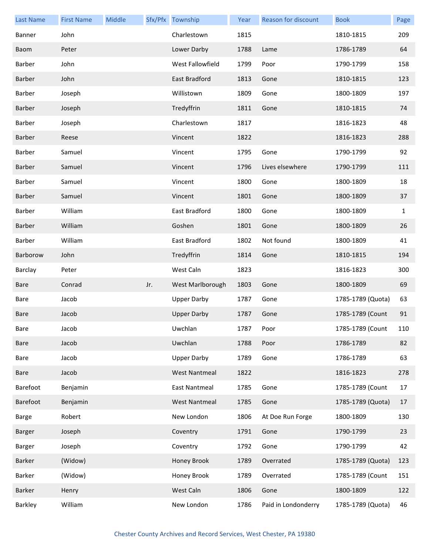| <b>Last Name</b> | <b>First Name</b> | Middle |     | Sfx/Pfx Township     | Year | Reason for discount | <b>Book</b>       | Page         |
|------------------|-------------------|--------|-----|----------------------|------|---------------------|-------------------|--------------|
| Banner           | John              |        |     | Charlestown          | 1815 |                     | 1810-1815         | 209          |
| Baom             | Peter             |        |     | Lower Darby          | 1788 | Lame                | 1786-1789         | 64           |
| Barber           | John              |        |     | West Fallowfield     | 1799 | Poor                | 1790-1799         | 158          |
| Barber           | John              |        |     | East Bradford        | 1813 | Gone                | 1810-1815         | 123          |
| Barber           | Joseph            |        |     | Willistown           | 1809 | Gone                | 1800-1809         | 197          |
| Barber           | Joseph            |        |     | Tredyffrin           | 1811 | Gone                | 1810-1815         | 74           |
| Barber           | Joseph            |        |     | Charlestown          | 1817 |                     | 1816-1823         | 48           |
| Barber           | Reese             |        |     | Vincent              | 1822 |                     | 1816-1823         | 288          |
| Barber           | Samuel            |        |     | Vincent              | 1795 | Gone                | 1790-1799         | 92           |
| Barber           | Samuel            |        |     | Vincent              | 1796 | Lives elsewhere     | 1790-1799         | 111          |
| Barber           | Samuel            |        |     | Vincent              | 1800 | Gone                | 1800-1809         | 18           |
| Barber           | Samuel            |        |     | Vincent              | 1801 | Gone                | 1800-1809         | 37           |
| Barber           | William           |        |     | East Bradford        | 1800 | Gone                | 1800-1809         | $\mathbf{1}$ |
| Barber           | William           |        |     | Goshen               | 1801 | Gone                | 1800-1809         | 26           |
| Barber           | William           |        |     | East Bradford        | 1802 | Not found           | 1800-1809         | 41           |
| Barborow         | John              |        |     | Tredyffrin           | 1814 | Gone                | 1810-1815         | 194          |
| Barclay          | Peter             |        |     | West Caln            | 1823 |                     | 1816-1823         | 300          |
| Bare             | Conrad            |        | Jr. | West Marlborough     | 1803 | Gone                | 1800-1809         | 69           |
| Bare             | Jacob             |        |     | <b>Upper Darby</b>   | 1787 | Gone                | 1785-1789 (Quota) | 63           |
| Bare             | Jacob             |        |     | <b>Upper Darby</b>   | 1787 | Gone                | 1785-1789 (Count  | 91           |
| Bare             | Jacob             |        |     | Uwchlan              | 1787 | Poor                | 1785-1789 (Count  | 110          |
| Bare             | Jacob             |        |     | Uwchlan              | 1788 | Poor                | 1786-1789         | 82           |
| Bare             | Jacob             |        |     | <b>Upper Darby</b>   | 1789 | Gone                | 1786-1789         | 63           |
| Bare             | Jacob             |        |     | <b>West Nantmeal</b> | 1822 |                     | 1816-1823         | 278          |
| Barefoot         | Benjamin          |        |     | East Nantmeal        | 1785 | Gone                | 1785-1789 (Count  | 17           |
| Barefoot         | Benjamin          |        |     | <b>West Nantmeal</b> | 1785 | Gone                | 1785-1789 (Quota) | 17           |
| <b>Barge</b>     | Robert            |        |     | New London           | 1806 | At Doe Run Forge    | 1800-1809         | 130          |
| Barger           | Joseph            |        |     | Coventry             | 1791 | Gone                | 1790-1799         | 23           |
| Barger           | Joseph            |        |     | Coventry             | 1792 | Gone                | 1790-1799         | 42           |
| Barker           | (Widow)           |        |     | Honey Brook          | 1789 | Overrated           | 1785-1789 (Quota) | 123          |
| Barker           | (Widow)           |        |     | Honey Brook          | 1789 | Overrated           | 1785-1789 (Count  | 151          |
| Barker           | Henry             |        |     | West Caln            | 1806 | Gone                | 1800-1809         | 122          |
| Barkley          | William           |        |     | New London           | 1786 | Paid in Londonderry | 1785-1789 (Quota) | 46           |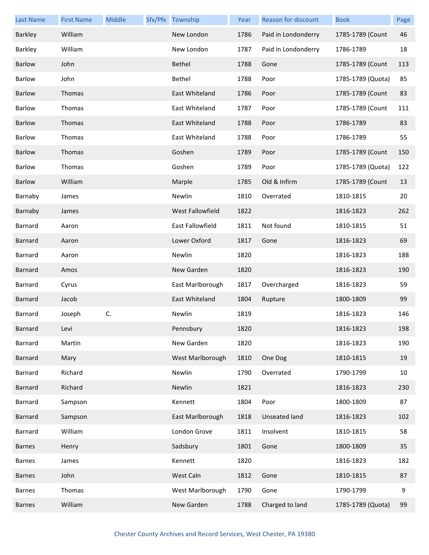| <b>Last Name</b> | <b>First Name</b> | Middle | Sfx/Pfx Township | Year | Reason for discount  | <b>Book</b>       | Page |
|------------------|-------------------|--------|------------------|------|----------------------|-------------------|------|
| Barkley          | William           |        | New London       | 1786 | Paid in Londonderry  | 1785-1789 (Count  | 46   |
| Barkley          | William           |        | New London       | 1787 | Paid in Londonderry  | 1786-1789         | 18   |
| Barlow           | John              |        | Bethel           | 1788 | Gone                 | 1785-1789 (Count  | 113  |
| Barlow           | John              |        | Bethel           | 1788 | Poor                 | 1785-1789 (Quota) | 85   |
| <b>Barlow</b>    | Thomas            |        | East Whiteland   | 1786 | Poor                 | 1785-1789 (Count  | 83   |
| Barlow           | Thomas            |        | East Whiteland   | 1787 | Poor                 | 1785-1789 (Count  | 111  |
| Barlow           | Thomas            |        | East Whiteland   | 1788 | Poor                 | 1786-1789         | 83   |
| Barlow           | Thomas            |        | East Whiteland   | 1788 | Poor                 | 1786-1789         | 55   |
| <b>Barlow</b>    | Thomas            |        | Goshen           | 1789 | Poor                 | 1785-1789 (Count  | 150  |
| Barlow           | Thomas            |        | Goshen           | 1789 | Poor                 | 1785-1789 (Quota) | 122  |
| Barlow           | William           |        | Marple           | 1785 | Old & Infirm         | 1785-1789 (Count  | 13   |
| Barnaby          | James             |        | Newlin           | 1810 | Overrated            | 1810-1815         | 20   |
| Barnaby          | James             |        | West Fallowfield | 1822 |                      | 1816-1823         | 262  |
| Barnard          | Aaron             |        | East Fallowfield | 1811 | Not found            | 1810-1815         | 51   |
| <b>Barnard</b>   | Aaron             |        | Lower Oxford     | 1817 | Gone                 | 1816-1823         | 69   |
| Barnard          | Aaron             |        | Newlin           | 1820 |                      | 1816-1823         | 188  |
| Barnard          | Amos              |        | New Garden       | 1820 |                      | 1816-1823         | 190  |
| Barnard          | Cyrus             |        | East Marlborough | 1817 | Overcharged          | 1816-1823         | 59   |
| <b>Barnard</b>   | Jacob             |        | East Whiteland   | 1804 | Rupture              | 1800-1809         | 99   |
| Barnard          | Joseph            | C.     | Newlin           | 1819 |                      | 1816-1823         | 146  |
| Barnard          | Levi              |        | Pennsbury        | 1820 |                      | 1816-1823         | 198  |
| Barnard          | Martin            |        | New Garden       | 1820 |                      | 1816-1823         | 190  |
| Barnard          | Mary              |        | West Marlborough | 1810 | One Dog              | 1810-1815         | 19   |
| Barnard          | Richard           |        | Newlin           | 1790 | Overrated            | 1790-1799         | 10   |
| <b>Barnard</b>   | Richard           |        | Newlin           | 1821 |                      | 1816-1823         | 230  |
| Barnard          | Sampson           |        | Kennett          | 1804 | Poor                 | 1800-1809         | 87   |
| Barnard          | Sampson           |        | East Marlborough | 1818 | <b>Unseated land</b> | 1816-1823         | 102  |
| <b>Barnard</b>   | William           |        | London Grove     | 1811 | Insolvent            | 1810-1815         | 58   |
| <b>Barnes</b>    | Henry             |        | Sadsbury         | 1801 | Gone                 | 1800-1809         | 35   |
| <b>Barnes</b>    | James             |        | Kennett          | 1820 |                      | 1816-1823         | 182  |
| <b>Barnes</b>    | John              |        | West Caln        | 1812 | Gone                 | 1810-1815         | 87   |
| <b>Barnes</b>    | Thomas            |        | West Marlborough | 1790 | Gone                 | 1790-1799         | 9    |
| <b>Barnes</b>    | William           |        | New Garden       | 1788 | Charged to land      | 1785-1789 (Quota) | 99   |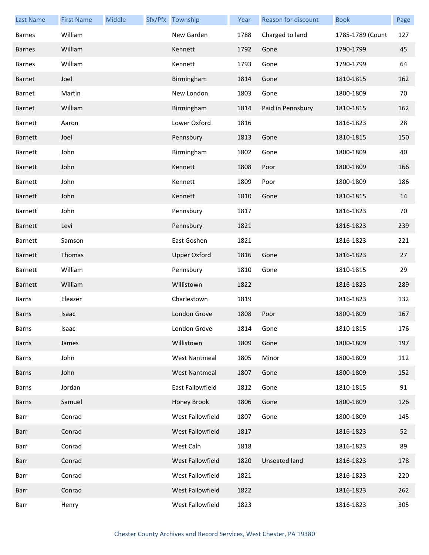| <b>Last Name</b> | <b>First Name</b> | Middle | Sfx/Pfx Township     | Year | Reason for discount | <b>Book</b>      | Page |
|------------------|-------------------|--------|----------------------|------|---------------------|------------------|------|
| <b>Barnes</b>    | William           |        | New Garden           | 1788 | Charged to land     | 1785-1789 (Count | 127  |
| <b>Barnes</b>    | William           |        | Kennett              | 1792 | Gone                | 1790-1799        | 45   |
| <b>Barnes</b>    | William           |        | Kennett              | 1793 | Gone                | 1790-1799        | 64   |
| Barnet           | Joel              |        | Birmingham           | 1814 | Gone                | 1810-1815        | 162  |
| Barnet           | Martin            |        | New London           | 1803 | Gone                | 1800-1809        | 70   |
| Barnet           | William           |        | Birmingham           | 1814 | Paid in Pennsbury   | 1810-1815        | 162  |
| Barnett          | Aaron             |        | Lower Oxford         | 1816 |                     | 1816-1823        | 28   |
| Barnett          | Joel              |        | Pennsbury            | 1813 | Gone                | 1810-1815        | 150  |
| Barnett          | John              |        | Birmingham           | 1802 | Gone                | 1800-1809        | 40   |
| <b>Barnett</b>   | John              |        | Kennett              | 1808 | Poor                | 1800-1809        | 166  |
| Barnett          | John              |        | Kennett              | 1809 | Poor                | 1800-1809        | 186  |
| <b>Barnett</b>   | John              |        | Kennett              | 1810 | Gone                | 1810-1815        | 14   |
| Barnett          | John              |        | Pennsbury            | 1817 |                     | 1816-1823        | 70   |
| <b>Barnett</b>   | Levi              |        | Pennsbury            | 1821 |                     | 1816-1823        | 239  |
| Barnett          | Samson            |        | East Goshen          | 1821 |                     | 1816-1823        | 221  |
| <b>Barnett</b>   | Thomas            |        | <b>Upper Oxford</b>  | 1816 | Gone                | 1816-1823        | 27   |
| Barnett          | William           |        | Pennsbury            | 1810 | Gone                | 1810-1815        | 29   |
| <b>Barnett</b>   | William           |        | Willistown           | 1822 |                     | 1816-1823        | 289  |
| <b>Barns</b>     | Eleazer           |        | Charlestown          | 1819 |                     | 1816-1823        | 132  |
| <b>Barns</b>     | Isaac             |        | London Grove         | 1808 | Poor                | 1800-1809        | 167  |
| Barns            | Isaac             |        | London Grove         | 1814 | Gone                | 1810-1815        | 176  |
| <b>Barns</b>     | James             |        | Willistown           | 1809 | Gone                | 1800-1809        | 197  |
| Barns            | John              |        | <b>West Nantmeal</b> | 1805 | Minor               | 1800-1809        | 112  |
| <b>Barns</b>     | John              |        | <b>West Nantmeal</b> | 1807 | Gone                | 1800-1809        | 152  |
| Barns            | Jordan            |        | East Fallowfield     | 1812 | Gone                | 1810-1815        | 91   |
| <b>Barns</b>     | Samuel            |        | Honey Brook          | 1806 | Gone                | 1800-1809        | 126  |
| Barr             | Conrad            |        | West Fallowfield     | 1807 | Gone                | 1800-1809        | 145  |
| Barr             | Conrad            |        | West Fallowfield     | 1817 |                     | 1816-1823        | 52   |
| Barr             | Conrad            |        | West Caln            | 1818 |                     | 1816-1823        | 89   |
| Barr             | Conrad            |        | West Fallowfield     | 1820 | Unseated land       | 1816-1823        | 178  |
| Barr             | Conrad            |        | West Fallowfield     | 1821 |                     | 1816-1823        | 220  |
| Barr             | Conrad            |        | West Fallowfield     | 1822 |                     | 1816-1823        | 262  |
| Barr             | Henry             |        | West Fallowfield     | 1823 |                     | 1816-1823        | 305  |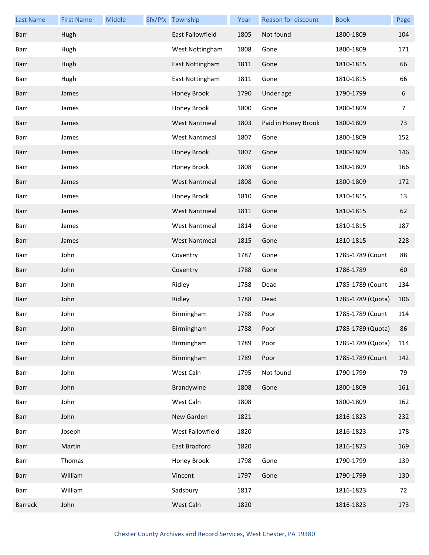| <b>Last Name</b> | <b>First Name</b> | Middle | Sfx/Pfx | Township                | Year | Reason for discount | <b>Book</b>       | Page |
|------------------|-------------------|--------|---------|-------------------------|------|---------------------|-------------------|------|
| Barr             | Hugh              |        |         | <b>East Fallowfield</b> | 1805 | Not found           | 1800-1809         | 104  |
| Barr             | Hugh              |        |         | West Nottingham         | 1808 | Gone                | 1800-1809         | 171  |
| Barr             | Hugh              |        |         | East Nottingham         | 1811 | Gone                | 1810-1815         | 66   |
| Barr             | Hugh              |        |         | East Nottingham         | 1811 | Gone                | 1810-1815         | 66   |
| Barr             | James             |        |         | Honey Brook             | 1790 | Under age           | 1790-1799         | 6    |
| Barr             | James             |        |         | Honey Brook             | 1800 | Gone                | 1800-1809         | 7    |
| Barr             | James             |        |         | <b>West Nantmeal</b>    | 1803 | Paid in Honey Brook | 1800-1809         | 73   |
| Barr             | James             |        |         | <b>West Nantmeal</b>    | 1807 | Gone                | 1800-1809         | 152  |
| Barr             | James             |        |         | Honey Brook             | 1807 | Gone                | 1800-1809         | 146  |
| Barr             | James             |        |         | Honey Brook             | 1808 | Gone                | 1800-1809         | 166  |
| Barr             | James             |        |         | <b>West Nantmeal</b>    | 1808 | Gone                | 1800-1809         | 172  |
| Barr             | James             |        |         | Honey Brook             | 1810 | Gone                | 1810-1815         | 13   |
| Barr             | James             |        |         | <b>West Nantmeal</b>    | 1811 | Gone                | 1810-1815         | 62   |
| Barr             | James             |        |         | <b>West Nantmeal</b>    | 1814 | Gone                | 1810-1815         | 187  |
| Barr             | James             |        |         | <b>West Nantmeal</b>    | 1815 | Gone                | 1810-1815         | 228  |
| Barr             | John              |        |         | Coventry                | 1787 | Gone                | 1785-1789 (Count  | 88   |
| Barr             | John              |        |         | Coventry                | 1788 | Gone                | 1786-1789         | 60   |
| Barr             | John              |        |         | Ridley                  | 1788 | Dead                | 1785-1789 (Count  | 134  |
| Barr             | John              |        |         | Ridley                  | 1788 | Dead                | 1785-1789 (Quota) | 106  |
| Barr             | John              |        |         | Birmingham              | 1788 | Poor                | 1785-1789 (Count  | 114  |
| Barr             | John              |        |         | Birmingham              | 1788 | Poor                | 1785-1789 (Quota) | 86   |
| Barr             | John              |        |         | Birmingham              | 1789 | Poor                | 1785-1789 (Quota) | 114  |
| Barr             | John              |        |         | Birmingham              | 1789 | Poor                | 1785-1789 (Count  | 142  |
| Barr             | John              |        |         | West Caln               | 1795 | Not found           | 1790-1799         | 79   |
| Barr             | John              |        |         | Brandywine              | 1808 | Gone                | 1800-1809         | 161  |
| Barr             | John              |        |         | West Caln               | 1808 |                     | 1800-1809         | 162  |
| Barr             | John              |        |         | New Garden              | 1821 |                     | 1816-1823         | 232  |
| Barr             | Joseph            |        |         | West Fallowfield        | 1820 |                     | 1816-1823         | 178  |
| Barr             | Martin            |        |         | East Bradford           | 1820 |                     | 1816-1823         | 169  |
| Barr             | Thomas            |        |         | Honey Brook             | 1798 | Gone                | 1790-1799         | 139  |
| Barr             | William           |        |         | Vincent                 | 1797 | Gone                | 1790-1799         | 130  |
| Barr             | William           |        |         | Sadsbury                | 1817 |                     | 1816-1823         | 72   |
| <b>Barrack</b>   | John              |        |         | West Caln               | 1820 |                     | 1816-1823         | 173  |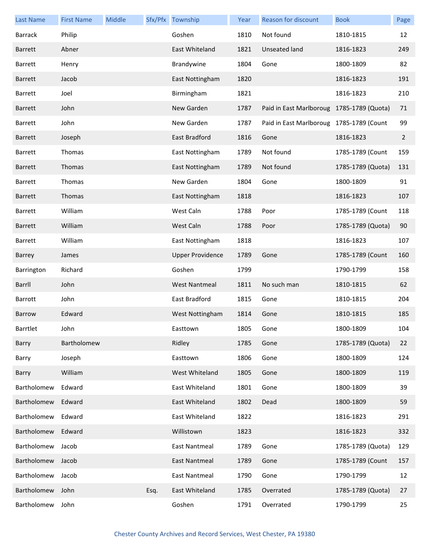| <b>Last Name</b> | <b>First Name</b> | Middle |      | Sfx/Pfx Township        | Year | Reason for discount                       | <b>Book</b>       | Page           |
|------------------|-------------------|--------|------|-------------------------|------|-------------------------------------------|-------------------|----------------|
| <b>Barrack</b>   | Philip            |        |      | Goshen                  | 1810 | Not found                                 | 1810-1815         | 12             |
| Barrett          | Abner             |        |      | East Whiteland          | 1821 | Unseated land                             | 1816-1823         | 249            |
| <b>Barrett</b>   | Henry             |        |      | Brandywine              | 1804 | Gone                                      | 1800-1809         | 82             |
| <b>Barrett</b>   | Jacob             |        |      | East Nottingham         | 1820 |                                           | 1816-1823         | 191            |
| <b>Barrett</b>   | Joel              |        |      | Birmingham              | 1821 |                                           | 1816-1823         | 210            |
| <b>Barrett</b>   | John              |        |      | New Garden              | 1787 | Paid in East Marlboroug 1785-1789 (Quota) |                   | 71             |
| <b>Barrett</b>   | John              |        |      | New Garden              | 1787 | Paid in East Marlboroug 1785-1789 (Count  |                   | 99             |
| <b>Barrett</b>   | Joseph            |        |      | East Bradford           | 1816 | Gone                                      | 1816-1823         | $\overline{2}$ |
| Barrett          | Thomas            |        |      | East Nottingham         | 1789 | Not found                                 | 1785-1789 (Count  | 159            |
| <b>Barrett</b>   | Thomas            |        |      | East Nottingham         | 1789 | Not found                                 | 1785-1789 (Quota) | 131            |
| <b>Barrett</b>   | Thomas            |        |      | New Garden              | 1804 | Gone                                      | 1800-1809         | 91             |
| <b>Barrett</b>   | Thomas            |        |      | East Nottingham         | 1818 |                                           | 1816-1823         | 107            |
| <b>Barrett</b>   | William           |        |      | West Caln               | 1788 | Poor                                      | 1785-1789 (Count  | 118            |
| <b>Barrett</b>   | William           |        |      | West Caln               | 1788 | Poor                                      | 1785-1789 (Quota) | 90             |
| <b>Barrett</b>   | William           |        |      | East Nottingham         | 1818 |                                           | 1816-1823         | 107            |
| Barrey           | James             |        |      | <b>Upper Providence</b> | 1789 | Gone                                      | 1785-1789 (Count  | 160            |
| Barrington       | Richard           |        |      | Goshen                  | 1799 |                                           | 1790-1799         | 158            |
| Barrll           | John              |        |      | <b>West Nantmeal</b>    | 1811 | No such man                               | 1810-1815         | 62             |
| Barrott          | John              |        |      | East Bradford           | 1815 | Gone                                      | 1810-1815         | 204            |
| Barrow           | Edward            |        |      | West Nottingham         | 1814 | Gone                                      | 1810-1815         | 185            |
| Barrtlet         | John              |        |      | Easttown                | 1805 | Gone                                      | 1800-1809         | 104            |
| Barry            | Bartholomew       |        |      | Ridley                  | 1785 | Gone                                      | 1785-1789 (Quota) | 22             |
| Barry            | Joseph            |        |      | Easttown                | 1806 | Gone                                      | 1800-1809         | 124            |
| Barry            | William           |        |      | West Whiteland          | 1805 | Gone                                      | 1800-1809         | 119            |
| Bartholomew      | Edward            |        |      | East Whiteland          | 1801 | Gone                                      | 1800-1809         | 39             |
| Bartholomew      | Edward            |        |      | East Whiteland          | 1802 | Dead                                      | 1800-1809         | 59             |
| Bartholomew      | Edward            |        |      | East Whiteland          | 1822 |                                           | 1816-1823         | 291            |
| Bartholomew      | Edward            |        |      | Willistown              | 1823 |                                           | 1816-1823         | 332            |
| Bartholomew      | Jacob             |        |      | <b>East Nantmeal</b>    | 1789 | Gone                                      | 1785-1789 (Quota) | 129            |
| Bartholomew      | Jacob             |        |      | East Nantmeal           | 1789 | Gone                                      | 1785-1789 (Count  | 157            |
| Bartholomew      | Jacob             |        |      | East Nantmeal           | 1790 | Gone                                      | 1790-1799         | 12             |
| Bartholomew      | John              |        | Esq. | East Whiteland          | 1785 | Overrated                                 | 1785-1789 (Quota) | 27             |
| Bartholomew      | John              |        |      | Goshen                  | 1791 | Overrated                                 | 1790-1799         | 25             |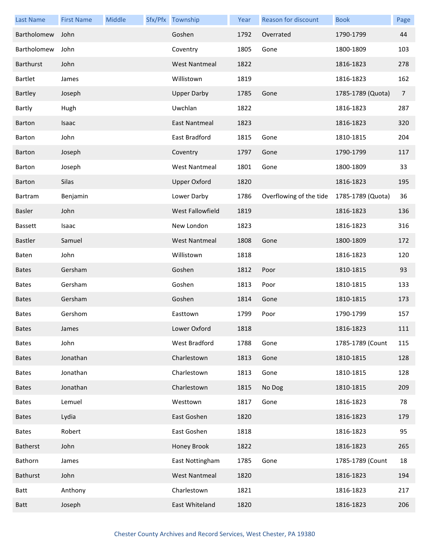| <b>Last Name</b> | <b>First Name</b> | Middle | Sfx/Pfx Township        | Year | Reason for discount     | <b>Book</b>       | Page           |
|------------------|-------------------|--------|-------------------------|------|-------------------------|-------------------|----------------|
| Bartholomew      | John              |        | Goshen                  | 1792 | Overrated               | 1790-1799         | 44             |
| Bartholomew      | John              |        | Coventry                | 1805 | Gone                    | 1800-1809         | 103            |
| Barthurst        | John              |        | <b>West Nantmeal</b>    | 1822 |                         | 1816-1823         | 278            |
| Bartlet          | James             |        | Willistown              | 1819 |                         | 1816-1823         | 162            |
| Bartley          | Joseph            |        | <b>Upper Darby</b>      | 1785 | Gone                    | 1785-1789 (Quota) | $\overline{7}$ |
| Bartly           | Hugh              |        | Uwchlan                 | 1822 |                         | 1816-1823         | 287            |
| <b>Barton</b>    | Isaac             |        | <b>East Nantmeal</b>    | 1823 |                         | 1816-1823         | 320            |
| Barton           | John              |        | East Bradford           | 1815 | Gone                    | 1810-1815         | 204            |
| <b>Barton</b>    | Joseph            |        | Coventry                | 1797 | Gone                    | 1790-1799         | 117            |
| Barton           | Joseph            |        | <b>West Nantmeal</b>    | 1801 | Gone                    | 1800-1809         | 33             |
| <b>Barton</b>    | Silas             |        | <b>Upper Oxford</b>     | 1820 |                         | 1816-1823         | 195            |
| Bartram          | Benjamin          |        | Lower Darby             | 1786 | Overflowing of the tide | 1785-1789 (Quota) | 36             |
| Basler           | John              |        | <b>West Fallowfield</b> | 1819 |                         | 1816-1823         | 136            |
| <b>Bassett</b>   | Isaac             |        | New London              | 1823 |                         | 1816-1823         | 316            |
| Bastler          | Samuel            |        | <b>West Nantmeal</b>    | 1808 | Gone                    | 1800-1809         | 172            |
| Baten            | John              |        | Willistown              | 1818 |                         | 1816-1823         | 120            |
| <b>Bates</b>     | Gersham           |        | Goshen                  | 1812 | Poor                    | 1810-1815         | 93             |
| <b>Bates</b>     | Gersham           |        | Goshen                  | 1813 | Poor                    | 1810-1815         | 133            |
| <b>Bates</b>     | Gersham           |        | Goshen                  | 1814 | Gone                    | 1810-1815         | 173            |
| <b>Bates</b>     | Gershom           |        | Easttown                | 1799 | Poor                    | 1790-1799         | 157            |
| <b>Bates</b>     | James             |        | Lower Oxford            | 1818 |                         | 1816-1823         | 111            |
| <b>Bates</b>     | John              |        | West Bradford           | 1788 | Gone                    | 1785-1789 (Count  | 115            |
| <b>Bates</b>     | Jonathan          |        | Charlestown             | 1813 | Gone                    | 1810-1815         | 128            |
| <b>Bates</b>     | Jonathan          |        | Charlestown             | 1813 | Gone                    | 1810-1815         | 128            |
| <b>Bates</b>     | Jonathan          |        | Charlestown             | 1815 | No Dog                  | 1810-1815         | 209            |
| <b>Bates</b>     | Lemuel            |        | Westtown                | 1817 | Gone                    | 1816-1823         | 78             |
| <b>Bates</b>     | Lydia             |        | East Goshen             | 1820 |                         | 1816-1823         | 179            |
| <b>Bates</b>     | Robert            |        | East Goshen             | 1818 |                         | 1816-1823         | 95             |
| Batherst         | John              |        | Honey Brook             | 1822 |                         | 1816-1823         | 265            |
| Bathorn          | James             |        | East Nottingham         | 1785 | Gone                    | 1785-1789 (Count  | 18             |
| Bathurst         | John              |        | <b>West Nantmeal</b>    | 1820 |                         | 1816-1823         | 194            |
| Batt             | Anthony           |        | Charlestown             | 1821 |                         | 1816-1823         | 217            |
| Batt             | Joseph            |        | East Whiteland          | 1820 |                         | 1816-1823         | 206            |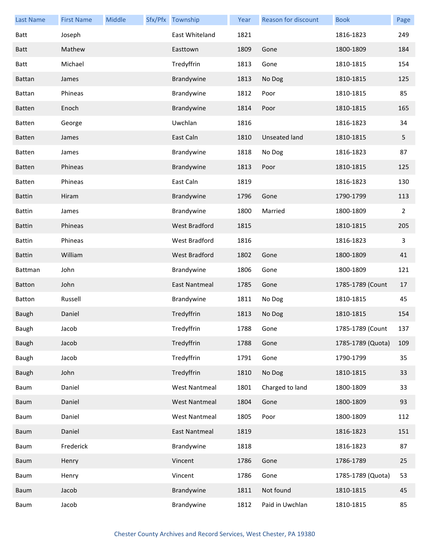| <b>Last Name</b> | <b>First Name</b> | Middle | Sfx/Pfx Township     | Year | Reason for discount | <b>Book</b>       | Page           |
|------------------|-------------------|--------|----------------------|------|---------------------|-------------------|----------------|
| Batt             | Joseph            |        | East Whiteland       | 1821 |                     | 1816-1823         | 249            |
| <b>Batt</b>      | Mathew            |        | Easttown             | 1809 | Gone                | 1800-1809         | 184            |
| <b>Batt</b>      | Michael           |        | Tredyffrin           | 1813 | Gone                | 1810-1815         | 154            |
| <b>Battan</b>    | James             |        | Brandywine           | 1813 | No Dog              | 1810-1815         | 125            |
| <b>Battan</b>    | Phineas           |        | Brandywine           | 1812 | Poor                | 1810-1815         | 85             |
| <b>Batten</b>    | Enoch             |        | Brandywine           | 1814 | Poor                | 1810-1815         | 165            |
| <b>Batten</b>    | George            |        | Uwchlan              | 1816 |                     | 1816-1823         | 34             |
| <b>Batten</b>    | James             |        | East Caln            | 1810 | Unseated land       | 1810-1815         | 5              |
| <b>Batten</b>    | James             |        | Brandywine           | 1818 | No Dog              | 1816-1823         | 87             |
| <b>Batten</b>    | Phineas           |        | Brandywine           | 1813 | Poor                | 1810-1815         | 125            |
| <b>Batten</b>    | Phineas           |        | East Caln            | 1819 |                     | 1816-1823         | 130            |
| <b>Battin</b>    | Hiram             |        | Brandywine           | 1796 | Gone                | 1790-1799         | 113            |
| <b>Battin</b>    | James             |        | Brandywine           | 1800 | Married             | 1800-1809         | $\overline{2}$ |
| <b>Battin</b>    | Phineas           |        | <b>West Bradford</b> | 1815 |                     | 1810-1815         | 205            |
| <b>Battin</b>    | Phineas           |        | <b>West Bradford</b> | 1816 |                     | 1816-1823         | 3              |
| <b>Battin</b>    | William           |        | <b>West Bradford</b> | 1802 | Gone                | 1800-1809         | 41             |
| Battman          | John              |        | Brandywine           | 1806 | Gone                | 1800-1809         | 121            |
| <b>Batton</b>    | John              |        | East Nantmeal        | 1785 | Gone                | 1785-1789 (Count  | 17             |
| Batton           | Russell           |        | Brandywine           | 1811 | No Dog              | 1810-1815         | 45             |
| Baugh            | Daniel            |        | Tredyffrin           | 1813 | No Dog              | 1810-1815         | 154            |
| Baugh            | Jacob             |        | Tredyffrin           | 1788 | Gone                | 1785-1789 (Count  | 137            |
| Baugh            | Jacob             |        | Tredyffrin           | 1788 | Gone                | 1785-1789 (Quota) | 109            |
| Baugh            | Jacob             |        | Tredyffrin           | 1791 | Gone                | 1790-1799         | 35             |
| Baugh            | John              |        | Tredyffrin           | 1810 | No Dog              | 1810-1815         | 33             |
| Baum             | Daniel            |        | <b>West Nantmeal</b> | 1801 | Charged to land     | 1800-1809         | 33             |
| Baum             | Daniel            |        | <b>West Nantmeal</b> | 1804 | Gone                | 1800-1809         | 93             |
| Baum             | Daniel            |        | <b>West Nantmeal</b> | 1805 | Poor                | 1800-1809         | 112            |
| Baum             | Daniel            |        | East Nantmeal        | 1819 |                     | 1816-1823         | 151            |
| Baum             | Frederick         |        | Brandywine           | 1818 |                     | 1816-1823         | 87             |
| Baum             | Henry             |        | Vincent              | 1786 | Gone                | 1786-1789         | 25             |
| Baum             | Henry             |        | Vincent              | 1786 | Gone                | 1785-1789 (Quota) | 53             |
| Baum             | Jacob             |        | Brandywine           | 1811 | Not found           | 1810-1815         | 45             |
| Baum             | Jacob             |        | Brandywine           | 1812 | Paid in Uwchlan     | 1810-1815         | 85             |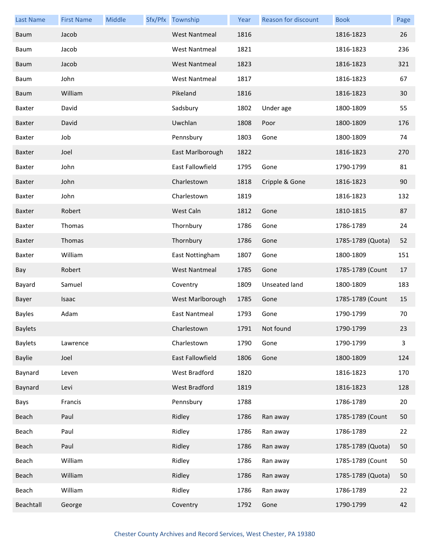| <b>Last Name</b> | <b>First Name</b> | Middle | Sfx/Pfx Township     | Year | Reason for discount | <b>Book</b>       | Page                    |
|------------------|-------------------|--------|----------------------|------|---------------------|-------------------|-------------------------|
| Baum             | Jacob             |        | <b>West Nantmeal</b> | 1816 |                     | 1816-1823         | 26                      |
| Baum             | Jacob             |        | <b>West Nantmeal</b> | 1821 |                     | 1816-1823         | 236                     |
| Baum             | Jacob             |        | <b>West Nantmeal</b> | 1823 |                     | 1816-1823         | 321                     |
| Baum             | John              |        | <b>West Nantmeal</b> | 1817 |                     | 1816-1823         | 67                      |
| Baum             | William           |        | Pikeland             | 1816 |                     | 1816-1823         | 30                      |
| Baxter           | David             |        | Sadsbury             | 1802 | Under age           | 1800-1809         | 55                      |
| Baxter           | David             |        | Uwchlan              | 1808 | Poor                | 1800-1809         | 176                     |
| Baxter           | Job               |        | Pennsbury            | 1803 | Gone                | 1800-1809         | 74                      |
| <b>Baxter</b>    | Joel              |        | East Marlborough     | 1822 |                     | 1816-1823         | 270                     |
| Baxter           | John              |        | East Fallowfield     | 1795 | Gone                | 1790-1799         | 81                      |
| Baxter           | John              |        | Charlestown          | 1818 | Cripple & Gone      | 1816-1823         | 90                      |
| Baxter           | John              |        | Charlestown          | 1819 |                     | 1816-1823         | 132                     |
| <b>Baxter</b>    | Robert            |        | West Caln            | 1812 | Gone                | 1810-1815         | 87                      |
| Baxter           | Thomas            |        | Thornbury            | 1786 | Gone                | 1786-1789         | 24                      |
| Baxter           | Thomas            |        | Thornbury            | 1786 | Gone                | 1785-1789 (Quota) | 52                      |
| Baxter           | William           |        | East Nottingham      | 1807 | Gone                | 1800-1809         | 151                     |
| Bay              | Robert            |        | <b>West Nantmeal</b> | 1785 | Gone                | 1785-1789 (Count  | 17                      |
| Bayard           | Samuel            |        | Coventry             | 1809 | Unseated land       | 1800-1809         | 183                     |
| Bayer            | Isaac             |        | West Marlborough     | 1785 | Gone                | 1785-1789 (Count  | 15                      |
| <b>Bayles</b>    | Adam              |        | East Nantmeal        | 1793 | Gone                | 1790-1799         | 70                      |
| <b>Baylets</b>   |                   |        | Charlestown          | 1791 | Not found           | 1790-1799         | 23                      |
| <b>Baylets</b>   | Lawrence          |        | Charlestown          | 1790 | Gone                | 1790-1799         | $\overline{\mathbf{3}}$ |
| <b>Baylie</b>    | Joel              |        | East Fallowfield     | 1806 | Gone                | 1800-1809         | 124                     |
| Baynard          | Leven             |        | West Bradford        | 1820 |                     | 1816-1823         | 170                     |
| Baynard          | Levi              |        | West Bradford        | 1819 |                     | 1816-1823         | 128                     |
| Bays             | Francis           |        | Pennsbury            | 1788 |                     | 1786-1789         | 20                      |
| Beach            | Paul              |        | Ridley               | 1786 | Ran away            | 1785-1789 (Count  | 50                      |
| Beach            | Paul              |        | Ridley               | 1786 | Ran away            | 1786-1789         | 22                      |
| Beach            | Paul              |        | Ridley               | 1786 | Ran away            | 1785-1789 (Quota) | 50                      |
| Beach            | William           |        | Ridley               | 1786 | Ran away            | 1785-1789 (Count  | 50                      |
| Beach            | William           |        | Ridley               | 1786 | Ran away            | 1785-1789 (Quota) | 50                      |
| Beach            | William           |        | Ridley               | 1786 | Ran away            | 1786-1789         | 22                      |
| Beachtall        | George            |        | Coventry             | 1792 | Gone                | 1790-1799         | 42                      |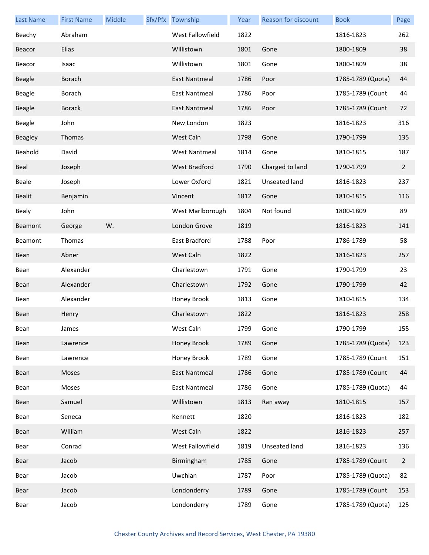| <b>Last Name</b> | <b>First Name</b> | Middle | Sfx/Pfx Township     | Year | Reason for discount | <b>Book</b>       | Page           |
|------------------|-------------------|--------|----------------------|------|---------------------|-------------------|----------------|
| Beachy           | Abraham           |        | West Fallowfield     | 1822 |                     | 1816-1823         | 262            |
| Beacor           | Elias             |        | Willistown           | 1801 | Gone                | 1800-1809         | 38             |
| Beacor           | Isaac             |        | Willistown           | 1801 | Gone                | 1800-1809         | 38             |
| <b>Beagle</b>    | <b>Borach</b>     |        | East Nantmeal        | 1786 | Poor                | 1785-1789 (Quota) | 44             |
| <b>Beagle</b>    | Borach            |        | East Nantmeal        | 1786 | Poor                | 1785-1789 (Count  | 44             |
| <b>Beagle</b>    | <b>Borack</b>     |        | East Nantmeal        | 1786 | Poor                | 1785-1789 (Count  | 72             |
| Beagle           | John              |        | New London           | 1823 |                     | 1816-1823         | 316            |
| Beagley          | Thomas            |        | West Caln            | 1798 | Gone                | 1790-1799         | 135            |
| Beahold          | David             |        | <b>West Nantmeal</b> | 1814 | Gone                | 1810-1815         | 187            |
| Beal             | Joseph            |        | <b>West Bradford</b> | 1790 | Charged to land     | 1790-1799         | $\overline{2}$ |
| Beale            | Joseph            |        | Lower Oxford         | 1821 | Unseated land       | 1816-1823         | 237            |
| <b>Bealit</b>    | Benjamin          |        | Vincent              | 1812 | Gone                | 1810-1815         | 116            |
| Bealy            | John              |        | West Marlborough     | 1804 | Not found           | 1800-1809         | 89             |
| Beamont          | George            | W.     | London Grove         | 1819 |                     | 1816-1823         | 141            |
| Beamont          | Thomas            |        | East Bradford        | 1788 | Poor                | 1786-1789         | 58             |
| Bean             | Abner             |        | West Caln            | 1822 |                     | 1816-1823         | 257            |
| Bean             | Alexander         |        | Charlestown          | 1791 | Gone                | 1790-1799         | 23             |
| Bean             | Alexander         |        | Charlestown          | 1792 | Gone                | 1790-1799         | 42             |
| Bean             | Alexander         |        | Honey Brook          | 1813 | Gone                | 1810-1815         | 134            |
| Bean             | Henry             |        | Charlestown          | 1822 |                     | 1816-1823         | 258            |
| Bean             | James             |        | West Caln            | 1799 | Gone                | 1790-1799         | 155            |
| Bean             | Lawrence          |        | Honey Brook          | 1789 | Gone                | 1785-1789 (Quota) | 123            |
| Bean             | Lawrence          |        | Honey Brook          | 1789 | Gone                | 1785-1789 (Count  | 151            |
| Bean             | Moses             |        | <b>East Nantmeal</b> | 1786 | Gone                | 1785-1789 (Count  | 44             |
| Bean             | Moses             |        | <b>East Nantmeal</b> | 1786 | Gone                | 1785-1789 (Quota) | 44             |
| Bean             | Samuel            |        | Willistown           | 1813 | Ran away            | 1810-1815         | 157            |
| Bean             | Seneca            |        | Kennett              | 1820 |                     | 1816-1823         | 182            |
| Bean             | William           |        | West Caln            | 1822 |                     | 1816-1823         | 257            |
| Bear             | Conrad            |        | West Fallowfield     | 1819 | Unseated land       | 1816-1823         | 136            |
| Bear             | Jacob             |        | Birmingham           | 1785 | Gone                | 1785-1789 (Count  | $\overline{2}$ |
| Bear             | Jacob             |        | Uwchlan              | 1787 | Poor                | 1785-1789 (Quota) | 82             |
| Bear             | Jacob             |        | Londonderry          | 1789 | Gone                | 1785-1789 (Count  | 153            |
| Bear             | Jacob             |        | Londonderry          | 1789 | Gone                | 1785-1789 (Quota) | 125            |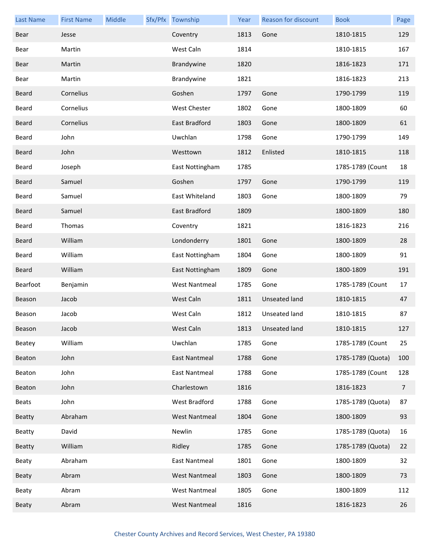| <b>Last Name</b> | <b>First Name</b> | Middle | Sfx/Pfx Township     | Year | Reason for discount  | <b>Book</b>       | Page           |
|------------------|-------------------|--------|----------------------|------|----------------------|-------------------|----------------|
| Bear             | Jesse             |        | Coventry             | 1813 | Gone                 | 1810-1815         | 129            |
| Bear             | Martin            |        | West Caln            | 1814 |                      | 1810-1815         | 167            |
| Bear             | Martin            |        | Brandywine           | 1820 |                      | 1816-1823         | 171            |
| Bear             | Martin            |        | Brandywine           | 1821 |                      | 1816-1823         | 213            |
| <b>Beard</b>     | Cornelius         |        | Goshen               | 1797 | Gone                 | 1790-1799         | 119            |
| Beard            | Cornelius         |        | West Chester         | 1802 | Gone                 | 1800-1809         | 60             |
| <b>Beard</b>     | Cornelius         |        | East Bradford        | 1803 | Gone                 | 1800-1809         | 61             |
| Beard            | John              |        | Uwchlan              | 1798 | Gone                 | 1790-1799         | 149            |
| <b>Beard</b>     | John              |        | Westtown             | 1812 | Enlisted             | 1810-1815         | 118            |
| Beard            | Joseph            |        | East Nottingham      | 1785 |                      | 1785-1789 (Count  | 18             |
| <b>Beard</b>     | Samuel            |        | Goshen               | 1797 | Gone                 | 1790-1799         | 119            |
| Beard            | Samuel            |        | East Whiteland       | 1803 | Gone                 | 1800-1809         | 79             |
| <b>Beard</b>     | Samuel            |        | East Bradford        | 1809 |                      | 1800-1809         | 180            |
| Beard            | Thomas            |        | Coventry             | 1821 |                      | 1816-1823         | 216            |
| <b>Beard</b>     | William           |        | Londonderry          | 1801 | Gone                 | 1800-1809         | 28             |
| Beard            | William           |        | East Nottingham      | 1804 | Gone                 | 1800-1809         | 91             |
| <b>Beard</b>     | William           |        | East Nottingham      | 1809 | Gone                 | 1800-1809         | 191            |
| Bearfoot         | Benjamin          |        | <b>West Nantmeal</b> | 1785 | Gone                 | 1785-1789 (Count  | 17             |
| Beason           | Jacob             |        | West Caln            | 1811 | <b>Unseated land</b> | 1810-1815         | 47             |
| Beason           | Jacob             |        | West Caln            | 1812 | Unseated land        | 1810-1815         | 87             |
| Beason           | Jacob             |        | West Caln            |      | 1813 Unseated land   | 1810-1815         | 127            |
| Beatey           | William           |        | Uwchlan              | 1785 | Gone                 | 1785-1789 (Count  | 25             |
| Beaton           | John              |        | East Nantmeal        | 1788 | Gone                 | 1785-1789 (Quota) | 100            |
| Beaton           | John              |        | East Nantmeal        | 1788 | Gone                 | 1785-1789 (Count  | 128            |
| Beaton           | John              |        | Charlestown          | 1816 |                      | 1816-1823         | $\overline{7}$ |
| <b>Beats</b>     | John              |        | West Bradford        | 1788 | Gone                 | 1785-1789 (Quota) | 87             |
| <b>Beatty</b>    | Abraham           |        | <b>West Nantmeal</b> | 1804 | Gone                 | 1800-1809         | 93             |
| Beatty           | David             |        | Newlin               | 1785 | Gone                 | 1785-1789 (Quota) | 16             |
| <b>Beatty</b>    | William           |        | Ridley               | 1785 | Gone                 | 1785-1789 (Quota) | 22             |
| Beaty            | Abraham           |        | East Nantmeal        | 1801 | Gone                 | 1800-1809         | 32             |
| Beaty            | Abram             |        | <b>West Nantmeal</b> | 1803 | Gone                 | 1800-1809         | 73             |
| Beaty            | Abram             |        | <b>West Nantmeal</b> | 1805 | Gone                 | 1800-1809         | 112            |
| Beaty            | Abram             |        | <b>West Nantmeal</b> | 1816 |                      | 1816-1823         | 26             |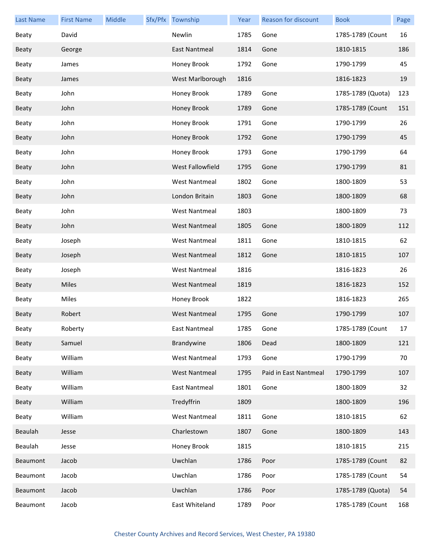| <b>Last Name</b> | <b>First Name</b> | Middle | Sfx/Pfx Township     | Year | Reason for discount   | <b>Book</b>       | Page |
|------------------|-------------------|--------|----------------------|------|-----------------------|-------------------|------|
| Beaty            | David             |        | Newlin               | 1785 | Gone                  | 1785-1789 (Count  | 16   |
| Beaty            | George            |        | <b>East Nantmeal</b> | 1814 | Gone                  | 1810-1815         | 186  |
| Beaty            | James             |        | Honey Brook          | 1792 | Gone                  | 1790-1799         | 45   |
| <b>Beaty</b>     | James             |        | West Marlborough     | 1816 |                       | 1816-1823         | 19   |
| Beaty            | John              |        | Honey Brook          | 1789 | Gone                  | 1785-1789 (Quota) | 123  |
| Beaty            | John              |        | Honey Brook          | 1789 | Gone                  | 1785-1789 (Count  | 151  |
| Beaty            | John              |        | Honey Brook          | 1791 | Gone                  | 1790-1799         | 26   |
| Beaty            | John              |        | Honey Brook          | 1792 | Gone                  | 1790-1799         | 45   |
| Beaty            | John              |        | Honey Brook          | 1793 | Gone                  | 1790-1799         | 64   |
| Beaty            | John              |        | West Fallowfield     | 1795 | Gone                  | 1790-1799         | 81   |
| Beaty            | John              |        | <b>West Nantmeal</b> | 1802 | Gone                  | 1800-1809         | 53   |
| Beaty            | John              |        | London Britain       | 1803 | Gone                  | 1800-1809         | 68   |
| Beaty            | John              |        | <b>West Nantmeal</b> | 1803 |                       | 1800-1809         | 73   |
| Beaty            | John              |        | <b>West Nantmeal</b> | 1805 | Gone                  | 1800-1809         | 112  |
| Beaty            | Joseph            |        | <b>West Nantmeal</b> | 1811 | Gone                  | 1810-1815         | 62   |
| Beaty            | Joseph            |        | <b>West Nantmeal</b> | 1812 | Gone                  | 1810-1815         | 107  |
| Beaty            | Joseph            |        | <b>West Nantmeal</b> | 1816 |                       | 1816-1823         | 26   |
| Beaty            | Miles             |        | <b>West Nantmeal</b> | 1819 |                       | 1816-1823         | 152  |
| Beaty            | Miles             |        | Honey Brook          | 1822 |                       | 1816-1823         | 265  |
| Beaty            | Robert            |        | <b>West Nantmeal</b> | 1795 | Gone                  | 1790-1799         | 107  |
| Beaty            | Roberty           |        | East Nantmeal        | 1785 | Gone                  | 1785-1789 (Count  | 17   |
| Beaty            | Samuel            |        | Brandywine           | 1806 | Dead                  | 1800-1809         | 121  |
| Beaty            | William           |        | <b>West Nantmeal</b> | 1793 | Gone                  | 1790-1799         | 70   |
| Beaty            | William           |        | <b>West Nantmeal</b> | 1795 | Paid in East Nantmeal | 1790-1799         | 107  |
| Beaty            | William           |        | East Nantmeal        | 1801 | Gone                  | 1800-1809         | 32   |
| Beaty            | William           |        | Tredyffrin           | 1809 |                       | 1800-1809         | 196  |
| Beaty            | William           |        | <b>West Nantmeal</b> | 1811 | Gone                  | 1810-1815         | 62   |
| Beaulah          | Jesse             |        | Charlestown          | 1807 | Gone                  | 1800-1809         | 143  |
| Beaulah          | Jesse             |        | Honey Brook          | 1815 |                       | 1810-1815         | 215  |
| Beaumont         | Jacob             |        | Uwchlan              | 1786 | Poor                  | 1785-1789 (Count  | 82   |
| Beaumont         | Jacob             |        | Uwchlan              | 1786 | Poor                  | 1785-1789 (Count  | 54   |
| Beaumont         | Jacob             |        | Uwchlan              | 1786 | Poor                  | 1785-1789 (Quota) | 54   |
| Beaumont         | Jacob             |        | East Whiteland       | 1789 | Poor                  | 1785-1789 (Count  | 168  |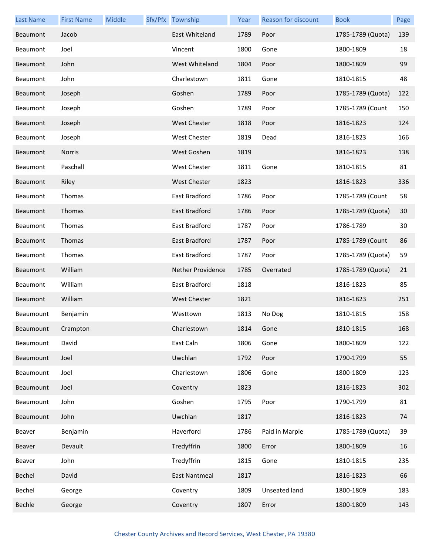| <b>Last Name</b> | <b>First Name</b> | Middle | Sfx/Pfx Township    | Year | Reason for discount | <b>Book</b>       | Page |
|------------------|-------------------|--------|---------------------|------|---------------------|-------------------|------|
| Beaumont         | Jacob             |        | East Whiteland      | 1789 | Poor                | 1785-1789 (Quota) | 139  |
| Beaumont         | Joel              |        | Vincent             | 1800 | Gone                | 1800-1809         | 18   |
| Beaumont         | John              |        | West Whiteland      | 1804 | Poor                | 1800-1809         | 99   |
| Beaumont         | John              |        | Charlestown         | 1811 | Gone                | 1810-1815         | 48   |
| Beaumont         | Joseph            |        | Goshen              | 1789 | Poor                | 1785-1789 (Quota) | 122  |
| Beaumont         | Joseph            |        | Goshen              | 1789 | Poor                | 1785-1789 (Count  | 150  |
| Beaumont         | Joseph            |        | <b>West Chester</b> | 1818 | Poor                | 1816-1823         | 124  |
| Beaumont         | Joseph            |        | West Chester        | 1819 | Dead                | 1816-1823         | 166  |
| Beaumont         | <b>Norris</b>     |        | West Goshen         | 1819 |                     | 1816-1823         | 138  |
| Beaumont         | Paschall          |        | West Chester        | 1811 | Gone                | 1810-1815         | 81   |
| Beaumont         | Riley             |        | <b>West Chester</b> | 1823 |                     | 1816-1823         | 336  |
| Beaumont         | Thomas            |        | East Bradford       | 1786 | Poor                | 1785-1789 (Count  | 58   |
| Beaumont         | Thomas            |        | East Bradford       | 1786 | Poor                | 1785-1789 (Quota) | 30   |
| Beaumont         | Thomas            |        | East Bradford       | 1787 | Poor                | 1786-1789         | 30   |
| Beaumont         | Thomas            |        | East Bradford       | 1787 | Poor                | 1785-1789 (Count  | 86   |
| Beaumont         | Thomas            |        | East Bradford       | 1787 | Poor                | 1785-1789 (Quota) | 59   |
| Beaumont         | William           |        | Nether Providence   | 1785 | Overrated           | 1785-1789 (Quota) | 21   |
| Beaumont         | William           |        | East Bradford       | 1818 |                     | 1816-1823         | 85   |
| Beaumont         | William           |        | <b>West Chester</b> | 1821 |                     | 1816-1823         | 251  |
| Beaumount        | Benjamin          |        | Westtown            | 1813 | No Dog              | 1810-1815         | 158  |
| Beaumount        | Crampton          |        | Charlestown         | 1814 | Gone                | 1810-1815         | 168  |
| Beaumount        | David             |        | East Caln           | 1806 | Gone                | 1800-1809         | 122  |
| Beaumount        | Joel              |        | Uwchlan             | 1792 | Poor                | 1790-1799         | 55   |
| Beaumount        | Joel              |        | Charlestown         | 1806 | Gone                | 1800-1809         | 123  |
| Beaumount        | Joel              |        | Coventry            | 1823 |                     | 1816-1823         | 302  |
| Beaumount        | John              |        | Goshen              | 1795 | Poor                | 1790-1799         | 81   |
| Beaumount        | John              |        | Uwchlan             | 1817 |                     | 1816-1823         | 74   |
| Beaver           | Benjamin          |        | Haverford           | 1786 | Paid in Marple      | 1785-1789 (Quota) | 39   |
| Beaver           | Devault           |        | Tredyffrin          | 1800 | Error               | 1800-1809         | 16   |
| Beaver           | John              |        | Tredyffrin          | 1815 | Gone                | 1810-1815         | 235  |
| Bechel           | David             |        | East Nantmeal       | 1817 |                     | 1816-1823         | 66   |
| Bechel           | George            |        | Coventry            | 1809 | Unseated land       | 1800-1809         | 183  |
| Bechle           | George            |        | Coventry            | 1807 | Error               | 1800-1809         | 143  |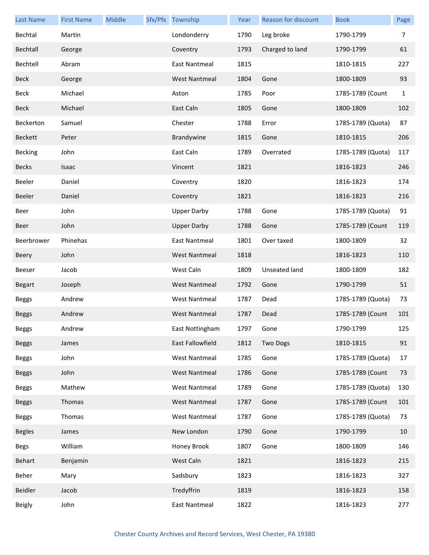| <b>Last Name</b> | <b>First Name</b> | Middle | Sfx/Pfx Township     | Year | Reason for discount | <b>Book</b>       | Page         |
|------------------|-------------------|--------|----------------------|------|---------------------|-------------------|--------------|
| Bechtal          | Martin            |        | Londonderry          | 1790 | Leg broke           | 1790-1799         | 7            |
| Bechtall         | George            |        | Coventry             | 1793 | Charged to land     | 1790-1799         | 61           |
| Bechtell         | Abram             |        | East Nantmeal        | 1815 |                     | 1810-1815         | 227          |
| <b>Beck</b>      | George            |        | <b>West Nantmeal</b> | 1804 | Gone                | 1800-1809         | 93           |
| Beck             | Michael           |        | Aston                | 1785 | Poor                | 1785-1789 (Count  | $\mathbf{1}$ |
| <b>Beck</b>      | Michael           |        | East Caln            | 1805 | Gone                | 1800-1809         | 102          |
| Beckerton        | Samuel            |        | Chester              | 1788 | Error               | 1785-1789 (Quota) | 87           |
| <b>Beckett</b>   | Peter             |        | Brandywine           | 1815 | Gone                | 1810-1815         | 206          |
| <b>Becking</b>   | John              |        | East Caln            | 1789 | Overrated           | 1785-1789 (Quota) | 117          |
| <b>Becks</b>     | Isaac             |        | Vincent              | 1821 |                     | 1816-1823         | 246          |
| Beeler           | Daniel            |        | Coventry             | 1820 |                     | 1816-1823         | 174          |
| Beeler           | Daniel            |        | Coventry             | 1821 |                     | 1816-1823         | 216          |
| Beer             | John              |        | <b>Upper Darby</b>   | 1788 | Gone                | 1785-1789 (Quota) | 91           |
| Beer             | John              |        | <b>Upper Darby</b>   | 1788 | Gone                | 1785-1789 (Count  | 119          |
| Beerbrower       | Phinehas          |        | <b>East Nantmeal</b> | 1801 | Over taxed          | 1800-1809         | 32           |
| Beery            | John              |        | <b>West Nantmeal</b> | 1818 |                     | 1816-1823         | 110          |
| Beeser           | Jacob             |        | West Caln            | 1809 | Unseated land       | 1800-1809         | 182          |
| <b>Begart</b>    | Joseph            |        | <b>West Nantmeal</b> | 1792 | Gone                | 1790-1799         | 51           |
| <b>Beggs</b>     | Andrew            |        | <b>West Nantmeal</b> | 1787 | Dead                | 1785-1789 (Quota) | 73           |
| <b>Beggs</b>     | Andrew            |        | <b>West Nantmeal</b> | 1787 | Dead                | 1785-1789 (Count  | 101          |
| <b>Beggs</b>     | Andrew            |        | East Nottingham      | 1797 | Gone                | 1790-1799         | 125          |
| <b>Beggs</b>     | James             |        | East Fallowfield     | 1812 | <b>Two Dogs</b>     | 1810-1815         | 91           |
| <b>Beggs</b>     | John              |        | <b>West Nantmeal</b> | 1785 | Gone                | 1785-1789 (Quota) | 17           |
| <b>Beggs</b>     | John              |        | <b>West Nantmeal</b> | 1786 | Gone                | 1785-1789 (Count  | 73           |
| <b>Beggs</b>     | Mathew            |        | <b>West Nantmeal</b> | 1789 | Gone                | 1785-1789 (Quota) | 130          |
| <b>Beggs</b>     | Thomas            |        | <b>West Nantmeal</b> | 1787 | Gone                | 1785-1789 (Count  | 101          |
| <b>Beggs</b>     | Thomas            |        | <b>West Nantmeal</b> | 1787 | Gone                | 1785-1789 (Quota) | 73           |
| <b>Begles</b>    | James             |        | New London           | 1790 | Gone                | 1790-1799         | 10           |
| <b>Begs</b>      | William           |        | Honey Brook          | 1807 | Gone                | 1800-1809         | 146          |
| Behart           | Benjamin          |        | West Caln            | 1821 |                     | 1816-1823         | 215          |
| Beher            | Mary              |        | Sadsbury             | 1823 |                     | 1816-1823         | 327          |
| Beidler          | Jacob             |        | Tredyffrin           | 1819 |                     | 1816-1823         | 158          |
| <b>Beigly</b>    | John              |        | East Nantmeal        | 1822 |                     | 1816-1823         | 277          |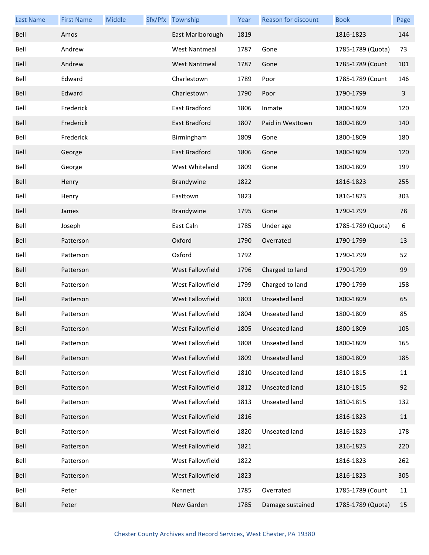| <b>Last Name</b> | <b>First Name</b> | <b>Middle</b> | Sfx/Pfx Township        | Year | <b>Reason for discount</b> | <b>Book</b>       | Page           |
|------------------|-------------------|---------------|-------------------------|------|----------------------------|-------------------|----------------|
| Bell             | Amos              |               | East Marlborough        | 1819 |                            | 1816-1823         | 144            |
| Bell             | Andrew            |               | <b>West Nantmeal</b>    | 1787 | Gone                       | 1785-1789 (Quota) | 73             |
| Bell             | Andrew            |               | <b>West Nantmeal</b>    | 1787 | Gone                       | 1785-1789 (Count  | 101            |
| Bell             | Edward            |               | Charlestown             | 1789 | Poor                       | 1785-1789 (Count  | 146            |
| Bell             | Edward            |               | Charlestown             | 1790 | Poor                       | 1790-1799         | $\overline{3}$ |
| Bell             | Frederick         |               | <b>East Bradford</b>    | 1806 | Inmate                     | 1800-1809         | 120            |
| Bell             | Frederick         |               | East Bradford           | 1807 | Paid in Westtown           | 1800-1809         | 140            |
| Bell             | Frederick         |               | Birmingham              | 1809 | Gone                       | 1800-1809         | 180            |
| Bell             | George            |               | East Bradford           | 1806 | Gone                       | 1800-1809         | 120            |
| Bell             | George            |               | West Whiteland          | 1809 | Gone                       | 1800-1809         | 199            |
| Bell             | Henry             |               | Brandywine              | 1822 |                            | 1816-1823         | 255            |
| Bell             | Henry             |               | Easttown                | 1823 |                            | 1816-1823         | 303            |
| Bell             | James             |               | Brandywine              | 1795 | Gone                       | 1790-1799         | 78             |
| Bell             | Joseph            |               | East Caln               | 1785 | Under age                  | 1785-1789 (Quota) | 6              |
| Bell             | Patterson         |               | Oxford                  | 1790 | Overrated                  | 1790-1799         | 13             |
| Bell             | Patterson         |               | Oxford                  | 1792 |                            | 1790-1799         | 52             |
| Bell             | Patterson         |               | West Fallowfield        | 1796 | Charged to land            | 1790-1799         | 99             |
| Bell             | Patterson         |               | West Fallowfield        | 1799 | Charged to land            | 1790-1799         | 158            |
| Bell             | Patterson         |               | <b>West Fallowfield</b> | 1803 | <b>Unseated land</b>       | 1800-1809         | 65             |
| Bell             | Patterson         |               | West Fallowfield        | 1804 | Unseated land              | 1800-1809         | 85             |
| Bell             | Patterson         |               | West Fallowfield        | 1805 | Unseated land              | 1800-1809         | 105            |
| Bell             | Patterson         |               | West Fallowfield        | 1808 | Unseated land              | 1800-1809         | 165            |
| Bell             | Patterson         |               | West Fallowfield        | 1809 | <b>Unseated land</b>       | 1800-1809         | 185            |
| Bell             | Patterson         |               | West Fallowfield        | 1810 | Unseated land              | 1810-1815         | 11             |
| Bell             | Patterson         |               | West Fallowfield        | 1812 | <b>Unseated land</b>       | 1810-1815         | 92             |
| Bell             | Patterson         |               | West Fallowfield        | 1813 | Unseated land              | 1810-1815         | 132            |
| Bell             | Patterson         |               | West Fallowfield        | 1816 |                            | 1816-1823         | 11             |
| Bell             | Patterson         |               | West Fallowfield        | 1820 | <b>Unseated land</b>       | 1816-1823         | 178            |
| Bell             | Patterson         |               | West Fallowfield        | 1821 |                            | 1816-1823         | 220            |
| Bell             | Patterson         |               | West Fallowfield        | 1822 |                            | 1816-1823         | 262            |
| Bell             | Patterson         |               | West Fallowfield        | 1823 |                            | 1816-1823         | 305            |
| Bell             | Peter             |               | Kennett                 | 1785 | Overrated                  | 1785-1789 (Count  | 11             |
| Bell             | Peter             |               | New Garden              | 1785 | Damage sustained           | 1785-1789 (Quota) | 15             |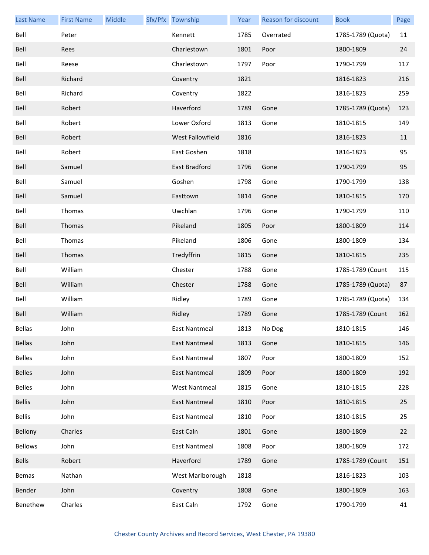| <b>Last Name</b> | <b>First Name</b> | Middle | Sfx/Pfx Township        | Year | <b>Reason for discount</b> | <b>Book</b>       | Page |
|------------------|-------------------|--------|-------------------------|------|----------------------------|-------------------|------|
| Bell             | Peter             |        | Kennett                 | 1785 | Overrated                  | 1785-1789 (Quota) | 11   |
| Bell             | Rees              |        | Charlestown             | 1801 | Poor                       | 1800-1809         | 24   |
| Bell             | Reese             |        | Charlestown             | 1797 | Poor                       | 1790-1799         | 117  |
| Bell             | Richard           |        | Coventry                | 1821 |                            | 1816-1823         | 216  |
| Bell             | Richard           |        | Coventry                | 1822 |                            | 1816-1823         | 259  |
| Bell             | Robert            |        | Haverford               | 1789 | Gone                       | 1785-1789 (Quota) | 123  |
| Bell             | Robert            |        | Lower Oxford            | 1813 | Gone                       | 1810-1815         | 149  |
| Bell             | Robert            |        | <b>West Fallowfield</b> | 1816 |                            | 1816-1823         | 11   |
| Bell             | Robert            |        | East Goshen             | 1818 |                            | 1816-1823         | 95   |
| Bell             | Samuel            |        | East Bradford           | 1796 | Gone                       | 1790-1799         | 95   |
| Bell             | Samuel            |        | Goshen                  | 1798 | Gone                       | 1790-1799         | 138  |
| Bell             | Samuel            |        | Easttown                | 1814 | Gone                       | 1810-1815         | 170  |
| Bell             | Thomas            |        | Uwchlan                 | 1796 | Gone                       | 1790-1799         | 110  |
| Bell             | Thomas            |        | Pikeland                | 1805 | Poor                       | 1800-1809         | 114  |
| Bell             | Thomas            |        | Pikeland                | 1806 | Gone                       | 1800-1809         | 134  |
| Bell             | Thomas            |        | Tredyffrin              | 1815 | Gone                       | 1810-1815         | 235  |
| Bell             | William           |        | Chester                 | 1788 | Gone                       | 1785-1789 (Count  | 115  |
| Bell             | William           |        | Chester                 | 1788 | Gone                       | 1785-1789 (Quota) | 87   |
| Bell             | William           |        | Ridley                  | 1789 | Gone                       | 1785-1789 (Quota) | 134  |
| Bell             | William           |        | Ridley                  | 1789 | Gone                       | 1785-1789 (Count  | 162  |
| Bellas           | John              |        | East Nantmeal           | 1813 | No Dog                     | 1810-1815         | 146  |
| <b>Bellas</b>    | John              |        | East Nantmeal           | 1813 | Gone                       | 1810-1815         | 146  |
| <b>Belles</b>    | John              |        | <b>East Nantmeal</b>    | 1807 | Poor                       | 1800-1809         | 152  |
| <b>Belles</b>    | John              |        | <b>East Nantmeal</b>    | 1809 | Poor                       | 1800-1809         | 192  |
| <b>Belles</b>    | John              |        | <b>West Nantmeal</b>    | 1815 | Gone                       | 1810-1815         | 228  |
| <b>Bellis</b>    | John              |        | <b>East Nantmeal</b>    | 1810 | Poor                       | 1810-1815         | 25   |
| <b>Bellis</b>    | John              |        | <b>East Nantmeal</b>    | 1810 | Poor                       | 1810-1815         | 25   |
| Bellony          | Charles           |        | East Caln               | 1801 | Gone                       | 1800-1809         | 22   |
| <b>Bellows</b>   | John              |        | <b>East Nantmeal</b>    | 1808 | Poor                       | 1800-1809         | 172  |
| <b>Bells</b>     | Robert            |        | Haverford               | 1789 | Gone                       | 1785-1789 (Count  | 151  |
| Bemas            | Nathan            |        | West Marlborough        | 1818 |                            | 1816-1823         | 103  |
| Bender           | John              |        | Coventry                | 1808 | Gone                       | 1800-1809         | 163  |
| Benethew         | Charles           |        | East Caln               | 1792 | Gone                       | 1790-1799         | 41   |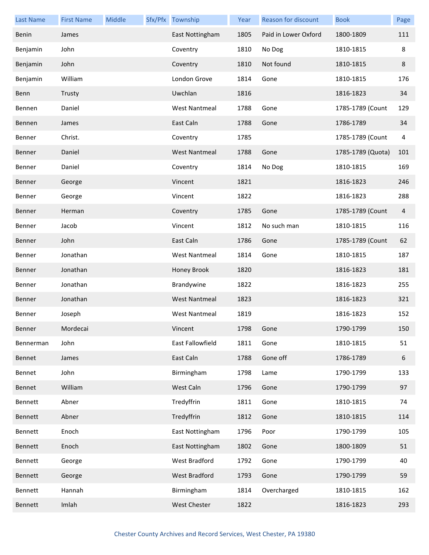| <b>Last Name</b> | <b>First Name</b> | Middle | Sfx/Pfx Township     | Year | Reason for discount  | <b>Book</b>       | Page           |
|------------------|-------------------|--------|----------------------|------|----------------------|-------------------|----------------|
| Benin            | James             |        | East Nottingham      | 1805 | Paid in Lower Oxford | 1800-1809         | 111            |
| Benjamin         | John              |        | Coventry             | 1810 | No Dog               | 1810-1815         | 8              |
| Benjamin         | John              |        | Coventry             | 1810 | Not found            | 1810-1815         | 8              |
| Benjamin         | William           |        | London Grove         | 1814 | Gone                 | 1810-1815         | 176            |
| Benn             | Trusty            |        | Uwchlan              | 1816 |                      | 1816-1823         | 34             |
| Bennen           | Daniel            |        | <b>West Nantmeal</b> | 1788 | Gone                 | 1785-1789 (Count  | 129            |
| Bennen           | James             |        | East Caln            | 1788 | Gone                 | 1786-1789         | 34             |
| Benner           | Christ.           |        | Coventry             | 1785 |                      | 1785-1789 (Count  | 4              |
| Benner           | Daniel            |        | <b>West Nantmeal</b> | 1788 | Gone                 | 1785-1789 (Quota) | 101            |
| Benner           | Daniel            |        | Coventry             | 1814 | No Dog               | 1810-1815         | 169            |
| Benner           | George            |        | Vincent              | 1821 |                      | 1816-1823         | 246            |
| Benner           | George            |        | Vincent              | 1822 |                      | 1816-1823         | 288            |
| Benner           | Herman            |        | Coventry             | 1785 | Gone                 | 1785-1789 (Count  | $\overline{4}$ |
| Benner           | Jacob             |        | Vincent              | 1812 | No such man          | 1810-1815         | 116            |
| Benner           | John              |        | East Caln            | 1786 | Gone                 | 1785-1789 (Count  | 62             |
| Benner           | Jonathan          |        | <b>West Nantmeal</b> | 1814 | Gone                 | 1810-1815         | 187            |
| Benner           | Jonathan          |        | Honey Brook          | 1820 |                      | 1816-1823         | 181            |
| Benner           | Jonathan          |        | Brandywine           | 1822 |                      | 1816-1823         | 255            |
| Benner           | Jonathan          |        | <b>West Nantmeal</b> | 1823 |                      | 1816-1823         | 321            |
| Benner           | Joseph            |        | <b>West Nantmeal</b> | 1819 |                      | 1816-1823         | 152            |
| Benner           | Mordecai          |        | Vincent              | 1798 | Gone                 | 1790-1799         | 150            |
| Bennerman        | John              |        | East Fallowfield     | 1811 | Gone                 | 1810-1815         | 51             |
| Bennet           | James             |        | East Caln            | 1788 | Gone off             | 1786-1789         | 6              |
| Bennet           | John              |        | Birmingham           | 1798 | Lame                 | 1790-1799         | 133            |
| Bennet           | William           |        | West Caln            | 1796 | Gone                 | 1790-1799         | 97             |
| Bennett          | Abner             |        | Tredyffrin           | 1811 | Gone                 | 1810-1815         | 74             |
| Bennett          | Abner             |        | Tredyffrin           | 1812 | Gone                 | 1810-1815         | 114            |
| Bennett          | Enoch             |        | East Nottingham      | 1796 | Poor                 | 1790-1799         | 105            |
| Bennett          | Enoch             |        | East Nottingham      | 1802 | Gone                 | 1800-1809         | 51             |
| Bennett          | George            |        | <b>West Bradford</b> | 1792 | Gone                 | 1790-1799         | 40             |
| Bennett          | George            |        | West Bradford        | 1793 | Gone                 | 1790-1799         | 59             |
| Bennett          | Hannah            |        | Birmingham           | 1814 | Overcharged          | 1810-1815         | 162            |
| Bennett          | Imlah             |        | West Chester         | 1822 |                      | 1816-1823         | 293            |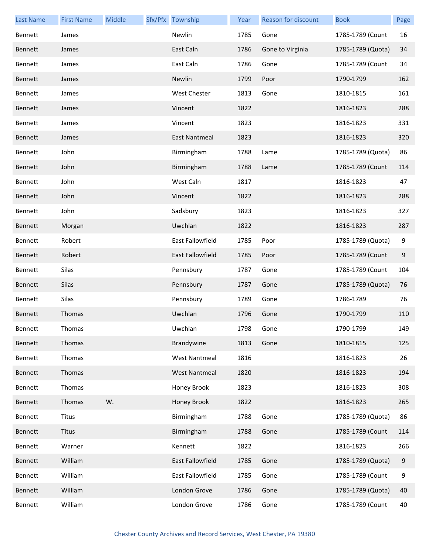| <b>Last Name</b> | <b>First Name</b> | Middle | Sfx/Pfx Township     | Year | <b>Reason for discount</b> | <b>Book</b>       | Page  |
|------------------|-------------------|--------|----------------------|------|----------------------------|-------------------|-------|
| Bennett          | James             |        | Newlin               | 1785 | Gone                       | 1785-1789 (Count  | 16    |
| <b>Bennett</b>   | James             |        | East Caln            | 1786 | Gone to Virginia           | 1785-1789 (Quota) | 34    |
| Bennett          | James             |        | East Caln            | 1786 | Gone                       | 1785-1789 (Count  | 34    |
| Bennett          | James             |        | Newlin               | 1799 | Poor                       | 1790-1799         | 162   |
| Bennett          | James             |        | West Chester         | 1813 | Gone                       | 1810-1815         | 161   |
| Bennett          | James             |        | Vincent              | 1822 |                            | 1816-1823         | 288   |
| Bennett          | James             |        | Vincent              | 1823 |                            | 1816-1823         | 331   |
| Bennett          | James             |        | East Nantmeal        | 1823 |                            | 1816-1823         | 320   |
| Bennett          | John              |        | Birmingham           | 1788 | Lame                       | 1785-1789 (Quota) | 86    |
| Bennett          | John              |        | Birmingham           | 1788 | Lame                       | 1785-1789 (Count  | 114   |
| Bennett          | John              |        | West Caln            | 1817 |                            | 1816-1823         | 47    |
| Bennett          | John              |        | Vincent              | 1822 |                            | 1816-1823         | 288   |
| Bennett          | John              |        | Sadsbury             | 1823 |                            | 1816-1823         | 327   |
| Bennett          | Morgan            |        | Uwchlan              | 1822 |                            | 1816-1823         | 287   |
| Bennett          | Robert            |        | East Fallowfield     | 1785 | Poor                       | 1785-1789 (Quota) | 9     |
| <b>Bennett</b>   | Robert            |        | East Fallowfield     | 1785 | Poor                       | 1785-1789 (Count  | $9\,$ |
| Bennett          | Silas             |        | Pennsbury            | 1787 | Gone                       | 1785-1789 (Count  | 104   |
| Bennett          | Silas             |        | Pennsbury            | 1787 | Gone                       | 1785-1789 (Quota) | 76    |
| Bennett          | Silas             |        | Pennsbury            | 1789 | Gone                       | 1786-1789         | 76    |
| Bennett          | Thomas            |        | Uwchlan              | 1796 | Gone                       | 1790-1799         | 110   |
| Bennett          | <b>Thomas</b>     |        | Uwchlan              | 1798 | Gone                       | 1790-1799         | 149   |
| Bennett          | Thomas            |        | Brandywine           | 1813 | Gone                       | 1810-1815         | 125   |
| Bennett          | Thomas            |        | <b>West Nantmeal</b> | 1816 |                            | 1816-1823         | 26    |
| Bennett          | Thomas            |        | <b>West Nantmeal</b> | 1820 |                            | 1816-1823         | 194   |
| Bennett          | Thomas            |        | Honey Brook          | 1823 |                            | 1816-1823         | 308   |
| Bennett          | Thomas            | W.     | Honey Brook          | 1822 |                            | 1816-1823         | 265   |
| Bennett          | <b>Titus</b>      |        | Birmingham           | 1788 | Gone                       | 1785-1789 (Quota) | 86    |
| Bennett          | <b>Titus</b>      |        | Birmingham           | 1788 | Gone                       | 1785-1789 (Count  | 114   |
| Bennett          | Warner            |        | Kennett              | 1822 |                            | 1816-1823         | 266   |
| Bennett          | William           |        | East Fallowfield     | 1785 | Gone                       | 1785-1789 (Quota) | $9\,$ |
| Bennett          | William           |        | East Fallowfield     | 1785 | Gone                       | 1785-1789 (Count  | 9     |
| Bennett          | William           |        | London Grove         | 1786 | Gone                       | 1785-1789 (Quota) | 40    |
| Bennett          | William           |        | London Grove         | 1786 | Gone                       | 1785-1789 (Count  | 40    |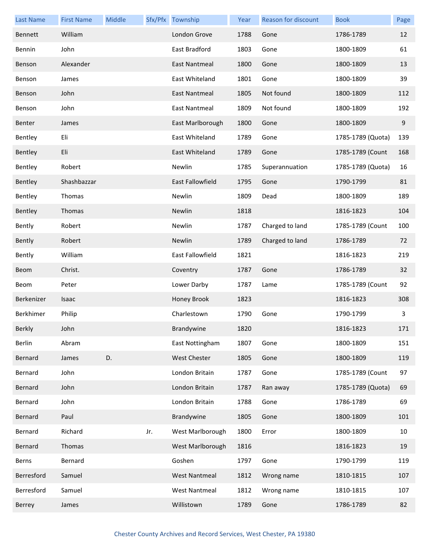| <b>Last Name</b> | <b>First Name</b> | Middle |     | Sfx/Pfx Township     | Year | Reason for discount | <b>Book</b>       | Page  |
|------------------|-------------------|--------|-----|----------------------|------|---------------------|-------------------|-------|
| Bennett          | William           |        |     | London Grove         | 1788 | Gone                | 1786-1789         | 12    |
| Bennin           | John              |        |     | East Bradford        | 1803 | Gone                | 1800-1809         | 61    |
| Benson           | Alexander         |        |     | East Nantmeal        | 1800 | Gone                | 1800-1809         | 13    |
| Benson           | James             |        |     | East Whiteland       | 1801 | Gone                | 1800-1809         | 39    |
| Benson           | John              |        |     | East Nantmeal        | 1805 | Not found           | 1800-1809         | 112   |
| Benson           | John              |        |     | East Nantmeal        | 1809 | Not found           | 1800-1809         | 192   |
| Benter           | James             |        |     | East Marlborough     | 1800 | Gone                | 1800-1809         | $9\,$ |
| Bentley          | Eli               |        |     | East Whiteland       | 1789 | Gone                | 1785-1789 (Quota) | 139   |
| Bentley          | Eli               |        |     | East Whiteland       | 1789 | Gone                | 1785-1789 (Count  | 168   |
| Bentley          | Robert            |        |     | Newlin               | 1785 | Superannuation      | 1785-1789 (Quota) | 16    |
| Bentley          | Shashbazzar       |        |     | East Fallowfield     | 1795 | Gone                | 1790-1799         | 81    |
| Bentley          | Thomas            |        |     | Newlin               | 1809 | Dead                | 1800-1809         | 189   |
| Bentley          | Thomas            |        |     | Newlin               | 1818 |                     | 1816-1823         | 104   |
| Bently           | Robert            |        |     | Newlin               | 1787 | Charged to land     | 1785-1789 (Count  | 100   |
| Bently           | Robert            |        |     | Newlin               | 1789 | Charged to land     | 1786-1789         | 72    |
| Bently           | William           |        |     | East Fallowfield     | 1821 |                     | 1816-1823         | 219   |
| <b>Beom</b>      | Christ.           |        |     | Coventry             | 1787 | Gone                | 1786-1789         | 32    |
| Beom             | Peter             |        |     | Lower Darby          | 1787 | Lame                | 1785-1789 (Count  | 92    |
| Berkenizer       | Isaac             |        |     | Honey Brook          | 1823 |                     | 1816-1823         | 308   |
| Berkhimer        | Philip            |        |     | Charlestown          | 1790 | Gone                | 1790-1799         | 3     |
| Berkly           | John              |        |     | Brandywine           | 1820 |                     | 1816-1823         | 171   |
| Berlin           | Abram             |        |     | East Nottingham      | 1807 | Gone                | 1800-1809         | 151   |
| Bernard          | James             | D.     |     | <b>West Chester</b>  | 1805 | Gone                | 1800-1809         | 119   |
| Bernard          | John              |        |     | London Britain       | 1787 | Gone                | 1785-1789 (Count  | 97    |
| Bernard          | John              |        |     | London Britain       | 1787 | Ran away            | 1785-1789 (Quota) | 69    |
| Bernard          | John              |        |     | London Britain       | 1788 | Gone                | 1786-1789         | 69    |
| Bernard          | Paul              |        |     | Brandywine           | 1805 | Gone                | 1800-1809         | 101   |
| Bernard          | Richard           |        | Jr. | West Marlborough     | 1800 | Error               | 1800-1809         | 10    |
| Bernard          | Thomas            |        |     | West Marlborough     | 1816 |                     | 1816-1823         | 19    |
| Berns            | Bernard           |        |     | Goshen               | 1797 | Gone                | 1790-1799         | 119   |
| Berresford       | Samuel            |        |     | <b>West Nantmeal</b> | 1812 | Wrong name          | 1810-1815         | 107   |
| Berresford       | Samuel            |        |     | <b>West Nantmeal</b> | 1812 | Wrong name          | 1810-1815         | 107   |
| Berrey           | James             |        |     | Willistown           | 1789 | Gone                | 1786-1789         | 82    |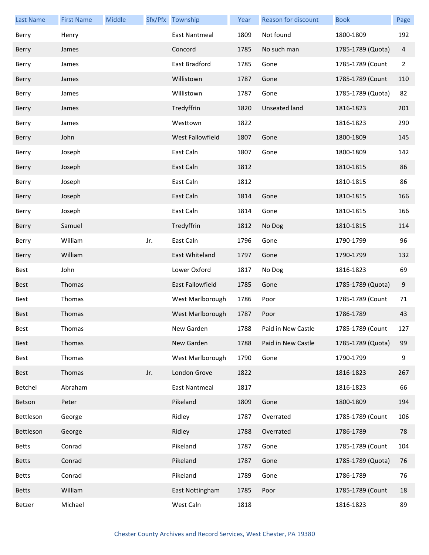| <b>Last Name</b> | <b>First Name</b> | Middle |     | Sfx/Pfx Township | Year | <b>Reason for discount</b> | <b>Book</b>       | Page           |
|------------------|-------------------|--------|-----|------------------|------|----------------------------|-------------------|----------------|
| Berry            | Henry             |        |     | East Nantmeal    | 1809 | Not found                  | 1800-1809         | 192            |
| Berry            | James             |        |     | Concord          | 1785 | No such man                | 1785-1789 (Quota) | 4              |
| Berry            | James             |        |     | East Bradford    | 1785 | Gone                       | 1785-1789 (Count  | $\overline{2}$ |
| Berry            | James             |        |     | Willistown       | 1787 | Gone                       | 1785-1789 (Count  | 110            |
| Berry            | James             |        |     | Willistown       | 1787 | Gone                       | 1785-1789 (Quota) | 82             |
| Berry            | James             |        |     | Tredyffrin       | 1820 | <b>Unseated land</b>       | 1816-1823         | 201            |
| Berry            | James             |        |     | Westtown         | 1822 |                            | 1816-1823         | 290            |
| Berry            | John              |        |     | West Fallowfield | 1807 | Gone                       | 1800-1809         | 145            |
| Berry            | Joseph            |        |     | East Caln        | 1807 | Gone                       | 1800-1809         | 142            |
| Berry            | Joseph            |        |     | East Caln        | 1812 |                            | 1810-1815         | 86             |
| Berry            | Joseph            |        |     | East Caln        | 1812 |                            | 1810-1815         | 86             |
| Berry            | Joseph            |        |     | East Caln        | 1814 | Gone                       | 1810-1815         | 166            |
| Berry            | Joseph            |        |     | East Caln        | 1814 | Gone                       | 1810-1815         | 166            |
| Berry            | Samuel            |        |     | Tredyffrin       | 1812 | No Dog                     | 1810-1815         | 114            |
| Berry            | William           |        | Jr. | East Caln        | 1796 | Gone                       | 1790-1799         | 96             |
| Berry            | William           |        |     | East Whiteland   | 1797 | Gone                       | 1790-1799         | 132            |
| Best             | John              |        |     | Lower Oxford     | 1817 | No Dog                     | 1816-1823         | 69             |
| <b>Best</b>      | Thomas            |        |     | East Fallowfield | 1785 | Gone                       | 1785-1789 (Quota) | 9              |
| Best             | Thomas            |        |     | West Marlborough | 1786 | Poor                       | 1785-1789 (Count  | 71             |
| <b>Best</b>      | Thomas            |        |     | West Marlborough | 1787 | Poor                       | 1786-1789         | 43             |
| Best             | Thomas            |        |     | New Garden       | 1788 | Paid in New Castle         | 1785-1789 (Count  | 127            |
| Best             | Thomas            |        |     | New Garden       | 1788 | Paid in New Castle         | 1785-1789 (Quota) | 99             |
| Best             | Thomas            |        |     | West Marlborough | 1790 | Gone                       | 1790-1799         | 9              |
| Best             | Thomas            |        | Jr. | London Grove     | 1822 |                            | 1816-1823         | 267            |
| Betchel          | Abraham           |        |     | East Nantmeal    | 1817 |                            | 1816-1823         | 66             |
| Betson           | Peter             |        |     | Pikeland         | 1809 | Gone                       | 1800-1809         | 194            |
| Bettleson        | George            |        |     | Ridley           | 1787 | Overrated                  | 1785-1789 (Count  | 106            |
| Bettleson        | George            |        |     | Ridley           | 1788 | Overrated                  | 1786-1789         | 78             |
| <b>Betts</b>     | Conrad            |        |     | Pikeland         | 1787 | Gone                       | 1785-1789 (Count  | 104            |
| <b>Betts</b>     | Conrad            |        |     | Pikeland         | 1787 | Gone                       | 1785-1789 (Quota) | 76             |
| <b>Betts</b>     | Conrad            |        |     | Pikeland         | 1789 | Gone                       | 1786-1789         | 76             |
| <b>Betts</b>     | William           |        |     | East Nottingham  | 1785 | Poor                       | 1785-1789 (Count  | 18             |
| Betzer           | Michael           |        |     | West Caln        | 1818 |                            | 1816-1823         | 89             |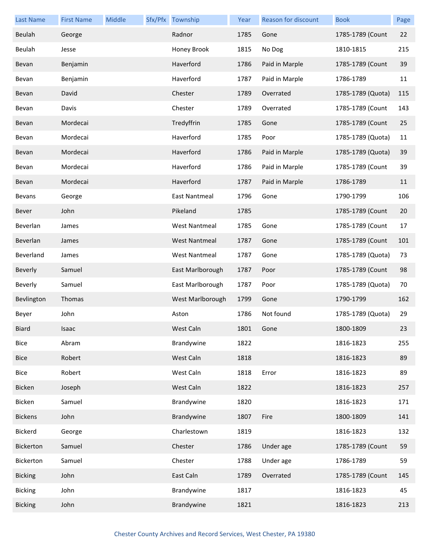| <b>Last Name</b> | <b>First Name</b> | Middle | Sfx/Pfx Township     | Year | Reason for discount | <b>Book</b>       | Page |
|------------------|-------------------|--------|----------------------|------|---------------------|-------------------|------|
| Beulah           | George            |        | Radnor               | 1785 | Gone                | 1785-1789 (Count  | 22   |
| Beulah           | Jesse             |        | Honey Brook          | 1815 | No Dog              | 1810-1815         | 215  |
| Bevan            | Benjamin          |        | Haverford            | 1786 | Paid in Marple      | 1785-1789 (Count  | 39   |
| Bevan            | Benjamin          |        | Haverford            | 1787 | Paid in Marple      | 1786-1789         | 11   |
| Bevan            | David             |        | Chester              | 1789 | Overrated           | 1785-1789 (Quota) | 115  |
| Bevan            | Davis             |        | Chester              | 1789 | Overrated           | 1785-1789 (Count  | 143  |
| Bevan            | Mordecai          |        | Tredyffrin           | 1785 | Gone                | 1785-1789 (Count  | 25   |
| Bevan            | Mordecai          |        | Haverford            | 1785 | Poor                | 1785-1789 (Quota) | 11   |
| Bevan            | Mordecai          |        | Haverford            | 1786 | Paid in Marple      | 1785-1789 (Quota) | 39   |
| Bevan            | Mordecai          |        | Haverford            | 1786 | Paid in Marple      | 1785-1789 (Count  | 39   |
| Bevan            | Mordecai          |        | Haverford            | 1787 | Paid in Marple      | 1786-1789         | 11   |
| Bevans           | George            |        | East Nantmeal        | 1796 | Gone                | 1790-1799         | 106  |
| <b>Bever</b>     | John              |        | Pikeland             | 1785 |                     | 1785-1789 (Count  | 20   |
| Beverlan         | James             |        | <b>West Nantmeal</b> | 1785 | Gone                | 1785-1789 (Count  | 17   |
| Beverlan         | James             |        | <b>West Nantmeal</b> | 1787 | Gone                | 1785-1789 (Count  | 101  |
| Beverland        | James             |        | <b>West Nantmeal</b> | 1787 | Gone                | 1785-1789 (Quota) | 73   |
| Beverly          | Samuel            |        | East Marlborough     | 1787 | Poor                | 1785-1789 (Count  | 98   |
| Beverly          | Samuel            |        | East Marlborough     | 1787 | Poor                | 1785-1789 (Quota) | 70   |
| Bevlington       | Thomas            |        | West Marlborough     | 1799 | Gone                | 1790-1799         | 162  |
| Beyer            | John              |        | Aston                | 1786 | Not found           | 1785-1789 (Quota) | 29   |
| Biard            | Isaac             |        | West Caln            | 1801 | Gone                | 1800-1809         | 23   |
| Bice             | Abram             |        | Brandywine           | 1822 |                     | 1816-1823         | 255  |
| <b>Bice</b>      | Robert            |        | West Caln            | 1818 |                     | 1816-1823         | 89   |
| Bice             | Robert            |        | West Caln            | 1818 | Error               | 1816-1823         | 89   |
| Bicken           | Joseph            |        | West Caln            | 1822 |                     | 1816-1823         | 257  |
| Bicken           | Samuel            |        | Brandywine           | 1820 |                     | 1816-1823         | 171  |
| <b>Bickens</b>   | John              |        | Brandywine           | 1807 | Fire                | 1800-1809         | 141  |
| <b>Bickerd</b>   | George            |        | Charlestown          | 1819 |                     | 1816-1823         | 132  |
| Bickerton        | Samuel            |        | Chester              | 1786 | Under age           | 1785-1789 (Count  | 59   |
| Bickerton        | Samuel            |        | Chester              | 1788 | Under age           | 1786-1789         | 59   |
| <b>Bicking</b>   | John              |        | East Caln            | 1789 | Overrated           | 1785-1789 (Count  | 145  |
| <b>Bicking</b>   | John              |        | Brandywine           | 1817 |                     | 1816-1823         | 45   |
| <b>Bicking</b>   | John              |        | Brandywine           | 1821 |                     | 1816-1823         | 213  |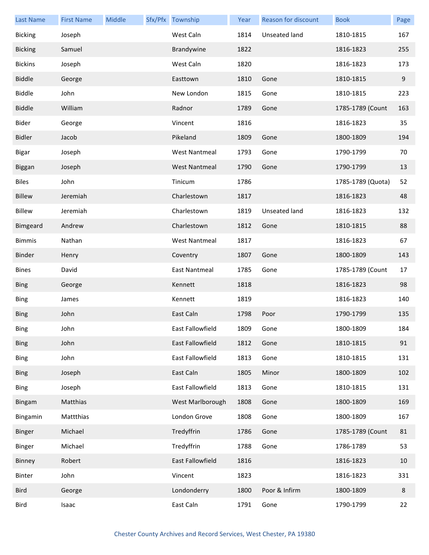| <b>Last Name</b> | <b>First Name</b> | Middle | Sfx/Pfx Township     | Year | Reason for discount | <b>Book</b>       | Page |
|------------------|-------------------|--------|----------------------|------|---------------------|-------------------|------|
| <b>Bicking</b>   | Joseph            |        | West Caln            | 1814 | Unseated land       | 1810-1815         | 167  |
| <b>Bicking</b>   | Samuel            |        | Brandywine           | 1822 |                     | 1816-1823         | 255  |
| <b>Bickins</b>   | Joseph            |        | West Caln            | 1820 |                     | 1816-1823         | 173  |
| <b>Biddle</b>    | George            |        | Easttown             | 1810 | Gone                | 1810-1815         | 9    |
| <b>Biddle</b>    | John              |        | New London           | 1815 | Gone                | 1810-1815         | 223  |
| <b>Biddle</b>    | William           |        | Radnor               | 1789 | Gone                | 1785-1789 (Count  | 163  |
| Bider            | George            |        | Vincent              | 1816 |                     | 1816-1823         | 35   |
| <b>Bidler</b>    | Jacob             |        | Pikeland             | 1809 | Gone                | 1800-1809         | 194  |
| <b>Bigar</b>     | Joseph            |        | <b>West Nantmeal</b> | 1793 | Gone                | 1790-1799         | 70   |
| Biggan           | Joseph            |        | <b>West Nantmeal</b> | 1790 | Gone                | 1790-1799         | 13   |
| <b>Biles</b>     | John              |        | Tinicum              | 1786 |                     | 1785-1789 (Quota) | 52   |
| Billew           | Jeremiah          |        | Charlestown          | 1817 |                     | 1816-1823         | 48   |
| <b>Billew</b>    | Jeremiah          |        | Charlestown          | 1819 | Unseated land       | 1816-1823         | 132  |
| Bimgeard         | Andrew            |        | Charlestown          | 1812 | Gone                | 1810-1815         | 88   |
| <b>Bimmis</b>    | Nathan            |        | <b>West Nantmeal</b> | 1817 |                     | 1816-1823         | 67   |
| Binder           | Henry             |        | Coventry             | 1807 | Gone                | 1800-1809         | 143  |
| <b>Bines</b>     | David             |        | <b>East Nantmeal</b> | 1785 | Gone                | 1785-1789 (Count  | 17   |
| <b>Bing</b>      | George            |        | Kennett              | 1818 |                     | 1816-1823         | 98   |
| <b>Bing</b>      | James             |        | Kennett              | 1819 |                     | 1816-1823         | 140  |
| <b>Bing</b>      | John              |        | East Caln            | 1798 | Poor                | 1790-1799         | 135  |
| Bing             | John              |        | East Fallowfield     | 1809 | Gone                | 1800-1809         | 184  |
| <b>Bing</b>      | John              |        | East Fallowfield     | 1812 | Gone                | 1810-1815         | 91   |
| <b>Bing</b>      | John              |        | East Fallowfield     | 1813 | Gone                | 1810-1815         | 131  |
| <b>Bing</b>      | Joseph            |        | East Caln            | 1805 | Minor               | 1800-1809         | 102  |
| <b>Bing</b>      | Joseph            |        | East Fallowfield     | 1813 | Gone                | 1810-1815         | 131  |
| <b>Bingam</b>    | Matthias          |        | West Marlborough     | 1808 | Gone                | 1800-1809         | 169  |
| Bingamin         | Mattthias         |        | London Grove         | 1808 | Gone                | 1800-1809         | 167  |
| Binger           | Michael           |        | Tredyffrin           | 1786 | Gone                | 1785-1789 (Count  | 81   |
| Binger           | Michael           |        | Tredyffrin           | 1788 | Gone                | 1786-1789         | 53   |
| Binney           | Robert            |        | East Fallowfield     | 1816 |                     | 1816-1823         | 10   |
| Binter           | John              |        | Vincent              | 1823 |                     | 1816-1823         | 331  |
| Bird             | George            |        | Londonderry          | 1800 | Poor & Infirm       | 1800-1809         | 8    |
| Bird             | Isaac             |        | East Caln            | 1791 | Gone                | 1790-1799         | 22   |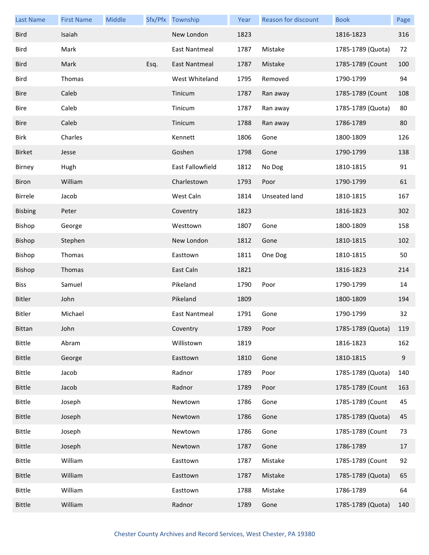| <b>Last Name</b> | <b>First Name</b> | Middle |      | Sfx/Pfx Township | Year | Reason for discount | <b>Book</b>       | Page   |
|------------------|-------------------|--------|------|------------------|------|---------------------|-------------------|--------|
| <b>Bird</b>      | Isaiah            |        |      | New London       | 1823 |                     | 1816-1823         | 316    |
| <b>Bird</b>      | Mark              |        |      | East Nantmeal    | 1787 | Mistake             | 1785-1789 (Quota) | 72     |
| <b>Bird</b>      | Mark              |        | Esq. | East Nantmeal    | 1787 | Mistake             | 1785-1789 (Count  | 100    |
| <b>Bird</b>      | Thomas            |        |      | West Whiteland   | 1795 | Removed             | 1790-1799         | 94     |
| <b>Bire</b>      | Caleb             |        |      | Tinicum          | 1787 | Ran away            | 1785-1789 (Count  | 108    |
| Bire             | Caleb             |        |      | Tinicum          | 1787 | Ran away            | 1785-1789 (Quota) | 80     |
| <b>Bire</b>      | Caleb             |        |      | Tinicum          | 1788 | Ran away            | 1786-1789         | 80     |
| Birk             | Charles           |        |      | Kennett          | 1806 | Gone                | 1800-1809         | 126    |
| <b>Birket</b>    | Jesse             |        |      | Goshen           | 1798 | Gone                | 1790-1799         | 138    |
| Birney           | Hugh              |        |      | East Fallowfield | 1812 | No Dog              | 1810-1815         | 91     |
| Biron            | William           |        |      | Charlestown      | 1793 | Poor                | 1790-1799         | 61     |
| Birrele          | Jacob             |        |      | West Caln        | 1814 | Unseated land       | 1810-1815         | 167    |
| <b>Bisbing</b>   | Peter             |        |      | Coventry         | 1823 |                     | 1816-1823         | 302    |
| Bishop           | George            |        |      | Westtown         | 1807 | Gone                | 1800-1809         | 158    |
| Bishop           | Stephen           |        |      | New London       | 1812 | Gone                | 1810-1815         | 102    |
| Bishop           | Thomas            |        |      | Easttown         | 1811 | One Dog             | 1810-1815         | 50     |
| Bishop           | Thomas            |        |      | East Caln        | 1821 |                     | 1816-1823         | 214    |
| <b>Biss</b>      | Samuel            |        |      | Pikeland         | 1790 | Poor                | 1790-1799         | 14     |
| <b>Bitler</b>    | John              |        |      | Pikeland         | 1809 |                     | 1800-1809         | 194    |
| Bitler           | Michael           |        |      | East Nantmeal    | 1791 | Gone                | 1790-1799         | 32     |
| Bittan           | John              |        |      | Coventry         | 1789 | Poor                | 1785-1789 (Quota) | 119    |
| <b>Bittle</b>    | Abram             |        |      | Willistown       | 1819 |                     | 1816-1823         | 162    |
| <b>Bittle</b>    | George            |        |      | Easttown         | 1810 | Gone                | 1810-1815         | 9      |
| <b>Bittle</b>    | Jacob             |        |      | Radnor           | 1789 | Poor                | 1785-1789 (Quota) | 140    |
| <b>Bittle</b>    | Jacob             |        |      | Radnor           | 1789 | Poor                | 1785-1789 (Count  | 163    |
| <b>Bittle</b>    | Joseph            |        |      | Newtown          | 1786 | Gone                | 1785-1789 (Count  | 45     |
| <b>Bittle</b>    | Joseph            |        |      | Newtown          | 1786 | Gone                | 1785-1789 (Quota) | 45     |
| <b>Bittle</b>    | Joseph            |        |      | Newtown          | 1786 | Gone                | 1785-1789 (Count  | 73     |
| <b>Bittle</b>    | Joseph            |        |      | Newtown          | 1787 | Gone                | 1786-1789         | $17\,$ |
| <b>Bittle</b>    | William           |        |      | Easttown         | 1787 | Mistake             | 1785-1789 (Count  | 92     |
| <b>Bittle</b>    | William           |        |      | Easttown         | 1787 | Mistake             | 1785-1789 (Quota) | 65     |
| Bittle           | William           |        |      | Easttown         | 1788 | Mistake             | 1786-1789         | 64     |
| <b>Bittle</b>    | William           |        |      | Radnor           | 1789 | Gone                | 1785-1789 (Quota) | 140    |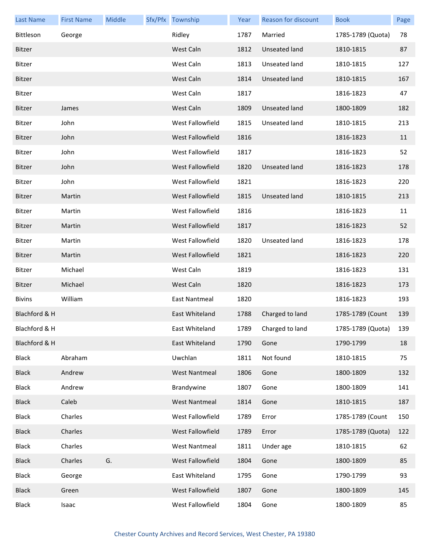| <b>Last Name</b> | <b>First Name</b> | Middle | Sfx/Pfx Township        | Year | Reason for discount  | <b>Book</b>           | Page |
|------------------|-------------------|--------|-------------------------|------|----------------------|-----------------------|------|
| Bittleson        | George            |        | Ridley                  | 1787 | Married              | 1785-1789 (Quota)     | 78   |
| Bitzer           |                   |        | West Caln               | 1812 | Unseated land        | 1810-1815             | 87   |
| Bitzer           |                   |        | West Caln               | 1813 | Unseated land        | 1810-1815             | 127  |
| Bitzer           |                   |        | West Caln               | 1814 | Unseated land        | 1810-1815             | 167  |
| Bitzer           |                   |        | West Caln               | 1817 |                      | 1816-1823             | 47   |
| Bitzer           | James             |        | West Caln               | 1809 | <b>Unseated land</b> | 1800-1809             | 182  |
| Bitzer           | John              |        | West Fallowfield        | 1815 | Unseated land        | 1810-1815             | 213  |
| Bitzer           | John              |        | <b>West Fallowfield</b> | 1816 |                      | 1816-1823             | 11   |
| Bitzer           | John              |        | West Fallowfield        | 1817 |                      | 1816-1823             | 52   |
| Bitzer           | John              |        | <b>West Fallowfield</b> | 1820 | <b>Unseated land</b> | 1816-1823             | 178  |
| Bitzer           | John              |        | West Fallowfield        | 1821 |                      | 1816-1823             | 220  |
| Bitzer           | Martin            |        | <b>West Fallowfield</b> | 1815 | <b>Unseated land</b> | 1810-1815             | 213  |
| Bitzer           | Martin            |        | West Fallowfield        | 1816 |                      | 1816-1823             | 11   |
| Bitzer           | Martin            |        | West Fallowfield        | 1817 |                      | 1816-1823             | 52   |
| Bitzer           | Martin            |        | West Fallowfield        | 1820 | Unseated land        | 1816-1823             | 178  |
| Bitzer           | Martin            |        | <b>West Fallowfield</b> | 1821 |                      | 1816-1823             | 220  |
| Bitzer           | Michael           |        | West Caln               | 1819 |                      | 1816-1823             | 131  |
| Bitzer           | Michael           |        | West Caln               | 1820 |                      | 1816-1823             | 173  |
| <b>Bivins</b>    | William           |        | East Nantmeal           | 1820 |                      | 1816-1823             | 193  |
| Blachford & H    |                   |        | East Whiteland          | 1788 | Charged to land      | 1785-1789 (Count      | 139  |
| Blachford & H    |                   |        | East Whiteland          | 1789 | Charged to land      | 1785-1789 (Quota) 139 |      |
| Blachford & H    |                   |        | East Whiteland          | 1790 | Gone                 | 1790-1799             | 18   |
| <b>Black</b>     | Abraham           |        | Uwchlan                 | 1811 | Not found            | 1810-1815             | 75   |
| <b>Black</b>     | Andrew            |        | <b>West Nantmeal</b>    | 1806 | Gone                 | 1800-1809             | 132  |
| <b>Black</b>     | Andrew            |        | Brandywine              | 1807 | Gone                 | 1800-1809             | 141  |
| <b>Black</b>     | Caleb             |        | <b>West Nantmeal</b>    | 1814 | Gone                 | 1810-1815             | 187  |
| <b>Black</b>     | Charles           |        | West Fallowfield        | 1789 | Error                | 1785-1789 (Count      | 150  |
| <b>Black</b>     | Charles           |        | West Fallowfield        | 1789 | Error                | 1785-1789 (Quota)     | 122  |
| <b>Black</b>     | Charles           |        | <b>West Nantmeal</b>    | 1811 | Under age            | 1810-1815             | 62   |
| <b>Black</b>     | Charles           | G.     | West Fallowfield        | 1804 | Gone                 | 1800-1809             | 85   |
| <b>Black</b>     | George            |        | East Whiteland          | 1795 | Gone                 | 1790-1799             | 93   |
| <b>Black</b>     | Green             |        | West Fallowfield        | 1807 | Gone                 | 1800-1809             | 145  |
| <b>Black</b>     | Isaac             |        | West Fallowfield        | 1804 | Gone                 | 1800-1809             | 85   |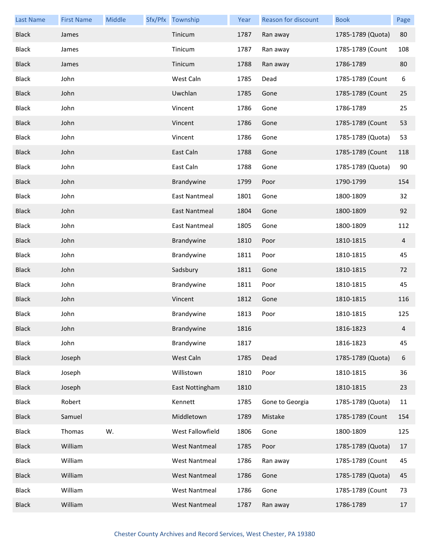| <b>Last Name</b> | <b>First Name</b> | Middle | Sfx/Pfx Township     | Year | <b>Reason for discount</b> | <b>Book</b>       | Page |
|------------------|-------------------|--------|----------------------|------|----------------------------|-------------------|------|
| <b>Black</b>     | James             |        | Tinicum              | 1787 | Ran away                   | 1785-1789 (Quota) | 80   |
| <b>Black</b>     | James             |        | Tinicum              | 1787 | Ran away                   | 1785-1789 (Count  | 108  |
| <b>Black</b>     | James             |        | Tinicum              | 1788 | Ran away                   | 1786-1789         | 80   |
| <b>Black</b>     | John              |        | West Caln            | 1785 | Dead                       | 1785-1789 (Count  | 6    |
| <b>Black</b>     | John              |        | Uwchlan              | 1785 | Gone                       | 1785-1789 (Count  | 25   |
| <b>Black</b>     | John              |        | Vincent              | 1786 | Gone                       | 1786-1789         | 25   |
| <b>Black</b>     | John              |        | Vincent              | 1786 | Gone                       | 1785-1789 (Count  | 53   |
| <b>Black</b>     | John              |        | Vincent              | 1786 | Gone                       | 1785-1789 (Quota) | 53   |
| <b>Black</b>     | John              |        | East Caln            | 1788 | Gone                       | 1785-1789 (Count  | 118  |
| <b>Black</b>     | John              |        | East Caln            | 1788 | Gone                       | 1785-1789 (Quota) | 90   |
| <b>Black</b>     | John              |        | Brandywine           | 1799 | Poor                       | 1790-1799         | 154  |
| <b>Black</b>     | John              |        | East Nantmeal        | 1801 | Gone                       | 1800-1809         | 32   |
| <b>Black</b>     | John              |        | East Nantmeal        | 1804 | Gone                       | 1800-1809         | 92   |
| <b>Black</b>     | John              |        | East Nantmeal        | 1805 | Gone                       | 1800-1809         | 112  |
| <b>Black</b>     | John              |        | Brandywine           | 1810 | Poor                       | 1810-1815         | 4    |
| <b>Black</b>     | John              |        | Brandywine           | 1811 | Poor                       | 1810-1815         | 45   |
| <b>Black</b>     | John              |        | Sadsbury             | 1811 | Gone                       | 1810-1815         | 72   |
| <b>Black</b>     | John              |        | Brandywine           | 1811 | Poor                       | 1810-1815         | 45   |
| <b>Black</b>     | John              |        | Vincent              | 1812 | Gone                       | 1810-1815         | 116  |
| <b>Black</b>     | John              |        | Brandywine           | 1813 | Poor                       | 1810-1815         | 125  |
| <b>Black</b>     | John              |        | Brandywine           | 1816 |                            | 1816-1823         | 4    |
| <b>Black</b>     | John              |        | Brandywine           | 1817 |                            | 1816-1823         | 45   |
| <b>Black</b>     | Joseph            |        | West Caln            | 1785 | Dead                       | 1785-1789 (Quota) | 6    |
| <b>Black</b>     | Joseph            |        | Willistown           | 1810 | Poor                       | 1810-1815         | 36   |
| <b>Black</b>     | Joseph            |        | East Nottingham      | 1810 |                            | 1810-1815         | 23   |
| <b>Black</b>     | Robert            |        | Kennett              | 1785 | Gone to Georgia            | 1785-1789 (Quota) | 11   |
| <b>Black</b>     | Samuel            |        | Middletown           | 1789 | Mistake                    | 1785-1789 (Count  | 154  |
| <b>Black</b>     | Thomas            | W.     | West Fallowfield     | 1806 | Gone                       | 1800-1809         | 125  |
| <b>Black</b>     | William           |        | <b>West Nantmeal</b> | 1785 | Poor                       | 1785-1789 (Quota) | 17   |
| Black            | William           |        | <b>West Nantmeal</b> | 1786 | Ran away                   | 1785-1789 (Count  | 45   |
| <b>Black</b>     | William           |        | <b>West Nantmeal</b> | 1786 | Gone                       | 1785-1789 (Quota) | 45   |
| <b>Black</b>     | William           |        | <b>West Nantmeal</b> | 1786 | Gone                       | 1785-1789 (Count  | 73   |
| <b>Black</b>     | William           |        | <b>West Nantmeal</b> | 1787 | Ran away                   | 1786-1789         | 17   |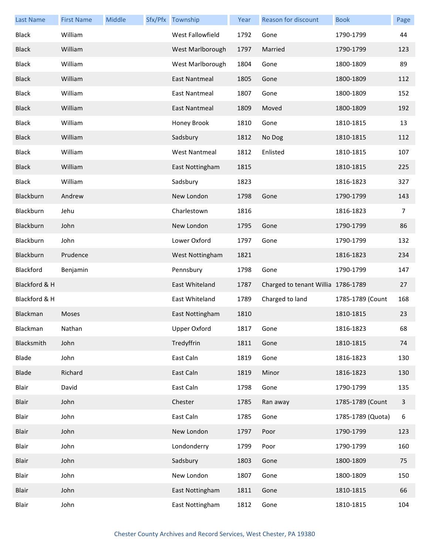| <b>Last Name</b> | <b>First Name</b> | Middle | Sfx/Pfx Township     | Year | Reason for discount                | <b>Book</b>       | Page           |
|------------------|-------------------|--------|----------------------|------|------------------------------------|-------------------|----------------|
| <b>Black</b>     | William           |        | West Fallowfield     | 1792 | Gone                               | 1790-1799         | 44             |
| <b>Black</b>     | William           |        | West Marlborough     | 1797 | Married                            | 1790-1799         | 123            |
| <b>Black</b>     | William           |        | West Marlborough     | 1804 | Gone                               | 1800-1809         | 89             |
| <b>Black</b>     | William           |        | <b>East Nantmeal</b> | 1805 | Gone                               | 1800-1809         | 112            |
| <b>Black</b>     | William           |        | <b>East Nantmeal</b> | 1807 | Gone                               | 1800-1809         | 152            |
| <b>Black</b>     | William           |        | East Nantmeal        | 1809 | Moved                              | 1800-1809         | 192            |
| <b>Black</b>     | William           |        | Honey Brook          | 1810 | Gone                               | 1810-1815         | 13             |
| <b>Black</b>     | William           |        | Sadsbury             | 1812 | No Dog                             | 1810-1815         | 112            |
| <b>Black</b>     | William           |        | <b>West Nantmeal</b> | 1812 | Enlisted                           | 1810-1815         | 107            |
| <b>Black</b>     | William           |        | East Nottingham      | 1815 |                                    | 1810-1815         | 225            |
| <b>Black</b>     | William           |        | Sadsbury             | 1823 |                                    | 1816-1823         | 327            |
| Blackburn        | Andrew            |        | New London           | 1798 | Gone                               | 1790-1799         | 143            |
| Blackburn        | Jehu              |        | Charlestown          | 1816 |                                    | 1816-1823         | $\overline{7}$ |
| Blackburn        | John              |        | New London           | 1795 | Gone                               | 1790-1799         | 86             |
| Blackburn        | John              |        | Lower Oxford         | 1797 | Gone                               | 1790-1799         | 132            |
| Blackburn        | Prudence          |        | West Nottingham      | 1821 |                                    | 1816-1823         | 234            |
| Blackford        | Benjamin          |        | Pennsbury            | 1798 | Gone                               | 1790-1799         | 147            |
| Blackford & H    |                   |        | East Whiteland       | 1787 | Charged to tenant Willia 1786-1789 |                   | 27             |
| Blackford & H    |                   |        | East Whiteland       | 1789 | Charged to land                    | 1785-1789 (Count  | 168            |
| Blackman         | Moses             |        | East Nottingham      | 1810 |                                    | 1810-1815         | 23             |
| Blackman         | Nathan            |        | Upper Oxford         | 1817 | Gone                               | 1816-1823         | 68             |
| Blacksmith       | John              |        | Tredyffrin           | 1811 | Gone                               | 1810-1815         | 74             |
| Blade            | John              |        | East Caln            | 1819 | Gone                               | 1816-1823         | 130            |
| Blade            | Richard           |        | East Caln            | 1819 | Minor                              | 1816-1823         | 130            |
| Blair            | David             |        | East Caln            | 1798 | Gone                               | 1790-1799         | 135            |
| Blair            | John              |        | Chester              | 1785 | Ran away                           | 1785-1789 (Count  | $\mathbf{3}$   |
| Blair            | John              |        | East Caln            | 1785 | Gone                               | 1785-1789 (Quota) | 6              |
| Blair            | John              |        | New London           | 1797 | Poor                               | 1790-1799         | 123            |
| Blair            | John              |        | Londonderry          | 1799 | Poor                               | 1790-1799         | 160            |
| Blair            | John              |        | Sadsbury             | 1803 | Gone                               | 1800-1809         | 75             |
| Blair            | John              |        | New London           | 1807 | Gone                               | 1800-1809         | 150            |
| Blair            | John              |        | East Nottingham      | 1811 | Gone                               | 1810-1815         | 66             |
| Blair            | John              |        | East Nottingham      | 1812 | Gone                               | 1810-1815         | 104            |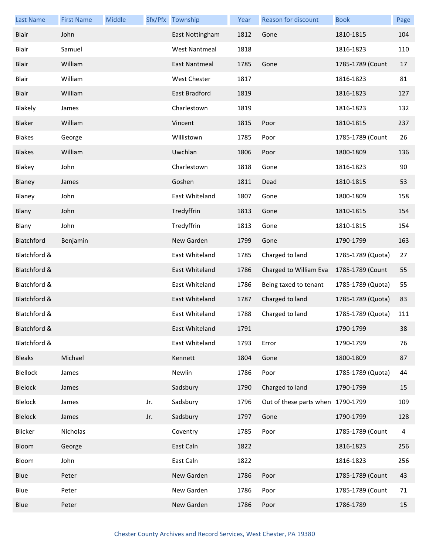| <b>Last Name</b> | <b>First Name</b> | Middle |     | Sfx/Pfx Township     | Year | <b>Reason for discount</b>        | <b>Book</b>       | Page |
|------------------|-------------------|--------|-----|----------------------|------|-----------------------------------|-------------------|------|
| Blair            | John              |        |     | East Nottingham      | 1812 | Gone                              | 1810-1815         | 104  |
| Blair            | Samuel            |        |     | <b>West Nantmeal</b> | 1818 |                                   | 1816-1823         | 110  |
| Blair            | William           |        |     | <b>East Nantmeal</b> | 1785 | Gone                              | 1785-1789 (Count  | 17   |
| Blair            | William           |        |     | West Chester         | 1817 |                                   | 1816-1823         | 81   |
| Blair            | William           |        |     | East Bradford        | 1819 |                                   | 1816-1823         | 127  |
| Blakely          | James             |        |     | Charlestown          | 1819 |                                   | 1816-1823         | 132  |
| Blaker           | William           |        |     | Vincent              | 1815 | Poor                              | 1810-1815         | 237  |
| <b>Blakes</b>    | George            |        |     | Willistown           | 1785 | Poor                              | 1785-1789 (Count  | 26   |
| <b>Blakes</b>    | William           |        |     | Uwchlan              | 1806 | Poor                              | 1800-1809         | 136  |
| Blakey           | John              |        |     | Charlestown          | 1818 | Gone                              | 1816-1823         | 90   |
| Blaney           | James             |        |     | Goshen               | 1811 | Dead                              | 1810-1815         | 53   |
| Blaney           | John              |        |     | East Whiteland       | 1807 | Gone                              | 1800-1809         | 158  |
| Blany            | John              |        |     | Tredyffrin           | 1813 | Gone                              | 1810-1815         | 154  |
| Blany            | John              |        |     | Tredyffrin           | 1813 | Gone                              | 1810-1815         | 154  |
| Blatchford       | Benjamin          |        |     | New Garden           | 1799 | Gone                              | 1790-1799         | 163  |
| Blatchford &     |                   |        |     | East Whiteland       | 1785 | Charged to land                   | 1785-1789 (Quota) | 27   |
| Blatchford &     |                   |        |     | East Whiteland       | 1786 | Charged to William Eva            | 1785-1789 (Count  | 55   |
| Blatchford &     |                   |        |     | East Whiteland       | 1786 | Being taxed to tenant             | 1785-1789 (Quota) | 55   |
| Blatchford &     |                   |        |     | East Whiteland       | 1787 | Charged to land                   | 1785-1789 (Quota) | 83   |
| Blatchford &     |                   |        |     | East Whiteland       | 1788 | Charged to land                   | 1785-1789 (Quota) | 111  |
| Blatchford &     |                   |        |     | East Whiteland       | 1791 |                                   | 1790-1799         | 38   |
| Blatchford &     |                   |        |     | East Whiteland       | 1793 | Error                             | 1790-1799         | 76   |
| <b>Bleaks</b>    | Michael           |        |     | Kennett              | 1804 | Gone                              | 1800-1809         | 87   |
| Blellock         | James             |        |     | Newlin               | 1786 | Poor                              | 1785-1789 (Quota) | 44   |
| Blelock          | James             |        |     | Sadsbury             | 1790 | Charged to land                   | 1790-1799         | 15   |
| Blelock          | James             |        | Jr. | Sadsbury             | 1796 | Out of these parts when 1790-1799 |                   | 109  |
| Blelock          | James             |        | Jr. | Sadsbury             | 1797 | Gone                              | 1790-1799         | 128  |
| Blicker          | Nicholas          |        |     | Coventry             | 1785 | Poor                              | 1785-1789 (Count  | 4    |
| Bloom            | George            |        |     | East Caln            | 1822 |                                   | 1816-1823         | 256  |
| Bloom            | John              |        |     | East Caln            | 1822 |                                   | 1816-1823         | 256  |
| Blue             | Peter             |        |     | New Garden           | 1786 | Poor                              | 1785-1789 (Count  | 43   |
| Blue             | Peter             |        |     | New Garden           | 1786 | Poor                              | 1785-1789 (Count  | 71   |
| Blue             | Peter             |        |     | New Garden           | 1786 | Poor                              | 1786-1789         | 15   |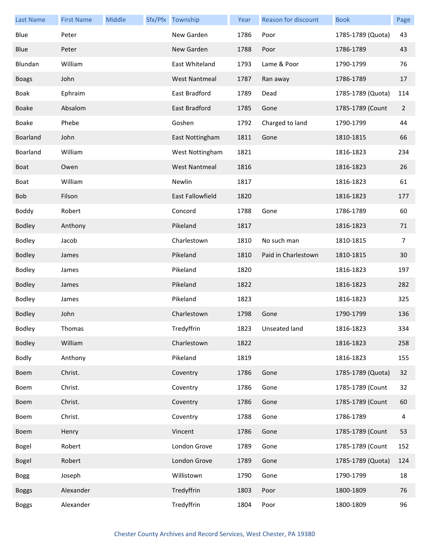| <b>Last Name</b> | <b>First Name</b> | Middle | Sfx/Pfx Township     | Year | Reason for discount | <b>Book</b>       | Page           |
|------------------|-------------------|--------|----------------------|------|---------------------|-------------------|----------------|
| Blue             | Peter             |        | New Garden           | 1786 | Poor                | 1785-1789 (Quota) | 43             |
| Blue             | Peter             |        | New Garden           | 1788 | Poor                | 1786-1789         | 43             |
| Blundan          | William           |        | East Whiteland       | 1793 | Lame & Poor         | 1790-1799         | 76             |
| <b>Boags</b>     | John              |        | <b>West Nantmeal</b> | 1787 | Ran away            | 1786-1789         | 17             |
| <b>Boak</b>      | Ephraim           |        | East Bradford        | 1789 | Dead                | 1785-1789 (Quota) | 114            |
| <b>Boake</b>     | Absalom           |        | East Bradford        | 1785 | Gone                | 1785-1789 (Count  | $\overline{2}$ |
| Boake            | Phebe             |        | Goshen               | 1792 | Charged to land     | 1790-1799         | 44             |
| Boarland         | John              |        | East Nottingham      | 1811 | Gone                | 1810-1815         | 66             |
| Boarland         | William           |        | West Nottingham      | 1821 |                     | 1816-1823         | 234            |
| Boat             | Owen              |        | <b>West Nantmeal</b> | 1816 |                     | 1816-1823         | 26             |
| Boat             | William           |        | Newlin               | 1817 |                     | 1816-1823         | 61             |
| Bob              | Filson            |        | East Fallowfield     | 1820 |                     | 1816-1823         | 177            |
| Boddy            | Robert            |        | Concord              | 1788 | Gone                | 1786-1789         | 60             |
| <b>Bodley</b>    | Anthony           |        | Pikeland             | 1817 |                     | 1816-1823         | 71             |
| Bodley           | Jacob             |        | Charlestown          | 1810 | No such man         | 1810-1815         | 7              |
| Bodley           | James             |        | Pikeland             | 1810 | Paid in Charlestown | 1810-1815         | 30             |
| Bodley           | James             |        | Pikeland             | 1820 |                     | 1816-1823         | 197            |
| <b>Bodley</b>    | James             |        | Pikeland             | 1822 |                     | 1816-1823         | 282            |
| Bodley           | James             |        | Pikeland             | 1823 |                     | 1816-1823         | 325            |
| Bodley           | John              |        | Charlestown          | 1798 | Gone                | 1790-1799         | 136            |
| <b>Bodley</b>    | Thomas            |        | Tredyffrin           |      | 1823 Unseated land  | 1816-1823         | 334            |
| Bodley           | William           |        | Charlestown          | 1822 |                     | 1816-1823         | 258            |
| <b>Bodly</b>     | Anthony           |        | Pikeland             | 1819 |                     | 1816-1823         | 155            |
| Boem             | Christ.           |        | Coventry             | 1786 | Gone                | 1785-1789 (Quota) | 32             |
| Boem             | Christ.           |        | Coventry             | 1786 | Gone                | 1785-1789 (Count  | 32             |
| Boem             | Christ.           |        | Coventry             | 1786 | Gone                | 1785-1789 (Count  | 60             |
| Boem             | Christ.           |        | Coventry             | 1788 | Gone                | 1786-1789         | 4              |
| Boem             | Henry             |        | Vincent              | 1786 | Gone                | 1785-1789 (Count  | 53             |
| Bogel            | Robert            |        | London Grove         | 1789 | Gone                | 1785-1789 (Count  | 152            |
| Bogel            | Robert            |        | London Grove         | 1789 | Gone                | 1785-1789 (Quota) | 124            |
| <b>Bogg</b>      | Joseph            |        | Willistown           | 1790 | Gone                | 1790-1799         | 18             |
| <b>Boggs</b>     | Alexander         |        | Tredyffrin           | 1803 | Poor                | 1800-1809         | 76             |
| <b>Boggs</b>     | Alexander         |        | Tredyffrin           | 1804 | Poor                | 1800-1809         | 96             |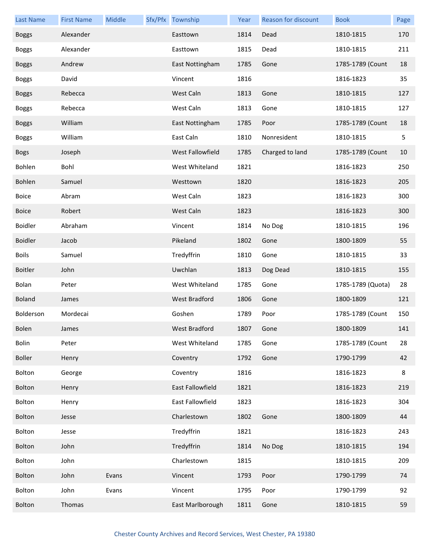| <b>Last Name</b> | <b>First Name</b> | Middle | Sfx/Pfx Township | Year | Reason for discount | <b>Book</b>       | Page |
|------------------|-------------------|--------|------------------|------|---------------------|-------------------|------|
| <b>Boggs</b>     | Alexander         |        | Easttown         | 1814 | Dead                | 1810-1815         | 170  |
| <b>Boggs</b>     | Alexander         |        | Easttown         | 1815 | Dead                | 1810-1815         | 211  |
| <b>Boggs</b>     | Andrew            |        | East Nottingham  | 1785 | Gone                | 1785-1789 (Count  | 18   |
| <b>Boggs</b>     | David             |        | Vincent          | 1816 |                     | 1816-1823         | 35   |
| <b>Boggs</b>     | Rebecca           |        | West Caln        | 1813 | Gone                | 1810-1815         | 127  |
| <b>Boggs</b>     | Rebecca           |        | West Caln        | 1813 | Gone                | 1810-1815         | 127  |
| <b>Boggs</b>     | William           |        | East Nottingham  | 1785 | Poor                | 1785-1789 (Count  | 18   |
| <b>Boggs</b>     | William           |        | East Caln        | 1810 | Nonresident         | 1810-1815         | 5    |
| <b>Bogs</b>      | Joseph            |        | West Fallowfield | 1785 | Charged to land     | 1785-1789 (Count  | 10   |
| Bohlen           | Bohl              |        | West Whiteland   | 1821 |                     | 1816-1823         | 250  |
| Bohlen           | Samuel            |        | Westtown         | 1820 |                     | 1816-1823         | 205  |
| Boice            | Abram             |        | West Caln        | 1823 |                     | 1816-1823         | 300  |
| <b>Boice</b>     | Robert            |        | West Caln        | 1823 |                     | 1816-1823         | 300  |
| <b>Boidler</b>   | Abraham           |        | Vincent          | 1814 | No Dog              | 1810-1815         | 196  |
| <b>Boidler</b>   | Jacob             |        | Pikeland         | 1802 | Gone                | 1800-1809         | 55   |
| <b>Boils</b>     | Samuel            |        | Tredyffrin       | 1810 | Gone                | 1810-1815         | 33   |
| <b>Boitler</b>   | John              |        | Uwchlan          | 1813 | Dog Dead            | 1810-1815         | 155  |
| Bolan            | Peter             |        | West Whiteland   | 1785 | Gone                | 1785-1789 (Quota) | 28   |
| <b>Boland</b>    | James             |        | West Bradford    | 1806 | Gone                | 1800-1809         | 121  |
| Bolderson        | Mordecai          |        | Goshen           | 1789 | Poor                | 1785-1789 (Count  | 150  |
| Bolen            | James             |        | West Bradford    | 1807 | Gone                | 1800-1809         | 141  |
| Bolin            | Peter             |        | West Whiteland   | 1785 | Gone                | 1785-1789 (Count  | 28   |
| <b>Boller</b>    | Henry             |        | Coventry         | 1792 | Gone                | 1790-1799         | 42   |
| Bolton           | George            |        | Coventry         | 1816 |                     | 1816-1823         | 8    |
| Bolton           | Henry             |        | East Fallowfield | 1821 |                     | 1816-1823         | 219  |
| Bolton           | Henry             |        | East Fallowfield | 1823 |                     | 1816-1823         | 304  |
| Bolton           | Jesse             |        | Charlestown      | 1802 | Gone                | 1800-1809         | 44   |
| Bolton           | Jesse             |        | Tredyffrin       | 1821 |                     | 1816-1823         | 243  |
| Bolton           | John              |        | Tredyffrin       | 1814 | No Dog              | 1810-1815         | 194  |
| Bolton           | John              |        | Charlestown      | 1815 |                     | 1810-1815         | 209  |
| Bolton           | John              | Evans  | Vincent          | 1793 | Poor                | 1790-1799         | 74   |
| Bolton           | John              | Evans  | Vincent          | 1795 | Poor                | 1790-1799         | 92   |
| Bolton           | Thomas            |        | East Marlborough | 1811 | Gone                | 1810-1815         | 59   |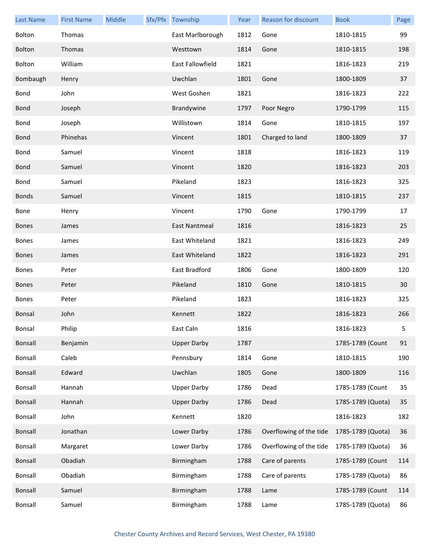| <b>Last Name</b> | <b>First Name</b> | Middle | Sfx/Pfx Township   | Year | Reason for discount     | <b>Book</b>       | Page |
|------------------|-------------------|--------|--------------------|------|-------------------------|-------------------|------|
| Bolton           | Thomas            |        | East Marlborough   | 1812 | Gone                    | 1810-1815         | 99   |
| Bolton           | Thomas            |        | Westtown           | 1814 | Gone                    | 1810-1815         | 198  |
| Bolton           | William           |        | East Fallowfield   | 1821 |                         | 1816-1823         | 219  |
| Bombaugh         | Henry             |        | Uwchlan            | 1801 | Gone                    | 1800-1809         | 37   |
| Bond             | John              |        | West Goshen        | 1821 |                         | 1816-1823         | 222  |
| <b>Bond</b>      | Joseph            |        | Brandywine         | 1797 | Poor Negro              | 1790-1799         | 115  |
| Bond             | Joseph            |        | Willistown         | 1814 | Gone                    | 1810-1815         | 197  |
| <b>Bond</b>      | Phinehas          |        | Vincent            | 1801 | Charged to land         | 1800-1809         | 37   |
| Bond             | Samuel            |        | Vincent            | 1818 |                         | 1816-1823         | 119  |
| <b>Bond</b>      | Samuel            |        | Vincent            | 1820 |                         | 1816-1823         | 203  |
| Bond             | Samuel            |        | Pikeland           | 1823 |                         | 1816-1823         | 325  |
| <b>Bonds</b>     | Samuel            |        | Vincent            | 1815 |                         | 1810-1815         | 237  |
| Bone             | Henry             |        | Vincent            | 1790 | Gone                    | 1790-1799         | 17   |
| <b>Bones</b>     | James             |        | East Nantmeal      | 1816 |                         | 1816-1823         | 25   |
| <b>Bones</b>     | James             |        | East Whiteland     | 1821 |                         | 1816-1823         | 249  |
| <b>Bones</b>     | James             |        | East Whiteland     | 1822 |                         | 1816-1823         | 291  |
| <b>Bones</b>     | Peter             |        | East Bradford      | 1806 | Gone                    | 1800-1809         | 120  |
| <b>Bones</b>     | Peter             |        | Pikeland           | 1810 | Gone                    | 1810-1815         | 30   |
| <b>Bones</b>     | Peter             |        | Pikeland           | 1823 |                         | 1816-1823         | 325  |
| Bonsal           | John              |        | Kennett            | 1822 |                         | 1816-1823         | 266  |
| Bonsal           | Philip            |        | East Caln          | 1816 |                         | 1816-1823         | 5    |
| <b>Bonsall</b>   | Benjamin          |        | <b>Upper Darby</b> | 1787 |                         | 1785-1789 (Count  | 91   |
| Bonsall          | Caleb             |        | Pennsbury          | 1814 | Gone                    | 1810-1815         | 190  |
| Bonsall          | Edward            |        | Uwchlan            | 1805 | Gone                    | 1800-1809         | 116  |
| Bonsall          | Hannah            |        | <b>Upper Darby</b> | 1786 | Dead                    | 1785-1789 (Count  | 35   |
| Bonsall          | Hannah            |        | <b>Upper Darby</b> | 1786 | Dead                    | 1785-1789 (Quota) | 35   |
| Bonsall          | John              |        | Kennett            | 1820 |                         | 1816-1823         | 182  |
| Bonsall          | Jonathan          |        | Lower Darby        | 1786 | Overflowing of the tide | 1785-1789 (Quota) | 36   |
| Bonsall          | Margaret          |        | Lower Darby        | 1786 | Overflowing of the tide | 1785-1789 (Quota) | 36   |
| Bonsall          | Obadiah           |        | Birmingham         | 1788 | Care of parents         | 1785-1789 (Count  | 114  |
| Bonsall          | Obadiah           |        | Birmingham         | 1788 | Care of parents         | 1785-1789 (Quota) | 86   |
| Bonsall          | Samuel            |        | Birmingham         | 1788 | Lame                    | 1785-1789 (Count  | 114  |
| Bonsall          | Samuel            |        | Birmingham         | 1788 | Lame                    | 1785-1789 (Quota) | 86   |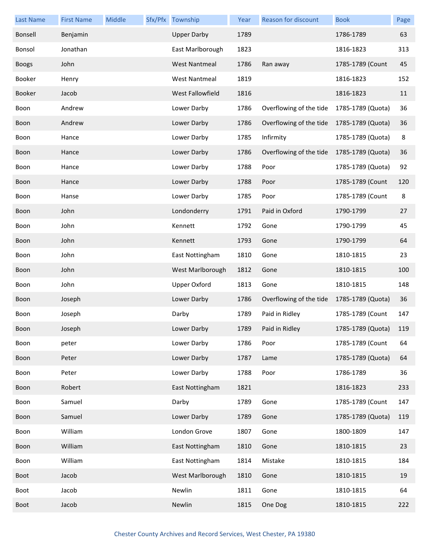| <b>Last Name</b> | <b>First Name</b> | <b>Middle</b> | Sfx/Pfx | Township             | Year | <b>Reason for discount</b> | <b>Book</b>       | Page |
|------------------|-------------------|---------------|---------|----------------------|------|----------------------------|-------------------|------|
| Bonsell          | Benjamin          |               |         | <b>Upper Darby</b>   | 1789 |                            | 1786-1789         | 63   |
| Bonsol           | Jonathan          |               |         | East Marlborough     | 1823 |                            | 1816-1823         | 313  |
| <b>Boogs</b>     | John              |               |         | <b>West Nantmeal</b> | 1786 | Ran away                   | 1785-1789 (Count  | 45   |
| Booker           | Henry             |               |         | <b>West Nantmeal</b> | 1819 |                            | 1816-1823         | 152  |
| Booker           | Jacob             |               |         | West Fallowfield     | 1816 |                            | 1816-1823         | 11   |
| Boon             | Andrew            |               |         | Lower Darby          | 1786 | Overflowing of the tide    | 1785-1789 (Quota) | 36   |
| Boon             | Andrew            |               |         | Lower Darby          | 1786 | Overflowing of the tide    | 1785-1789 (Quota) | 36   |
| Boon             | Hance             |               |         | Lower Darby          | 1785 | Infirmity                  | 1785-1789 (Quota) | 8    |
| Boon             | Hance             |               |         | Lower Darby          | 1786 | Overflowing of the tide    | 1785-1789 (Quota) | 36   |
| Boon             | Hance             |               |         | Lower Darby          | 1788 | Poor                       | 1785-1789 (Quota) | 92   |
| Boon             | Hance             |               |         | Lower Darby          | 1788 | Poor                       | 1785-1789 (Count  | 120  |
| Boon             | Hanse             |               |         | Lower Darby          | 1785 | Poor                       | 1785-1789 (Count  | 8    |
| Boon             | John              |               |         | Londonderry          | 1791 | Paid in Oxford             | 1790-1799         | 27   |
| Boon             | John              |               |         | Kennett              | 1792 | Gone                       | 1790-1799         | 45   |
| Boon             | John              |               |         | Kennett              | 1793 | Gone                       | 1790-1799         | 64   |
| Boon             | John              |               |         | East Nottingham      | 1810 | Gone                       | 1810-1815         | 23   |
| Boon             | John              |               |         | West Marlborough     | 1812 | Gone                       | 1810-1815         | 100  |
| Boon             | John              |               |         | <b>Upper Oxford</b>  | 1813 | Gone                       | 1810-1815         | 148  |
| Boon             | Joseph            |               |         | Lower Darby          | 1786 | Overflowing of the tide    | 1785-1789 (Quota) | 36   |
| Boon             | Joseph            |               |         | Darby                | 1789 | Paid in Ridley             | 1785-1789 (Count  | 147  |
| Boon             | Joseph            |               |         | Lower Darby          | 1789 | Paid in Ridley             | 1785-1789 (Quota) | 119  |
| Boon             | peter             |               |         | Lower Darby          | 1786 | Poor                       | 1785-1789 (Count  | 64   |
| Boon             | Peter             |               |         | Lower Darby          | 1787 | Lame                       | 1785-1789 (Quota) | 64   |
| Boon             | Peter             |               |         | Lower Darby          | 1788 | Poor                       | 1786-1789         | 36   |
| Boon             | Robert            |               |         | East Nottingham      | 1821 |                            | 1816-1823         | 233  |
| Boon             | Samuel            |               |         | Darby                | 1789 | Gone                       | 1785-1789 (Count  | 147  |
| Boon             | Samuel            |               |         | Lower Darby          | 1789 | Gone                       | 1785-1789 (Quota) | 119  |
| Boon             | William           |               |         | London Grove         | 1807 | Gone                       | 1800-1809         | 147  |
| Boon             | William           |               |         | East Nottingham      | 1810 | Gone                       | 1810-1815         | 23   |
| Boon             | William           |               |         | East Nottingham      | 1814 | Mistake                    | 1810-1815         | 184  |
| Boot             | Jacob             |               |         | West Marlborough     | 1810 | Gone                       | 1810-1815         | 19   |
| Boot             | Jacob             |               |         | Newlin               | 1811 | Gone                       | 1810-1815         | 64   |
| <b>Boot</b>      | Jacob             |               |         | Newlin               | 1815 | One Dog                    | 1810-1815         | 222  |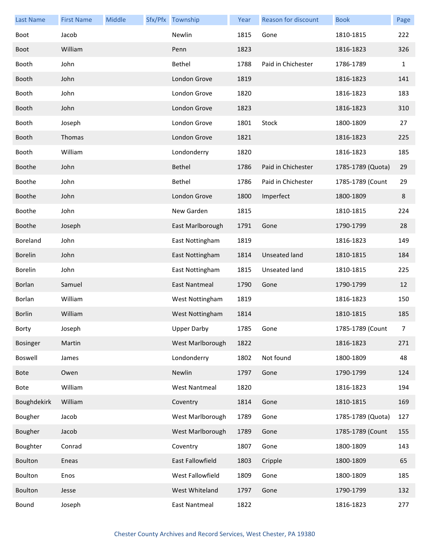| <b>Last Name</b> | <b>First Name</b> | Middle | Sfx/Pfx Township     | Year | Reason for discount | <b>Book</b>       | Page           |
|------------------|-------------------|--------|----------------------|------|---------------------|-------------------|----------------|
| Boot             | Jacob             |        | Newlin               | 1815 | Gone                | 1810-1815         | 222            |
| <b>Boot</b>      | William           |        | Penn                 | 1823 |                     | 1816-1823         | 326            |
| Booth            | John              |        | Bethel               | 1788 | Paid in Chichester  | 1786-1789         | $\mathbf{1}$   |
| Booth            | John              |        | London Grove         | 1819 |                     | 1816-1823         | 141            |
| Booth            | John              |        | London Grove         | 1820 |                     | 1816-1823         | 183            |
| Booth            | John              |        | London Grove         | 1823 |                     | 1816-1823         | 310            |
| Booth            | Joseph            |        | London Grove         | 1801 | Stock               | 1800-1809         | 27             |
| Booth            | Thomas            |        | London Grove         | 1821 |                     | 1816-1823         | 225            |
| Booth            | William           |        | Londonderry          | 1820 |                     | 1816-1823         | 185            |
| <b>Boothe</b>    | John              |        | Bethel               | 1786 | Paid in Chichester  | 1785-1789 (Quota) | 29             |
| Boothe           | John              |        | Bethel               | 1786 | Paid in Chichester  | 1785-1789 (Count  | 29             |
| <b>Boothe</b>    | John              |        | London Grove         | 1800 | Imperfect           | 1800-1809         | 8              |
| Boothe           | John              |        | New Garden           | 1815 |                     | 1810-1815         | 224            |
| <b>Boothe</b>    | Joseph            |        | East Marlborough     | 1791 | Gone                | 1790-1799         | 28             |
| Boreland         | John              |        | East Nottingham      | 1819 |                     | 1816-1823         | 149            |
| <b>Borelin</b>   | John              |        | East Nottingham      | 1814 | Unseated land       | 1810-1815         | 184            |
| <b>Borelin</b>   | John              |        | East Nottingham      | 1815 | Unseated land       | 1810-1815         | 225            |
| Borlan           | Samuel            |        | East Nantmeal        | 1790 | Gone                | 1790-1799         | 12             |
| Borlan           | William           |        | West Nottingham      | 1819 |                     | 1816-1823         | 150            |
| <b>Borlin</b>    | William           |        | West Nottingham      | 1814 |                     | 1810-1815         | 185            |
| Borty            | Joseph            |        | <b>Upper Darby</b>   | 1785 | Gone                | 1785-1789 (Count  | $\overline{7}$ |
| <b>Bosinger</b>  | Martin            |        | West Marlborough     | 1822 |                     | 1816-1823         | 271            |
| Boswell          | James             |        | Londonderry          | 1802 | Not found           | 1800-1809         | 48             |
| <b>Bote</b>      | Owen              |        | Newlin               | 1797 | Gone                | 1790-1799         | 124            |
| Bote             | William           |        | <b>West Nantmeal</b> | 1820 |                     | 1816-1823         | 194            |
| Boughdekirk      | William           |        | Coventry             | 1814 | Gone                | 1810-1815         | 169            |
| Bougher          | Jacob             |        | West Marlborough     | 1789 | Gone                | 1785-1789 (Quota) | 127            |
| Bougher          | Jacob             |        | West Marlborough     | 1789 | Gone                | 1785-1789 (Count  | 155            |
| Boughter         | Conrad            |        | Coventry             | 1807 | Gone                | 1800-1809         | 143            |
| Boulton          | Eneas             |        | East Fallowfield     | 1803 | Cripple             | 1800-1809         | 65             |
| Boulton          | Enos              |        | West Fallowfield     | 1809 | Gone                | 1800-1809         | 185            |
| <b>Boulton</b>   | Jesse             |        | West Whiteland       | 1797 | Gone                | 1790-1799         | 132            |
| Bound            | Joseph            |        | East Nantmeal        | 1822 |                     | 1816-1823         | 277            |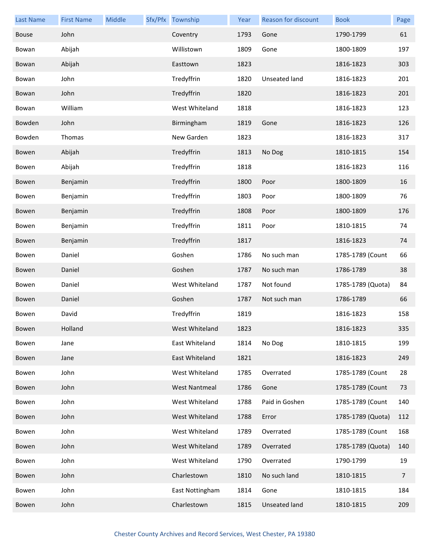| <b>Last Name</b> | <b>First Name</b> | Middle | Sfx/Pfx Township     | Year | Reason for discount  | <b>Book</b>       | Page |
|------------------|-------------------|--------|----------------------|------|----------------------|-------------------|------|
| <b>Bouse</b>     | John              |        | Coventry             | 1793 | Gone                 | 1790-1799         | 61   |
| Bowan            | Abijah            |        | Willistown           | 1809 | Gone                 | 1800-1809         | 197  |
| Bowan            | Abijah            |        | Easttown             | 1823 |                      | 1816-1823         | 303  |
| Bowan            | John              |        | Tredyffrin           | 1820 | Unseated land        | 1816-1823         | 201  |
| Bowan            | John              |        | Tredyffrin           | 1820 |                      | 1816-1823         | 201  |
| Bowan            | William           |        | West Whiteland       | 1818 |                      | 1816-1823         | 123  |
| Bowden           | John              |        | Birmingham           | 1819 | Gone                 | 1816-1823         | 126  |
| Bowden           | Thomas            |        | New Garden           | 1823 |                      | 1816-1823         | 317  |
| Bowen            | Abijah            |        | Tredyffrin           | 1813 | No Dog               | 1810-1815         | 154  |
| Bowen            | Abijah            |        | Tredyffrin           | 1818 |                      | 1816-1823         | 116  |
| Bowen            | Benjamin          |        | Tredyffrin           | 1800 | Poor                 | 1800-1809         | 16   |
| Bowen            | Benjamin          |        | Tredyffrin           | 1803 | Poor                 | 1800-1809         | 76   |
| Bowen            | Benjamin          |        | Tredyffrin           | 1808 | Poor                 | 1800-1809         | 176  |
| Bowen            | Benjamin          |        | Tredyffrin           | 1811 | Poor                 | 1810-1815         | 74   |
| Bowen            | Benjamin          |        | Tredyffrin           | 1817 |                      | 1816-1823         | 74   |
| Bowen            | Daniel            |        | Goshen               | 1786 | No such man          | 1785-1789 (Count  | 66   |
| Bowen            | Daniel            |        | Goshen               | 1787 | No such man          | 1786-1789         | 38   |
| Bowen            | Daniel            |        | West Whiteland       | 1787 | Not found            | 1785-1789 (Quota) | 84   |
| Bowen            | Daniel            |        | Goshen               | 1787 | Not such man         | 1786-1789         | 66   |
| Bowen            | David             |        | Tredyffrin           | 1819 |                      | 1816-1823         | 158  |
| Bowen            | Holland           |        | West Whiteland       | 1823 |                      | 1816-1823         | 335  |
| Bowen            | Jane              |        | East Whiteland       | 1814 | No Dog               | 1810-1815         | 199  |
| Bowen            | Jane              |        | East Whiteland       | 1821 |                      | 1816-1823         | 249  |
| Bowen            | John              |        | West Whiteland       | 1785 | Overrated            | 1785-1789 (Count  | 28   |
| Bowen            | John              |        | <b>West Nantmeal</b> | 1786 | Gone                 | 1785-1789 (Count  | 73   |
| Bowen            | John              |        | West Whiteland       | 1788 | Paid in Goshen       | 1785-1789 (Count  | 140  |
| Bowen            | John              |        | West Whiteland       | 1788 | Error                | 1785-1789 (Quota) | 112  |
| Bowen            | John              |        | West Whiteland       | 1789 | Overrated            | 1785-1789 (Count  | 168  |
| Bowen            | John              |        | West Whiteland       | 1789 | Overrated            | 1785-1789 (Quota) | 140  |
| Bowen            | John              |        | West Whiteland       | 1790 | Overrated            | 1790-1799         | 19   |
| Bowen            | John              |        | Charlestown          | 1810 | No such land         | 1810-1815         | 7    |
| Bowen            | John              |        | East Nottingham      | 1814 | Gone                 | 1810-1815         | 184  |
| Bowen            | John              |        | Charlestown          | 1815 | <b>Unseated land</b> | 1810-1815         | 209  |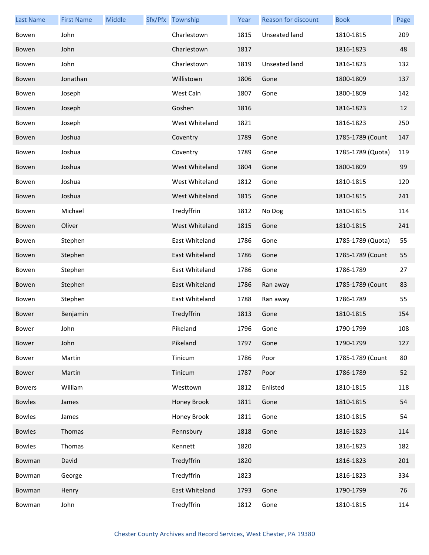| <b>Last Name</b> | <b>First Name</b> | Middle | Sfx/Pfx Township | Year | Reason for discount | <b>Book</b>       | Page |
|------------------|-------------------|--------|------------------|------|---------------------|-------------------|------|
| Bowen            | John              |        | Charlestown      | 1815 | Unseated land       | 1810-1815         | 209  |
| Bowen            | John              |        | Charlestown      | 1817 |                     | 1816-1823         | 48   |
| Bowen            | John              |        | Charlestown      | 1819 | Unseated land       | 1816-1823         | 132  |
| Bowen            | Jonathan          |        | Willistown       | 1806 | Gone                | 1800-1809         | 137  |
| Bowen            | Joseph            |        | West Caln        | 1807 | Gone                | 1800-1809         | 142  |
| Bowen            | Joseph            |        | Goshen           | 1816 |                     | 1816-1823         | 12   |
| Bowen            | Joseph            |        | West Whiteland   | 1821 |                     | 1816-1823         | 250  |
| Bowen            | Joshua            |        | Coventry         | 1789 | Gone                | 1785-1789 (Count  | 147  |
| Bowen            | Joshua            |        | Coventry         | 1789 | Gone                | 1785-1789 (Quota) | 119  |
| Bowen            | Joshua            |        | West Whiteland   | 1804 | Gone                | 1800-1809         | 99   |
| Bowen            | Joshua            |        | West Whiteland   | 1812 | Gone                | 1810-1815         | 120  |
| Bowen            | Joshua            |        | West Whiteland   | 1815 | Gone                | 1810-1815         | 241  |
| Bowen            | Michael           |        | Tredyffrin       | 1812 | No Dog              | 1810-1815         | 114  |
| Bowen            | Oliver            |        | West Whiteland   | 1815 | Gone                | 1810-1815         | 241  |
| Bowen            | Stephen           |        | East Whiteland   | 1786 | Gone                | 1785-1789 (Quota) | 55   |
| Bowen            | Stephen           |        | East Whiteland   | 1786 | Gone                | 1785-1789 (Count  | 55   |
| Bowen            | Stephen           |        | East Whiteland   | 1786 | Gone                | 1786-1789         | 27   |
| Bowen            | Stephen           |        | East Whiteland   | 1786 | Ran away            | 1785-1789 (Count  | 83   |
| Bowen            | Stephen           |        | East Whiteland   | 1788 | Ran away            | 1786-1789         | 55   |
| <b>Bower</b>     | Benjamin          |        | Tredyffrin       | 1813 | Gone                | 1810-1815         | 154  |
| Bower            | John              |        | Pikeland         | 1796 | Gone                | 1790-1799         | 108  |
| Bower            | John              |        | Pikeland         | 1797 | Gone                | 1790-1799         | 127  |
| Bower            | Martin            |        | Tinicum          | 1786 | Poor                | 1785-1789 (Count  | 80   |
| Bower            | Martin            |        | Tinicum          | 1787 | Poor                | 1786-1789         | 52   |
| <b>Bowers</b>    | William           |        | Westtown         | 1812 | Enlisted            | 1810-1815         | 118  |
| <b>Bowles</b>    | James             |        | Honey Brook      | 1811 | Gone                | 1810-1815         | 54   |
| <b>Bowles</b>    | James             |        | Honey Brook      | 1811 | Gone                | 1810-1815         | 54   |
| <b>Bowles</b>    | Thomas            |        | Pennsbury        | 1818 | Gone                | 1816-1823         | 114  |
| <b>Bowles</b>    | Thomas            |        | Kennett          | 1820 |                     | 1816-1823         | 182  |
| Bowman           | David             |        | Tredyffrin       | 1820 |                     | 1816-1823         | 201  |
| Bowman           | George            |        | Tredyffrin       | 1823 |                     | 1816-1823         | 334  |
| Bowman           | Henry             |        | East Whiteland   | 1793 | Gone                | 1790-1799         | 76   |
| Bowman           | John              |        | Tredyffrin       | 1812 | Gone                | 1810-1815         | 114  |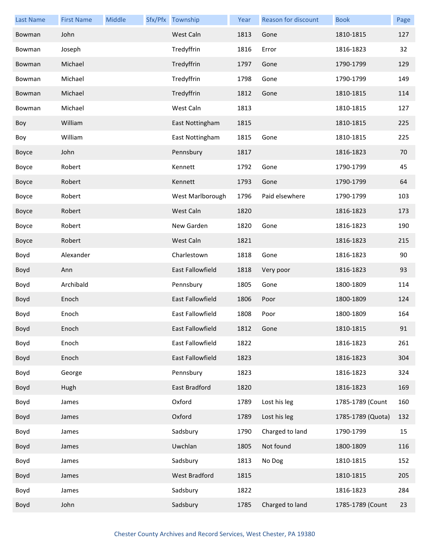| <b>Last Name</b> | <b>First Name</b> | Middle | Sfx/Pfx Township | Year | Reason for discount | <b>Book</b>       | Page |
|------------------|-------------------|--------|------------------|------|---------------------|-------------------|------|
| Bowman           | John              |        | West Caln        | 1813 | Gone                | 1810-1815         | 127  |
| Bowman           | Joseph            |        | Tredyffrin       | 1816 | Error               | 1816-1823         | 32   |
| Bowman           | Michael           |        | Tredyffrin       | 1797 | Gone                | 1790-1799         | 129  |
| Bowman           | Michael           |        | Tredyffrin       | 1798 | Gone                | 1790-1799         | 149  |
| Bowman           | Michael           |        | Tredyffrin       | 1812 | Gone                | 1810-1815         | 114  |
| Bowman           | Michael           |        | West Caln        | 1813 |                     | 1810-1815         | 127  |
| Boy              | William           |        | East Nottingham  | 1815 |                     | 1810-1815         | 225  |
| Boy              | William           |        | East Nottingham  | 1815 | Gone                | 1810-1815         | 225  |
| Boyce            | John              |        | Pennsbury        | 1817 |                     | 1816-1823         | 70   |
| Boyce            | Robert            |        | Kennett          | 1792 | Gone                | 1790-1799         | 45   |
| Boyce            | Robert            |        | Kennett          | 1793 | Gone                | 1790-1799         | 64   |
| Boyce            | Robert            |        | West Marlborough | 1796 | Paid elsewhere      | 1790-1799         | 103  |
| Boyce            | Robert            |        | West Caln        | 1820 |                     | 1816-1823         | 173  |
| Boyce            | Robert            |        | New Garden       | 1820 | Gone                | 1816-1823         | 190  |
| Boyce            | Robert            |        | West Caln        | 1821 |                     | 1816-1823         | 215  |
| Boyd             | Alexander         |        | Charlestown      | 1818 | Gone                | 1816-1823         | 90   |
| Boyd             | Ann               |        | East Fallowfield | 1818 | Very poor           | 1816-1823         | 93   |
| Boyd             | Archibald         |        | Pennsbury        | 1805 | Gone                | 1800-1809         | 114  |
| Boyd             | Enoch             |        | East Fallowfield | 1806 | Poor                | 1800-1809         | 124  |
| Boyd             | Enoch             |        | East Fallowfield | 1808 | Poor                | 1800-1809         | 164  |
| Boyd             | Enoch             |        | East Fallowfield | 1812 | Gone                | 1810-1815         | 91   |
| Boyd             | Enoch             |        | East Fallowfield | 1822 |                     | 1816-1823         | 261  |
| Boyd             | Enoch             |        | East Fallowfield | 1823 |                     | 1816-1823         | 304  |
| Boyd             | George            |        | Pennsbury        | 1823 |                     | 1816-1823         | 324  |
| Boyd             | Hugh              |        | East Bradford    | 1820 |                     | 1816-1823         | 169  |
| Boyd             | James             |        | Oxford           | 1789 | Lost his leg        | 1785-1789 (Count  | 160  |
| Boyd             | James             |        | Oxford           | 1789 | Lost his leg        | 1785-1789 (Quota) | 132  |
| Boyd             | James             |        | Sadsbury         | 1790 | Charged to land     | 1790-1799         | 15   |
| Boyd             | James             |        | Uwchlan          | 1805 | Not found           | 1800-1809         | 116  |
| Boyd             | James             |        | Sadsbury         | 1813 | No Dog              | 1810-1815         | 152  |
| Boyd             | James             |        | West Bradford    | 1815 |                     | 1810-1815         | 205  |
| Boyd             | James             |        | Sadsbury         | 1822 |                     | 1816-1823         | 284  |
| Boyd             | John              |        | Sadsbury         | 1785 | Charged to land     | 1785-1789 (Count  | 23   |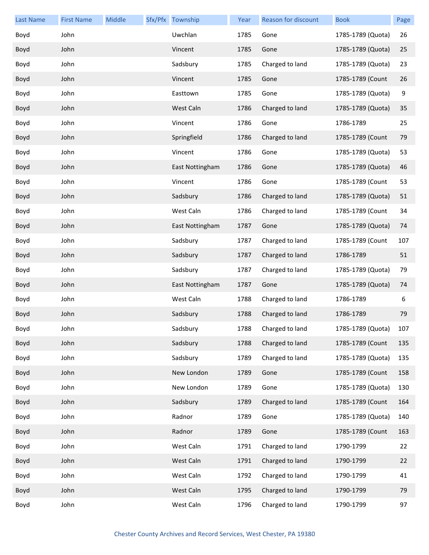| Last Name | <b>First Name</b> | Middle | Sfx/Pfx | Township        | Year | Reason for discount | <b>Book</b>       | Page |
|-----------|-------------------|--------|---------|-----------------|------|---------------------|-------------------|------|
| Boyd      | John              |        |         | Uwchlan         | 1785 | Gone                | 1785-1789 (Quota) | 26   |
| Boyd      | John              |        |         | Vincent         | 1785 | Gone                | 1785-1789 (Quota) | 25   |
| Boyd      | John              |        |         | Sadsbury        | 1785 | Charged to land     | 1785-1789 (Quota) | 23   |
| Boyd      | John              |        |         | Vincent         | 1785 | Gone                | 1785-1789 (Count  | 26   |
| Boyd      | John              |        |         | Easttown        | 1785 | Gone                | 1785-1789 (Quota) | 9    |
| Boyd      | John              |        |         | West Caln       | 1786 | Charged to land     | 1785-1789 (Quota) | 35   |
| Boyd      | John              |        |         | Vincent         | 1786 | Gone                | 1786-1789         | 25   |
| Boyd      | John              |        |         | Springfield     | 1786 | Charged to land     | 1785-1789 (Count  | 79   |
| Boyd      | John              |        |         | Vincent         | 1786 | Gone                | 1785-1789 (Quota) | 53   |
| Boyd      | John              |        |         | East Nottingham | 1786 | Gone                | 1785-1789 (Quota) | 46   |
| Boyd      | John              |        |         | Vincent         | 1786 | Gone                | 1785-1789 (Count  | 53   |
| Boyd      | John              |        |         | Sadsbury        | 1786 | Charged to land     | 1785-1789 (Quota) | 51   |
| Boyd      | John              |        |         | West Caln       | 1786 | Charged to land     | 1785-1789 (Count  | 34   |
| Boyd      | John              |        |         | East Nottingham | 1787 | Gone                | 1785-1789 (Quota) | 74   |
| Boyd      | John              |        |         | Sadsbury        | 1787 | Charged to land     | 1785-1789 (Count  | 107  |
| Boyd      | John              |        |         | Sadsbury        | 1787 | Charged to land     | 1786-1789         | 51   |
| Boyd      | John              |        |         | Sadsbury        | 1787 | Charged to land     | 1785-1789 (Quota) | 79   |
| Boyd      | John              |        |         | East Nottingham | 1787 | Gone                | 1785-1789 (Quota) | 74   |
| Boyd      | John              |        |         | West Caln       | 1788 | Charged to land     | 1786-1789         | 6    |
| Boyd      | John              |        |         | Sadsbury        | 1788 | Charged to land     | 1786-1789         | 79   |
| Boyd      | John              |        |         | Sadsbury        | 1788 | Charged to land     | 1785-1789 (Quota) | 107  |
| Boyd      | John              |        |         | Sadsbury        | 1788 | Charged to land     | 1785-1789 (Count  | 135  |
| Boyd      | John              |        |         | Sadsbury        | 1789 | Charged to land     | 1785-1789 (Quota) | 135  |
| Boyd      | John              |        |         | New London      | 1789 | Gone                | 1785-1789 (Count  | 158  |
| Boyd      | John              |        |         | New London      | 1789 | Gone                | 1785-1789 (Quota) | 130  |
| Boyd      | John              |        |         | Sadsbury        | 1789 | Charged to land     | 1785-1789 (Count  | 164  |
| Boyd      | John              |        |         | Radnor          | 1789 | Gone                | 1785-1789 (Quota) | 140  |
| Boyd      | John              |        |         | Radnor          | 1789 | Gone                | 1785-1789 (Count  | 163  |
| Boyd      | John              |        |         | West Caln       | 1791 | Charged to land     | 1790-1799         | 22   |
| Boyd      | John              |        |         | West Caln       | 1791 | Charged to land     | 1790-1799         | 22   |
| Boyd      | John              |        |         | West Caln       | 1792 | Charged to land     | 1790-1799         | 41   |
| Boyd      | John              |        |         | West Caln       | 1795 | Charged to land     | 1790-1799         | 79   |
| Boyd      | John              |        |         | West Caln       | 1796 | Charged to land     | 1790-1799         | 97   |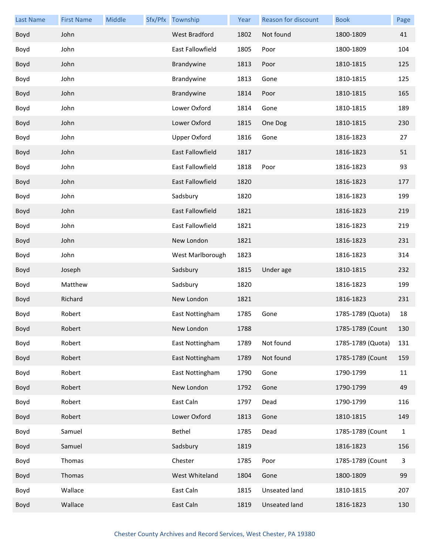| <b>Last Name</b> | <b>First Name</b> | Middle | Sfx/Pfx Township        | Year | <b>Reason for discount</b> | <b>Book</b>       | Page         |
|------------------|-------------------|--------|-------------------------|------|----------------------------|-------------------|--------------|
| Boyd             | John              |        | <b>West Bradford</b>    | 1802 | Not found                  | 1800-1809         | 41           |
| Boyd             | John              |        | East Fallowfield        | 1805 | Poor                       | 1800-1809         | 104          |
| Boyd             | John              |        | Brandywine              | 1813 | Poor                       | 1810-1815         | 125          |
| Boyd             | John              |        | Brandywine              | 1813 | Gone                       | 1810-1815         | 125          |
| Boyd             | John              |        | Brandywine              | 1814 | Poor                       | 1810-1815         | 165          |
| Boyd             | John              |        | Lower Oxford            | 1814 | Gone                       | 1810-1815         | 189          |
| Boyd             | John              |        | Lower Oxford            | 1815 | One Dog                    | 1810-1815         | 230          |
| Boyd             | John              |        | <b>Upper Oxford</b>     | 1816 | Gone                       | 1816-1823         | 27           |
| Boyd             | John              |        | East Fallowfield        | 1817 |                            | 1816-1823         | 51           |
| Boyd             | John              |        | <b>East Fallowfield</b> | 1818 | Poor                       | 1816-1823         | 93           |
| Boyd             | John              |        | <b>East Fallowfield</b> | 1820 |                            | 1816-1823         | 177          |
| Boyd             | John              |        | Sadsbury                | 1820 |                            | 1816-1823         | 199          |
| Boyd             | John              |        | East Fallowfield        | 1821 |                            | 1816-1823         | 219          |
| Boyd             | John              |        | East Fallowfield        | 1821 |                            | 1816-1823         | 219          |
| Boyd             | John              |        | New London              | 1821 |                            | 1816-1823         | 231          |
| Boyd             | John              |        | West Marlborough        | 1823 |                            | 1816-1823         | 314          |
| Boyd             | Joseph            |        | Sadsbury                | 1815 | Under age                  | 1810-1815         | 232          |
| Boyd             | Matthew           |        | Sadsbury                | 1820 |                            | 1816-1823         | 199          |
| Boyd             | Richard           |        | New London              | 1821 |                            | 1816-1823         | 231          |
| Boyd             | Robert            |        | East Nottingham         | 1785 | Gone                       | 1785-1789 (Quota) | 18           |
| Boyd             | Robert            |        | New London              | 1788 |                            | 1785-1789 (Count  | 130          |
| Boyd             | Robert            |        | East Nottingham         | 1789 | Not found                  | 1785-1789 (Quota) | 131          |
| Boyd             | Robert            |        | East Nottingham         | 1789 | Not found                  | 1785-1789 (Count  | 159          |
| Boyd             | Robert            |        | East Nottingham         | 1790 | Gone                       | 1790-1799         | 11           |
| Boyd             | Robert            |        | New London              | 1792 | Gone                       | 1790-1799         | 49           |
| Boyd             | Robert            |        | East Caln               | 1797 | Dead                       | 1790-1799         | 116          |
| Boyd             | Robert            |        | Lower Oxford            | 1813 | Gone                       | 1810-1815         | 149          |
| Boyd             | Samuel            |        | Bethel                  | 1785 | Dead                       | 1785-1789 (Count  | $\mathbf{1}$ |
| Boyd             | Samuel            |        | Sadsbury                | 1819 |                            | 1816-1823         | 156          |
| Boyd             | Thomas            |        | Chester                 | 1785 | Poor                       | 1785-1789 (Count  | 3            |
| Boyd             | Thomas            |        | West Whiteland          | 1804 | Gone                       | 1800-1809         | 99           |
| Boyd             | Wallace           |        | East Caln               | 1815 | Unseated land              | 1810-1815         | 207          |
| Boyd             | Wallace           |        | East Caln               | 1819 | Unseated land              | 1816-1823         | 130          |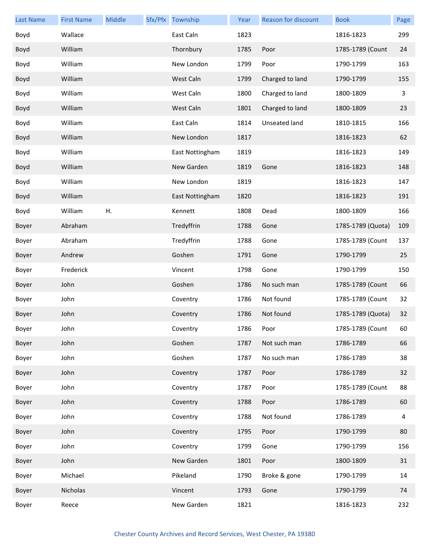| <b>Last Name</b> | <b>First Name</b> | Middle | Sfx/Pfx Township | Year | Reason for discount | <b>Book</b>       | Page         |
|------------------|-------------------|--------|------------------|------|---------------------|-------------------|--------------|
| Boyd             | Wallace           |        | East Caln        | 1823 |                     | 1816-1823         | 299          |
| Boyd             | William           |        | Thornbury        | 1785 | Poor                | 1785-1789 (Count  | 24           |
| Boyd             | William           |        | New London       | 1799 | Poor                | 1790-1799         | 163          |
| Boyd             | William           |        | West Caln        | 1799 | Charged to land     | 1790-1799         | 155          |
| Boyd             | William           |        | West Caln        | 1800 | Charged to land     | 1800-1809         | $\mathbf{3}$ |
| Boyd             | William           |        | West Caln        | 1801 | Charged to land     | 1800-1809         | 23           |
| Boyd             | William           |        | East Caln        | 1814 | Unseated land       | 1810-1815         | 166          |
| Boyd             | William           |        | New London       | 1817 |                     | 1816-1823         | 62           |
| Boyd             | William           |        | East Nottingham  | 1819 |                     | 1816-1823         | 149          |
| Boyd             | William           |        | New Garden       | 1819 | Gone                | 1816-1823         | 148          |
| Boyd             | William           |        | New London       | 1819 |                     | 1816-1823         | 147          |
| Boyd             | William           |        | East Nottingham  | 1820 |                     | 1816-1823         | 191          |
| Boyd             | William           | Η.     | Kennett          | 1808 | Dead                | 1800-1809         | 166          |
| Boyer            | Abraham           |        | Tredyffrin       | 1788 | Gone                | 1785-1789 (Quota) | 109          |
| Boyer            | Abraham           |        | Tredyffrin       | 1788 | Gone                | 1785-1789 (Count  | 137          |
| Boyer            | Andrew            |        | Goshen           | 1791 | Gone                | 1790-1799         | 25           |
| Boyer            | Frederick         |        | Vincent          | 1798 | Gone                | 1790-1799         | 150          |
| Boyer            | John              |        | Goshen           | 1786 | No such man         | 1785-1789 (Count  | 66           |
| Boyer            | John              |        | Coventry         | 1786 | Not found           | 1785-1789 (Count  | 32           |
| Boyer            | John              |        | Coventry         | 1786 | Not found           | 1785-1789 (Quota) | 32           |
| Boyer            | John              |        | Coventry         | 1786 | Poor                | 1785-1789 (Count  | 60           |
| Boyer            | John              |        | Goshen           | 1787 | Not such man        | 1786-1789         | 66           |
| Boyer            | John              |        | Goshen           | 1787 | No such man         | 1786-1789         | 38           |
| Boyer            | John              |        | Coventry         | 1787 | Poor                | 1786-1789         | 32           |
| Boyer            | John              |        | Coventry         | 1787 | Poor                | 1785-1789 (Count  | 88           |
| Boyer            | John              |        | Coventry         | 1788 | Poor                | 1786-1789         | 60           |
| Boyer            | John              |        | Coventry         | 1788 | Not found           | 1786-1789         | 4            |
| Boyer            | John              |        | Coventry         | 1795 | Poor                | 1790-1799         | 80           |
| Boyer            | John              |        | Coventry         | 1799 | Gone                | 1790-1799         | 156          |
| Boyer            | John              |        | New Garden       | 1801 | Poor                | 1800-1809         | 31           |
| Boyer            | Michael           |        | Pikeland         | 1790 | Broke & gone        | 1790-1799         | 14           |
| Boyer            | Nicholas          |        | Vincent          | 1793 | Gone                | 1790-1799         | 74           |
| Boyer            | Reece             |        | New Garden       | 1821 |                     | 1816-1823         | 232          |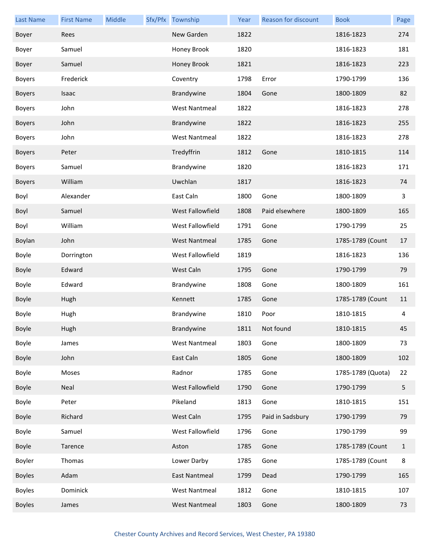| <b>Last Name</b> | <b>First Name</b> | Middle | Sfx/Pfx Township     | Year | Reason for discount | <b>Book</b>       | Page         |
|------------------|-------------------|--------|----------------------|------|---------------------|-------------------|--------------|
| Boyer            | Rees              |        | New Garden           | 1822 |                     | 1816-1823         | 274          |
| Boyer            | Samuel            |        | Honey Brook          | 1820 |                     | 1816-1823         | 181          |
| Boyer            | Samuel            |        | Honey Brook          | 1821 |                     | 1816-1823         | 223          |
| <b>Boyers</b>    | Frederick         |        | Coventry             | 1798 | Error               | 1790-1799         | 136          |
| <b>Boyers</b>    | Isaac             |        | Brandywine           | 1804 | Gone                | 1800-1809         | 82           |
| <b>Boyers</b>    | John              |        | <b>West Nantmeal</b> | 1822 |                     | 1816-1823         | 278          |
| <b>Boyers</b>    | John              |        | Brandywine           | 1822 |                     | 1816-1823         | 255          |
| <b>Boyers</b>    | John              |        | <b>West Nantmeal</b> | 1822 |                     | 1816-1823         | 278          |
| <b>Boyers</b>    | Peter             |        | Tredyffrin           | 1812 | Gone                | 1810-1815         | 114          |
| <b>Boyers</b>    | Samuel            |        | Brandywine           | 1820 |                     | 1816-1823         | 171          |
| <b>Boyers</b>    | William           |        | Uwchlan              | 1817 |                     | 1816-1823         | 74           |
| Boyl             | Alexander         |        | East Caln            | 1800 | Gone                | 1800-1809         | 3            |
| Boyl             | Samuel            |        | West Fallowfield     | 1808 | Paid elsewhere      | 1800-1809         | 165          |
| Boyl             | William           |        | West Fallowfield     | 1791 | Gone                | 1790-1799         | 25           |
| Boylan           | John              |        | <b>West Nantmeal</b> | 1785 | Gone                | 1785-1789 (Count  | 17           |
| Boyle            | Dorrington        |        | West Fallowfield     | 1819 |                     | 1816-1823         | 136          |
| Boyle            | Edward            |        | West Caln            | 1795 | Gone                | 1790-1799         | 79           |
| Boyle            | Edward            |        | Brandywine           | 1808 | Gone                | 1800-1809         | 161          |
| Boyle            | Hugh              |        | Kennett              | 1785 | Gone                | 1785-1789 (Count  | 11           |
| Boyle            | Hugh              |        | Brandywine           | 1810 | Poor                | 1810-1815         | 4            |
| Boyle            | Hugh              |        | Brandywine           | 1811 | Not found           | 1810-1815         | 45           |
| Boyle            | James             |        | <b>West Nantmeal</b> | 1803 | Gone                | 1800-1809         | 73           |
| Boyle            | John              |        | East Caln            | 1805 | Gone                | 1800-1809         | 102          |
| Boyle            | Moses             |        | Radnor               | 1785 | Gone                | 1785-1789 (Quota) | 22           |
| Boyle            | Neal              |        | West Fallowfield     | 1790 | Gone                | 1790-1799         | 5            |
| Boyle            | Peter             |        | Pikeland             | 1813 | Gone                | 1810-1815         | 151          |
| Boyle            | Richard           |        | West Caln            | 1795 | Paid in Sadsbury    | 1790-1799         | 79           |
| Boyle            | Samuel            |        | West Fallowfield     | 1796 | Gone                | 1790-1799         | 99           |
| Boyle            | Tarence           |        | Aston                | 1785 | Gone                | 1785-1789 (Count  | $\mathbf{1}$ |
| Boyler           | Thomas            |        | Lower Darby          | 1785 | Gone                | 1785-1789 (Count  | 8            |
| <b>Boyles</b>    | Adam              |        | East Nantmeal        | 1799 | Dead                | 1790-1799         | 165          |
| <b>Boyles</b>    | Dominick          |        | <b>West Nantmeal</b> | 1812 | Gone                | 1810-1815         | 107          |
| <b>Boyles</b>    | James             |        | <b>West Nantmeal</b> | 1803 | Gone                | 1800-1809         | 73           |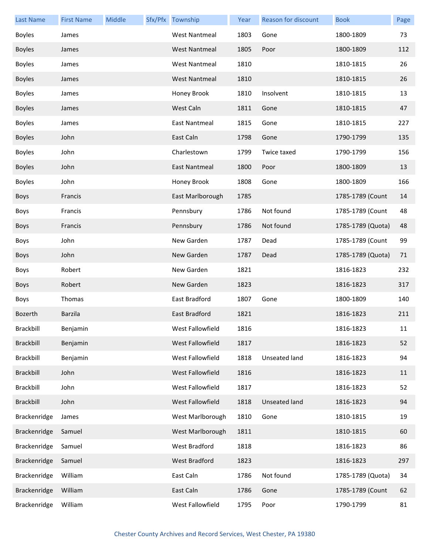| <b>Last Name</b> | <b>First Name</b> | Middle | Sfx/Pfx Township     | Year | Reason for discount | <b>Book</b>       | Page |
|------------------|-------------------|--------|----------------------|------|---------------------|-------------------|------|
| <b>Boyles</b>    | James             |        | <b>West Nantmeal</b> | 1803 | Gone                | 1800-1809         | 73   |
| <b>Boyles</b>    | James             |        | <b>West Nantmeal</b> | 1805 | Poor                | 1800-1809         | 112  |
| <b>Boyles</b>    | James             |        | <b>West Nantmeal</b> | 1810 |                     | 1810-1815         | 26   |
| <b>Boyles</b>    | James             |        | <b>West Nantmeal</b> | 1810 |                     | 1810-1815         | 26   |
| <b>Boyles</b>    | James             |        | Honey Brook          | 1810 | Insolvent           | 1810-1815         | 13   |
| <b>Boyles</b>    | James             |        | West Caln            | 1811 | Gone                | 1810-1815         | 47   |
| <b>Boyles</b>    | James             |        | East Nantmeal        | 1815 | Gone                | 1810-1815         | 227  |
| <b>Boyles</b>    | John              |        | East Caln            | 1798 | Gone                | 1790-1799         | 135  |
| <b>Boyles</b>    | John              |        | Charlestown          | 1799 | Twice taxed         | 1790-1799         | 156  |
| <b>Boyles</b>    | John              |        | East Nantmeal        | 1800 | Poor                | 1800-1809         | 13   |
| <b>Boyles</b>    | John              |        | Honey Brook          | 1808 | Gone                | 1800-1809         | 166  |
| <b>Boys</b>      | Francis           |        | East Marlborough     | 1785 |                     | 1785-1789 (Count  | 14   |
| Boys             | Francis           |        | Pennsbury            | 1786 | Not found           | 1785-1789 (Count  | 48   |
| <b>Boys</b>      | Francis           |        | Pennsbury            | 1786 | Not found           | 1785-1789 (Quota) | 48   |
| Boys             | John              |        | New Garden           | 1787 | Dead                | 1785-1789 (Count  | 99   |
| <b>Boys</b>      | John              |        | New Garden           | 1787 | Dead                | 1785-1789 (Quota) | 71   |
| Boys             | Robert            |        | New Garden           | 1821 |                     | 1816-1823         | 232  |
| <b>Boys</b>      | Robert            |        | New Garden           | 1823 |                     | 1816-1823         | 317  |
| Boys             | Thomas            |        | East Bradford        | 1807 | Gone                | 1800-1809         | 140  |
| Bozerth          | Barzila           |        | East Bradford        | 1821 |                     | 1816-1823         | 211  |
| Brackbill        | Benjamin          |        | West Fallowfield     | 1816 |                     | 1816-1823         | 11   |
| <b>Brackbill</b> | Benjamin          |        | West Fallowfield     | 1817 |                     | 1816-1823         | 52   |
| <b>Brackbill</b> | Benjamin          |        | West Fallowfield     | 1818 | Unseated land       | 1816-1823         | 94   |
| Brackbill        | John              |        | West Fallowfield     | 1816 |                     | 1816-1823         | 11   |
| <b>Brackbill</b> | John              |        | West Fallowfield     | 1817 |                     | 1816-1823         | 52   |
| <b>Brackbill</b> | John              |        | West Fallowfield     | 1818 | Unseated land       | 1816-1823         | 94   |
| Brackenridge     | James             |        | West Marlborough     | 1810 | Gone                | 1810-1815         | 19   |
| Brackenridge     | Samuel            |        | West Marlborough     | 1811 |                     | 1810-1815         | 60   |
| Brackenridge     | Samuel            |        | West Bradford        | 1818 |                     | 1816-1823         | 86   |
| Brackenridge     | Samuel            |        | West Bradford        | 1823 |                     | 1816-1823         | 297  |
| Brackenridge     | William           |        | East Caln            | 1786 | Not found           | 1785-1789 (Quota) | 34   |
| Brackenridge     | William           |        | East Caln            | 1786 | Gone                | 1785-1789 (Count  | 62   |
| Brackenridge     | William           |        | West Fallowfield     | 1795 | Poor                | 1790-1799         | 81   |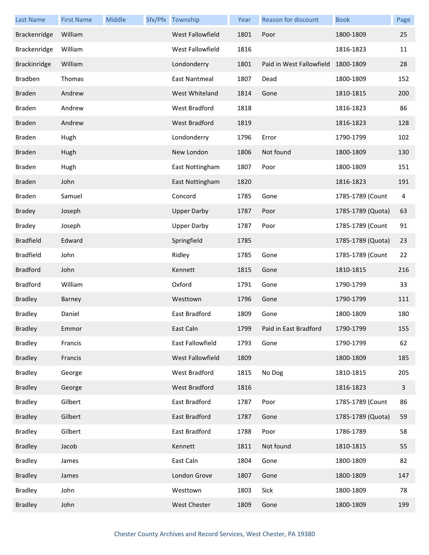| <b>Last Name</b> | <b>First Name</b> | Middle | Sfx/Pfx Township   | Year | Reason for discount                | <b>Book</b>       | Page |
|------------------|-------------------|--------|--------------------|------|------------------------------------|-------------------|------|
| Brackenridge     | William           |        | West Fallowfield   | 1801 | Poor                               | 1800-1809         | 25   |
| Brackenridge     | William           |        | West Fallowfield   | 1816 |                                    | 1816-1823         | 11   |
| Brackinridge     | William           |        | Londonderry        | 1801 | Paid in West Fallowfield 1800-1809 |                   | 28   |
| <b>Bradben</b>   | Thomas            |        | East Nantmeal      | 1807 | Dead                               | 1800-1809         | 152  |
| <b>Braden</b>    | Andrew            |        | West Whiteland     | 1814 | Gone                               | 1810-1815         | 200  |
| <b>Braden</b>    | Andrew            |        | West Bradford      | 1818 |                                    | 1816-1823         | 86   |
| <b>Braden</b>    | Andrew            |        | West Bradford      | 1819 |                                    | 1816-1823         | 128  |
| Braden           | Hugh              |        | Londonderry        | 1796 | Error                              | 1790-1799         | 102  |
| <b>Braden</b>    | Hugh              |        | New London         | 1806 | Not found                          | 1800-1809         | 130  |
| Braden           | Hugh              |        | East Nottingham    | 1807 | Poor                               | 1800-1809         | 151  |
| <b>Braden</b>    | John              |        | East Nottingham    | 1820 |                                    | 1816-1823         | 191  |
| Braden           | Samuel            |        | Concord            | 1785 | Gone                               | 1785-1789 (Count  | 4    |
| <b>Bradey</b>    | Joseph            |        | <b>Upper Darby</b> | 1787 | Poor                               | 1785-1789 (Quota) | 63   |
| <b>Bradey</b>    | Joseph            |        | <b>Upper Darby</b> | 1787 | Poor                               | 1785-1789 (Count  | 91   |
| <b>Bradfield</b> | Edward            |        | Springfield        | 1785 |                                    | 1785-1789 (Quota) | 23   |
| <b>Bradfield</b> | John              |        | Ridley             | 1785 | Gone                               | 1785-1789 (Count  | 22   |
| <b>Bradford</b>  | John              |        | Kennett            | 1815 | Gone                               | 1810-1815         | 216  |
| <b>Bradford</b>  | William           |        | Oxford             | 1791 | Gone                               | 1790-1799         | 33   |
| <b>Bradley</b>   | Barney            |        | Westtown           | 1796 | Gone                               | 1790-1799         | 111  |
| <b>Bradley</b>   | Daniel            |        | East Bradford      | 1809 | Gone                               | 1800-1809         | 180  |
| <b>Bradley</b>   | Emmor             |        | East Caln          | 1799 | Paid in East Bradford              | 1790-1799         | 155  |
| <b>Bradley</b>   | Francis           |        | East Fallowfield   | 1793 | Gone                               | 1790-1799         | 62   |
| <b>Bradley</b>   | Francis           |        | West Fallowfield   | 1809 |                                    | 1800-1809         | 185  |
| <b>Bradley</b>   | George            |        | West Bradford      | 1815 | No Dog                             | 1810-1815         | 205  |
| <b>Bradley</b>   | George            |        | West Bradford      | 1816 |                                    | 1816-1823         | 3    |
| <b>Bradley</b>   | Gilbert           |        | East Bradford      | 1787 | Poor                               | 1785-1789 (Count  | 86   |
| <b>Bradley</b>   | Gilbert           |        | East Bradford      | 1787 | Gone                               | 1785-1789 (Quota) | 59   |
| <b>Bradley</b>   | Gilbert           |        | East Bradford      | 1788 | Poor                               | 1786-1789         | 58   |
| <b>Bradley</b>   | Jacob             |        | Kennett            | 1811 | Not found                          | 1810-1815         | 55   |
| <b>Bradley</b>   | James             |        | East Caln          | 1804 | Gone                               | 1800-1809         | 82   |
| <b>Bradley</b>   | James             |        | London Grove       | 1807 | Gone                               | 1800-1809         | 147  |
| <b>Bradley</b>   | John              |        | Westtown           | 1803 | Sick                               | 1800-1809         | 78   |
| <b>Bradley</b>   | John              |        | West Chester       | 1809 | Gone                               | 1800-1809         | 199  |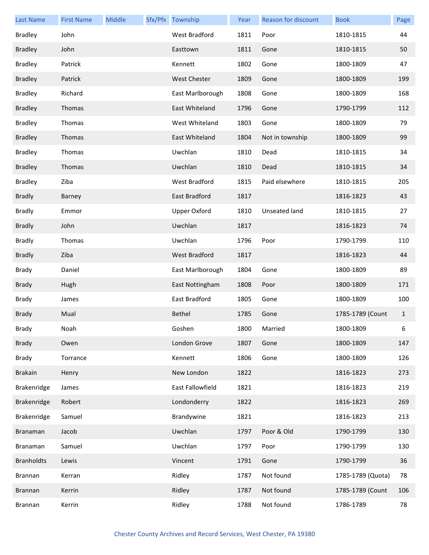| <b>Last Name</b>  | <b>First Name</b> | Middle | Sfx/Pfx Township     | Year | Reason for discount  | <b>Book</b>       | Page         |
|-------------------|-------------------|--------|----------------------|------|----------------------|-------------------|--------------|
| <b>Bradley</b>    | John              |        | West Bradford        | 1811 | Poor                 | 1810-1815         | 44           |
| <b>Bradley</b>    | John              |        | Easttown             | 1811 | Gone                 | 1810-1815         | 50           |
| <b>Bradley</b>    | Patrick           |        | Kennett              | 1802 | Gone                 | 1800-1809         | 47           |
| <b>Bradley</b>    | Patrick           |        | <b>West Chester</b>  | 1809 | Gone                 | 1800-1809         | 199          |
| <b>Bradley</b>    | Richard           |        | East Marlborough     | 1808 | Gone                 | 1800-1809         | 168          |
| <b>Bradley</b>    | Thomas            |        | East Whiteland       | 1796 | Gone                 | 1790-1799         | 112          |
| <b>Bradley</b>    | Thomas            |        | West Whiteland       | 1803 | Gone                 | 1800-1809         | 79           |
| <b>Bradley</b>    | Thomas            |        | East Whiteland       | 1804 | Not in township      | 1800-1809         | 99           |
| <b>Bradley</b>    | Thomas            |        | Uwchlan              | 1810 | Dead                 | 1810-1815         | 34           |
| <b>Bradley</b>    | Thomas            |        | Uwchlan              | 1810 | Dead                 | 1810-1815         | 34           |
| <b>Bradley</b>    | Ziba              |        | <b>West Bradford</b> | 1815 | Paid elsewhere       | 1810-1815         | 205          |
| <b>Bradly</b>     | Barney            |        | East Bradford        | 1817 |                      | 1816-1823         | 43           |
| <b>Bradly</b>     | Emmor             |        | <b>Upper Oxford</b>  | 1810 | <b>Unseated land</b> | 1810-1815         | 27           |
| <b>Bradly</b>     | John              |        | Uwchlan              | 1817 |                      | 1816-1823         | 74           |
| <b>Bradly</b>     | Thomas            |        | Uwchlan              | 1796 | Poor                 | 1790-1799         | 110          |
| <b>Bradly</b>     | Ziba              |        | <b>West Bradford</b> | 1817 |                      | 1816-1823         | 44           |
| <b>Brady</b>      | Daniel            |        | East Marlborough     | 1804 | Gone                 | 1800-1809         | 89           |
| <b>Brady</b>      | Hugh              |        | East Nottingham      | 1808 | Poor                 | 1800-1809         | 171          |
| Brady             | James             |        | East Bradford        | 1805 | Gone                 | 1800-1809         | 100          |
| <b>Brady</b>      | Mual              |        | Bethel               | 1785 | Gone                 | 1785-1789 (Count  | $\mathbf{1}$ |
| Brady             | Noah              |        | Goshen               | 1800 | Married              | 1800-1809         | 6            |
| <b>Brady</b>      | Owen              |        | London Grove         | 1807 | Gone                 | 1800-1809         | 147          |
| <b>Brady</b>      | Torrance          |        | Kennett              | 1806 | Gone                 | 1800-1809         | 126          |
| <b>Brakain</b>    | Henry             |        | New London           | 1822 |                      | 1816-1823         | 273          |
| Brakenridge       | James             |        | East Fallowfield     | 1821 |                      | 1816-1823         | 219          |
| Brakenridge       | Robert            |        | Londonderry          | 1822 |                      | 1816-1823         | 269          |
| Brakenridge       | Samuel            |        | Brandywine           | 1821 |                      | 1816-1823         | 213          |
| Branaman          | Jacob             |        | Uwchlan              | 1797 | Poor & Old           | 1790-1799         | 130          |
| Branaman          | Samuel            |        | Uwchlan              | 1797 | Poor                 | 1790-1799         | 130          |
| <b>Branholdts</b> | Lewis             |        | Vincent              | 1791 | Gone                 | 1790-1799         | 36           |
| <b>Brannan</b>    | Kerran            |        | Ridley               | 1787 | Not found            | 1785-1789 (Quota) | 78           |
| <b>Brannan</b>    | Kerrin            |        | Ridley               | 1787 | Not found            | 1785-1789 (Count  | 106          |
| Brannan           | Kerrin            |        | Ridley               | 1788 | Not found            | 1786-1789         | 78           |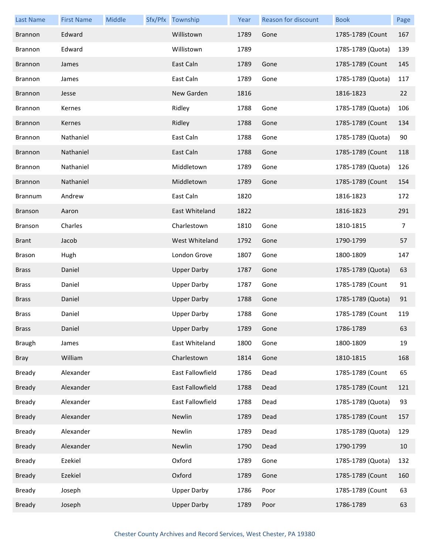| <b>Last Name</b> | <b>First Name</b> | Middle | Sfx/Pfx Township        | Year | Reason for discount | <b>Book</b>       | Page |
|------------------|-------------------|--------|-------------------------|------|---------------------|-------------------|------|
| <b>Brannon</b>   | Edward            |        | Willistown              | 1789 | Gone                | 1785-1789 (Count  | 167  |
| <b>Brannon</b>   | Edward            |        | Willistown              | 1789 |                     | 1785-1789 (Quota) | 139  |
| <b>Brannon</b>   | James             |        | East Caln               | 1789 | Gone                | 1785-1789 (Count  | 145  |
| <b>Brannon</b>   | James             |        | East Caln               | 1789 | Gone                | 1785-1789 (Quota) | 117  |
| <b>Brannon</b>   | Jesse             |        | New Garden              | 1816 |                     | 1816-1823         | 22   |
| <b>Brannon</b>   | Kernes            |        | Ridley                  | 1788 | Gone                | 1785-1789 (Quota) | 106  |
| <b>Brannon</b>   | Kernes            |        | Ridley                  | 1788 | Gone                | 1785-1789 (Count  | 134  |
| <b>Brannon</b>   | Nathaniel         |        | East Caln               | 1788 | Gone                | 1785-1789 (Quota) | 90   |
| <b>Brannon</b>   | Nathaniel         |        | East Caln               | 1788 | Gone                | 1785-1789 (Count  | 118  |
| <b>Brannon</b>   | Nathaniel         |        | Middletown              | 1789 | Gone                | 1785-1789 (Quota) | 126  |
| <b>Brannon</b>   | Nathaniel         |        | Middletown              | 1789 | Gone                | 1785-1789 (Count  | 154  |
| <b>Brannum</b>   | Andrew            |        | East Caln               | 1820 |                     | 1816-1823         | 172  |
| <b>Branson</b>   | Aaron             |        | East Whiteland          | 1822 |                     | 1816-1823         | 291  |
| Branson          | Charles           |        | Charlestown             | 1810 | Gone                | 1810-1815         | 7    |
| <b>Brant</b>     | Jacob             |        | West Whiteland          | 1792 | Gone                | 1790-1799         | 57   |
| Brason           | Hugh              |        | London Grove            | 1807 | Gone                | 1800-1809         | 147  |
| <b>Brass</b>     | Daniel            |        | <b>Upper Darby</b>      | 1787 | Gone                | 1785-1789 (Quota) | 63   |
| <b>Brass</b>     | Daniel            |        | <b>Upper Darby</b>      | 1787 | Gone                | 1785-1789 (Count  | 91   |
| <b>Brass</b>     | Daniel            |        | <b>Upper Darby</b>      | 1788 | Gone                | 1785-1789 (Quota) | 91   |
| Brass            | Daniel            |        | <b>Upper Darby</b>      | 1788 | Gone                | 1785-1789 (Count  | 119  |
| <b>Brass</b>     | Daniel            |        | <b>Upper Darby</b>      | 1789 | Gone                | 1786-1789         | 63   |
| <b>Braugh</b>    | James             |        | East Whiteland          | 1800 | Gone                | 1800-1809         | 19   |
| <b>Bray</b>      | William           |        | Charlestown             | 1814 | Gone                | 1810-1815         | 168  |
| Bready           | Alexander         |        | East Fallowfield        | 1786 | Dead                | 1785-1789 (Count  | 65   |
| <b>Bready</b>    | Alexander         |        | <b>East Fallowfield</b> | 1788 | Dead                | 1785-1789 (Count  | 121  |
| Bready           | Alexander         |        | East Fallowfield        | 1788 | Dead                | 1785-1789 (Quota) | 93   |
| <b>Bready</b>    | Alexander         |        | Newlin                  | 1789 | Dead                | 1785-1789 (Count  | 157  |
| Bready           | Alexander         |        | Newlin                  | 1789 | Dead                | 1785-1789 (Quota) | 129  |
| <b>Bready</b>    | Alexander         |        | Newlin                  | 1790 | Dead                | 1790-1799         | 10   |
| Bready           | Ezekiel           |        | Oxford                  | 1789 | Gone                | 1785-1789 (Quota) | 132  |
| <b>Bready</b>    | Ezekiel           |        | Oxford                  | 1789 | Gone                | 1785-1789 (Count  | 160  |
| Bready           | Joseph            |        | <b>Upper Darby</b>      | 1786 | Poor                | 1785-1789 (Count  | 63   |
| <b>Bready</b>    | Joseph            |        | <b>Upper Darby</b>      | 1789 | Poor                | 1786-1789         | 63   |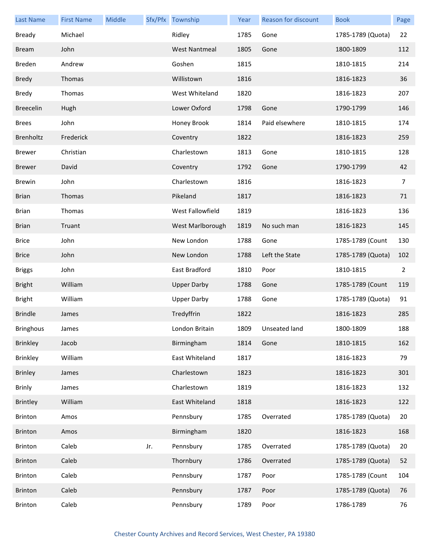| <b>Last Name</b> | <b>First Name</b> | Middle |     | Sfx/Pfx Township     | Year | <b>Reason for discount</b> | <b>Book</b>       | Page           |
|------------------|-------------------|--------|-----|----------------------|------|----------------------------|-------------------|----------------|
| <b>Bready</b>    | Michael           |        |     | Ridley               | 1785 | Gone                       | 1785-1789 (Quota) | 22             |
| <b>Bream</b>     | John              |        |     | <b>West Nantmeal</b> | 1805 | Gone                       | 1800-1809         | 112            |
| <b>Breden</b>    | Andrew            |        |     | Goshen               | 1815 |                            | 1810-1815         | 214            |
| <b>Bredy</b>     | Thomas            |        |     | Willistown           | 1816 |                            | 1816-1823         | 36             |
| <b>Bredy</b>     | Thomas            |        |     | West Whiteland       | 1820 |                            | 1816-1823         | 207            |
| <b>Breecelin</b> | Hugh              |        |     | Lower Oxford         | 1798 | Gone                       | 1790-1799         | 146            |
| <b>Brees</b>     | John              |        |     | Honey Brook          | 1814 | Paid elsewhere             | 1810-1815         | 174            |
| Brenholtz        | Frederick         |        |     | Coventry             | 1822 |                            | 1816-1823         | 259            |
| <b>Brewer</b>    | Christian         |        |     | Charlestown          | 1813 | Gone                       | 1810-1815         | 128            |
| <b>Brewer</b>    | David             |        |     | Coventry             | 1792 | Gone                       | 1790-1799         | 42             |
| <b>Brewin</b>    | John              |        |     | Charlestown          | 1816 |                            | 1816-1823         | $\overline{7}$ |
| <b>Brian</b>     | Thomas            |        |     | Pikeland             | 1817 |                            | 1816-1823         | 71             |
| <b>Brian</b>     | Thomas            |        |     | West Fallowfield     | 1819 |                            | 1816-1823         | 136            |
| <b>Brian</b>     | Truant            |        |     | West Marlborough     | 1819 | No such man                | 1816-1823         | 145            |
| <b>Brice</b>     | John              |        |     | New London           | 1788 | Gone                       | 1785-1789 (Count  | 130            |
| <b>Brice</b>     | John              |        |     | New London           | 1788 | Left the State             | 1785-1789 (Quota) | 102            |
| <b>Briggs</b>    | John              |        |     | East Bradford        | 1810 | Poor                       | 1810-1815         | $\overline{2}$ |
| <b>Bright</b>    | William           |        |     | <b>Upper Darby</b>   | 1788 | Gone                       | 1785-1789 (Count  | 119            |
| <b>Bright</b>    | William           |        |     | <b>Upper Darby</b>   | 1788 | Gone                       | 1785-1789 (Quota) | 91             |
| <b>Brindle</b>   | James             |        |     | Tredyffrin           | 1822 |                            | 1816-1823         | 285            |
| <b>Bringhous</b> | James             |        |     | London Britain       | 1809 | Unseated land              | 1800-1809         | 188            |
| <b>Brinkley</b>  | Jacob             |        |     | Birmingham           | 1814 | Gone                       | 1810-1815         | 162            |
| <b>Brinkley</b>  | William           |        |     | East Whiteland       | 1817 |                            | 1816-1823         | 79             |
| <b>Brinley</b>   | James             |        |     | Charlestown          | 1823 |                            | 1816-1823         | 301            |
| <b>Brinly</b>    | James             |        |     | Charlestown          | 1819 |                            | 1816-1823         | 132            |
| <b>Brintley</b>  | William           |        |     | East Whiteland       | 1818 |                            | 1816-1823         | 122            |
| <b>Brinton</b>   | Amos              |        |     | Pennsbury            | 1785 | Overrated                  | 1785-1789 (Quota) | 20             |
| <b>Brinton</b>   | Amos              |        |     | Birmingham           | 1820 |                            | 1816-1823         | 168            |
| <b>Brinton</b>   | Caleb             |        | Jr. | Pennsbury            | 1785 | Overrated                  | 1785-1789 (Quota) | 20             |
| Brinton          | Caleb             |        |     | Thornbury            | 1786 | Overrated                  | 1785-1789 (Quota) | 52             |
| <b>Brinton</b>   | Caleb             |        |     | Pennsbury            | 1787 | Poor                       | 1785-1789 (Count  | 104            |
| <b>Brinton</b>   | Caleb             |        |     | Pennsbury            | 1787 | Poor                       | 1785-1789 (Quota) | 76             |
| Brinton          | Caleb             |        |     | Pennsbury            | 1789 | Poor                       | 1786-1789         | 76             |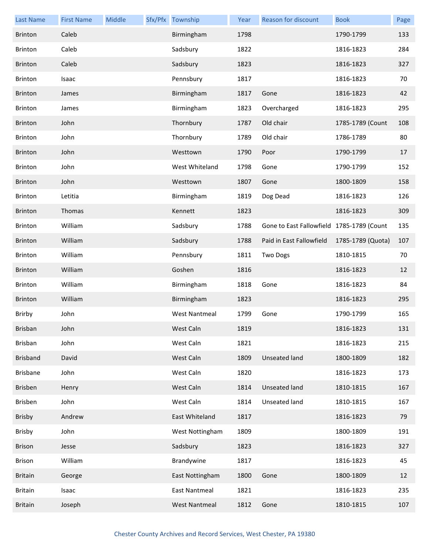| <b>Last Name</b> | <b>First Name</b> | Middle | Sfx/Pfx Township     | Year | Reason for discount                       | <b>Book</b>       | Page |
|------------------|-------------------|--------|----------------------|------|-------------------------------------------|-------------------|------|
| <b>Brinton</b>   | Caleb             |        | Birmingham           | 1798 |                                           | 1790-1799         | 133  |
| <b>Brinton</b>   | Caleb             |        | Sadsbury             | 1822 |                                           | 1816-1823         | 284  |
| <b>Brinton</b>   | Caleb             |        | Sadsbury             | 1823 |                                           | 1816-1823         | 327  |
| <b>Brinton</b>   | Isaac             |        | Pennsbury            | 1817 |                                           | 1816-1823         | 70   |
| <b>Brinton</b>   | James             |        | Birmingham           | 1817 | Gone                                      | 1816-1823         | 42   |
| <b>Brinton</b>   | James             |        | Birmingham           | 1823 | Overcharged                               | 1816-1823         | 295  |
| <b>Brinton</b>   | John              |        | Thornbury            | 1787 | Old chair                                 | 1785-1789 (Count  | 108  |
| <b>Brinton</b>   | John              |        | Thornbury            | 1789 | Old chair                                 | 1786-1789         | 80   |
| <b>Brinton</b>   | John              |        | Westtown             | 1790 | Poor                                      | 1790-1799         | 17   |
| <b>Brinton</b>   | John              |        | West Whiteland       | 1798 | Gone                                      | 1790-1799         | 152  |
| <b>Brinton</b>   | John              |        | Westtown             | 1807 | Gone                                      | 1800-1809         | 158  |
| <b>Brinton</b>   | Letitia           |        | Birmingham           | 1819 | Dog Dead                                  | 1816-1823         | 126  |
| <b>Brinton</b>   | Thomas            |        | Kennett              | 1823 |                                           | 1816-1823         | 309  |
| Brinton          | William           |        | Sadsbury             | 1788 | Gone to East Fallowfield 1785-1789 (Count |                   | 135  |
| <b>Brinton</b>   | William           |        | Sadsbury             | 1788 | Paid in East Fallowfield                  | 1785-1789 (Quota) | 107  |
| <b>Brinton</b>   | William           |        | Pennsbury            | 1811 | <b>Two Dogs</b>                           | 1810-1815         | 70   |
| <b>Brinton</b>   | William           |        | Goshen               | 1816 |                                           | 1816-1823         | 12   |
| Brinton          | William           |        | Birmingham           | 1818 | Gone                                      | 1816-1823         | 84   |
| <b>Brinton</b>   | William           |        | Birmingham           | 1823 |                                           | 1816-1823         | 295  |
| Brirby           | John              |        | <b>West Nantmeal</b> | 1799 | Gone                                      | 1790-1799         | 165  |
| <b>Brisban</b>   | John              |        | West Caln            | 1819 |                                           | 1816-1823         | 131  |
| <b>Brisban</b>   | John              |        | West Caln            | 1821 |                                           | 1816-1823         | 215  |
| <b>Brisband</b>  | David             |        | West Caln            | 1809 | <b>Unseated land</b>                      | 1800-1809         | 182  |
| <b>Brisbane</b>  | John              |        | West Caln            | 1820 |                                           | 1816-1823         | 173  |
| Brisben          | Henry             |        | West Caln            | 1814 | <b>Unseated land</b>                      | 1810-1815         | 167  |
| Brisben          | John              |        | West Caln            | 1814 | Unseated land                             | 1810-1815         | 167  |
| Brisby           | Andrew            |        | East Whiteland       | 1817 |                                           | 1816-1823         | 79   |
| Brisby           | John              |        | West Nottingham      | 1809 |                                           | 1800-1809         | 191  |
| <b>Brison</b>    | Jesse             |        | Sadsbury             | 1823 |                                           | 1816-1823         | 327  |
| Brison           | William           |        | Brandywine           | 1817 |                                           | 1816-1823         | 45   |
| <b>Britain</b>   | George            |        | East Nottingham      | 1800 | Gone                                      | 1800-1809         | 12   |
| <b>Britain</b>   | Isaac             |        | East Nantmeal        | 1821 |                                           | 1816-1823         | 235  |
| <b>Britain</b>   | Joseph            |        | <b>West Nantmeal</b> | 1812 | Gone                                      | 1810-1815         | 107  |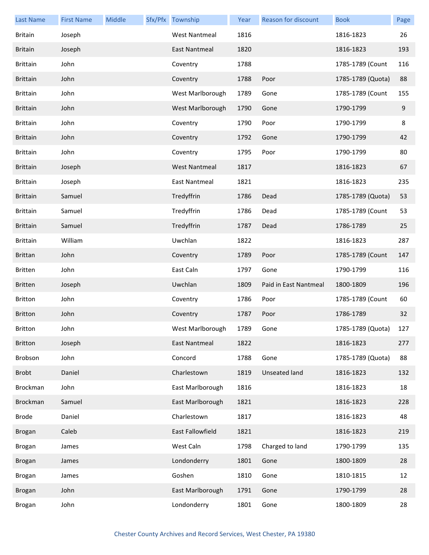| <b>Last Name</b> | <b>First Name</b> | Middle | Sfx/Pfx Township     | Year | Reason for discount   | <b>Book</b>       | Page |
|------------------|-------------------|--------|----------------------|------|-----------------------|-------------------|------|
| <b>Britain</b>   | Joseph            |        | <b>West Nantmeal</b> | 1816 |                       | 1816-1823         | 26   |
| <b>Britain</b>   | Joseph            |        | East Nantmeal        | 1820 |                       | 1816-1823         | 193  |
| <b>Brittain</b>  | John              |        | Coventry             | 1788 |                       | 1785-1789 (Count  | 116  |
| <b>Brittain</b>  | John              |        | Coventry             | 1788 | Poor                  | 1785-1789 (Quota) | 88   |
| <b>Brittain</b>  | John              |        | West Marlborough     | 1789 | Gone                  | 1785-1789 (Count  | 155  |
| <b>Brittain</b>  | John              |        | West Marlborough     | 1790 | Gone                  | 1790-1799         | 9    |
| <b>Brittain</b>  | John              |        | Coventry             | 1790 | Poor                  | 1790-1799         | 8    |
| <b>Brittain</b>  | John              |        | Coventry             | 1792 | Gone                  | 1790-1799         | 42   |
| <b>Brittain</b>  | John              |        | Coventry             | 1795 | Poor                  | 1790-1799         | 80   |
| <b>Brittain</b>  | Joseph            |        | <b>West Nantmeal</b> | 1817 |                       | 1816-1823         | 67   |
| <b>Brittain</b>  | Joseph            |        | <b>East Nantmeal</b> | 1821 |                       | 1816-1823         | 235  |
| <b>Brittain</b>  | Samuel            |        | Tredyffrin           | 1786 | Dead                  | 1785-1789 (Quota) | 53   |
| <b>Brittain</b>  | Samuel            |        | Tredyffrin           | 1786 | Dead                  | 1785-1789 (Count  | 53   |
| <b>Brittain</b>  | Samuel            |        | Tredyffrin           | 1787 | Dead                  | 1786-1789         | 25   |
| <b>Brittain</b>  | William           |        | Uwchlan              | 1822 |                       | 1816-1823         | 287  |
| <b>Brittan</b>   | John              |        | Coventry             | 1789 | Poor                  | 1785-1789 (Count  | 147  |
| <b>Britten</b>   | John              |        | East Caln            | 1797 | Gone                  | 1790-1799         | 116  |
| <b>Britten</b>   | Joseph            |        | Uwchlan              | 1809 | Paid in East Nantmeal | 1800-1809         | 196  |
| <b>Britton</b>   | John              |        | Coventry             | 1786 | Poor                  | 1785-1789 (Count  | 60   |
| <b>Britton</b>   | John              |        | Coventry             | 1787 | Poor                  | 1786-1789         | 32   |
| <b>Britton</b>   | John              |        | West Marlborough     | 1789 | Gone                  | 1785-1789 (Quota) | 127  |
| <b>Britton</b>   | Joseph            |        | East Nantmeal        | 1822 |                       | 1816-1823         | 277  |
| Brobson          | John              |        | Concord              | 1788 | Gone                  | 1785-1789 (Quota) | 88   |
| <b>Brobt</b>     | Daniel            |        | Charlestown          | 1819 | <b>Unseated land</b>  | 1816-1823         | 132  |
| Brockman         | John              |        | East Marlborough     | 1816 |                       | 1816-1823         | 18   |
| Brockman         | Samuel            |        | East Marlborough     | 1821 |                       | 1816-1823         | 228  |
| <b>Brode</b>     | Daniel            |        | Charlestown          | 1817 |                       | 1816-1823         | 48   |
| <b>Brogan</b>    | Caleb             |        | East Fallowfield     | 1821 |                       | 1816-1823         | 219  |
| <b>Brogan</b>    | James             |        | West Caln            | 1798 | Charged to land       | 1790-1799         | 135  |
| <b>Brogan</b>    | James             |        | Londonderry          | 1801 | Gone                  | 1800-1809         | 28   |
| <b>Brogan</b>    | James             |        | Goshen               | 1810 | Gone                  | 1810-1815         | 12   |
| <b>Brogan</b>    | John              |        | East Marlborough     | 1791 | Gone                  | 1790-1799         | 28   |
| <b>Brogan</b>    | John              |        | Londonderry          | 1801 | Gone                  | 1800-1809         | 28   |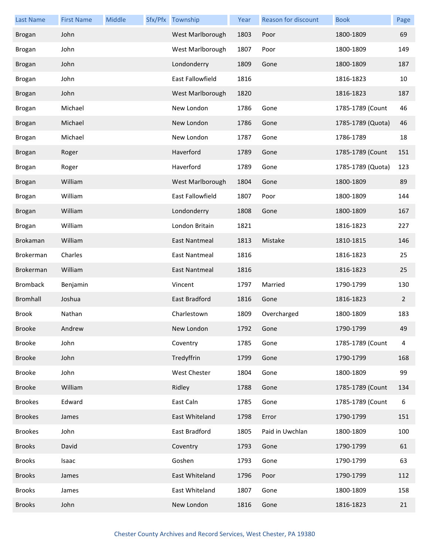| Last Name        | <b>First Name</b> | Middle | Sfx/Pfx Township     | Year | <b>Reason for discount</b> | <b>Book</b>       | Page           |
|------------------|-------------------|--------|----------------------|------|----------------------------|-------------------|----------------|
| <b>Brogan</b>    | John              |        | West Marlborough     | 1803 | Poor                       | 1800-1809         | 69             |
| Brogan           | John              |        | West Marlborough     | 1807 | Poor                       | 1800-1809         | 149            |
| <b>Brogan</b>    | John              |        | Londonderry          | 1809 | Gone                       | 1800-1809         | 187            |
| <b>Brogan</b>    | John              |        | East Fallowfield     | 1816 |                            | 1816-1823         | 10             |
| <b>Brogan</b>    | John              |        | West Marlborough     | 1820 |                            | 1816-1823         | 187            |
| Brogan           | Michael           |        | New London           | 1786 | Gone                       | 1785-1789 (Count  | 46             |
| <b>Brogan</b>    | Michael           |        | New London           | 1786 | Gone                       | 1785-1789 (Quota) | 46             |
| <b>Brogan</b>    | Michael           |        | New London           | 1787 | Gone                       | 1786-1789         | 18             |
| <b>Brogan</b>    | Roger             |        | Haverford            | 1789 | Gone                       | 1785-1789 (Count  | 151            |
| Brogan           | Roger             |        | Haverford            | 1789 | Gone                       | 1785-1789 (Quota) | 123            |
| <b>Brogan</b>    | William           |        | West Marlborough     | 1804 | Gone                       | 1800-1809         | 89             |
| Brogan           | William           |        | East Fallowfield     | 1807 | Poor                       | 1800-1809         | 144            |
| <b>Brogan</b>    | William           |        | Londonderry          | 1808 | Gone                       | 1800-1809         | 167            |
| Brogan           | William           |        | London Britain       | 1821 |                            | 1816-1823         | 227            |
| Brokaman         | William           |        | <b>East Nantmeal</b> | 1813 | Mistake                    | 1810-1815         | 146            |
| Brokerman        | Charles           |        | East Nantmeal        | 1816 |                            | 1816-1823         | 25             |
| <b>Brokerman</b> | William           |        | East Nantmeal        | 1816 |                            | 1816-1823         | 25             |
| <b>Bromback</b>  | Benjamin          |        | Vincent              | 1797 | Married                    | 1790-1799         | 130            |
| <b>Bromhall</b>  | Joshua            |        | East Bradford        | 1816 | Gone                       | 1816-1823         | $\overline{2}$ |
| <b>Brook</b>     | Nathan            |        | Charlestown          | 1809 | Overcharged                | 1800-1809         | 183            |
| <b>Brooke</b>    | Andrew            |        | New London           | 1792 | Gone                       | 1790-1799         | 49             |
| <b>Brooke</b>    | John              |        | Coventry             | 1785 | Gone                       | 1785-1789 (Count  | 4              |
| <b>Brooke</b>    | John              |        | Tredyffrin           | 1799 | Gone                       | 1790-1799         | 168            |
| <b>Brooke</b>    | John              |        | West Chester         | 1804 | Gone                       | 1800-1809         | 99             |
| <b>Brooke</b>    | William           |        | Ridley               | 1788 | Gone                       | 1785-1789 (Count  | 134            |
| <b>Brookes</b>   | Edward            |        | East Caln            | 1785 | Gone                       | 1785-1789 (Count  | 6              |
| <b>Brookes</b>   | James             |        | East Whiteland       | 1798 | Error                      | 1790-1799         | 151            |
| <b>Brookes</b>   | John              |        | East Bradford        | 1805 | Paid in Uwchlan            | 1800-1809         | 100            |
| <b>Brooks</b>    | David             |        | Coventry             | 1793 | Gone                       | 1790-1799         | 61             |
| <b>Brooks</b>    | Isaac             |        | Goshen               | 1793 | Gone                       | 1790-1799         | 63             |
| <b>Brooks</b>    | James             |        | East Whiteland       | 1796 | Poor                       | 1790-1799         | 112            |
| <b>Brooks</b>    | James             |        | East Whiteland       | 1807 | Gone                       | 1800-1809         | 158            |
| <b>Brooks</b>    | John              |        | New London           | 1816 | Gone                       | 1816-1823         | 21             |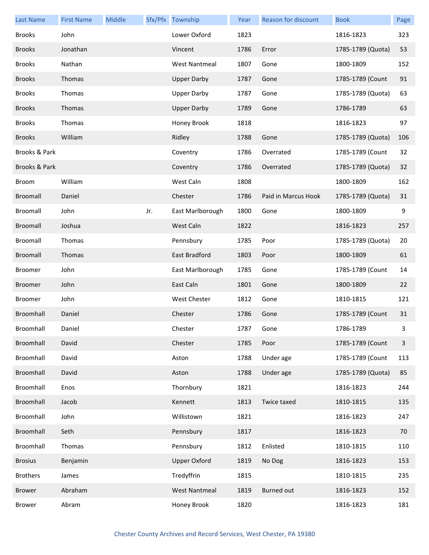| <b>Last Name</b> | <b>First Name</b> | Middle |     | Sfx/Pfx Township     | Year | Reason for discount | <b>Book</b>       | Page         |
|------------------|-------------------|--------|-----|----------------------|------|---------------------|-------------------|--------------|
| <b>Brooks</b>    | John              |        |     | Lower Oxford         | 1823 |                     | 1816-1823         | 323          |
| <b>Brooks</b>    | Jonathan          |        |     | Vincent              | 1786 | Error               | 1785-1789 (Quota) | 53           |
| <b>Brooks</b>    | Nathan            |        |     | <b>West Nantmeal</b> | 1807 | Gone                | 1800-1809         | 152          |
| <b>Brooks</b>    | Thomas            |        |     | <b>Upper Darby</b>   | 1787 | Gone                | 1785-1789 (Count  | 91           |
| <b>Brooks</b>    | Thomas            |        |     | <b>Upper Darby</b>   | 1787 | Gone                | 1785-1789 (Quota) | 63           |
| <b>Brooks</b>    | Thomas            |        |     | <b>Upper Darby</b>   | 1789 | Gone                | 1786-1789         | 63           |
| <b>Brooks</b>    | Thomas            |        |     | Honey Brook          | 1818 |                     | 1816-1823         | 97           |
| <b>Brooks</b>    | William           |        |     | Ridley               | 1788 | Gone                | 1785-1789 (Quota) | 106          |
| Brooks & Park    |                   |        |     | Coventry             | 1786 | Overrated           | 1785-1789 (Count  | 32           |
| Brooks & Park    |                   |        |     | Coventry             | 1786 | Overrated           | 1785-1789 (Quota) | 32           |
| <b>Broom</b>     | William           |        |     | West Caln            | 1808 |                     | 1800-1809         | 162          |
| Broomall         | Daniel            |        |     | Chester              | 1786 | Paid in Marcus Hook | 1785-1789 (Quota) | 31           |
| Broomall         | John              |        | Jr. | East Marlborough     | 1800 | Gone                | 1800-1809         | 9            |
| Broomall         | Joshua            |        |     | West Caln            | 1822 |                     | 1816-1823         | 257          |
| Broomall         | Thomas            |        |     | Pennsbury            | 1785 | Poor                | 1785-1789 (Quota) | 20           |
| Broomall         | Thomas            |        |     | East Bradford        | 1803 | Poor                | 1800-1809         | 61           |
| <b>Broomer</b>   | John              |        |     | East Marlborough     | 1785 | Gone                | 1785-1789 (Count  | 14           |
| <b>Broomer</b>   | John              |        |     | East Caln            | 1801 | Gone                | 1800-1809         | 22           |
| <b>Broomer</b>   | John              |        |     | West Chester         | 1812 | Gone                | 1810-1815         | 121          |
| Broomhall        | Daniel            |        |     | Chester              | 1786 | Gone                | 1785-1789 (Count  | 31           |
| Broomhall        | Daniel            |        |     | Chester              | 1787 | Gone                | 1786-1789         | 3            |
| Broomhall        | David             |        |     | Chester              | 1785 | Poor                | 1785-1789 (Count  | $\mathbf{3}$ |
| Broomhall        | David             |        |     | Aston                | 1788 | Under age           | 1785-1789 (Count  | 113          |
| Broomhall        | David             |        |     | Aston                | 1788 | Under age           | 1785-1789 (Quota) | 85           |
| Broomhall        | Enos              |        |     | Thornbury            | 1821 |                     | 1816-1823         | 244          |
| Broomhall        | Jacob             |        |     | Kennett              | 1813 | Twice taxed         | 1810-1815         | 135          |
| Broomhall        | John              |        |     | Willistown           | 1821 |                     | 1816-1823         | 247          |
| Broomhall        | Seth              |        |     | Pennsbury            | 1817 |                     | 1816-1823         | 70           |
| Broomhall        | Thomas            |        |     | Pennsbury            | 1812 | Enlisted            | 1810-1815         | 110          |
| <b>Brosius</b>   | Benjamin          |        |     | <b>Upper Oxford</b>  | 1819 | No Dog              | 1816-1823         | 153          |
| <b>Brothers</b>  | James             |        |     | Tredyffrin           | 1815 |                     | 1810-1815         | 235          |
| <b>Brower</b>    | Abraham           |        |     | <b>West Nantmeal</b> | 1819 | <b>Burned out</b>   | 1816-1823         | 152          |
| <b>Brower</b>    | Abram             |        |     | Honey Brook          | 1820 |                     | 1816-1823         | 181          |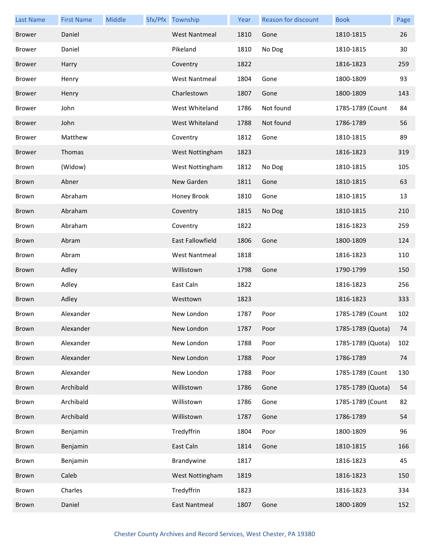| <b>Last Name</b> | <b>First Name</b> | Middle | Sfx/Pfx Township     | Year | <b>Reason for discount</b> | <b>Book</b>       | Page |
|------------------|-------------------|--------|----------------------|------|----------------------------|-------------------|------|
| <b>Brower</b>    | Daniel            |        | <b>West Nantmeal</b> | 1810 | Gone                       | 1810-1815         | 26   |
| <b>Brower</b>    | Daniel            |        | Pikeland             | 1810 | No Dog                     | 1810-1815         | 30   |
| <b>Brower</b>    | Harry             |        | Coventry             | 1822 |                            | 1816-1823         | 259  |
| <b>Brower</b>    | Henry             |        | <b>West Nantmeal</b> | 1804 | Gone                       | 1800-1809         | 93   |
| <b>Brower</b>    | Henry             |        | Charlestown          | 1807 | Gone                       | 1800-1809         | 143  |
| <b>Brower</b>    | John              |        | West Whiteland       | 1786 | Not found                  | 1785-1789 (Count  | 84   |
| <b>Brower</b>    | John              |        | West Whiteland       | 1788 | Not found                  | 1786-1789         | 56   |
| <b>Brower</b>    | Matthew           |        | Coventry             | 1812 | Gone                       | 1810-1815         | 89   |
| <b>Brower</b>    | Thomas            |        | West Nottingham      | 1823 |                            | 1816-1823         | 319  |
| <b>Brown</b>     | (Widow)           |        | West Nottingham      | 1812 | No Dog                     | 1810-1815         | 105  |
| <b>Brown</b>     | Abner             |        | New Garden           | 1811 | Gone                       | 1810-1815         | 63   |
| Brown            | Abraham           |        | Honey Brook          | 1810 | Gone                       | 1810-1815         | 13   |
| <b>Brown</b>     | Abraham           |        | Coventry             | 1815 | No Dog                     | 1810-1815         | 210  |
| Brown            | Abraham           |        | Coventry             | 1822 |                            | 1816-1823         | 259  |
| <b>Brown</b>     | Abram             |        | East Fallowfield     | 1806 | Gone                       | 1800-1809         | 124  |
| Brown            | Abram             |        | <b>West Nantmeal</b> | 1818 |                            | 1816-1823         | 110  |
| <b>Brown</b>     | Adley             |        | Willistown           | 1798 | Gone                       | 1790-1799         | 150  |
| Brown            | Adley             |        | East Caln            | 1822 |                            | 1816-1823         | 256  |
| <b>Brown</b>     | Adley             |        | Westtown             | 1823 |                            | 1816-1823         | 333  |
| Brown            | Alexander         |        | New London           | 1787 | Poor                       | 1785-1789 (Count  | 102  |
| Brown            | Alexander         |        | New London           | 1787 | Poor                       | 1785-1789 (Quota) | 74   |
| Brown            | Alexander         |        | New London           | 1788 | Poor                       | 1785-1789 (Quota) | 102  |
| Brown            | Alexander         |        | New London           | 1788 | Poor                       | 1786-1789         | 74   |
| Brown            | Alexander         |        | New London           | 1788 | Poor                       | 1785-1789 (Count  | 130  |
| Brown            | Archibald         |        | Willistown           | 1786 | Gone                       | 1785-1789 (Quota) | 54   |
| Brown            | Archibald         |        | Willistown           | 1786 | Gone                       | 1785-1789 (Count  | 82   |
| Brown            | Archibald         |        | Willistown           | 1787 | Gone                       | 1786-1789         | 54   |
| Brown            | Benjamin          |        | Tredyffrin           | 1804 | Poor                       | 1800-1809         | 96   |
| Brown            | Benjamin          |        | East Caln            | 1814 | Gone                       | 1810-1815         | 166  |
| Brown            | Benjamin          |        | Brandywine           | 1817 |                            | 1816-1823         | 45   |
| Brown            | Caleb             |        | West Nottingham      | 1819 |                            | 1816-1823         | 150  |
| Brown            | Charles           |        | Tredyffrin           | 1823 |                            | 1816-1823         | 334  |
| Brown            | Daniel            |        | <b>East Nantmeal</b> | 1807 | Gone                       | 1800-1809         | 152  |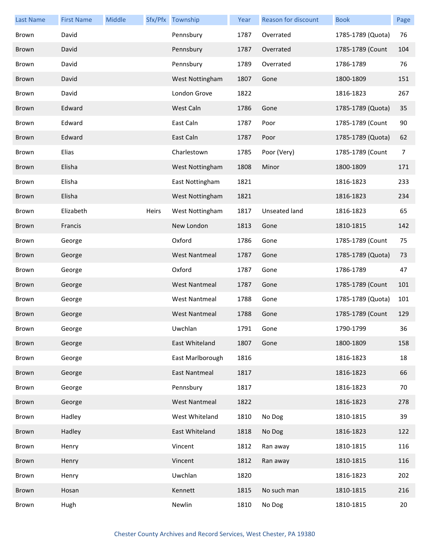| <b>Last Name</b> | <b>First Name</b> | Middle |       | Sfx/Pfx Township     | Year | Reason for discount | <b>Book</b>       | Page           |
|------------------|-------------------|--------|-------|----------------------|------|---------------------|-------------------|----------------|
| <b>Brown</b>     | David             |        |       | Pennsbury            | 1787 | Overrated           | 1785-1789 (Quota) | 76             |
| Brown            | David             |        |       | Pennsbury            | 1787 | Overrated           | 1785-1789 (Count  | 104            |
| Brown            | David             |        |       | Pennsbury            | 1789 | Overrated           | 1786-1789         | 76             |
| <b>Brown</b>     | David             |        |       | West Nottingham      | 1807 | Gone                | 1800-1809         | 151            |
| <b>Brown</b>     | David             |        |       | London Grove         | 1822 |                     | 1816-1823         | 267            |
| <b>Brown</b>     | Edward            |        |       | West Caln            | 1786 | Gone                | 1785-1789 (Quota) | 35             |
| Brown            | Edward            |        |       | East Caln            | 1787 | Poor                | 1785-1789 (Count  | 90             |
| <b>Brown</b>     | Edward            |        |       | East Caln            | 1787 | Poor                | 1785-1789 (Quota) | 62             |
| <b>Brown</b>     | Elias             |        |       | Charlestown          | 1785 | Poor (Very)         | 1785-1789 (Count  | $\overline{7}$ |
| <b>Brown</b>     | Elisha            |        |       | West Nottingham      | 1808 | Minor               | 1800-1809         | 171            |
| Brown            | Elisha            |        |       | East Nottingham      | 1821 |                     | 1816-1823         | 233            |
| <b>Brown</b>     | Elisha            |        |       | West Nottingham      | 1821 |                     | 1816-1823         | 234            |
| <b>Brown</b>     | Elizabeth         |        | Heirs | West Nottingham      | 1817 | Unseated land       | 1816-1823         | 65             |
| <b>Brown</b>     | Francis           |        |       | New London           | 1813 | Gone                | 1810-1815         | 142            |
| Brown            | George            |        |       | Oxford               | 1786 | Gone                | 1785-1789 (Count  | 75             |
| <b>Brown</b>     | George            |        |       | <b>West Nantmeal</b> | 1787 | Gone                | 1785-1789 (Quota) | 73             |
| <b>Brown</b>     | George            |        |       | Oxford               | 1787 | Gone                | 1786-1789         | 47             |
| <b>Brown</b>     | George            |        |       | <b>West Nantmeal</b> | 1787 | Gone                | 1785-1789 (Count  | 101            |
| <b>Brown</b>     | George            |        |       | <b>West Nantmeal</b> | 1788 | Gone                | 1785-1789 (Quota) | 101            |
| <b>Brown</b>     | George            |        |       | <b>West Nantmeal</b> | 1788 | Gone                | 1785-1789 (Count  | 129            |
| Brown            | George            |        |       | Uwchlan              | 1791 | Gone                | 1790-1799         | 36             |
| Brown            | George            |        |       | East Whiteland       | 1807 | Gone                | 1800-1809         | 158            |
| Brown            | George            |        |       | East Marlborough     | 1816 |                     | 1816-1823         | 18             |
| Brown            | George            |        |       | East Nantmeal        | 1817 |                     | 1816-1823         | 66             |
| Brown            | George            |        |       | Pennsbury            | 1817 |                     | 1816-1823         | 70             |
| Brown            | George            |        |       | <b>West Nantmeal</b> | 1822 |                     | 1816-1823         | 278            |
| Brown            | Hadley            |        |       | West Whiteland       | 1810 | No Dog              | 1810-1815         | 39             |
| Brown            | Hadley            |        |       | East Whiteland       | 1818 | No Dog              | 1816-1823         | 122            |
| Brown            | Henry             |        |       | Vincent              | 1812 | Ran away            | 1810-1815         | 116            |
| Brown            | Henry             |        |       | Vincent              | 1812 | Ran away            | 1810-1815         | 116            |
| Brown            | Henry             |        |       | Uwchlan              | 1820 |                     | 1816-1823         | 202            |
| Brown            | Hosan             |        |       | Kennett              | 1815 | No such man         | 1810-1815         | 216            |
| Brown            | Hugh              |        |       | Newlin               | 1810 | No Dog              | 1810-1815         | 20             |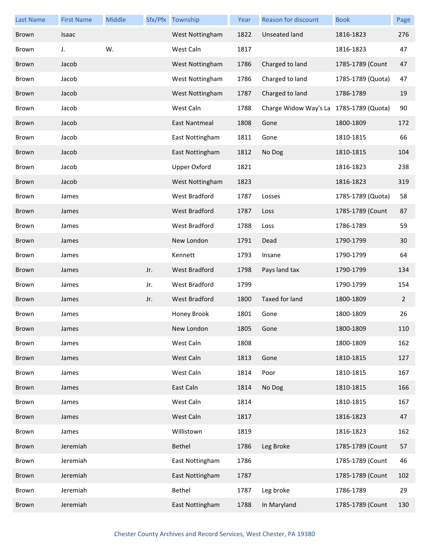| <b>Last Name</b> | <b>First Name</b> | Middle |     | Sfx/Pfx Township     | Year | <b>Reason for discount</b>              | <b>Book</b>       | Page           |
|------------------|-------------------|--------|-----|----------------------|------|-----------------------------------------|-------------------|----------------|
| <b>Brown</b>     | Isaac             |        |     | West Nottingham      | 1822 | Unseated land                           | 1816-1823         | 276            |
| Brown            | J.                | W.     |     | West Caln            | 1817 |                                         | 1816-1823         | 47             |
| <b>Brown</b>     | Jacob             |        |     | West Nottingham      | 1786 | Charged to land                         | 1785-1789 (Count  | 47             |
| <b>Brown</b>     | Jacob             |        |     | West Nottingham      | 1786 | Charged to land                         | 1785-1789 (Quota) | 47             |
| <b>Brown</b>     | Jacob             |        |     | West Nottingham      | 1787 | Charged to land                         | 1786-1789         | 19             |
| <b>Brown</b>     | Jacob             |        |     | West Caln            | 1788 | Charge Widow Way's La 1785-1789 (Quota) |                   | 90             |
| <b>Brown</b>     | Jacob             |        |     | East Nantmeal        | 1808 | Gone                                    | 1800-1809         | 172            |
| <b>Brown</b>     | Jacob             |        |     | East Nottingham      | 1811 | Gone                                    | 1810-1815         | 66             |
| <b>Brown</b>     | Jacob             |        |     | East Nottingham      | 1812 | No Dog                                  | 1810-1815         | 104            |
| Brown            | Jacob             |        |     | <b>Upper Oxford</b>  | 1821 |                                         | 1816-1823         | 238            |
| <b>Brown</b>     | Jacob             |        |     | West Nottingham      | 1823 |                                         | 1816-1823         | 319            |
| <b>Brown</b>     | James             |        |     | <b>West Bradford</b> | 1787 | Losses                                  | 1785-1789 (Quota) | 58             |
| <b>Brown</b>     | James             |        |     | West Bradford        | 1787 | Loss                                    | 1785-1789 (Count  | 87             |
| <b>Brown</b>     | James             |        |     | West Bradford        | 1788 | Loss                                    | 1786-1789         | 59             |
| <b>Brown</b>     | James             |        |     | New London           | 1791 | Dead                                    | 1790-1799         | 30             |
| <b>Brown</b>     | James             |        |     | Kennett              | 1793 | Insane                                  | 1790-1799         | 64             |
| <b>Brown</b>     | James             |        | Jr. | West Bradford        | 1798 | Pays land tax                           | 1790-1799         | 134            |
| <b>Brown</b>     | James             |        | Jr. | <b>West Bradford</b> | 1799 |                                         | 1790-1799         | 154            |
| <b>Brown</b>     | James             |        | Jr. | West Bradford        | 1800 | <b>Taxed for land</b>                   | 1800-1809         | $\overline{2}$ |
| Brown            | James             |        |     | Honey Brook          | 1801 | Gone                                    | 1800-1809         | 26             |
| Brown            | James             |        |     | New London           | 1805 | Gone                                    | 1800-1809         | 110            |
| Brown            | James             |        |     | West Caln            | 1808 |                                         | 1800-1809         | 162            |
| <b>Brown</b>     | James             |        |     | West Caln            | 1813 | Gone                                    | 1810-1815         | 127            |
| Brown            | James             |        |     | West Caln            | 1814 | Poor                                    | 1810-1815         | 167            |
| Brown            | James             |        |     | East Caln            | 1814 | No Dog                                  | 1810-1815         | 166            |
| Brown            | James             |        |     | West Caln            | 1814 |                                         | 1810-1815         | 167            |
| Brown            | James             |        |     | West Caln            | 1817 |                                         | 1816-1823         | 47             |
| Brown            | James             |        |     | Willistown           | 1819 |                                         | 1816-1823         | 162            |
| Brown            | Jeremiah          |        |     | Bethel               | 1786 | Leg Broke                               | 1785-1789 (Count  | 57             |
| Brown            | Jeremiah          |        |     | East Nottingham      | 1786 |                                         | 1785-1789 (Count  | 46             |
| Brown            | Jeremiah          |        |     | East Nottingham      | 1787 |                                         | 1785-1789 (Count  | 102            |
| Brown            | Jeremiah          |        |     | Bethel               | 1787 | Leg broke                               | 1786-1789         | 29             |
| Brown            | Jeremiah          |        |     | East Nottingham      | 1788 | In Maryland                             | 1785-1789 (Count  | 130            |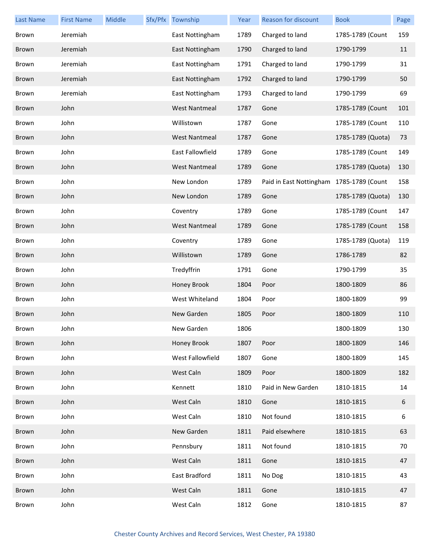| <b>Last Name</b> | <b>First Name</b> | <b>Middle</b> | Sfx/Pfx Township     | Year | Reason for discount                      | <b>Book</b>       | Page |
|------------------|-------------------|---------------|----------------------|------|------------------------------------------|-------------------|------|
| Brown            | Jeremiah          |               | East Nottingham      | 1789 | Charged to land                          | 1785-1789 (Count  | 159  |
| <b>Brown</b>     | Jeremiah          |               | East Nottingham      | 1790 | Charged to land                          | 1790-1799         | 11   |
| Brown            | Jeremiah          |               | East Nottingham      | 1791 | Charged to land                          | 1790-1799         | 31   |
| <b>Brown</b>     | Jeremiah          |               | East Nottingham      | 1792 | Charged to land                          | 1790-1799         | 50   |
| Brown            | Jeremiah          |               | East Nottingham      | 1793 | Charged to land                          | 1790-1799         | 69   |
| <b>Brown</b>     | John              |               | <b>West Nantmeal</b> | 1787 | Gone                                     | 1785-1789 (Count  | 101  |
| Brown            | John              |               | Willistown           | 1787 | Gone                                     | 1785-1789 (Count  | 110  |
| Brown            | John              |               | <b>West Nantmeal</b> | 1787 | Gone                                     | 1785-1789 (Quota) | 73   |
| Brown            | John              |               | East Fallowfield     | 1789 | Gone                                     | 1785-1789 (Count  | 149  |
| Brown            | John              |               | <b>West Nantmeal</b> | 1789 | Gone                                     | 1785-1789 (Quota) | 130  |
| Brown            | John              |               | New London           | 1789 | Paid in East Nottingham 1785-1789 (Count |                   | 158  |
| Brown            | John              |               | New London           | 1789 | Gone                                     | 1785-1789 (Quota) | 130  |
| Brown            | John              |               | Coventry             | 1789 | Gone                                     | 1785-1789 (Count  | 147  |
| <b>Brown</b>     | John              |               | <b>West Nantmeal</b> | 1789 | Gone                                     | 1785-1789 (Count  | 158  |
| Brown            | John              |               | Coventry             | 1789 | Gone                                     | 1785-1789 (Quota) | 119  |
| Brown            | John              |               | Willistown           | 1789 | Gone                                     | 1786-1789         | 82   |
| Brown            | John              |               | Tredyffrin           | 1791 | Gone                                     | 1790-1799         | 35   |
| <b>Brown</b>     | John              |               | Honey Brook          | 1804 | Poor                                     | 1800-1809         | 86   |
| Brown            | John              |               | West Whiteland       | 1804 | Poor                                     | 1800-1809         | 99   |
| Brown            | John              |               | New Garden           | 1805 | Poor                                     | 1800-1809         | 110  |
| Brown            | John              |               | New Garden           | 1806 |                                          | 1800-1809         | 130  |
| Brown            | John              |               | Honey Brook          | 1807 | Poor                                     | 1800-1809         | 146  |
| Brown            | John              |               | West Fallowfield     | 1807 | Gone                                     | 1800-1809         | 145  |
| Brown            | John              |               | West Caln            | 1809 | Poor                                     | 1800-1809         | 182  |
| Brown            | John              |               | Kennett              | 1810 | Paid in New Garden                       | 1810-1815         | 14   |
| Brown            | John              |               | West Caln            | 1810 | Gone                                     | 1810-1815         | 6    |
| Brown            | John              |               | West Caln            | 1810 | Not found                                | 1810-1815         | 6    |
| Brown            | John              |               | New Garden           | 1811 | Paid elsewhere                           | 1810-1815         | 63   |
| Brown            | John              |               | Pennsbury            | 1811 | Not found                                | 1810-1815         | 70   |
| Brown            | John              |               | West Caln            | 1811 | Gone                                     | 1810-1815         | 47   |
| Brown            | John              |               | East Bradford        | 1811 | No Dog                                   | 1810-1815         | 43   |
| Brown            | John              |               | West Caln            | 1811 | Gone                                     | 1810-1815         | 47   |
| Brown            | John              |               | West Caln            | 1812 | Gone                                     | 1810-1815         | 87   |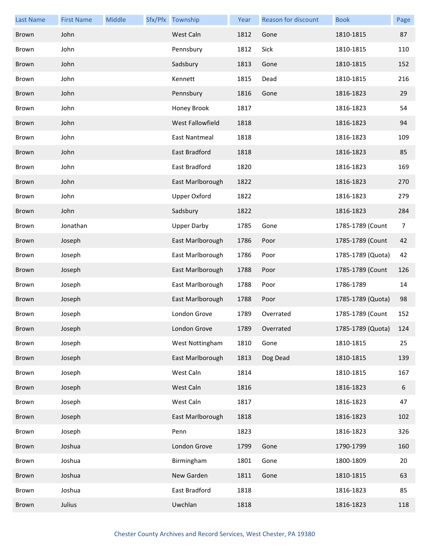| <b>Last Name</b> | <b>First Name</b> | Middle | Sfx/Pfx Township    | Year | <b>Reason for discount</b> | <b>Book</b>       | Page |
|------------------|-------------------|--------|---------------------|------|----------------------------|-------------------|------|
| <b>Brown</b>     | John              |        | West Caln           | 1812 | Gone                       | 1810-1815         | 87   |
| Brown            | John              |        | Pennsbury           | 1812 | Sick                       | 1810-1815         | 110  |
| <b>Brown</b>     | John              |        | Sadsbury            | 1813 | Gone                       | 1810-1815         | 152  |
| Brown            | John              |        | Kennett             | 1815 | Dead                       | 1810-1815         | 216  |
| <b>Brown</b>     | John              |        | Pennsbury           | 1816 | Gone                       | 1816-1823         | 29   |
| Brown            | John              |        | Honey Brook         | 1817 |                            | 1816-1823         | 54   |
| <b>Brown</b>     | John              |        | West Fallowfield    | 1818 |                            | 1816-1823         | 94   |
| Brown            | John              |        | East Nantmeal       | 1818 |                            | 1816-1823         | 109  |
| <b>Brown</b>     | John              |        | East Bradford       | 1818 |                            | 1816-1823         | 85   |
| Brown            | John              |        | East Bradford       | 1820 |                            | 1816-1823         | 169  |
| <b>Brown</b>     | John              |        | East Marlborough    | 1822 |                            | 1816-1823         | 270  |
| Brown            | John              |        | <b>Upper Oxford</b> | 1822 |                            | 1816-1823         | 279  |
| <b>Brown</b>     | John              |        | Sadsbury            | 1822 |                            | 1816-1823         | 284  |
| <b>Brown</b>     | Jonathan          |        | <b>Upper Darby</b>  | 1785 | Gone                       | 1785-1789 (Count  | 7    |
| <b>Brown</b>     | Joseph            |        | East Marlborough    | 1786 | Poor                       | 1785-1789 (Count  | 42   |
| Brown            | Joseph            |        | East Marlborough    | 1786 | Poor                       | 1785-1789 (Quota) | 42   |
| <b>Brown</b>     | Joseph            |        | East Marlborough    | 1788 | Poor                       | 1785-1789 (Count  | 126  |
| <b>Brown</b>     | Joseph            |        | East Marlborough    | 1788 | Poor                       | 1786-1789         | 14   |
| <b>Brown</b>     | Joseph            |        | East Marlborough    | 1788 | Poor                       | 1785-1789 (Quota) | 98   |
| <b>Brown</b>     | Joseph            |        | London Grove        | 1789 | Overrated                  | 1785-1789 (Count  | 152  |
| Brown            | Joseph            |        | London Grove        | 1789 | Overrated                  | 1785-1789 (Quota) | 124  |
| Brown            | Joseph            |        | West Nottingham     | 1810 | Gone                       | 1810-1815         | 25   |
| Brown            | Joseph            |        | East Marlborough    | 1813 | Dog Dead                   | 1810-1815         | 139  |
| Brown            | Joseph            |        | West Caln           | 1814 |                            | 1810-1815         | 167  |
| Brown            | Joseph            |        | West Caln           | 1816 |                            | 1816-1823         | 6    |
| Brown            | Joseph            |        | West Caln           | 1817 |                            | 1816-1823         | 47   |
| Brown            | Joseph            |        | East Marlborough    | 1818 |                            | 1816-1823         | 102  |
| Brown            | Joseph            |        | Penn                | 1823 |                            | 1816-1823         | 326  |
| Brown            | Joshua            |        | London Grove        | 1799 | Gone                       | 1790-1799         | 160  |
| Brown            | Joshua            |        | Birmingham          | 1801 | Gone                       | 1800-1809         | 20   |
| Brown            | Joshua            |        | New Garden          | 1811 | Gone                       | 1810-1815         | 63   |
| Brown            | Joshua            |        | East Bradford       | 1818 |                            | 1816-1823         | 85   |
| Brown            | Julius            |        | Uwchlan             | 1818 |                            | 1816-1823         | 118  |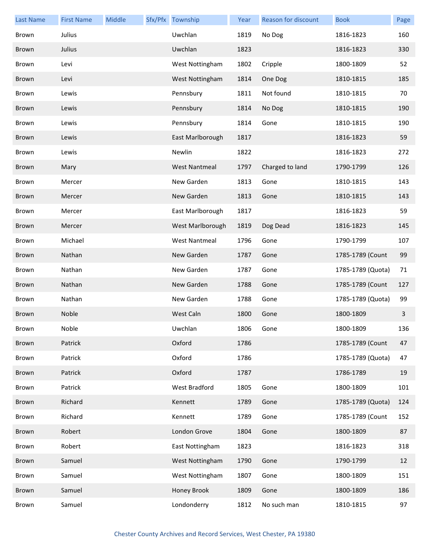| <b>Last Name</b> | <b>First Name</b> | Middle | Sfx/Pfx Township     | Year | <b>Reason for discount</b> | <b>Book</b>       | Page |
|------------------|-------------------|--------|----------------------|------|----------------------------|-------------------|------|
| Brown            | Julius            |        | Uwchlan              | 1819 | No Dog                     | 1816-1823         | 160  |
| Brown            | Julius            |        | Uwchlan              | 1823 |                            | 1816-1823         | 330  |
| Brown            | Levi              |        | West Nottingham      | 1802 | Cripple                    | 1800-1809         | 52   |
| <b>Brown</b>     | Levi              |        | West Nottingham      | 1814 | One Dog                    | 1810-1815         | 185  |
| <b>Brown</b>     | Lewis             |        | Pennsbury            | 1811 | Not found                  | 1810-1815         | 70   |
| <b>Brown</b>     | Lewis             |        | Pennsbury            | 1814 | No Dog                     | 1810-1815         | 190  |
| Brown            | Lewis             |        | Pennsbury            | 1814 | Gone                       | 1810-1815         | 190  |
| <b>Brown</b>     | Lewis             |        | East Marlborough     | 1817 |                            | 1816-1823         | 59   |
| <b>Brown</b>     | Lewis             |        | Newlin               | 1822 |                            | 1816-1823         | 272  |
| <b>Brown</b>     | Mary              |        | <b>West Nantmeal</b> | 1797 | Charged to land            | 1790-1799         | 126  |
| Brown            | Mercer            |        | New Garden           | 1813 | Gone                       | 1810-1815         | 143  |
| <b>Brown</b>     | Mercer            |        | New Garden           | 1813 | Gone                       | 1810-1815         | 143  |
| <b>Brown</b>     | Mercer            |        | East Marlborough     | 1817 |                            | 1816-1823         | 59   |
| <b>Brown</b>     | Mercer            |        | West Marlborough     | 1819 | Dog Dead                   | 1816-1823         | 145  |
| Brown            | Michael           |        | <b>West Nantmeal</b> | 1796 | Gone                       | 1790-1799         | 107  |
| <b>Brown</b>     | Nathan            |        | New Garden           | 1787 | Gone                       | 1785-1789 (Count  | 99   |
| <b>Brown</b>     | Nathan            |        | New Garden           | 1787 | Gone                       | 1785-1789 (Quota) | 71   |
| <b>Brown</b>     | Nathan            |        | New Garden           | 1788 | Gone                       | 1785-1789 (Count  | 127  |
| Brown            | Nathan            |        | New Garden           | 1788 | Gone                       | 1785-1789 (Quota) | 99   |
| <b>Brown</b>     | Noble             |        | West Caln            | 1800 | Gone                       | 1800-1809         | 3    |
| Brown            | Noble             |        | Uwchlan              | 1806 | Gone                       | 1800-1809         | 136  |
| Brown            | Patrick           |        | Oxford               | 1786 |                            | 1785-1789 (Count  | 47   |
| Brown            | Patrick           |        | Oxford               | 1786 |                            | 1785-1789 (Quota) | 47   |
| Brown            | Patrick           |        | Oxford               | 1787 |                            | 1786-1789         | 19   |
| Brown            | Patrick           |        | <b>West Bradford</b> | 1805 | Gone                       | 1800-1809         | 101  |
| Brown            | Richard           |        | Kennett              | 1789 | Gone                       | 1785-1789 (Quota) | 124  |
| Brown            | Richard           |        | Kennett              | 1789 | Gone                       | 1785-1789 (Count  | 152  |
| Brown            | Robert            |        | London Grove         | 1804 | Gone                       | 1800-1809         | 87   |
| Brown            | Robert            |        | East Nottingham      | 1823 |                            | 1816-1823         | 318  |
| Brown            | Samuel            |        | West Nottingham      | 1790 | Gone                       | 1790-1799         | 12   |
| Brown            | Samuel            |        | West Nottingham      | 1807 | Gone                       | 1800-1809         | 151  |
| Brown            | Samuel            |        | Honey Brook          | 1809 | Gone                       | 1800-1809         | 186  |
| Brown            | Samuel            |        | Londonderry          | 1812 | No such man                | 1810-1815         | 97   |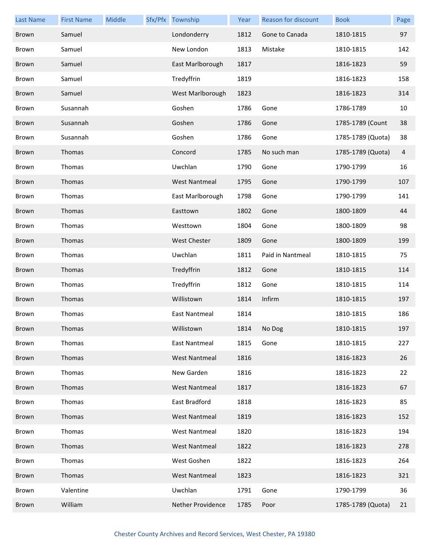| <b>Last Name</b> | <b>First Name</b> | Middle | Sfx/Pfx Township     | Year | Reason for discount | <b>Book</b>       | Page |
|------------------|-------------------|--------|----------------------|------|---------------------|-------------------|------|
| <b>Brown</b>     | Samuel            |        | Londonderry          | 1812 | Gone to Canada      | 1810-1815         | 97   |
| Brown            | Samuel            |        | New London           | 1813 | Mistake             | 1810-1815         | 142  |
| <b>Brown</b>     | Samuel            |        | East Marlborough     | 1817 |                     | 1816-1823         | 59   |
| Brown            | Samuel            |        | Tredyffrin           | 1819 |                     | 1816-1823         | 158  |
| <b>Brown</b>     | Samuel            |        | West Marlborough     | 1823 |                     | 1816-1823         | 314  |
| <b>Brown</b>     | Susannah          |        | Goshen               | 1786 | Gone                | 1786-1789         | 10   |
| <b>Brown</b>     | Susannah          |        | Goshen               | 1786 | Gone                | 1785-1789 (Count  | 38   |
| Brown            | Susannah          |        | Goshen               | 1786 | Gone                | 1785-1789 (Quota) | 38   |
| <b>Brown</b>     | Thomas            |        | Concord              | 1785 | No such man         | 1785-1789 (Quota) | 4    |
| <b>Brown</b>     | Thomas            |        | Uwchlan              | 1790 | Gone                | 1790-1799         | 16   |
| <b>Brown</b>     | Thomas            |        | <b>West Nantmeal</b> | 1795 | Gone                | 1790-1799         | 107  |
| Brown            | Thomas            |        | East Marlborough     | 1798 | Gone                | 1790-1799         | 141  |
| <b>Brown</b>     | Thomas            |        | Easttown             | 1802 | Gone                | 1800-1809         | 44   |
| <b>Brown</b>     | Thomas            |        | Westtown             | 1804 | Gone                | 1800-1809         | 98   |
| <b>Brown</b>     | Thomas            |        | <b>West Chester</b>  | 1809 | Gone                | 1800-1809         | 199  |
| Brown            | Thomas            |        | Uwchlan              | 1811 | Paid in Nantmeal    | 1810-1815         | 75   |
| <b>Brown</b>     | Thomas            |        | Tredyffrin           | 1812 | Gone                | 1810-1815         | 114  |
| Brown            | Thomas            |        | Tredyffrin           | 1812 | Gone                | 1810-1815         | 114  |
| Brown            | Thomas            |        | Willistown           | 1814 | Infirm              | 1810-1815         | 197  |
| Brown            | Thomas            |        | <b>East Nantmeal</b> | 1814 |                     | 1810-1815         | 186  |
| Brown            | Thomas            |        | Willistown           | 1814 | No Dog              | 1810-1815         | 197  |
| Brown            | Thomas            |        | East Nantmeal        | 1815 | Gone                | 1810-1815         | 227  |
| Brown            | Thomas            |        | <b>West Nantmeal</b> | 1816 |                     | 1816-1823         | 26   |
| Brown            | Thomas            |        | New Garden           | 1816 |                     | 1816-1823         | 22   |
| Brown            | Thomas            |        | <b>West Nantmeal</b> | 1817 |                     | 1816-1823         | 67   |
| Brown            | Thomas            |        | East Bradford        | 1818 |                     | 1816-1823         | 85   |
| Brown            | Thomas            |        | <b>West Nantmeal</b> | 1819 |                     | 1816-1823         | 152  |
| Brown            | Thomas            |        | <b>West Nantmeal</b> | 1820 |                     | 1816-1823         | 194  |
| Brown            | Thomas            |        | <b>West Nantmeal</b> | 1822 |                     | 1816-1823         | 278  |
| Brown            | Thomas            |        | West Goshen          | 1822 |                     | 1816-1823         | 264  |
| Brown            | Thomas            |        | <b>West Nantmeal</b> | 1823 |                     | 1816-1823         | 321  |
| Brown            | Valentine         |        | Uwchlan              | 1791 | Gone                | 1790-1799         | 36   |
| Brown            | William           |        | Nether Providence    | 1785 | Poor                | 1785-1789 (Quota) | 21   |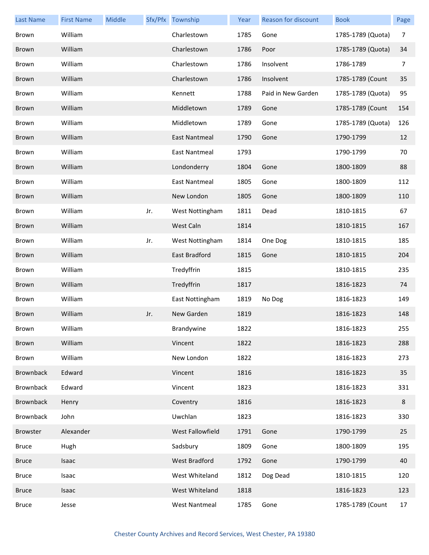| <b>Last Name</b> | <b>First Name</b> | Middle |     | Sfx/Pfx Township     | Year | <b>Reason for discount</b> | <b>Book</b>       | Page |
|------------------|-------------------|--------|-----|----------------------|------|----------------------------|-------------------|------|
| Brown            | William           |        |     | Charlestown          | 1785 | Gone                       | 1785-1789 (Quota) | 7    |
| Brown            | William           |        |     | Charlestown          | 1786 | Poor                       | 1785-1789 (Quota) | 34   |
| Brown            | William           |        |     | Charlestown          | 1786 | Insolvent                  | 1786-1789         | 7    |
| Brown            | William           |        |     | Charlestown          | 1786 | Insolvent                  | 1785-1789 (Count  | 35   |
| Brown            | William           |        |     | Kennett              | 1788 | Paid in New Garden         | 1785-1789 (Quota) | 95   |
| Brown            | William           |        |     | Middletown           | 1789 | Gone                       | 1785-1789 (Count  | 154  |
| Brown            | William           |        |     | Middletown           | 1789 | Gone                       | 1785-1789 (Quota) | 126  |
| Brown            | William           |        |     | East Nantmeal        | 1790 | Gone                       | 1790-1799         | 12   |
| Brown            | William           |        |     | <b>East Nantmeal</b> | 1793 |                            | 1790-1799         | 70   |
| Brown            | William           |        |     | Londonderry          | 1804 | Gone                       | 1800-1809         | 88   |
| Brown            | William           |        |     | <b>East Nantmeal</b> | 1805 | Gone                       | 1800-1809         | 112  |
| Brown            | William           |        |     | New London           | 1805 | Gone                       | 1800-1809         | 110  |
| Brown            | William           |        | Jr. | West Nottingham      | 1811 | Dead                       | 1810-1815         | 67   |
| Brown            | William           |        |     | West Caln            | 1814 |                            | 1810-1815         | 167  |
| Brown            | William           |        | Jr. | West Nottingham      | 1814 | One Dog                    | 1810-1815         | 185  |
| Brown            | William           |        |     | East Bradford        | 1815 | Gone                       | 1810-1815         | 204  |
| Brown            | William           |        |     | Tredyffrin           | 1815 |                            | 1810-1815         | 235  |
| Brown            | William           |        |     | Tredyffrin           | 1817 |                            | 1816-1823         | 74   |
| Brown            | William           |        |     | East Nottingham      | 1819 | No Dog                     | 1816-1823         | 149  |
| Brown            | William           |        | Jr. | New Garden           | 1819 |                            | 1816-1823         | 148  |
| Brown            | William           |        |     | Brandywine           | 1822 |                            | 1816-1823         | 255  |
| Brown            | William           |        |     | Vincent              | 1822 |                            | 1816-1823         | 288  |
| Brown            | William           |        |     | New London           | 1822 |                            | 1816-1823         | 273  |
| <b>Brownback</b> | Edward            |        |     | Vincent              | 1816 |                            | 1816-1823         | 35   |
| Brownback        | Edward            |        |     | Vincent              | 1823 |                            | 1816-1823         | 331  |
| <b>Brownback</b> | Henry             |        |     | Coventry             | 1816 |                            | 1816-1823         | 8    |
| Brownback        | John              |        |     | Uwchlan              | 1823 |                            | 1816-1823         | 330  |
| Browster         | Alexander         |        |     | West Fallowfield     | 1791 | Gone                       | 1790-1799         | 25   |
| <b>Bruce</b>     | Hugh              |        |     | Sadsbury             | 1809 | Gone                       | 1800-1809         | 195  |
| <b>Bruce</b>     | Isaac             |        |     | West Bradford        | 1792 | Gone                       | 1790-1799         | 40   |
| <b>Bruce</b>     | Isaac             |        |     | West Whiteland       | 1812 | Dog Dead                   | 1810-1815         | 120  |
| <b>Bruce</b>     | Isaac             |        |     | West Whiteland       | 1818 |                            | 1816-1823         | 123  |
| <b>Bruce</b>     | Jesse             |        |     | <b>West Nantmeal</b> | 1785 | Gone                       | 1785-1789 (Count  | 17   |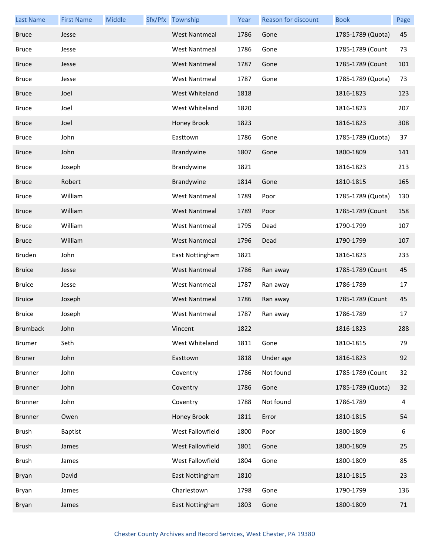| <b>Last Name</b> | <b>First Name</b> | Middle | Sfx/Pfx Township     | Year | Reason for discount | <b>Book</b>       | Page |
|------------------|-------------------|--------|----------------------|------|---------------------|-------------------|------|
| <b>Bruce</b>     | Jesse             |        | <b>West Nantmeal</b> | 1786 | Gone                | 1785-1789 (Quota) | 45   |
| <b>Bruce</b>     | Jesse             |        | <b>West Nantmeal</b> | 1786 | Gone                | 1785-1789 (Count  | 73   |
| <b>Bruce</b>     | Jesse             |        | <b>West Nantmeal</b> | 1787 | Gone                | 1785-1789 (Count  | 101  |
| <b>Bruce</b>     | Jesse             |        | <b>West Nantmeal</b> | 1787 | Gone                | 1785-1789 (Quota) | 73   |
| <b>Bruce</b>     | Joel              |        | West Whiteland       | 1818 |                     | 1816-1823         | 123  |
| <b>Bruce</b>     | Joel              |        | West Whiteland       | 1820 |                     | 1816-1823         | 207  |
| <b>Bruce</b>     | Joel              |        | Honey Brook          | 1823 |                     | 1816-1823         | 308  |
| <b>Bruce</b>     | John              |        | Easttown             | 1786 | Gone                | 1785-1789 (Quota) | 37   |
| <b>Bruce</b>     | John              |        | Brandywine           | 1807 | Gone                | 1800-1809         | 141  |
| <b>Bruce</b>     | Joseph            |        | Brandywine           | 1821 |                     | 1816-1823         | 213  |
| <b>Bruce</b>     | Robert            |        | Brandywine           | 1814 | Gone                | 1810-1815         | 165  |
| <b>Bruce</b>     | William           |        | <b>West Nantmeal</b> | 1789 | Poor                | 1785-1789 (Quota) | 130  |
| <b>Bruce</b>     | William           |        | <b>West Nantmeal</b> | 1789 | Poor                | 1785-1789 (Count  | 158  |
| <b>Bruce</b>     | William           |        | <b>West Nantmeal</b> | 1795 | Dead                | 1790-1799         | 107  |
| <b>Bruce</b>     | William           |        | <b>West Nantmeal</b> | 1796 | Dead                | 1790-1799         | 107  |
| Bruden           | John              |        | East Nottingham      | 1821 |                     | 1816-1823         | 233  |
| <b>Bruice</b>    | Jesse             |        | <b>West Nantmeal</b> | 1786 | Ran away            | 1785-1789 (Count  | 45   |
| <b>Bruice</b>    | Jesse             |        | <b>West Nantmeal</b> | 1787 | Ran away            | 1786-1789         | 17   |
| <b>Bruice</b>    | Joseph            |        | <b>West Nantmeal</b> | 1786 | Ran away            | 1785-1789 (Count  | 45   |
| <b>Bruice</b>    | Joseph            |        | <b>West Nantmeal</b> | 1787 | Ran away            | 1786-1789         | 17   |
| <b>Brumback</b>  | John              |        | Vincent              | 1822 |                     | 1816-1823         | 288  |
| <b>Brumer</b>    | Seth              |        | West Whiteland       | 1811 | Gone                | 1810-1815         | 79   |
| <b>Bruner</b>    | John              |        | Easttown             | 1818 | Under age           | 1816-1823         | 92   |
| <b>Brunner</b>   | John              |        | Coventry             | 1786 | Not found           | 1785-1789 (Count  | 32   |
| <b>Brunner</b>   | John              |        | Coventry             | 1786 | Gone                | 1785-1789 (Quota) | 32   |
| <b>Brunner</b>   | John              |        | Coventry             | 1788 | Not found           | 1786-1789         | 4    |
| <b>Brunner</b>   | Owen              |        | Honey Brook          | 1811 | Error               | 1810-1815         | 54   |
| <b>Brush</b>     | <b>Baptist</b>    |        | West Fallowfield     | 1800 | Poor                | 1800-1809         | 6    |
| <b>Brush</b>     | James             |        | West Fallowfield     | 1801 | Gone                | 1800-1809         | 25   |
| <b>Brush</b>     | James             |        | West Fallowfield     | 1804 | Gone                | 1800-1809         | 85   |
| Bryan            | David             |        | East Nottingham      | 1810 |                     | 1810-1815         | 23   |
| Bryan            | James             |        | Charlestown          | 1798 | Gone                | 1790-1799         | 136  |
| Bryan            | James             |        | East Nottingham      | 1803 | Gone                | 1800-1809         | 71   |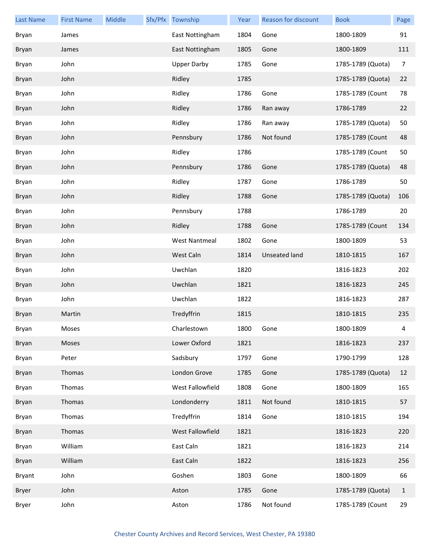| <b>Last Name</b> | <b>First Name</b> | Middle | Sfx/Pfx Township     | Year | <b>Reason for discount</b> | <b>Book</b>       | Page         |
|------------------|-------------------|--------|----------------------|------|----------------------------|-------------------|--------------|
| Bryan            | James             |        | East Nottingham      | 1804 | Gone                       | 1800-1809         | 91           |
| Bryan            | James             |        | East Nottingham      | 1805 | Gone                       | 1800-1809         | 111          |
| Bryan            | John              |        | <b>Upper Darby</b>   | 1785 | Gone                       | 1785-1789 (Quota) | 7            |
| Bryan            | John              |        | Ridley               | 1785 |                            | 1785-1789 (Quota) | 22           |
| Bryan            | John              |        | Ridley               | 1786 | Gone                       | 1785-1789 (Count  | 78           |
| Bryan            | John              |        | Ridley               | 1786 | Ran away                   | 1786-1789         | 22           |
| Bryan            | John              |        | Ridley               | 1786 | Ran away                   | 1785-1789 (Quota) | 50           |
| Bryan            | John              |        | Pennsbury            | 1786 | Not found                  | 1785-1789 (Count  | 48           |
| Bryan            | John              |        | Ridley               | 1786 |                            | 1785-1789 (Count  | 50           |
| Bryan            | John              |        | Pennsbury            | 1786 | Gone                       | 1785-1789 (Quota) | 48           |
| Bryan            | John              |        | Ridley               | 1787 | Gone                       | 1786-1789         | 50           |
| Bryan            | John              |        | Ridley               | 1788 | Gone                       | 1785-1789 (Quota) | 106          |
| Bryan            | John              |        | Pennsbury            | 1788 |                            | 1786-1789         | 20           |
| Bryan            | John              |        | Ridley               | 1788 | Gone                       | 1785-1789 (Count  | 134          |
| Bryan            | John              |        | <b>West Nantmeal</b> | 1802 | Gone                       | 1800-1809         | 53           |
| Bryan            | John              |        | West Caln            | 1814 | Unseated land              | 1810-1815         | 167          |
| Bryan            | John              |        | Uwchlan              | 1820 |                            | 1816-1823         | 202          |
| Bryan            | John              |        | Uwchlan              | 1821 |                            | 1816-1823         | 245          |
| Bryan            | John              |        | Uwchlan              | 1822 |                            | 1816-1823         | 287          |
| Bryan            | Martin            |        | Tredyffrin           | 1815 |                            | 1810-1815         | 235          |
| Bryan            | Moses             |        | Charlestown          | 1800 | Gone                       | 1800-1809         | 4            |
| Bryan            | Moses             |        | Lower Oxford         | 1821 |                            | 1816-1823         | 237          |
| Bryan            | Peter             |        | Sadsbury             | 1797 | Gone                       | 1790-1799         | 128          |
| Bryan            | Thomas            |        | London Grove         | 1785 | Gone                       | 1785-1789 (Quota) | 12           |
| Bryan            | Thomas            |        | West Fallowfield     | 1808 | Gone                       | 1800-1809         | 165          |
| Bryan            | Thomas            |        | Londonderry          | 1811 | Not found                  | 1810-1815         | 57           |
| Bryan            | Thomas            |        | Tredyffrin           | 1814 | Gone                       | 1810-1815         | 194          |
| Bryan            | Thomas            |        | West Fallowfield     | 1821 |                            | 1816-1823         | 220          |
| Bryan            | William           |        | East Caln            | 1821 |                            | 1816-1823         | 214          |
| Bryan            | William           |        | East Caln            | 1822 |                            | 1816-1823         | 256          |
| Bryant           | John              |        | Goshen               | 1803 | Gone                       | 1800-1809         | 66           |
| Bryer            | John              |        | Aston                | 1785 | Gone                       | 1785-1789 (Quota) | $\mathbf{1}$ |
| Bryer            | John              |        | Aston                | 1786 | Not found                  | 1785-1789 (Count  | 29           |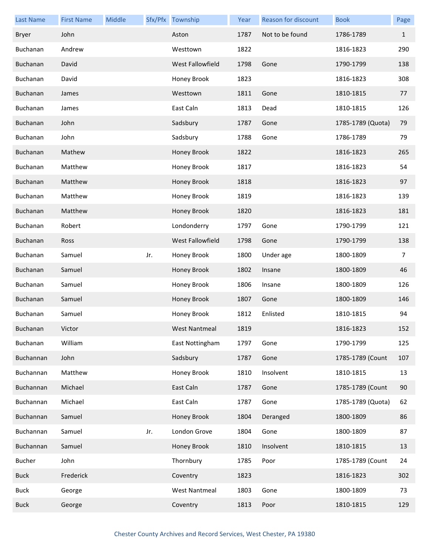| <b>Last Name</b> | <b>First Name</b> | Middle |     | Sfx/Pfx Township     | Year | Reason for discount | <b>Book</b>       | Page         |
|------------------|-------------------|--------|-----|----------------------|------|---------------------|-------------------|--------------|
| <b>Bryer</b>     | John              |        |     | Aston                | 1787 | Not to be found     | 1786-1789         | $\mathbf{1}$ |
| Buchanan         | Andrew            |        |     | Westtown             | 1822 |                     | 1816-1823         | 290          |
| Buchanan         | David             |        |     | West Fallowfield     | 1798 | Gone                | 1790-1799         | 138          |
| Buchanan         | David             |        |     | Honey Brook          | 1823 |                     | 1816-1823         | 308          |
| Buchanan         | James             |        |     | Westtown             | 1811 | Gone                | 1810-1815         | 77           |
| Buchanan         | James             |        |     | East Caln            | 1813 | Dead                | 1810-1815         | 126          |
| Buchanan         | John              |        |     | Sadsbury             | 1787 | Gone                | 1785-1789 (Quota) | 79           |
| Buchanan         | John              |        |     | Sadsbury             | 1788 | Gone                | 1786-1789         | 79           |
| Buchanan         | Mathew            |        |     | Honey Brook          | 1822 |                     | 1816-1823         | 265          |
| Buchanan         | Matthew           |        |     | Honey Brook          | 1817 |                     | 1816-1823         | 54           |
| Buchanan         | Matthew           |        |     | Honey Brook          | 1818 |                     | 1816-1823         | 97           |
| Buchanan         | Matthew           |        |     | Honey Brook          | 1819 |                     | 1816-1823         | 139          |
| Buchanan         | Matthew           |        |     | Honey Brook          | 1820 |                     | 1816-1823         | 181          |
| Buchanan         | Robert            |        |     | Londonderry          | 1797 | Gone                | 1790-1799         | 121          |
| Buchanan         | Ross              |        |     | West Fallowfield     | 1798 | Gone                | 1790-1799         | 138          |
| Buchanan         | Samuel            |        | Jr. | Honey Brook          | 1800 | Under age           | 1800-1809         | 7            |
| Buchanan         | Samuel            |        |     | Honey Brook          | 1802 | Insane              | 1800-1809         | 46           |
| Buchanan         | Samuel            |        |     | Honey Brook          | 1806 | Insane              | 1800-1809         | 126          |
| Buchanan         | Samuel            |        |     | Honey Brook          | 1807 | Gone                | 1800-1809         | 146          |
| Buchanan         | Samuel            |        |     | Honey Brook          | 1812 | Enlisted            | 1810-1815         | 94           |
| Buchanan         | Victor            |        |     | West Nantmeal        | 1819 |                     | 1816-1823         | 152          |
| Buchanan         | William           |        |     | East Nottingham      | 1797 | Gone                | 1790-1799         | 125          |
| Buchannan        | John              |        |     | Sadsbury             | 1787 | Gone                | 1785-1789 (Count  | 107          |
| Buchannan        | Matthew           |        |     | Honey Brook          | 1810 | Insolvent           | 1810-1815         | 13           |
| Buchannan        | Michael           |        |     | East Caln            | 1787 | Gone                | 1785-1789 (Count  | 90           |
| Buchannan        | Michael           |        |     | East Caln            | 1787 | Gone                | 1785-1789 (Quota) | 62           |
| Buchannan        | Samuel            |        |     | Honey Brook          | 1804 | Deranged            | 1800-1809         | 86           |
| Buchannan        | Samuel            |        | Jr. | London Grove         | 1804 | Gone                | 1800-1809         | 87           |
| Buchannan        | Samuel            |        |     | Honey Brook          | 1810 | Insolvent           | 1810-1815         | 13           |
| <b>Bucher</b>    | John              |        |     | Thornbury            | 1785 | Poor                | 1785-1789 (Count  | 24           |
| <b>Buck</b>      | Frederick         |        |     | Coventry             | 1823 |                     | 1816-1823         | 302          |
| <b>Buck</b>      | George            |        |     | <b>West Nantmeal</b> | 1803 | Gone                | 1800-1809         | 73           |
| <b>Buck</b>      | George            |        |     | Coventry             | 1813 | Poor                | 1810-1815         | 129          |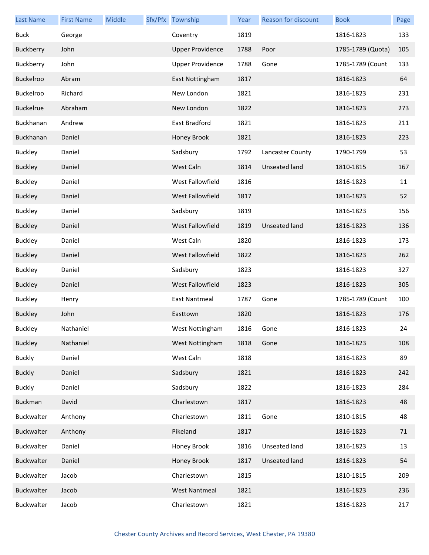| <b>Last Name</b> | <b>First Name</b> | Middle | Sfx/Pfx Township        | Year | Reason for discount | <b>Book</b>       | Page |
|------------------|-------------------|--------|-------------------------|------|---------------------|-------------------|------|
| <b>Buck</b>      | George            |        | Coventry                | 1819 |                     | 1816-1823         | 133  |
| Buckberry        | John              |        | <b>Upper Providence</b> | 1788 | Poor                | 1785-1789 (Quota) | 105  |
| Buckberry        | John              |        | <b>Upper Providence</b> | 1788 | Gone                | 1785-1789 (Count  | 133  |
| Buckelroo        | Abram             |        | East Nottingham         | 1817 |                     | 1816-1823         | 64   |
| Buckelroo        | Richard           |        | New London              | 1821 |                     | 1816-1823         | 231  |
| <b>Buckelrue</b> | Abraham           |        | New London              | 1822 |                     | 1816-1823         | 273  |
| Buckhanan        | Andrew            |        | East Bradford           | 1821 |                     | 1816-1823         | 211  |
| Buckhanan        | Daniel            |        | Honey Brook             | 1821 |                     | 1816-1823         | 223  |
| <b>Buckley</b>   | Daniel            |        | Sadsbury                | 1792 | Lancaster County    | 1790-1799         | 53   |
| <b>Buckley</b>   | Daniel            |        | West Caln               | 1814 | Unseated land       | 1810-1815         | 167  |
| <b>Buckley</b>   | Daniel            |        | West Fallowfield        | 1816 |                     | 1816-1823         | 11   |
| <b>Buckley</b>   | Daniel            |        | <b>West Fallowfield</b> | 1817 |                     | 1816-1823         | 52   |
| <b>Buckley</b>   | Daniel            |        | Sadsbury                | 1819 |                     | 1816-1823         | 156  |
| <b>Buckley</b>   | Daniel            |        | West Fallowfield        | 1819 | Unseated land       | 1816-1823         | 136  |
| <b>Buckley</b>   | Daniel            |        | West Caln               | 1820 |                     | 1816-1823         | 173  |
| <b>Buckley</b>   | Daniel            |        | West Fallowfield        | 1822 |                     | 1816-1823         | 262  |
| <b>Buckley</b>   | Daniel            |        | Sadsbury                | 1823 |                     | 1816-1823         | 327  |
| <b>Buckley</b>   | Daniel            |        | West Fallowfield        | 1823 |                     | 1816-1823         | 305  |
| <b>Buckley</b>   | Henry             |        | East Nantmeal           | 1787 | Gone                | 1785-1789 (Count  | 100  |
| <b>Buckley</b>   | John              |        | Easttown                | 1820 |                     | 1816-1823         | 176  |
| <b>Buckley</b>   | Nathaniel         |        | West Nottingham         | 1816 | Gone                | 1816-1823         | 24   |
| <b>Buckley</b>   | Nathaniel         |        | West Nottingham         | 1818 | Gone                | 1816-1823         | 108  |
| <b>Buckly</b>    | Daniel            |        | West Caln               | 1818 |                     | 1816-1823         | 89   |
| <b>Buckly</b>    | Daniel            |        | Sadsbury                | 1821 |                     | 1816-1823         | 242  |
| <b>Buckly</b>    | Daniel            |        | Sadsbury                | 1822 |                     | 1816-1823         | 284  |
| <b>Buckman</b>   | David             |        | Charlestown             | 1817 |                     | 1816-1823         | 48   |
| Buckwalter       | Anthony           |        | Charlestown             | 1811 | Gone                | 1810-1815         | 48   |
| Buckwalter       | Anthony           |        | Pikeland                | 1817 |                     | 1816-1823         | 71   |
| Buckwalter       | Daniel            |        | Honey Brook             | 1816 | Unseated land       | 1816-1823         | 13   |
| Buckwalter       | Daniel            |        | Honey Brook             | 1817 | Unseated land       | 1816-1823         | 54   |
| Buckwalter       | Jacob             |        | Charlestown             | 1815 |                     | 1810-1815         | 209  |
| Buckwalter       | Jacob             |        | <b>West Nantmeal</b>    | 1821 |                     | 1816-1823         | 236  |
| Buckwalter       | Jacob             |        | Charlestown             | 1821 |                     | 1816-1823         | 217  |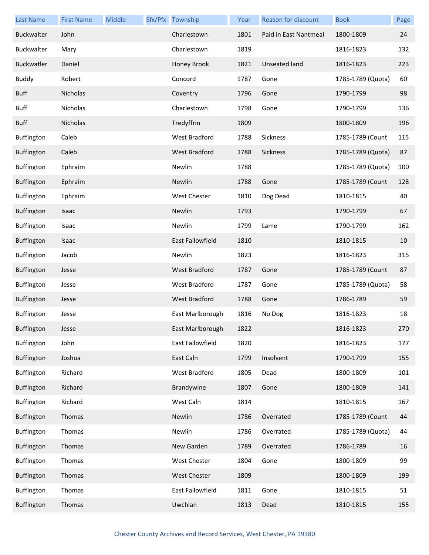| Last Name         | <b>First Name</b> | Middle | Sfx/Pfx Township        | Year | <b>Reason for discount</b> | <b>Book</b>       | Page |
|-------------------|-------------------|--------|-------------------------|------|----------------------------|-------------------|------|
| Buckwalter        | John              |        | Charlestown             | 1801 | Paid in East Nantmeal      | 1800-1809         | 24   |
| Buckwalter        | Mary              |        | Charlestown             | 1819 |                            | 1816-1823         | 132  |
| <b>Buckwatler</b> | Daniel            |        | Honey Brook             | 1821 | Unseated land              | 1816-1823         | 223  |
| <b>Buddy</b>      | Robert            |        | Concord                 | 1787 | Gone                       | 1785-1789 (Quota) | 60   |
| <b>Buff</b>       | Nicholas          |        | Coventry                | 1796 | Gone                       | 1790-1799         | 98   |
| <b>Buff</b>       | Nicholas          |        | Charlestown             | 1798 | Gone                       | 1790-1799         | 136  |
| <b>Buff</b>       | Nicholas          |        | Tredyffrin              | 1809 |                            | 1800-1809         | 196  |
| Buffington        | Caleb             |        | West Bradford           | 1788 | Sickness                   | 1785-1789 (Count  | 115  |
| Buffington        | Caleb             |        | West Bradford           | 1788 | Sickness                   | 1785-1789 (Quota) | 87   |
| Buffington        | Ephraim           |        | Newlin                  | 1788 |                            | 1785-1789 (Quota) | 100  |
| Buffington        | Ephraim           |        | Newlin                  | 1788 | Gone                       | 1785-1789 (Count  | 128  |
| Buffington        | Ephraim           |        | West Chester            | 1810 | Dog Dead                   | 1810-1815         | 40   |
| Buffington        | Isaac             |        | Newlin                  | 1793 |                            | 1790-1799         | 67   |
| Buffington        | Isaac             |        | Newlin                  | 1799 | Lame                       | 1790-1799         | 162  |
| Buffington        | Isaac             |        | <b>East Fallowfield</b> | 1810 |                            | 1810-1815         | 10   |
| Buffington        | Jacob             |        | Newlin                  | 1823 |                            | 1816-1823         | 315  |
| Buffington        | Jesse             |        | West Bradford           | 1787 | Gone                       | 1785-1789 (Count  | 87   |
| Buffington        | Jesse             |        | <b>West Bradford</b>    | 1787 | Gone                       | 1785-1789 (Quota) | 58   |
| Buffington        | Jesse             |        | West Bradford           | 1788 | Gone                       | 1786-1789         | 59   |
| Buffington        | Jesse             |        | East Marlborough        | 1816 | No Dog                     | 1816-1823         | 18   |
| Buffington        | Jesse             |        | East Marlborough        | 1822 |                            | 1816-1823         | 270  |
| Buffington        | John              |        | East Fallowfield        | 1820 |                            | 1816-1823         | 177  |
| Buffington        | Joshua            |        | East Caln               | 1799 | Insolvent                  | 1790-1799         | 155  |
| Buffington        | Richard           |        | West Bradford           | 1805 | Dead                       | 1800-1809         | 101  |
| Buffington        | Richard           |        | Brandywine              | 1807 | Gone                       | 1800-1809         | 141  |
| Buffington        | Richard           |        | West Caln               | 1814 |                            | 1810-1815         | 167  |
| Buffington        | Thomas            |        | Newlin                  | 1786 | Overrated                  | 1785-1789 (Count  | 44   |
| Buffington        | Thomas            |        | Newlin                  | 1786 | Overrated                  | 1785-1789 (Quota) | 44   |
| Buffington        | Thomas            |        | New Garden              | 1789 | Overrated                  | 1786-1789         | 16   |
| Buffington        | Thomas            |        | West Chester            | 1804 | Gone                       | 1800-1809         | 99   |
| Buffington        | Thomas            |        | <b>West Chester</b>     | 1809 |                            | 1800-1809         | 199  |
| Buffington        | Thomas            |        | East Fallowfield        | 1811 | Gone                       | 1810-1815         | 51   |
| Buffington        | Thomas            |        | Uwchlan                 | 1813 | Dead                       | 1810-1815         | 155  |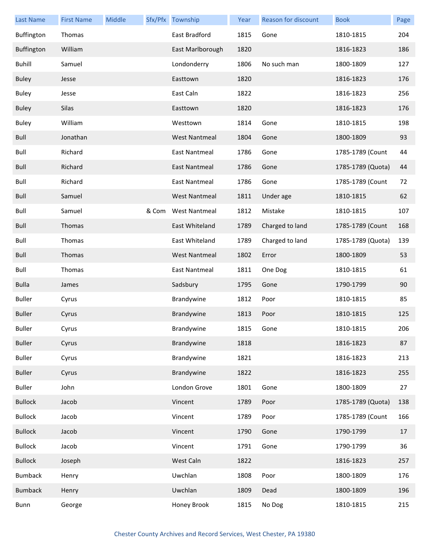| <b>Last Name</b> | <b>First Name</b> | Middle |       | Sfx/Pfx Township     | Year | Reason for discount | <b>Book</b>       | Page |
|------------------|-------------------|--------|-------|----------------------|------|---------------------|-------------------|------|
| Buffington       | Thomas            |        |       | East Bradford        | 1815 | Gone                | 1810-1815         | 204  |
| Buffington       | William           |        |       | East Marlborough     | 1820 |                     | 1816-1823         | 186  |
| <b>Buhill</b>    | Samuel            |        |       | Londonderry          | 1806 | No such man         | 1800-1809         | 127  |
| <b>Buley</b>     | Jesse             |        |       | Easttown             | 1820 |                     | 1816-1823         | 176  |
| <b>Buley</b>     | Jesse             |        |       | East Caln            | 1822 |                     | 1816-1823         | 256  |
| <b>Buley</b>     | Silas             |        |       | Easttown             | 1820 |                     | 1816-1823         | 176  |
| <b>Buley</b>     | William           |        |       | Westtown             | 1814 | Gone                | 1810-1815         | 198  |
| Bull             | Jonathan          |        |       | <b>West Nantmeal</b> | 1804 | Gone                | 1800-1809         | 93   |
| Bull             | Richard           |        |       | <b>East Nantmeal</b> | 1786 | Gone                | 1785-1789 (Count  | 44   |
| Bull             | Richard           |        |       | East Nantmeal        | 1786 | Gone                | 1785-1789 (Quota) | 44   |
| Bull             | Richard           |        |       | <b>East Nantmeal</b> | 1786 | Gone                | 1785-1789 (Count  | 72   |
| Bull             | Samuel            |        |       | <b>West Nantmeal</b> | 1811 | Under age           | 1810-1815         | 62   |
| Bull             | Samuel            |        | & Com | <b>West Nantmeal</b> | 1812 | Mistake             | 1810-1815         | 107  |
| Bull             | Thomas            |        |       | East Whiteland       | 1789 | Charged to land     | 1785-1789 (Count  | 168  |
| Bull             | Thomas            |        |       | East Whiteland       | 1789 | Charged to land     | 1785-1789 (Quota) | 139  |
| Bull             | Thomas            |        |       | <b>West Nantmeal</b> | 1802 | Error               | 1800-1809         | 53   |
| Bull             | Thomas            |        |       | <b>East Nantmeal</b> | 1811 | One Dog             | 1810-1815         | 61   |
| <b>Bulla</b>     | James             |        |       | Sadsbury             | 1795 | Gone                | 1790-1799         | 90   |
| <b>Buller</b>    | Cyrus             |        |       | Brandywine           | 1812 | Poor                | 1810-1815         | 85   |
| <b>Buller</b>    | Cyrus             |        |       | Brandywine           | 1813 | Poor                | 1810-1815         | 125  |
| <b>Buller</b>    | Cyrus             |        |       | Brandywine           | 1815 | Gone                | 1810-1815         | 206  |
| <b>Buller</b>    | Cyrus             |        |       | Brandywine           | 1818 |                     | 1816-1823         | 87   |
| <b>Buller</b>    | Cyrus             |        |       | Brandywine           | 1821 |                     | 1816-1823         | 213  |
| <b>Buller</b>    | Cyrus             |        |       | Brandywine           | 1822 |                     | 1816-1823         | 255  |
| <b>Buller</b>    | John              |        |       | London Grove         | 1801 | Gone                | 1800-1809         | 27   |
| <b>Bullock</b>   | Jacob             |        |       | Vincent              | 1789 | Poor                | 1785-1789 (Quota) | 138  |
| <b>Bullock</b>   | Jacob             |        |       | Vincent              | 1789 | Poor                | 1785-1789 (Count  | 166  |
| <b>Bullock</b>   | Jacob             |        |       | Vincent              | 1790 | Gone                | 1790-1799         | 17   |
| <b>Bullock</b>   | Jacob             |        |       | Vincent              | 1791 | Gone                | 1790-1799         | 36   |
| <b>Bullock</b>   | Joseph            |        |       | West Caln            | 1822 |                     | 1816-1823         | 257  |
| <b>Bumback</b>   | Henry             |        |       | Uwchlan              | 1808 | Poor                | 1800-1809         | 176  |
| <b>Bumback</b>   | Henry             |        |       | Uwchlan              | 1809 | Dead                | 1800-1809         | 196  |
| Bunn             | George            |        |       | Honey Brook          | 1815 | No Dog              | 1810-1815         | 215  |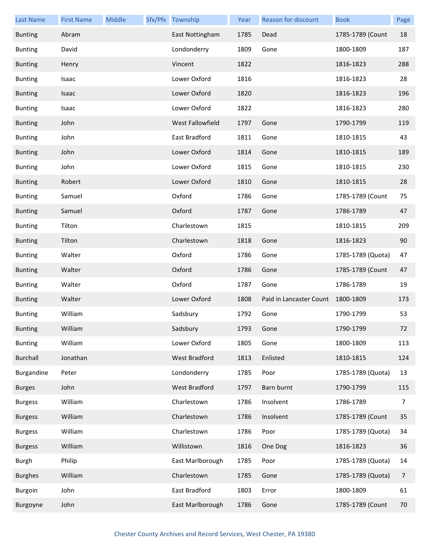| <b>Last Name</b> | <b>First Name</b> | Middle | Sfx/Pfx Township        | Year | Reason for discount     | <b>Book</b>       | Page |
|------------------|-------------------|--------|-------------------------|------|-------------------------|-------------------|------|
| <b>Bunting</b>   | Abram             |        | East Nottingham         | 1785 | Dead                    | 1785-1789 (Count  | 18   |
| <b>Bunting</b>   | David             |        | Londonderry             | 1809 | Gone                    | 1800-1809         | 187  |
| <b>Bunting</b>   | Henry             |        | Vincent                 | 1822 |                         | 1816-1823         | 288  |
| <b>Bunting</b>   | Isaac             |        | Lower Oxford            | 1816 |                         | 1816-1823         | 28   |
| <b>Bunting</b>   | Isaac             |        | Lower Oxford            | 1820 |                         | 1816-1823         | 196  |
| <b>Bunting</b>   | Isaac             |        | Lower Oxford            | 1822 |                         | 1816-1823         | 280  |
| <b>Bunting</b>   | John              |        | <b>West Fallowfield</b> | 1797 | Gone                    | 1790-1799         | 119  |
| <b>Bunting</b>   | John              |        | East Bradford           | 1811 | Gone                    | 1810-1815         | 43   |
| <b>Bunting</b>   | John              |        | Lower Oxford            | 1814 | Gone                    | 1810-1815         | 189  |
| <b>Bunting</b>   | John              |        | Lower Oxford            | 1815 | Gone                    | 1810-1815         | 230  |
| <b>Bunting</b>   | Robert            |        | Lower Oxford            | 1810 | Gone                    | 1810-1815         | 28   |
| <b>Bunting</b>   | Samuel            |        | Oxford                  | 1786 | Gone                    | 1785-1789 (Count  | 75   |
| <b>Bunting</b>   | Samuel            |        | Oxford                  | 1787 | Gone                    | 1786-1789         | 47   |
| <b>Bunting</b>   | Tilton            |        | Charlestown             | 1815 |                         | 1810-1815         | 209  |
| <b>Bunting</b>   | Tilton            |        | Charlestown             | 1818 | Gone                    | 1816-1823         | 90   |
| <b>Bunting</b>   | Walter            |        | Oxford                  | 1786 | Gone                    | 1785-1789 (Quota) | 47   |
| <b>Bunting</b>   | Walter            |        | Oxford                  | 1786 | Gone                    | 1785-1789 (Count  | 47   |
| <b>Bunting</b>   | Walter            |        | Oxford                  | 1787 | Gone                    | 1786-1789         | 19   |
| <b>Bunting</b>   | Walter            |        | Lower Oxford            | 1808 | Paid in Lancaster Count | 1800-1809         | 173  |
| <b>Bunting</b>   | William           |        | Sadsbury                | 1792 | Gone                    | 1790-1799         | 53   |
| <b>Bunting</b>   | William           |        | Sadsbury                | 1793 | Gone                    | 1790-1799         | 72   |
| <b>Bunting</b>   | William           |        | Lower Oxford            | 1805 | Gone                    | 1800-1809         | 113  |
| <b>Burchall</b>  | Jonathan          |        | West Bradford           | 1813 | Enlisted                | 1810-1815         | 124  |
| Burgandine       | Peter             |        | Londonderry             | 1785 | Poor                    | 1785-1789 (Quota) | 13   |
| <b>Burges</b>    | John              |        | West Bradford           | 1797 | Barn burnt              | 1790-1799         | 115  |
| <b>Burgess</b>   | William           |        | Charlestown             | 1786 | Insolvent               | 1786-1789         | 7    |
| <b>Burgess</b>   | William           |        | Charlestown             | 1786 | Insolvent               | 1785-1789 (Count  | 35   |
| <b>Burgess</b>   | William           |        | Charlestown             | 1786 | Poor                    | 1785-1789 (Quota) | 34   |
| <b>Burgess</b>   | William           |        | Willistown              | 1816 | One Dog                 | 1816-1823         | 36   |
| Burgh            | Philip            |        | East Marlborough        | 1785 | Poor                    | 1785-1789 (Quota) | 14   |
| <b>Burghes</b>   | William           |        | Charlestown             | 1785 | Gone                    | 1785-1789 (Quota) | 7    |
| Burgoin          | John              |        | East Bradford           | 1803 | Error                   | 1800-1809         | 61   |
| Burgoyne         | John              |        | East Marlborough        | 1786 | Gone                    | 1785-1789 (Count  | 70   |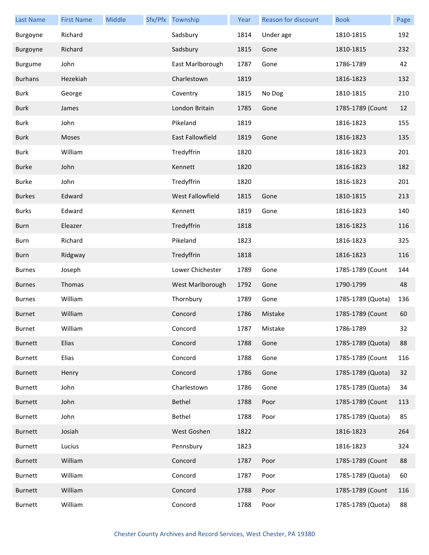| <b>Last Name</b> | <b>First Name</b> | Middle | Sfx/Pfx Township | Year | Reason for discount | <b>Book</b>       | Page |
|------------------|-------------------|--------|------------------|------|---------------------|-------------------|------|
| Burgoyne         | Richard           |        | Sadsbury         | 1814 | Under age           | 1810-1815         | 192  |
| Burgoyne         | Richard           |        | Sadsbury         | 1815 | Gone                | 1810-1815         | 232  |
| Burgume          | John              |        | East Marlborough | 1787 | Gone                | 1786-1789         | 42   |
| <b>Burhans</b>   | Hezekiah          |        | Charlestown      | 1819 |                     | 1816-1823         | 132  |
| <b>Burk</b>      | George            |        | Coventry         | 1815 | No Dog              | 1810-1815         | 210  |
| <b>Burk</b>      | James             |        | London Britain   | 1785 | Gone                | 1785-1789 (Count  | 12   |
| <b>Burk</b>      | John              |        | Pikeland         | 1819 |                     | 1816-1823         | 155  |
| <b>Burk</b>      | Moses             |        | East Fallowfield | 1819 | Gone                | 1816-1823         | 135  |
| <b>Burk</b>      | William           |        | Tredyffrin       | 1820 |                     | 1816-1823         | 201  |
| <b>Burke</b>     | John              |        | Kennett          | 1820 |                     | 1816-1823         | 182  |
| <b>Burke</b>     | John              |        | Tredyffrin       | 1820 |                     | 1816-1823         | 201  |
| <b>Burkes</b>    | Edward            |        | West Fallowfield | 1815 | Gone                | 1810-1815         | 213  |
| <b>Burks</b>     | Edward            |        | Kennett          | 1819 | Gone                | 1816-1823         | 140  |
| <b>Burn</b>      | Eleazer           |        | Tredyffrin       | 1818 |                     | 1816-1823         | 116  |
| Burn             | Richard           |        | Pikeland         | 1823 |                     | 1816-1823         | 325  |
| <b>Burn</b>      | Ridgway           |        | Tredyffrin       | 1818 |                     | 1816-1823         | 116  |
| <b>Burnes</b>    | Joseph            |        | Lower Chichester | 1789 | Gone                | 1785-1789 (Count  | 144  |
| <b>Burnes</b>    | Thomas            |        | West Marlborough | 1792 | Gone                | 1790-1799         | 48   |
| <b>Burnes</b>    | William           |        | Thornbury        | 1789 | Gone                | 1785-1789 (Quota) | 136  |
| <b>Burnet</b>    | William           |        | Concord          | 1786 | Mistake             | 1785-1789 (Count  | 60   |
| Burnet           | William           |        | Concord          | 1787 | Mistake             | 1786-1789         | 32   |
| <b>Burnett</b>   | Elias             |        | Concord          | 1788 | Gone                | 1785-1789 (Quota) | 88   |
| <b>Burnett</b>   | Elias             |        | Concord          | 1788 | Gone                | 1785-1789 (Count  | 116  |
| <b>Burnett</b>   | Henry             |        | Concord          | 1786 | Gone                | 1785-1789 (Quota) | 32   |
| <b>Burnett</b>   | John              |        | Charlestown      | 1786 | Gone                | 1785-1789 (Quota) | 34   |
| <b>Burnett</b>   | John              |        | Bethel           | 1788 | Poor                | 1785-1789 (Count  | 113  |
| <b>Burnett</b>   | John              |        | Bethel           | 1788 | Poor                | 1785-1789 (Quota) | 85   |
| <b>Burnett</b>   | Josiah            |        | West Goshen      | 1822 |                     | 1816-1823         | 264  |
| Burnett          | Lucius            |        | Pennsbury        | 1823 |                     | 1816-1823         | 324  |
| <b>Burnett</b>   | William           |        | Concord          | 1787 | Poor                | 1785-1789 (Count  | 88   |
| <b>Burnett</b>   | William           |        | Concord          | 1787 | Poor                | 1785-1789 (Quota) | 60   |
| <b>Burnett</b>   | William           |        | Concord          | 1788 | Poor                | 1785-1789 (Count  | 116  |
| <b>Burnett</b>   | William           |        | Concord          | 1788 | Poor                | 1785-1789 (Quota) | 88   |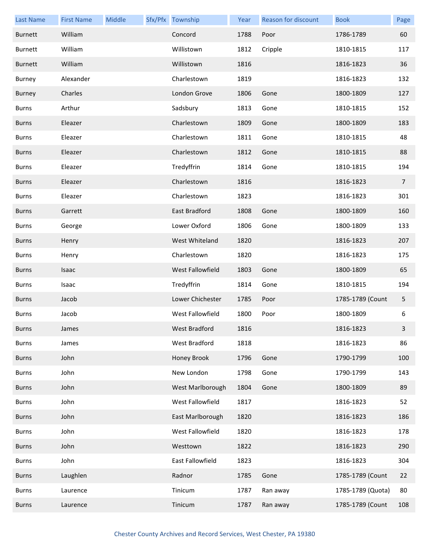| <b>Last Name</b> | <b>First Name</b> | Middle | Sfx/Pfx Township | Year | Reason for discount | <b>Book</b>       | Page           |
|------------------|-------------------|--------|------------------|------|---------------------|-------------------|----------------|
| <b>Burnett</b>   | William           |        | Concord          | 1788 | Poor                | 1786-1789         | 60             |
| <b>Burnett</b>   | William           |        | Willistown       | 1812 | Cripple             | 1810-1815         | 117            |
| <b>Burnett</b>   | William           |        | Willistown       | 1816 |                     | 1816-1823         | 36             |
| Burney           | Alexander         |        | Charlestown      | 1819 |                     | 1816-1823         | 132            |
| <b>Burney</b>    | Charles           |        | London Grove     | 1806 | Gone                | 1800-1809         | 127            |
| <b>Burns</b>     | Arthur            |        | Sadsbury         | 1813 | Gone                | 1810-1815         | 152            |
| <b>Burns</b>     | Eleazer           |        | Charlestown      | 1809 | Gone                | 1800-1809         | 183            |
| <b>Burns</b>     | Eleazer           |        | Charlestown      | 1811 | Gone                | 1810-1815         | 48             |
| <b>Burns</b>     | Eleazer           |        | Charlestown      | 1812 | Gone                | 1810-1815         | 88             |
| <b>Burns</b>     | Eleazer           |        | Tredyffrin       | 1814 | Gone                | 1810-1815         | 194            |
| <b>Burns</b>     | Eleazer           |        | Charlestown      | 1816 |                     | 1816-1823         | $\overline{7}$ |
| <b>Burns</b>     | Eleazer           |        | Charlestown      | 1823 |                     | 1816-1823         | 301            |
| <b>Burns</b>     | Garrett           |        | East Bradford    | 1808 | Gone                | 1800-1809         | 160            |
| <b>Burns</b>     | George            |        | Lower Oxford     | 1806 | Gone                | 1800-1809         | 133            |
| <b>Burns</b>     | Henry             |        | West Whiteland   | 1820 |                     | 1816-1823         | 207            |
| <b>Burns</b>     | Henry             |        | Charlestown      | 1820 |                     | 1816-1823         | 175            |
| <b>Burns</b>     | Isaac             |        | West Fallowfield | 1803 | Gone                | 1800-1809         | 65             |
| <b>Burns</b>     | Isaac             |        | Tredyffrin       | 1814 | Gone                | 1810-1815         | 194            |
| <b>Burns</b>     | Jacob             |        | Lower Chichester | 1785 | Poor                | 1785-1789 (Count  | 5              |
| <b>Burns</b>     | Jacob             |        | West Fallowfield | 1800 | Poor                | 1800-1809         | 6              |
| Burns            | James             |        | West Bradford    | 1816 |                     | 1816-1823         | 3              |
| <b>Burns</b>     | James             |        | West Bradford    | 1818 |                     | 1816-1823         | 86             |
| <b>Burns</b>     | John              |        | Honey Brook      | 1796 | Gone                | 1790-1799         | 100            |
| <b>Burns</b>     | John              |        | New London       | 1798 | Gone                | 1790-1799         | 143            |
| <b>Burns</b>     | John              |        | West Marlborough | 1804 | Gone                | 1800-1809         | 89             |
| <b>Burns</b>     | John              |        | West Fallowfield | 1817 |                     | 1816-1823         | 52             |
| <b>Burns</b>     | John              |        | East Marlborough | 1820 |                     | 1816-1823         | 186            |
| <b>Burns</b>     | John              |        | West Fallowfield | 1820 |                     | 1816-1823         | 178            |
| <b>Burns</b>     | John              |        | Westtown         | 1822 |                     | 1816-1823         | 290            |
| <b>Burns</b>     | John              |        | East Fallowfield | 1823 |                     | 1816-1823         | 304            |
| <b>Burns</b>     | Laughlen          |        | Radnor           | 1785 | Gone                | 1785-1789 (Count  | 22             |
| <b>Burns</b>     | Laurence          |        | Tinicum          | 1787 | Ran away            | 1785-1789 (Quota) | 80             |
| <b>Burns</b>     | Laurence          |        | Tinicum          | 1787 | Ran away            | 1785-1789 (Count  | 108            |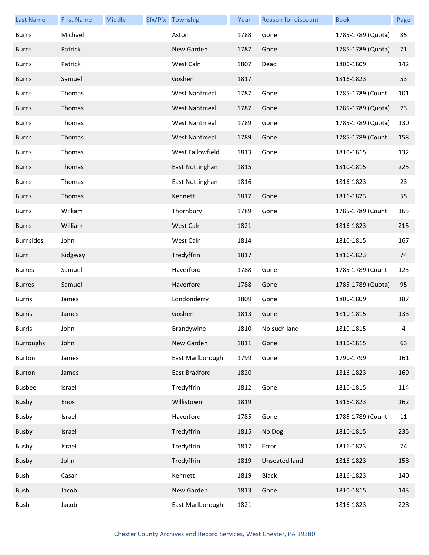| <b>Last Name</b> | <b>First Name</b> | Middle | Sfx/Pfx Township     | Year | <b>Reason for discount</b> | <b>Book</b>       | Page |
|------------------|-------------------|--------|----------------------|------|----------------------------|-------------------|------|
| <b>Burns</b>     | Michael           |        | Aston                | 1788 | Gone                       | 1785-1789 (Quota) | 85   |
| <b>Burns</b>     | Patrick           |        | New Garden           | 1787 | Gone                       | 1785-1789 (Quota) | 71   |
| <b>Burns</b>     | Patrick           |        | West Caln            | 1807 | Dead                       | 1800-1809         | 142  |
| <b>Burns</b>     | Samuel            |        | Goshen               | 1817 |                            | 1816-1823         | 53   |
| <b>Burns</b>     | Thomas            |        | <b>West Nantmeal</b> | 1787 | Gone                       | 1785-1789 (Count  | 101  |
| <b>Burns</b>     | Thomas            |        | <b>West Nantmeal</b> | 1787 | Gone                       | 1785-1789 (Quota) | 73   |
| <b>Burns</b>     | Thomas            |        | <b>West Nantmeal</b> | 1789 | Gone                       | 1785-1789 (Quota) | 130  |
| <b>Burns</b>     | Thomas            |        | <b>West Nantmeal</b> | 1789 | Gone                       | 1785-1789 (Count  | 158  |
| <b>Burns</b>     | Thomas            |        | West Fallowfield     | 1813 | Gone                       | 1810-1815         | 132  |
| <b>Burns</b>     | Thomas            |        | East Nottingham      | 1815 |                            | 1810-1815         | 225  |
| <b>Burns</b>     | Thomas            |        | East Nottingham      | 1816 |                            | 1816-1823         | 23   |
| <b>Burns</b>     | Thomas            |        | Kennett              | 1817 | Gone                       | 1816-1823         | 55   |
| <b>Burns</b>     | William           |        | Thornbury            | 1789 | Gone                       | 1785-1789 (Count  | 165  |
| <b>Burns</b>     | William           |        | West Caln            | 1821 |                            | 1816-1823         | 215  |
| <b>Burnsides</b> | John              |        | West Caln            | 1814 |                            | 1810-1815         | 167  |
| Burr             | Ridgway           |        | Tredyffrin           | 1817 |                            | 1816-1823         | 74   |
| <b>Burres</b>    | Samuel            |        | Haverford            | 1788 | Gone                       | 1785-1789 (Count  | 123  |
| <b>Burres</b>    | Samuel            |        | Haverford            | 1788 | Gone                       | 1785-1789 (Quota) | 95   |
| <b>Burris</b>    | James             |        | Londonderry          | 1809 | Gone                       | 1800-1809         | 187  |
| <b>Burris</b>    | James             |        | Goshen               | 1813 | Gone                       | 1810-1815         | 133  |
| Burris           | John              |        | Brandywine           | 1810 | No such land               | 1810-1815         | 4    |
| <b>Burroughs</b> | John              |        | New Garden           | 1811 | Gone                       | 1810-1815         | 63   |
| Burton           | James             |        | East Marlborough     | 1799 | Gone                       | 1790-1799         | 161  |
| Burton           | James             |        | East Bradford        | 1820 |                            | 1816-1823         | 169  |
| <b>Busbee</b>    | Israel            |        | Tredyffrin           | 1812 | Gone                       | 1810-1815         | 114  |
| Busby            | Enos              |        | Willistown           | 1819 |                            | 1816-1823         | 162  |
| Busby            | Israel            |        | Haverford            | 1785 | Gone                       | 1785-1789 (Count  | 11   |
| Busby            | Israel            |        | Tredyffrin           | 1815 | No Dog                     | 1810-1815         | 235  |
| Busby            | Israel            |        | Tredyffrin           | 1817 | Error                      | 1816-1823         | 74   |
| Busby            | John              |        | Tredyffrin           | 1819 | Unseated land              | 1816-1823         | 158  |
| Bush             | Casar             |        | Kennett              | 1819 | <b>Black</b>               | 1816-1823         | 140  |
| Bush             | Jacob             |        | New Garden           | 1813 | Gone                       | 1810-1815         | 143  |
| Bush             | Jacob             |        | East Marlborough     | 1821 |                            | 1816-1823         | 228  |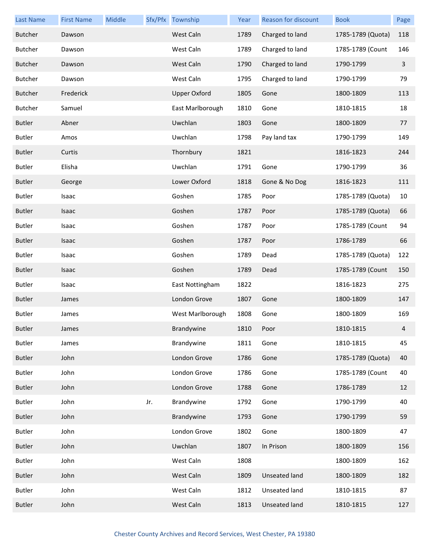| <b>Last Name</b> | <b>First Name</b> | Middle |     | Sfx/Pfx Township    | Year | Reason for discount  | <b>Book</b>       | Page           |
|------------------|-------------------|--------|-----|---------------------|------|----------------------|-------------------|----------------|
| <b>Butcher</b>   | Dawson            |        |     | West Caln           | 1789 | Charged to land      | 1785-1789 (Quota) | 118            |
| <b>Butcher</b>   | Dawson            |        |     | West Caln           | 1789 | Charged to land      | 1785-1789 (Count  | 146            |
| <b>Butcher</b>   | Dawson            |        |     | West Caln           | 1790 | Charged to land      | 1790-1799         | $\overline{3}$ |
| <b>Butcher</b>   | Dawson            |        |     | West Caln           | 1795 | Charged to land      | 1790-1799         | 79             |
| <b>Butcher</b>   | Frederick         |        |     | <b>Upper Oxford</b> | 1805 | Gone                 | 1800-1809         | 113            |
| <b>Butcher</b>   | Samuel            |        |     | East Marlborough    | 1810 | Gone                 | 1810-1815         | 18             |
| <b>Butler</b>    | Abner             |        |     | Uwchlan             | 1803 | Gone                 | 1800-1809         | 77             |
| <b>Butler</b>    | Amos              |        |     | Uwchlan             | 1798 | Pay land tax         | 1790-1799         | 149            |
| <b>Butler</b>    | Curtis            |        |     | Thornbury           | 1821 |                      | 1816-1823         | 244            |
| <b>Butler</b>    | Elisha            |        |     | Uwchlan             | 1791 | Gone                 | 1790-1799         | 36             |
| <b>Butler</b>    | George            |        |     | Lower Oxford        | 1818 | Gone & No Dog        | 1816-1823         | 111            |
| <b>Butler</b>    | Isaac             |        |     | Goshen              | 1785 | Poor                 | 1785-1789 (Quota) | 10             |
| <b>Butler</b>    | Isaac             |        |     | Goshen              | 1787 | Poor                 | 1785-1789 (Quota) | 66             |
| <b>Butler</b>    | Isaac             |        |     | Goshen              | 1787 | Poor                 | 1785-1789 (Count  | 94             |
| <b>Butler</b>    | Isaac             |        |     | Goshen              | 1787 | Poor                 | 1786-1789         | 66             |
| <b>Butler</b>    | Isaac             |        |     | Goshen              | 1789 | Dead                 | 1785-1789 (Quota) | 122            |
| <b>Butler</b>    | Isaac             |        |     | Goshen              | 1789 | Dead                 | 1785-1789 (Count  | 150            |
| <b>Butler</b>    | Isaac             |        |     | East Nottingham     | 1822 |                      | 1816-1823         | 275            |
| <b>Butler</b>    | James             |        |     | London Grove        | 1807 | Gone                 | 1800-1809         | 147            |
| <b>Butler</b>    | James             |        |     | West Marlborough    | 1808 | Gone                 | 1800-1809         | 169            |
| Butler           | James             |        |     | Brandywine          | 1810 | Poor                 | 1810-1815         | 4              |
| <b>Butler</b>    | James             |        |     | Brandywine          | 1811 | Gone                 | 1810-1815         | 45             |
| <b>Butler</b>    | John              |        |     | London Grove        | 1786 | Gone                 | 1785-1789 (Quota) | 40             |
| <b>Butler</b>    | John              |        |     | London Grove        | 1786 | Gone                 | 1785-1789 (Count  | 40             |
| <b>Butler</b>    | John              |        |     | London Grove        | 1788 | Gone                 | 1786-1789         | 12             |
| <b>Butler</b>    | John              |        | Jr. | Brandywine          | 1792 | Gone                 | 1790-1799         | 40             |
| <b>Butler</b>    | John              |        |     | Brandywine          | 1793 | Gone                 | 1790-1799         | 59             |
| <b>Butler</b>    | John              |        |     | London Grove        | 1802 | Gone                 | 1800-1809         | 47             |
| <b>Butler</b>    | John              |        |     | Uwchlan             | 1807 | In Prison            | 1800-1809         | 156            |
| <b>Butler</b>    | John              |        |     | West Caln           | 1808 |                      | 1800-1809         | 162            |
| <b>Butler</b>    | John              |        |     | West Caln           | 1809 | Unseated land        | 1800-1809         | 182            |
| <b>Butler</b>    | John              |        |     | West Caln           | 1812 | Unseated land        | 1810-1815         | 87             |
| <b>Butler</b>    | John              |        |     | West Caln           | 1813 | <b>Unseated land</b> | 1810-1815         | 127            |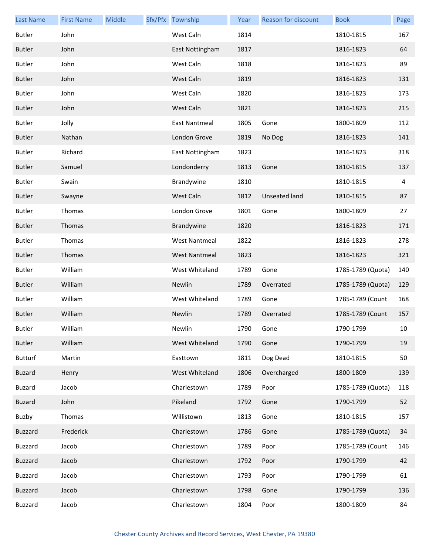| <b>Last Name</b> | <b>First Name</b> | Middle | Sfx/Pfx Township     | Year | Reason for discount  | <b>Book</b>       | Page |
|------------------|-------------------|--------|----------------------|------|----------------------|-------------------|------|
| <b>Butler</b>    | John              |        | West Caln            | 1814 |                      | 1810-1815         | 167  |
| <b>Butler</b>    | John              |        | East Nottingham      | 1817 |                      | 1816-1823         | 64   |
| <b>Butler</b>    | John              |        | West Caln            | 1818 |                      | 1816-1823         | 89   |
| <b>Butler</b>    | John              |        | West Caln            | 1819 |                      | 1816-1823         | 131  |
| <b>Butler</b>    | John              |        | West Caln            | 1820 |                      | 1816-1823         | 173  |
| <b>Butler</b>    | John              |        | West Caln            | 1821 |                      | 1816-1823         | 215  |
| <b>Butler</b>    | Jolly             |        | <b>East Nantmeal</b> | 1805 | Gone                 | 1800-1809         | 112  |
| <b>Butler</b>    | Nathan            |        | London Grove         | 1819 | No Dog               | 1816-1823         | 141  |
| <b>Butler</b>    | Richard           |        | East Nottingham      | 1823 |                      | 1816-1823         | 318  |
| <b>Butler</b>    | Samuel            |        | Londonderry          | 1813 | Gone                 | 1810-1815         | 137  |
| <b>Butler</b>    | Swain             |        | Brandywine           | 1810 |                      | 1810-1815         | 4    |
| <b>Butler</b>    | Swayne            |        | West Caln            | 1812 | <b>Unseated land</b> | 1810-1815         | 87   |
| <b>Butler</b>    | Thomas            |        | London Grove         | 1801 | Gone                 | 1800-1809         | 27   |
| <b>Butler</b>    | Thomas            |        | Brandywine           | 1820 |                      | 1816-1823         | 171  |
| <b>Butler</b>    | Thomas            |        | <b>West Nantmeal</b> | 1822 |                      | 1816-1823         | 278  |
| <b>Butler</b>    | Thomas            |        | <b>West Nantmeal</b> | 1823 |                      | 1816-1823         | 321  |
| <b>Butler</b>    | William           |        | West Whiteland       | 1789 | Gone                 | 1785-1789 (Quota) | 140  |
| <b>Butler</b>    | William           |        | Newlin               | 1789 | Overrated            | 1785-1789 (Quota) | 129  |
| <b>Butler</b>    | William           |        | West Whiteland       | 1789 | Gone                 | 1785-1789 (Count  | 168  |
| <b>Butler</b>    | William           |        | Newlin               | 1789 | Overrated            | 1785-1789 (Count  | 157  |
| Butler           | William           |        | Newlin               | 1790 | Gone                 | 1790-1799         | 10   |
| <b>Butler</b>    | William           |        | West Whiteland       | 1790 | Gone                 | 1790-1799         | 19   |
| <b>Butturf</b>   | Martin            |        | Easttown             | 1811 | Dog Dead             | 1810-1815         | 50   |
| <b>Buzard</b>    | Henry             |        | West Whiteland       | 1806 | Overcharged          | 1800-1809         | 139  |
| <b>Buzard</b>    | Jacob             |        | Charlestown          | 1789 | Poor                 | 1785-1789 (Quota) | 118  |
| <b>Buzard</b>    | John              |        | Pikeland             | 1792 | Gone                 | 1790-1799         | 52   |
| Buzby            | Thomas            |        | Willistown           | 1813 | Gone                 | 1810-1815         | 157  |
| <b>Buzzard</b>   | Frederick         |        | Charlestown          | 1786 | Gone                 | 1785-1789 (Quota) | 34   |
| <b>Buzzard</b>   | Jacob             |        | Charlestown          | 1789 | Poor                 | 1785-1789 (Count  | 146  |
| <b>Buzzard</b>   | Jacob             |        | Charlestown          | 1792 | Poor                 | 1790-1799         | 42   |
| <b>Buzzard</b>   | Jacob             |        | Charlestown          | 1793 | Poor                 | 1790-1799         | 61   |
| <b>Buzzard</b>   | Jacob             |        | Charlestown          | 1798 | Gone                 | 1790-1799         | 136  |
| Buzzard          | Jacob             |        | Charlestown          | 1804 | Poor                 | 1800-1809         | 84   |